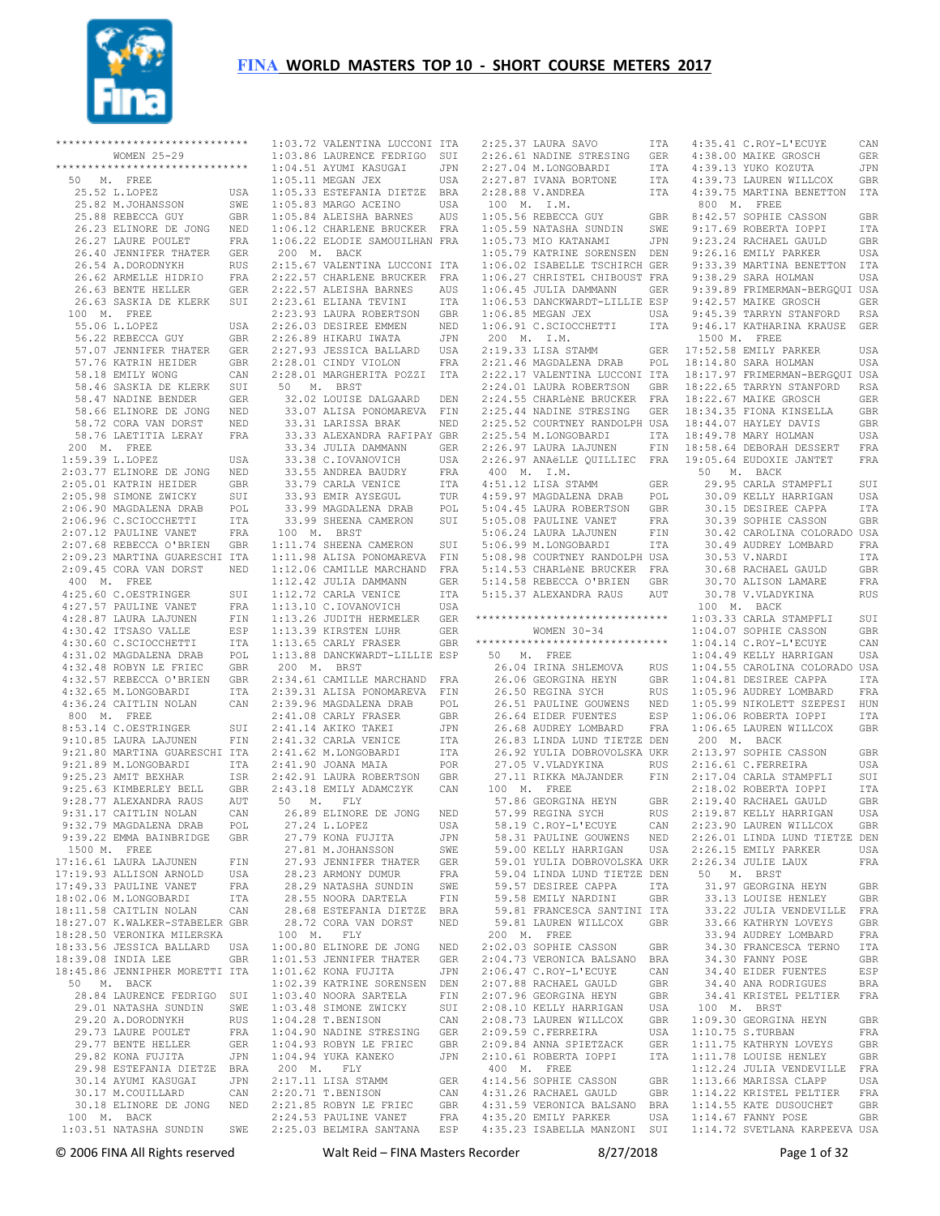

|                      | ******************************                  |             | 1:03.72 VALENTI       |                                |
|----------------------|-------------------------------------------------|-------------|-----------------------|--------------------------------|
|                      | WOMEN 25-29                                     |             | 1:03.86 LAURENC       |                                |
|                      | ******************************                  |             | 1:04.51 AYUMI K       |                                |
| 50<br>М.             | FREE                                            |             | 1:05.11 MEGAN J       |                                |
|                      | 25.52 L.LOPEZ                                   | USA         | 1:05.33 ESTEFAN       |                                |
|                      | 25.82 M.JOHANSSON                               | SWE         | 1:05.83 MARGO A       |                                |
|                      | 25.88 REBECCA GUY                               | GBR         | $1:05.84$ ALEISHA     |                                |
|                      | 26.23 ELINORE DE JONG                           | NED         | $1:06.12$ CHARLEN     |                                |
|                      | 26.27 LAURE POULET                              | FRA         | $1:06.22$ ELODIE      |                                |
|                      |                                                 |             | 200 M.                |                                |
|                      | 26.40 JENNIFER THATER                           | GER         |                       | BACK                           |
|                      | 26.54 A.DORODNYKH                               | RUS         | 2:15.67               | VALENTI                        |
|                      | 26.62 ARMELLE HIDRIO                            | FRA         | 2:22.57               | CHARLEN                        |
|                      | 26.63 BENTE HELLER                              | GER         | 2:22.57 ALEISHA       |                                |
|                      | 26.63 SASKIA DE KLERK                           | SUI         | 2:23.61 ELIANA        |                                |
| 100 M.               | FREE                                            |             | 2:23.93 LAURA R       |                                |
|                      | 55.06 L.LOPEZ                                   | USA         | 2:26.03 DESIREE       |                                |
|                      | 56.22 REBECCA GUY                               | GBR         | 2:26.89 HIKARU        |                                |
|                      | 57.07 JENNIFER THATER                           | GER         | 2:27.93               | JESSICA                        |
|                      | 57.76 KATRIN HEIDER                             | GBR         | 2:28.01 CINDY V       |                                |
|                      | 58.18 EMILY WONG                                | CAN         | 2:28.01 MARGHER       |                                |
|                      | 58.46 SASKIA DE KLERK                           | SUI         | 50<br>Μ.              | BRST                           |
|                      | 58.47 NADINE BENDER                             | GER         | 32.02                 | LOUISE                         |
|                      | 58.66 ELINORE DE JONG                           | NED         |                       | 33.07 ALISA P                  |
|                      | 58.72 CORA VAN DORST                            | NED         |                       | 33.31 LARISSA                  |
| 58.76                | LAETITIA LERAY                                  | FRA         |                       | 33.33 ALEXAND                  |
| 200<br>М.            | FREE                                            |             |                       | 33.34 JULIA D                  |
|                      | 1:59.39 L.LOPEZ                                 | USA         |                       | 33.38 C.IOVAN                  |
|                      | 2:03.77 ELINORE DE JONG                         | NED         |                       | 33.55 ANDREA                   |
|                      | 2:05.01 KATRIN HEIDER                           | GBR         |                       | 33.79 CARLA V                  |
|                      | 2:05.98 SIMONE ZWICKY                           | SUI         |                       | 33.93 EMIR AY                  |
|                      | 2:06.90 MAGDALENA DRAB                          | POL         |                       | 33.99 MAGDALE                  |
|                      | 2:06.96 C.SCIOCCHETTI                           | ITA         | 33.99                 | SHEENA                         |
|                      | 2:07.12 PAULINE VANET                           | <b>FRA</b>  | 100 M.                | BRST                           |
|                      | 2:07.68 REBECCA O'BRIEN                         | GBR         | 1:11.74 SHEENA        |                                |
|                      | 2:09.23 MARTINA GUARESCHI                       | ITA         | 1:11.98 ALISA P       |                                |
|                      | 2:09.45 CORA VAN DORST                          | NED         | $1:12.06$ CAMILLE     |                                |
| 400 M.               | FREE                                            |             | 1:12.42 JULIA D       |                                |
|                      | 4:25.60 C.OESTRINGER                            | SUI         | 1:12.72 CARLA V       |                                |
|                      | 4:27.57 PAULINE VANET                           | FRA         | 1:13.10 C.IOVAN       |                                |
|                      | 4:28.87 LAURA LAJUNEN                           | FIN         | 1:13.26 JUDITH        |                                |
|                      | 4:30.42 ITSASO VALLE                            | ESP         | 1:13.39 KIRSTEN       |                                |
|                      | 4:30.60 C.SCIOCCHETTI                           | ITA         | 1:13.65               | CARLY F                        |
|                      | 4:31.02 MAGDALENA DRAB                          | POL         | 1:13.88               | DANCKWA                        |
|                      | 4:32.48 ROBYN LE FRIEC                          | GBR         | 200 M.                | BRST                           |
|                      | 4:32.57 REBECCA O'BRIEN                         | GBR         | 2:34.61 CAMILLE       |                                |
|                      | 4:32.65 M.LONGOBARDI                            | ITA         | 2:39.31 ALISA P       |                                |
|                      | 4:36.24 CAITLIN NOLAN                           | CAN         | 2:39.96 MAGDALE       |                                |
| 800 M.               | FREE                                            |             | 2:41.08 CARLY F       |                                |
|                      | 8:53.14 C.OESTRINGER                            | SUI         | 2:41.14 AKIKO T       |                                |
|                      | 9:10.85 LAURA LAJUNEN                           | FIN         | 2:41.32 CARLA V       |                                |
|                      | 9:21.80 MARTINA GUARESCHI                       | ITA         | 2:41.62 M.LONGO       |                                |
|                      | 9:21.89 M.LONGOBARDI                            | ITA         | 2:41.90 JOANA M       |                                |
|                      | 9:25.23 AMIT BEXHAR                             | ISR         | 2:42.91 LAURA R       |                                |
|                      |                                                 | GBR         |                       |                                |
|                      | 9:25.63 KIMBERLEY BELL                          |             | 2:43.18 EMILY A<br>Μ. |                                |
|                      | 9:28.77 ALEXANDRA RAUS<br>9:31.17 CAITLIN NOLAN | AUT         | 50                    | FLY                            |
|                      | 9:32.79 MAGDALENA DRAB                          | CAN<br>POT. |                       | 26.89 ELINORE<br>27.24 L.LOPEZ |
|                      |                                                 |             |                       | 27.79 KONA FU                  |
|                      | 9:39.22 EMMA BAINBRIDGE                         | GBR         |                       |                                |
| 1500 M.              | FREE                                            |             |                       | 27.81 M.JOHAN                  |
|                      | 17:16.61 LAURA LAJUNEN                          | FIN         |                       | 27.93 JENNIFE                  |
|                      | 17:19.93 ALLISON ARNOLD                         | USA         |                       | 28.23 ARMONY                   |
|                      | 17:49.33 PAULINE VANET                          | FRA         |                       | 28.29 NATASHA                  |
|                      | 18:02.06 M.LONGOBARDI                           | ITA         |                       | 28.55 NOORA D                  |
|                      | 18:11.58 CAITLIN NOLAN                          | CAN         |                       | 28.68 ESTEFAN                  |
|                      | 18:27.07 K.WALKER-STABELER GBR                  |             |                       | 28.72 CORA VA                  |
|                      | 18:28.50 VERONIKA MILERSKA                      |             | 100 M.                | FLY                            |
|                      | 18:33.56 JESSICA BALLARD                        | USA         | 1:00.80 ELINORE       |                                |
|                      | 18:39.08 INDIA LEE                              | GBR         | 1:01.53 JENNIFE       |                                |
|                      | 18:45.86 JENNIPHER MORETTI ITA                  |             | 1:01.62 KONA FU       |                                |
| M <sub>1</sub><br>50 | BACK                                            |             | 1:02.39 KATRINE       |                                |
|                      | 28.84 LAURENCE FEDRIGO                          | SUI         | 1:03.40 NOORA S       |                                |
|                      | 29.01 NATASHA SUNDIN                            | SWE         | 1:03.48 SIMONE        |                                |
|                      | 29.20 A.DORODNYKH                               | RUS         | 1:04.28 T.BENIS       |                                |
|                      | 29.73 LAURE POULET                              | FRA         | $1:04.90$ NADINE      |                                |
|                      | 29.77 BENTE HELLER                              | <b>GER</b>  | 1:04.93 ROBYN L       |                                |
|                      | 29.82 KONA FUJITA                               | JPN         | 1:04.94 YUKA KA       |                                |
|                      | 29.98 ESTEFANIA DIETZE                          | BRA         | 200 M.                | FLY                            |
|                      | 30.14 AYUMI KASUGAI                             | JPN         | 2:17.11 LISA ST       |                                |
|                      | 30.17 M.COUILLARD                               | CAN         | 2:20.71 T.BENIS       |                                |
|                      | 30.18 ELINORE DE JONG                           | NED         | 2:21.85 ROBYN L       |                                |
| 100 M.               | BACK                                            |             | 2:24.53 PAULINE       |                                |
|                      | 1:03.51 NATASHA SUNDIN                          | SWE         | 2:25.03 BELMIRA       |                                |

| 1:03.72 VALENTINA LUCCONI ITA<br>1:03.72 VALENTINA DOCCOOLS<br>1:03.86 LAURENCE FEDRIGO SUI<br>1.04.51 AVMI KASUGAI (1981)<br>1.05.11 MEGAN JEX (1982)<br>1.05.33 ESTEFANIA DIETZE BRA (2:<br>1.05.83 MARGO ACEINO (1984)<br>1.05.84 ALEISHA BARNES AUS (1986)<br>1.06.12 CHARLENE BRUCKER FRA (1996)<br>1.06.22 ELODIE SAMOUILHAN FRA (1996)<br>$\mathbf{1}$ :<br>200 M. BACK<br>$\mathbf{1}$<br>2:15.67 VALENTINA LUCCONI ITA<br>2:22.57 CHARLENE BRUCKER FRA<br>1:<br>2:22.57 ALEISHA BARNES<br>2:22.57 ALEISHA BARNES<br>2:23.61 ELIANA TEVINI ITA<br>2:23.93 LAURA ROBERTSON GBR<br>2:26.03 DESIREE EMMEN NED<br>2:26.89 HIKARU IWATA JPN<br>2:26.03 DESIREE EMMEN NED 1:<br>2:26.89 HIKARU IWATA JPN 2<br>2:27.93 JESSICA BALLARD USA 2:<br>2:28.01 CINDY VIOLON FRA 2:<br>2:28.01 MARGHERITA POZZI ITA 2:<br>50 M. BRST<br>$\mathbf{2}$ :<br>32.02 LOUISE DALGAARD DEN<br>$\mathbf{2}$<br>33.07 ALISA PONOMAREVA FIN<br>33.31 LARISSA BRAK NED<br>33.33 ALEXANDRA RAFIPAY GBR 2:<br>33.33 ALEXANDRA RAFIPAY GBR 2:<br>33.33 C. IOVANOVICH USA 2:<br>33.35 ANDREA BAUDRY FRA 4:<br>33.55 ANDREA BAUDRY FRA 4:<br>33.99 MAGDALENA DRAB POL 33.99 MAGDALENA DRAB POL 5:<br>5:<br>33.99 SHEENA CAMERON SUI<br>5:<br>100 M. BRST<br>100 W. BASINA CAMERON SUI<br>1:11.74 SHEENA CAMERON SUI<br>1:11.98 ALISA PONOMAREVA FIN<br>1:12.42 JULIA DAMMANN GER<br>5:<br>5:<br>1:12.42 JULIA DAMMANN GER<br>1:12.42 JULIA DAMMANN GER<br>1:12.72 CARLA VENICE ITA<br>1:13.10 C.IOVANOVICH USA<br>1:13.26 JUDITH HERMELER GER<br>1:13.39 KIRSTEN LUR GER<br>1:13.65 CARLY FRASER GER<br>1:13.88 DANCKWARDT-LILLIE ESP<br>200 M. BRST<br>200 M. BRST<br>2:39.31 ALISA PONOMAREVA FRA<br>2:39.31 ALISA PONOMAREVA FIN<br>2:39.36 MAGDALENA DRAB POL<br>2:41.08 CARLY FRASER GBR<br>2:41.14 AKIKO TAKEI JPN<br>2:41.52 CARLA VENICE ITA<br>2:41.52 M.LONGOBARDI ITA<br>2:41.62 M.LONGOBA<br>1<br>50 M. FLY<br>26.89 ELINORE DE JONG NED<br>27.24 L.LOPEZ<br>USA<br>27.79 KONA FUJITA<br>JPN<br>27.81 M.JOHANSSON<br>SWE<br>27.93 JENNIFER THATER<br>GER<br>28.23 ARMONY DUMUR<br>FRA<br>28.29 NATASHA SUNDIN<br>SWE<br>28.55 NOORA DARTELA<br>FIN<br>28.68 ESTEFANIA DIETZE BRA<br>28.72 CORA VAN DORST<br>NED<br>$\tilde{a}$<br>100 M. FLY<br>$1:00.80$ ELINORE DE JONG NED<br>$\overline{2}$ :<br>1:01.53 JENNIFER THATER<br>$\overline{2}$ :<br>GER<br>$1:01.62$ KONA FUJITA<br>JPN<br>1:02.39 KATRINE SORENSEN DEN<br>$1:03.40$ NOORA SARTELA<br>FIN<br>1:03.48 SIMONE ZWICKY<br>SUI<br>1:04.28 T.BENISON<br>CAN<br>1:04.90 NADINE STRESING<br>GER<br>$1:04.93$ ROBYN LE FRIEC<br>GBR<br>1:04.94 YUKA KANEKO<br>$\overline{2}$ :<br>JPN<br>200 M. FLY<br>2:17.11 LISA STAMM<br>2:20.71 T.BENISON<br>4:<br>GER<br>4:<br>CAN<br>$2:21.85$ ROBYN LE FRIEC<br>$\ddot{4}$ :<br>GBR<br>2:24.53 PAULINE VANET<br>FRA<br>$2:25.03$ BELMIRA SANTANA<br>ESP |  |  |                         |
|----------------------------------------------------------------------------------------------------------------------------------------------------------------------------------------------------------------------------------------------------------------------------------------------------------------------------------------------------------------------------------------------------------------------------------------------------------------------------------------------------------------------------------------------------------------------------------------------------------------------------------------------------------------------------------------------------------------------------------------------------------------------------------------------------------------------------------------------------------------------------------------------------------------------------------------------------------------------------------------------------------------------------------------------------------------------------------------------------------------------------------------------------------------------------------------------------------------------------------------------------------------------------------------------------------------------------------------------------------------------------------------------------------------------------------------------------------------------------------------------------------------------------------------------------------------------------------------------------------------------------------------------------------------------------------------------------------------------------------------------------------------------------------------------------------------------------------------------------------------------------------------------------------------------------------------------------------------------------------------------------------------------------------------------------------------------------------------------------------------------------------------------------------------------------------------------------------------------------------------------------------------------------------------------------------------------------------------------------------------------------------------------------------------------------------------------------------------------------------------------------------------------------------------------------------------------------------------------------------------------------------------------------------------------------------------------------------------------------------------------------------------------------------------------------------------------------------------------|--|--|-------------------------|
|                                                                                                                                                                                                                                                                                                                                                                                                                                                                                                                                                                                                                                                                                                                                                                                                                                                                                                                                                                                                                                                                                                                                                                                                                                                                                                                                                                                                                                                                                                                                                                                                                                                                                                                                                                                                                                                                                                                                                                                                                                                                                                                                                                                                                                                                                                                                                                                                                                                                                                                                                                                                                                                                                                                                                                                                                                              |  |  | $\overline{2}$ :        |
|                                                                                                                                                                                                                                                                                                                                                                                                                                                                                                                                                                                                                                                                                                                                                                                                                                                                                                                                                                                                                                                                                                                                                                                                                                                                                                                                                                                                                                                                                                                                                                                                                                                                                                                                                                                                                                                                                                                                                                                                                                                                                                                                                                                                                                                                                                                                                                                                                                                                                                                                                                                                                                                                                                                                                                                                                                              |  |  | 2:                      |
|                                                                                                                                                                                                                                                                                                                                                                                                                                                                                                                                                                                                                                                                                                                                                                                                                                                                                                                                                                                                                                                                                                                                                                                                                                                                                                                                                                                                                                                                                                                                                                                                                                                                                                                                                                                                                                                                                                                                                                                                                                                                                                                                                                                                                                                                                                                                                                                                                                                                                                                                                                                                                                                                                                                                                                                                                                              |  |  |                         |
|                                                                                                                                                                                                                                                                                                                                                                                                                                                                                                                                                                                                                                                                                                                                                                                                                                                                                                                                                                                                                                                                                                                                                                                                                                                                                                                                                                                                                                                                                                                                                                                                                                                                                                                                                                                                                                                                                                                                                                                                                                                                                                                                                                                                                                                                                                                                                                                                                                                                                                                                                                                                                                                                                                                                                                                                                                              |  |  |                         |
|                                                                                                                                                                                                                                                                                                                                                                                                                                                                                                                                                                                                                                                                                                                                                                                                                                                                                                                                                                                                                                                                                                                                                                                                                                                                                                                                                                                                                                                                                                                                                                                                                                                                                                                                                                                                                                                                                                                                                                                                                                                                                                                                                                                                                                                                                                                                                                                                                                                                                                                                                                                                                                                                                                                                                                                                                                              |  |  |                         |
|                                                                                                                                                                                                                                                                                                                                                                                                                                                                                                                                                                                                                                                                                                                                                                                                                                                                                                                                                                                                                                                                                                                                                                                                                                                                                                                                                                                                                                                                                                                                                                                                                                                                                                                                                                                                                                                                                                                                                                                                                                                                                                                                                                                                                                                                                                                                                                                                                                                                                                                                                                                                                                                                                                                                                                                                                                              |  |  |                         |
|                                                                                                                                                                                                                                                                                                                                                                                                                                                                                                                                                                                                                                                                                                                                                                                                                                                                                                                                                                                                                                                                                                                                                                                                                                                                                                                                                                                                                                                                                                                                                                                                                                                                                                                                                                                                                                                                                                                                                                                                                                                                                                                                                                                                                                                                                                                                                                                                                                                                                                                                                                                                                                                                                                                                                                                                                                              |  |  |                         |
|                                                                                                                                                                                                                                                                                                                                                                                                                                                                                                                                                                                                                                                                                                                                                                                                                                                                                                                                                                                                                                                                                                                                                                                                                                                                                                                                                                                                                                                                                                                                                                                                                                                                                                                                                                                                                                                                                                                                                                                                                                                                                                                                                                                                                                                                                                                                                                                                                                                                                                                                                                                                                                                                                                                                                                                                                                              |  |  |                         |
|                                                                                                                                                                                                                                                                                                                                                                                                                                                                                                                                                                                                                                                                                                                                                                                                                                                                                                                                                                                                                                                                                                                                                                                                                                                                                                                                                                                                                                                                                                                                                                                                                                                                                                                                                                                                                                                                                                                                                                                                                                                                                                                                                                                                                                                                                                                                                                                                                                                                                                                                                                                                                                                                                                                                                                                                                                              |  |  |                         |
|                                                                                                                                                                                                                                                                                                                                                                                                                                                                                                                                                                                                                                                                                                                                                                                                                                                                                                                                                                                                                                                                                                                                                                                                                                                                                                                                                                                                                                                                                                                                                                                                                                                                                                                                                                                                                                                                                                                                                                                                                                                                                                                                                                                                                                                                                                                                                                                                                                                                                                                                                                                                                                                                                                                                                                                                                                              |  |  |                         |
|                                                                                                                                                                                                                                                                                                                                                                                                                                                                                                                                                                                                                                                                                                                                                                                                                                                                                                                                                                                                                                                                                                                                                                                                                                                                                                                                                                                                                                                                                                                                                                                                                                                                                                                                                                                                                                                                                                                                                                                                                                                                                                                                                                                                                                                                                                                                                                                                                                                                                                                                                                                                                                                                                                                                                                                                                                              |  |  | $\mathbf{1}$ :          |
|                                                                                                                                                                                                                                                                                                                                                                                                                                                                                                                                                                                                                                                                                                                                                                                                                                                                                                                                                                                                                                                                                                                                                                                                                                                                                                                                                                                                                                                                                                                                                                                                                                                                                                                                                                                                                                                                                                                                                                                                                                                                                                                                                                                                                                                                                                                                                                                                                                                                                                                                                                                                                                                                                                                                                                                                                                              |  |  | $\mathbf{1}$            |
|                                                                                                                                                                                                                                                                                                                                                                                                                                                                                                                                                                                                                                                                                                                                                                                                                                                                                                                                                                                                                                                                                                                                                                                                                                                                                                                                                                                                                                                                                                                                                                                                                                                                                                                                                                                                                                                                                                                                                                                                                                                                                                                                                                                                                                                                                                                                                                                                                                                                                                                                                                                                                                                                                                                                                                                                                                              |  |  | $1:$                    |
|                                                                                                                                                                                                                                                                                                                                                                                                                                                                                                                                                                                                                                                                                                                                                                                                                                                                                                                                                                                                                                                                                                                                                                                                                                                                                                                                                                                                                                                                                                                                                                                                                                                                                                                                                                                                                                                                                                                                                                                                                                                                                                                                                                                                                                                                                                                                                                                                                                                                                                                                                                                                                                                                                                                                                                                                                                              |  |  | $1\!$                   |
|                                                                                                                                                                                                                                                                                                                                                                                                                                                                                                                                                                                                                                                                                                                                                                                                                                                                                                                                                                                                                                                                                                                                                                                                                                                                                                                                                                                                                                                                                                                                                                                                                                                                                                                                                                                                                                                                                                                                                                                                                                                                                                                                                                                                                                                                                                                                                                                                                                                                                                                                                                                                                                                                                                                                                                                                                                              |  |  | $\mathbf{1}$            |
|                                                                                                                                                                                                                                                                                                                                                                                                                                                                                                                                                                                                                                                                                                                                                                                                                                                                                                                                                                                                                                                                                                                                                                                                                                                                                                                                                                                                                                                                                                                                                                                                                                                                                                                                                                                                                                                                                                                                                                                                                                                                                                                                                                                                                                                                                                                                                                                                                                                                                                                                                                                                                                                                                                                                                                                                                                              |  |  |                         |
|                                                                                                                                                                                                                                                                                                                                                                                                                                                                                                                                                                                                                                                                                                                                                                                                                                                                                                                                                                                                                                                                                                                                                                                                                                                                                                                                                                                                                                                                                                                                                                                                                                                                                                                                                                                                                                                                                                                                                                                                                                                                                                                                                                                                                                                                                                                                                                                                                                                                                                                                                                                                                                                                                                                                                                                                                                              |  |  |                         |
|                                                                                                                                                                                                                                                                                                                                                                                                                                                                                                                                                                                                                                                                                                                                                                                                                                                                                                                                                                                                                                                                                                                                                                                                                                                                                                                                                                                                                                                                                                                                                                                                                                                                                                                                                                                                                                                                                                                                                                                                                                                                                                                                                                                                                                                                                                                                                                                                                                                                                                                                                                                                                                                                                                                                                                                                                                              |  |  |                         |
|                                                                                                                                                                                                                                                                                                                                                                                                                                                                                                                                                                                                                                                                                                                                                                                                                                                                                                                                                                                                                                                                                                                                                                                                                                                                                                                                                                                                                                                                                                                                                                                                                                                                                                                                                                                                                                                                                                                                                                                                                                                                                                                                                                                                                                                                                                                                                                                                                                                                                                                                                                                                                                                                                                                                                                                                                                              |  |  |                         |
|                                                                                                                                                                                                                                                                                                                                                                                                                                                                                                                                                                                                                                                                                                                                                                                                                                                                                                                                                                                                                                                                                                                                                                                                                                                                                                                                                                                                                                                                                                                                                                                                                                                                                                                                                                                                                                                                                                                                                                                                                                                                                                                                                                                                                                                                                                                                                                                                                                                                                                                                                                                                                                                                                                                                                                                                                                              |  |  |                         |
|                                                                                                                                                                                                                                                                                                                                                                                                                                                                                                                                                                                                                                                                                                                                                                                                                                                                                                                                                                                                                                                                                                                                                                                                                                                                                                                                                                                                                                                                                                                                                                                                                                                                                                                                                                                                                                                                                                                                                                                                                                                                                                                                                                                                                                                                                                                                                                                                                                                                                                                                                                                                                                                                                                                                                                                                                                              |  |  | 2:                      |
|                                                                                                                                                                                                                                                                                                                                                                                                                                                                                                                                                                                                                                                                                                                                                                                                                                                                                                                                                                                                                                                                                                                                                                                                                                                                                                                                                                                                                                                                                                                                                                                                                                                                                                                                                                                                                                                                                                                                                                                                                                                                                                                                                                                                                                                                                                                                                                                                                                                                                                                                                                                                                                                                                                                                                                                                                                              |  |  | $\mathbf{2}$ :          |
|                                                                                                                                                                                                                                                                                                                                                                                                                                                                                                                                                                                                                                                                                                                                                                                                                                                                                                                                                                                                                                                                                                                                                                                                                                                                                                                                                                                                                                                                                                                                                                                                                                                                                                                                                                                                                                                                                                                                                                                                                                                                                                                                                                                                                                                                                                                                                                                                                                                                                                                                                                                                                                                                                                                                                                                                                                              |  |  |                         |
|                                                                                                                                                                                                                                                                                                                                                                                                                                                                                                                                                                                                                                                                                                                                                                                                                                                                                                                                                                                                                                                                                                                                                                                                                                                                                                                                                                                                                                                                                                                                                                                                                                                                                                                                                                                                                                                                                                                                                                                                                                                                                                                                                                                                                                                                                                                                                                                                                                                                                                                                                                                                                                                                                                                                                                                                                                              |  |  |                         |
|                                                                                                                                                                                                                                                                                                                                                                                                                                                                                                                                                                                                                                                                                                                                                                                                                                                                                                                                                                                                                                                                                                                                                                                                                                                                                                                                                                                                                                                                                                                                                                                                                                                                                                                                                                                                                                                                                                                                                                                                                                                                                                                                                                                                                                                                                                                                                                                                                                                                                                                                                                                                                                                                                                                                                                                                                                              |  |  |                         |
|                                                                                                                                                                                                                                                                                                                                                                                                                                                                                                                                                                                                                                                                                                                                                                                                                                                                                                                                                                                                                                                                                                                                                                                                                                                                                                                                                                                                                                                                                                                                                                                                                                                                                                                                                                                                                                                                                                                                                                                                                                                                                                                                                                                                                                                                                                                                                                                                                                                                                                                                                                                                                                                                                                                                                                                                                                              |  |  |                         |
|                                                                                                                                                                                                                                                                                                                                                                                                                                                                                                                                                                                                                                                                                                                                                                                                                                                                                                                                                                                                                                                                                                                                                                                                                                                                                                                                                                                                                                                                                                                                                                                                                                                                                                                                                                                                                                                                                                                                                                                                                                                                                                                                                                                                                                                                                                                                                                                                                                                                                                                                                                                                                                                                                                                                                                                                                                              |  |  |                         |
|                                                                                                                                                                                                                                                                                                                                                                                                                                                                                                                                                                                                                                                                                                                                                                                                                                                                                                                                                                                                                                                                                                                                                                                                                                                                                                                                                                                                                                                                                                                                                                                                                                                                                                                                                                                                                                                                                                                                                                                                                                                                                                                                                                                                                                                                                                                                                                                                                                                                                                                                                                                                                                                                                                                                                                                                                                              |  |  |                         |
|                                                                                                                                                                                                                                                                                                                                                                                                                                                                                                                                                                                                                                                                                                                                                                                                                                                                                                                                                                                                                                                                                                                                                                                                                                                                                                                                                                                                                                                                                                                                                                                                                                                                                                                                                                                                                                                                                                                                                                                                                                                                                                                                                                                                                                                                                                                                                                                                                                                                                                                                                                                                                                                                                                                                                                                                                                              |  |  |                         |
|                                                                                                                                                                                                                                                                                                                                                                                                                                                                                                                                                                                                                                                                                                                                                                                                                                                                                                                                                                                                                                                                                                                                                                                                                                                                                                                                                                                                                                                                                                                                                                                                                                                                                                                                                                                                                                                                                                                                                                                                                                                                                                                                                                                                                                                                                                                                                                                                                                                                                                                                                                                                                                                                                                                                                                                                                                              |  |  |                         |
|                                                                                                                                                                                                                                                                                                                                                                                                                                                                                                                                                                                                                                                                                                                                                                                                                                                                                                                                                                                                                                                                                                                                                                                                                                                                                                                                                                                                                                                                                                                                                                                                                                                                                                                                                                                                                                                                                                                                                                                                                                                                                                                                                                                                                                                                                                                                                                                                                                                                                                                                                                                                                                                                                                                                                                                                                                              |  |  |                         |
|                                                                                                                                                                                                                                                                                                                                                                                                                                                                                                                                                                                                                                                                                                                                                                                                                                                                                                                                                                                                                                                                                                                                                                                                                                                                                                                                                                                                                                                                                                                                                                                                                                                                                                                                                                                                                                                                                                                                                                                                                                                                                                                                                                                                                                                                                                                                                                                                                                                                                                                                                                                                                                                                                                                                                                                                                                              |  |  |                         |
|                                                                                                                                                                                                                                                                                                                                                                                                                                                                                                                                                                                                                                                                                                                                                                                                                                                                                                                                                                                                                                                                                                                                                                                                                                                                                                                                                                                                                                                                                                                                                                                                                                                                                                                                                                                                                                                                                                                                                                                                                                                                                                                                                                                                                                                                                                                                                                                                                                                                                                                                                                                                                                                                                                                                                                                                                                              |  |  | 5:                      |
|                                                                                                                                                                                                                                                                                                                                                                                                                                                                                                                                                                                                                                                                                                                                                                                                                                                                                                                                                                                                                                                                                                                                                                                                                                                                                                                                                                                                                                                                                                                                                                                                                                                                                                                                                                                                                                                                                                                                                                                                                                                                                                                                                                                                                                                                                                                                                                                                                                                                                                                                                                                                                                                                                                                                                                                                                                              |  |  |                         |
|                                                                                                                                                                                                                                                                                                                                                                                                                                                                                                                                                                                                                                                                                                                                                                                                                                                                                                                                                                                                                                                                                                                                                                                                                                                                                                                                                                                                                                                                                                                                                                                                                                                                                                                                                                                                                                                                                                                                                                                                                                                                                                                                                                                                                                                                                                                                                                                                                                                                                                                                                                                                                                                                                                                                                                                                                                              |  |  |                         |
|                                                                                                                                                                                                                                                                                                                                                                                                                                                                                                                                                                                                                                                                                                                                                                                                                                                                                                                                                                                                                                                                                                                                                                                                                                                                                                                                                                                                                                                                                                                                                                                                                                                                                                                                                                                                                                                                                                                                                                                                                                                                                                                                                                                                                                                                                                                                                                                                                                                                                                                                                                                                                                                                                                                                                                                                                                              |  |  |                         |
|                                                                                                                                                                                                                                                                                                                                                                                                                                                                                                                                                                                                                                                                                                                                                                                                                                                                                                                                                                                                                                                                                                                                                                                                                                                                                                                                                                                                                                                                                                                                                                                                                                                                                                                                                                                                                                                                                                                                                                                                                                                                                                                                                                                                                                                                                                                                                                                                                                                                                                                                                                                                                                                                                                                                                                                                                                              |  |  |                         |
|                                                                                                                                                                                                                                                                                                                                                                                                                                                                                                                                                                                                                                                                                                                                                                                                                                                                                                                                                                                                                                                                                                                                                                                                                                                                                                                                                                                                                                                                                                                                                                                                                                                                                                                                                                                                                                                                                                                                                                                                                                                                                                                                                                                                                                                                                                                                                                                                                                                                                                                                                                                                                                                                                                                                                                                                                                              |  |  |                         |
|                                                                                                                                                                                                                                                                                                                                                                                                                                                                                                                                                                                                                                                                                                                                                                                                                                                                                                                                                                                                                                                                                                                                                                                                                                                                                                                                                                                                                                                                                                                                                                                                                                                                                                                                                                                                                                                                                                                                                                                                                                                                                                                                                                                                                                                                                                                                                                                                                                                                                                                                                                                                                                                                                                                                                                                                                                              |  |  |                         |
|                                                                                                                                                                                                                                                                                                                                                                                                                                                                                                                                                                                                                                                                                                                                                                                                                                                                                                                                                                                                                                                                                                                                                                                                                                                                                                                                                                                                                                                                                                                                                                                                                                                                                                                                                                                                                                                                                                                                                                                                                                                                                                                                                                                                                                                                                                                                                                                                                                                                                                                                                                                                                                                                                                                                                                                                                                              |  |  |                         |
|                                                                                                                                                                                                                                                                                                                                                                                                                                                                                                                                                                                                                                                                                                                                                                                                                                                                                                                                                                                                                                                                                                                                                                                                                                                                                                                                                                                                                                                                                                                                                                                                                                                                                                                                                                                                                                                                                                                                                                                                                                                                                                                                                                                                                                                                                                                                                                                                                                                                                                                                                                                                                                                                                                                                                                                                                                              |  |  |                         |
|                                                                                                                                                                                                                                                                                                                                                                                                                                                                                                                                                                                                                                                                                                                                                                                                                                                                                                                                                                                                                                                                                                                                                                                                                                                                                                                                                                                                                                                                                                                                                                                                                                                                                                                                                                                                                                                                                                                                                                                                                                                                                                                                                                                                                                                                                                                                                                                                                                                                                                                                                                                                                                                                                                                                                                                                                                              |  |  |                         |
|                                                                                                                                                                                                                                                                                                                                                                                                                                                                                                                                                                                                                                                                                                                                                                                                                                                                                                                                                                                                                                                                                                                                                                                                                                                                                                                                                                                                                                                                                                                                                                                                                                                                                                                                                                                                                                                                                                                                                                                                                                                                                                                                                                                                                                                                                                                                                                                                                                                                                                                                                                                                                                                                                                                                                                                                                                              |  |  |                         |
|                                                                                                                                                                                                                                                                                                                                                                                                                                                                                                                                                                                                                                                                                                                                                                                                                                                                                                                                                                                                                                                                                                                                                                                                                                                                                                                                                                                                                                                                                                                                                                                                                                                                                                                                                                                                                                                                                                                                                                                                                                                                                                                                                                                                                                                                                                                                                                                                                                                                                                                                                                                                                                                                                                                                                                                                                                              |  |  |                         |
|                                                                                                                                                                                                                                                                                                                                                                                                                                                                                                                                                                                                                                                                                                                                                                                                                                                                                                                                                                                                                                                                                                                                                                                                                                                                                                                                                                                                                                                                                                                                                                                                                                                                                                                                                                                                                                                                                                                                                                                                                                                                                                                                                                                                                                                                                                                                                                                                                                                                                                                                                                                                                                                                                                                                                                                                                                              |  |  |                         |
|                                                                                                                                                                                                                                                                                                                                                                                                                                                                                                                                                                                                                                                                                                                                                                                                                                                                                                                                                                                                                                                                                                                                                                                                                                                                                                                                                                                                                                                                                                                                                                                                                                                                                                                                                                                                                                                                                                                                                                                                                                                                                                                                                                                                                                                                                                                                                                                                                                                                                                                                                                                                                                                                                                                                                                                                                                              |  |  |                         |
|                                                                                                                                                                                                                                                                                                                                                                                                                                                                                                                                                                                                                                                                                                                                                                                                                                                                                                                                                                                                                                                                                                                                                                                                                                                                                                                                                                                                                                                                                                                                                                                                                                                                                                                                                                                                                                                                                                                                                                                                                                                                                                                                                                                                                                                                                                                                                                                                                                                                                                                                                                                                                                                                                                                                                                                                                                              |  |  |                         |
|                                                                                                                                                                                                                                                                                                                                                                                                                                                                                                                                                                                                                                                                                                                                                                                                                                                                                                                                                                                                                                                                                                                                                                                                                                                                                                                                                                                                                                                                                                                                                                                                                                                                                                                                                                                                                                                                                                                                                                                                                                                                                                                                                                                                                                                                                                                                                                                                                                                                                                                                                                                                                                                                                                                                                                                                                                              |  |  |                         |
|                                                                                                                                                                                                                                                                                                                                                                                                                                                                                                                                                                                                                                                                                                                                                                                                                                                                                                                                                                                                                                                                                                                                                                                                                                                                                                                                                                                                                                                                                                                                                                                                                                                                                                                                                                                                                                                                                                                                                                                                                                                                                                                                                                                                                                                                                                                                                                                                                                                                                                                                                                                                                                                                                                                                                                                                                                              |  |  |                         |
|                                                                                                                                                                                                                                                                                                                                                                                                                                                                                                                                                                                                                                                                                                                                                                                                                                                                                                                                                                                                                                                                                                                                                                                                                                                                                                                                                                                                                                                                                                                                                                                                                                                                                                                                                                                                                                                                                                                                                                                                                                                                                                                                                                                                                                                                                                                                                                                                                                                                                                                                                                                                                                                                                                                                                                                                                                              |  |  |                         |
|                                                                                                                                                                                                                                                                                                                                                                                                                                                                                                                                                                                                                                                                                                                                                                                                                                                                                                                                                                                                                                                                                                                                                                                                                                                                                                                                                                                                                                                                                                                                                                                                                                                                                                                                                                                                                                                                                                                                                                                                                                                                                                                                                                                                                                                                                                                                                                                                                                                                                                                                                                                                                                                                                                                                                                                                                                              |  |  |                         |
|                                                                                                                                                                                                                                                                                                                                                                                                                                                                                                                                                                                                                                                                                                                                                                                                                                                                                                                                                                                                                                                                                                                                                                                                                                                                                                                                                                                                                                                                                                                                                                                                                                                                                                                                                                                                                                                                                                                                                                                                                                                                                                                                                                                                                                                                                                                                                                                                                                                                                                                                                                                                                                                                                                                                                                                                                                              |  |  |                         |
|                                                                                                                                                                                                                                                                                                                                                                                                                                                                                                                                                                                                                                                                                                                                                                                                                                                                                                                                                                                                                                                                                                                                                                                                                                                                                                                                                                                                                                                                                                                                                                                                                                                                                                                                                                                                                                                                                                                                                                                                                                                                                                                                                                                                                                                                                                                                                                                                                                                                                                                                                                                                                                                                                                                                                                                                                                              |  |  |                         |
|                                                                                                                                                                                                                                                                                                                                                                                                                                                                                                                                                                                                                                                                                                                                                                                                                                                                                                                                                                                                                                                                                                                                                                                                                                                                                                                                                                                                                                                                                                                                                                                                                                                                                                                                                                                                                                                                                                                                                                                                                                                                                                                                                                                                                                                                                                                                                                                                                                                                                                                                                                                                                                                                                                                                                                                                                                              |  |  |                         |
|                                                                                                                                                                                                                                                                                                                                                                                                                                                                                                                                                                                                                                                                                                                                                                                                                                                                                                                                                                                                                                                                                                                                                                                                                                                                                                                                                                                                                                                                                                                                                                                                                                                                                                                                                                                                                                                                                                                                                                                                                                                                                                                                                                                                                                                                                                                                                                                                                                                                                                                                                                                                                                                                                                                                                                                                                                              |  |  |                         |
|                                                                                                                                                                                                                                                                                                                                                                                                                                                                                                                                                                                                                                                                                                                                                                                                                                                                                                                                                                                                                                                                                                                                                                                                                                                                                                                                                                                                                                                                                                                                                                                                                                                                                                                                                                                                                                                                                                                                                                                                                                                                                                                                                                                                                                                                                                                                                                                                                                                                                                                                                                                                                                                                                                                                                                                                                                              |  |  |                         |
|                                                                                                                                                                                                                                                                                                                                                                                                                                                                                                                                                                                                                                                                                                                                                                                                                                                                                                                                                                                                                                                                                                                                                                                                                                                                                                                                                                                                                                                                                                                                                                                                                                                                                                                                                                                                                                                                                                                                                                                                                                                                                                                                                                                                                                                                                                                                                                                                                                                                                                                                                                                                                                                                                                                                                                                                                                              |  |  |                         |
|                                                                                                                                                                                                                                                                                                                                                                                                                                                                                                                                                                                                                                                                                                                                                                                                                                                                                                                                                                                                                                                                                                                                                                                                                                                                                                                                                                                                                                                                                                                                                                                                                                                                                                                                                                                                                                                                                                                                                                                                                                                                                                                                                                                                                                                                                                                                                                                                                                                                                                                                                                                                                                                                                                                                                                                                                                              |  |  |                         |
|                                                                                                                                                                                                                                                                                                                                                                                                                                                                                                                                                                                                                                                                                                                                                                                                                                                                                                                                                                                                                                                                                                                                                                                                                                                                                                                                                                                                                                                                                                                                                                                                                                                                                                                                                                                                                                                                                                                                                                                                                                                                                                                                                                                                                                                                                                                                                                                                                                                                                                                                                                                                                                                                                                                                                                                                                                              |  |  |                         |
|                                                                                                                                                                                                                                                                                                                                                                                                                                                                                                                                                                                                                                                                                                                                                                                                                                                                                                                                                                                                                                                                                                                                                                                                                                                                                                                                                                                                                                                                                                                                                                                                                                                                                                                                                                                                                                                                                                                                                                                                                                                                                                                                                                                                                                                                                                                                                                                                                                                                                                                                                                                                                                                                                                                                                                                                                                              |  |  |                         |
|                                                                                                                                                                                                                                                                                                                                                                                                                                                                                                                                                                                                                                                                                                                                                                                                                                                                                                                                                                                                                                                                                                                                                                                                                                                                                                                                                                                                                                                                                                                                                                                                                                                                                                                                                                                                                                                                                                                                                                                                                                                                                                                                                                                                                                                                                                                                                                                                                                                                                                                                                                                                                                                                                                                                                                                                                                              |  |  |                         |
|                                                                                                                                                                                                                                                                                                                                                                                                                                                                                                                                                                                                                                                                                                                                                                                                                                                                                                                                                                                                                                                                                                                                                                                                                                                                                                                                                                                                                                                                                                                                                                                                                                                                                                                                                                                                                                                                                                                                                                                                                                                                                                                                                                                                                                                                                                                                                                                                                                                                                                                                                                                                                                                                                                                                                                                                                                              |  |  |                         |
|                                                                                                                                                                                                                                                                                                                                                                                                                                                                                                                                                                                                                                                                                                                                                                                                                                                                                                                                                                                                                                                                                                                                                                                                                                                                                                                                                                                                                                                                                                                                                                                                                                                                                                                                                                                                                                                                                                                                                                                                                                                                                                                                                                                                                                                                                                                                                                                                                                                                                                                                                                                                                                                                                                                                                                                                                                              |  |  | $\overline{2}$ :        |
|                                                                                                                                                                                                                                                                                                                                                                                                                                                                                                                                                                                                                                                                                                                                                                                                                                                                                                                                                                                                                                                                                                                                                                                                                                                                                                                                                                                                                                                                                                                                                                                                                                                                                                                                                                                                                                                                                                                                                                                                                                                                                                                                                                                                                                                                                                                                                                                                                                                                                                                                                                                                                                                                                                                                                                                                                                              |  |  | 2:                      |
|                                                                                                                                                                                                                                                                                                                                                                                                                                                                                                                                                                                                                                                                                                                                                                                                                                                                                                                                                                                                                                                                                                                                                                                                                                                                                                                                                                                                                                                                                                                                                                                                                                                                                                                                                                                                                                                                                                                                                                                                                                                                                                                                                                                                                                                                                                                                                                                                                                                                                                                                                                                                                                                                                                                                                                                                                                              |  |  | 2:                      |
|                                                                                                                                                                                                                                                                                                                                                                                                                                                                                                                                                                                                                                                                                                                                                                                                                                                                                                                                                                                                                                                                                                                                                                                                                                                                                                                                                                                                                                                                                                                                                                                                                                                                                                                                                                                                                                                                                                                                                                                                                                                                                                                                                                                                                                                                                                                                                                                                                                                                                                                                                                                                                                                                                                                                                                                                                                              |  |  | $\overline{2}$ :        |
|                                                                                                                                                                                                                                                                                                                                                                                                                                                                                                                                                                                                                                                                                                                                                                                                                                                                                                                                                                                                                                                                                                                                                                                                                                                                                                                                                                                                                                                                                                                                                                                                                                                                                                                                                                                                                                                                                                                                                                                                                                                                                                                                                                                                                                                                                                                                                                                                                                                                                                                                                                                                                                                                                                                                                                                                                                              |  |  | 2:                      |
|                                                                                                                                                                                                                                                                                                                                                                                                                                                                                                                                                                                                                                                                                                                                                                                                                                                                                                                                                                                                                                                                                                                                                                                                                                                                                                                                                                                                                                                                                                                                                                                                                                                                                                                                                                                                                                                                                                                                                                                                                                                                                                                                                                                                                                                                                                                                                                                                                                                                                                                                                                                                                                                                                                                                                                                                                                              |  |  | 2:                      |
|                                                                                                                                                                                                                                                                                                                                                                                                                                                                                                                                                                                                                                                                                                                                                                                                                                                                                                                                                                                                                                                                                                                                                                                                                                                                                                                                                                                                                                                                                                                                                                                                                                                                                                                                                                                                                                                                                                                                                                                                                                                                                                                                                                                                                                                                                                                                                                                                                                                                                                                                                                                                                                                                                                                                                                                                                                              |  |  | $\overline{2}$ :        |
|                                                                                                                                                                                                                                                                                                                                                                                                                                                                                                                                                                                                                                                                                                                                                                                                                                                                                                                                                                                                                                                                                                                                                                                                                                                                                                                                                                                                                                                                                                                                                                                                                                                                                                                                                                                                                                                                                                                                                                                                                                                                                                                                                                                                                                                                                                                                                                                                                                                                                                                                                                                                                                                                                                                                                                                                                                              |  |  |                         |
|                                                                                                                                                                                                                                                                                                                                                                                                                                                                                                                                                                                                                                                                                                                                                                                                                                                                                                                                                                                                                                                                                                                                                                                                                                                                                                                                                                                                                                                                                                                                                                                                                                                                                                                                                                                                                                                                                                                                                                                                                                                                                                                                                                                                                                                                                                                                                                                                                                                                                                                                                                                                                                                                                                                                                                                                                                              |  |  | $\overline{\mathbf{r}}$ |
|                                                                                                                                                                                                                                                                                                                                                                                                                                                                                                                                                                                                                                                                                                                                                                                                                                                                                                                                                                                                                                                                                                                                                                                                                                                                                                                                                                                                                                                                                                                                                                                                                                                                                                                                                                                                                                                                                                                                                                                                                                                                                                                                                                                                                                                                                                                                                                                                                                                                                                                                                                                                                                                                                                                                                                                                                                              |  |  |                         |
|                                                                                                                                                                                                                                                                                                                                                                                                                                                                                                                                                                                                                                                                                                                                                                                                                                                                                                                                                                                                                                                                                                                                                                                                                                                                                                                                                                                                                                                                                                                                                                                                                                                                                                                                                                                                                                                                                                                                                                                                                                                                                                                                                                                                                                                                                                                                                                                                                                                                                                                                                                                                                                                                                                                                                                                                                                              |  |  |                         |
|                                                                                                                                                                                                                                                                                                                                                                                                                                                                                                                                                                                                                                                                                                                                                                                                                                                                                                                                                                                                                                                                                                                                                                                                                                                                                                                                                                                                                                                                                                                                                                                                                                                                                                                                                                                                                                                                                                                                                                                                                                                                                                                                                                                                                                                                                                                                                                                                                                                                                                                                                                                                                                                                                                                                                                                                                                              |  |  | 4:                      |
|                                                                                                                                                                                                                                                                                                                                                                                                                                                                                                                                                                                                                                                                                                                                                                                                                                                                                                                                                                                                                                                                                                                                                                                                                                                                                                                                                                                                                                                                                                                                                                                                                                                                                                                                                                                                                                                                                                                                                                                                                                                                                                                                                                                                                                                                                                                                                                                                                                                                                                                                                                                                                                                                                                                                                                                                                                              |  |  | 4:                      |

|             | 2:25.37 LAURA SAVO             | ITA        |              | 4:35.41 C.ROY-L'ECUYE                               | CAN        |
|-------------|--------------------------------|------------|--------------|-----------------------------------------------------|------------|
|             | 2:26.61 NADINE STRESING        | GER        |              | 4:38.00 MAIKE GROSCH                                | GER        |
|             | 2:27.04 M.LONGOBARDI           | ITA        |              | 4:39.13 YUKO KOZUTA                                 | JPN        |
|             | 2:27.87 IVANA BORTONE          | ITA        |              | 4:39.73 LAUREN WILLCOX                              | GBR        |
|             | 2:28.88 V.ANDREA               | ITA        |              | 4:39.75 MARTINA BENETTON                            | ITA        |
|             |                                |            |              |                                                     |            |
| 100 M.      | I.M.                           |            | $M$ .<br>800 | FREE                                                |            |
|             | 1:05.56 REBECCA GUY            | GBR        |              | 8:42.57 SOPHIE CASSON                               | GBR        |
|             | 1:05.59 NATASHA SUNDIN         | SWE        |              | 9:17.69 ROBERTA IOPPI                               | ITA        |
|             | 1:05.73 MIO KATANAMI           | JPN        |              | 9:23.24 RACHAEL GAULD                               | GBR        |
|             | 1:05.79 KATRINE SORENSEN       | DEN        |              | 9:26.16 EMILY PARKER                                | USA        |
|             |                                |            |              |                                                     |            |
|             | 1:06.02 ISABELLE TSCHIRCH GER  |            |              | 9:33.39 MARTINA BENETTON                            | ITA        |
|             | 1:06.27 CHRISTEL CHIBOUST      | FRA        |              | 9:38.29 SARA HOLMAN                                 | USA        |
|             | 1:06.45 JULIA DAMMANN          | GER        |              | 9:39.89 FRIMERMAN-BERGQUI USA                       |            |
|             | 1:06.53 DANCKWARDT-LILLIE ESP  |            |              | 9:42.57 MAIKE GROSCH                                | GER        |
|             |                                |            |              |                                                     |            |
|             | 1:06.85 MEGAN JEX              | USA        |              | 9:45.39 TARRYN STANFORD                             | <b>RSA</b> |
|             | 1:06.91 C.SCIOCCHETTI          | ITA        |              | 9:46.17 KATHARINA KRAUSE                            | GER        |
| 200 M.      | I.M.                           |            | 1500 M.      | FREE                                                |            |
|             | 2:19.33 LISA STAMM             | <b>GER</b> |              | 17:52.58 EMILY PARKER                               | USA        |
|             | 2:21.46 MAGDALENA DRAB         | POL        |              | 18:14.80 SARA HOLMAN                                | USA        |
|             |                                |            |              |                                                     |            |
|             | 2:22.17 VALENTINA LUCCONI      | ITA        |              | 18:17.97 FRIMERMAN-BERGQUI USA                      |            |
|             | 2:24.01 LAURA ROBERTSON        | GBR        |              | 18:22.65 TARRYN STANFORD                            | RSA        |
|             | 2:24.55 CHARLèNE BRUCKER       | FRA        |              | 18:22.67 MAIKE GROSCH                               | GER        |
|             | 2:25.44 NADINE STRESING        | GER        |              | 18:34.35 FIONA KINSELLA                             | GBR        |
|             | 2:25.52 COURTNEY RANDOLPH USA  |            |              | 18:44.07 HAYLEY DAVIS                               | GBR        |
|             |                                |            |              |                                                     |            |
|             | 2:25.54 M.LONGOBARDI           | ITA        |              | 18:49.78 MARY HOLMAN                                | USA        |
|             | 2:26.97 LAURA LAJUNEN          | FIN        |              | 18:58.64 DEBORAH DESSERT                            | FRA        |
|             | 2:26.97 ANAëLLE QUILLIEC       | FRA        |              | 19:05.64 EUDOXIE JANTET                             | FRA        |
| 400 M.      | I.M.                           |            | 50<br>Μ.     | BACK                                                |            |
|             |                                |            |              |                                                     | SUI        |
|             | 4:51.12 LISA STAMM             | GER        |              | 29.95 CARLA STAMPFLI                                |            |
|             | 4:59.97 MAGDALENA DRAB         | POL        |              | 30.09 KELLY HARRIGAN                                | USA        |
|             | 5:04.45 LAURA ROBERTSON        | GBR        |              | 30.15 DESIREE CAPPA                                 | ITA        |
|             | 5:05.08 PAULINE VANET          | FRA        |              | 30.39 SOPHIE CASSON                                 | GBR        |
|             | 5:06.24 LAURA LAJUNEN          | FIN        |              | 30.42 CAROLINA COLORADO USA                         |            |
|             |                                |            |              |                                                     |            |
|             | 5:06.99 M.LONGOBARDI           | ITA        |              | 30.49 AUDREY LOMBARD                                | FRA        |
|             | 5:08.98 COURTNEY RANDOLPH USA  |            |              | 30.53 V.NARDI                                       | ITA        |
|             | 5:14.53 CHARLèNE BRUCKER       | FRA        |              | 30.68 RACHAEL GAULD                                 | GBR        |
|             | 5:14.58 REBECCA O'BRIEN        | GBR        |              | 30.70 ALISON LAMARE                                 | FRA        |
|             |                                |            |              |                                                     |            |
|             | 5:15.37 ALEXANDRA RAUS         | AUT        |              | 30.78 V.VLADYKINA                                   | RUS        |
|             |                                |            | 100 M.       | BACK                                                |            |
|             | ****************************** |            |              | 1:03.33 CARLA STAMPFLI                              | SUI        |
|             | WOMEN $30-34$                  |            |              | 1:04.07 SOPHIE CASSON                               | GBR        |
|             | ****************************** |            |              | 1:04.14 C.ROY-L'ECUYE                               | CAN        |
|             |                                |            |              |                                                     |            |
| 50<br>М.    | FREE                           |            |              | 1:04.49 KELLY HARRIGAN                              | USA        |
|             | 26.04 IRINA SHLEMOVA           |            |              |                                                     |            |
|             |                                | RUS        |              | 1:04.55 CAROLINA COLORADO USA                       |            |
|             |                                |            |              |                                                     | ITA        |
|             | 26.06 GEORGINA HEYN            | GBR        |              | 1:04.81 DESIREE CAPPA                               |            |
|             | 26.50 REGINA SYCH              | RUS        |              | 1:05.96 AUDREY LOMBARD                              | FRA        |
|             | 26.51 PAULINE GOUWENS          | NED        |              | 1:05.99 NIKOLETT SZEPESI                            | HUN        |
|             | 26.64 EIDER FUENTES            | ESP        |              | 1:06.06 ROBERTA IOPPI                               | ITA        |
|             | 26.68 AUDREY LOMBARD           | FRA        |              | 1:06.65 LAUREN WILLCOX                              | GBR        |
|             |                                |            |              |                                                     |            |
|             | 26.83 LINDA LUND TIETZE DEN    |            | 200 M.       | BACK                                                |            |
|             | 26.92 YULIA DOBROVOLSKA UKR    |            |              | 2:13.97 SOPHIE CASSON                               | GBR        |
|             | 27.05 V.VLADYKINA              | RUS        |              | 2:16.61 C.FERREIRA                                  | USA        |
|             | 27.11 RIKKA MAJANDER           | FIN        |              | 2:17.04 CARLA STAMPFLI                              | SUI        |
| 100<br>М.   | FREE                           |            |              | 2:18.02 ROBERTA IOPPI                               | ITA        |
|             |                                |            |              |                                                     |            |
|             | 57.86 GEORGINA HEYN            | GBR        |              | 2:19.40 RACHAEL GAULD                               | GBR        |
|             | 57.99 REGINA SYCH              | <b>RUS</b> |              | 2:19.87 KELLY HARRIGAN                              | USA        |
|             | 58.19 C.ROY-L'ECUYE            | CAN        |              | 2:23.90 LAUREN WILLCOX                              | GBR        |
|             | 58.31 PAULINE GOUWENS          | NED        |              | 2:26.01 LINDA LUND TIETZE DEN                       |            |
|             |                                |            |              |                                                     |            |
|             | 59.00 KELLY HARRIGAN           | USA        |              | 2:26.15 EMILY PARKER                                | USA        |
|             | 59.01 YULIA DOBROVOLSKA UKR    |            |              | 2:26.34 JULIE LAUX                                  | FRA        |
|             | 59.04 LINDA LUND TIETZE DEN    |            | 50           | M. BRST                                             |            |
|             | 59.57 DESIREE CAPPA            | ITA        |              | 31.97 GEORGINA HEYN                                 | GBR        |
|             | 59.58 EMILY NARDINI            | GBR        |              | 33.13 LOUISE HENLEY                                 | GBR        |
|             |                                |            |              |                                                     |            |
|             | 59.81 FRANCESCA SANTINI ITA    |            |              | 33.22 JULIA VENDEVILLE                              | FRA        |
|             | 59.81 LAUREN WILLCOX           | GBR        |              | 33.66 KATHRYN LOVEYS                                | GBR        |
| 200 M. FREE |                                |            |              | 33.94 AUDREY LOMBARD                                | FRA        |
|             | 2:02.03 SOPHIE CASSON          | GBR        |              | 34.30 FRANCESCA TERNO                               | ITA        |
|             | 2:04.73 VERONICA BALSANO       | BRA        |              | 34.30 FANNY POSE                                    | <b>GBR</b> |
|             |                                |            |              |                                                     |            |
|             | 2:06.47 C.ROY-L'ECUYE          | CAN        |              | 34.40 EIDER FUENTES                                 | ESP        |
|             | 2:07.88 RACHAEL GAULD          | GBR        |              | 34.40 ANA RODRIGUES                                 | BRA        |
|             | 2:07.96 GEORGINA HEYN          | GBR        |              | 34.41 KRISTEL PELTIER                               | FRA        |
|             | 2:08.10 KELLY HARRIGAN         | USA        | 100 M.       | <b>BRST</b>                                         |            |
|             |                                |            |              |                                                     |            |
|             | 2:08.73 LAUREN WILLCOX         | GBR        |              | 1:09.30 GEORGINA HEYN                               | GBR        |
|             | 2:09.59 C.FERREIRA             | USA        |              | 1:10.75 S.TURBAN                                    | FRA        |
|             | 2:09.84 ANNA SPIETZACK         | GER        |              | 1:11.75 KATHRYN LOVEYS                              | GBR        |
|             | 2:10.61 ROBERTA IOPPI          | ITA        |              | 1:11.78 LOUISE HENLEY                               | GBR        |
|             |                                |            |              |                                                     |            |
| 400 M. FREE |                                |            |              | 1:12.24 JULIA VENDEVILLE                            | FRA        |
|             | 4:14.56 SOPHIE CASSON          | GBR        |              | 1:13.66 MARISSA CLAPP                               | USA        |
|             | 4:31.26 RACHAEL GAULD          | GBR        |              | 1:14.22 KRISTEL PELTIER                             | FRA        |
|             | 4:31.59 VERONICA BALSANO       | BRA        |              | 1:14.55 KATE DUSOUCHET                              | GBR        |
|             | 4:35.20 EMILY PARKER           | USA        |              |                                                     | GBR        |
|             | 4:35.23 ISABELLA MANZONI SUI   |            |              | 1:14.67 FANNY POSE<br>1:14.72 SVETLANA KARPEEVA USA |            |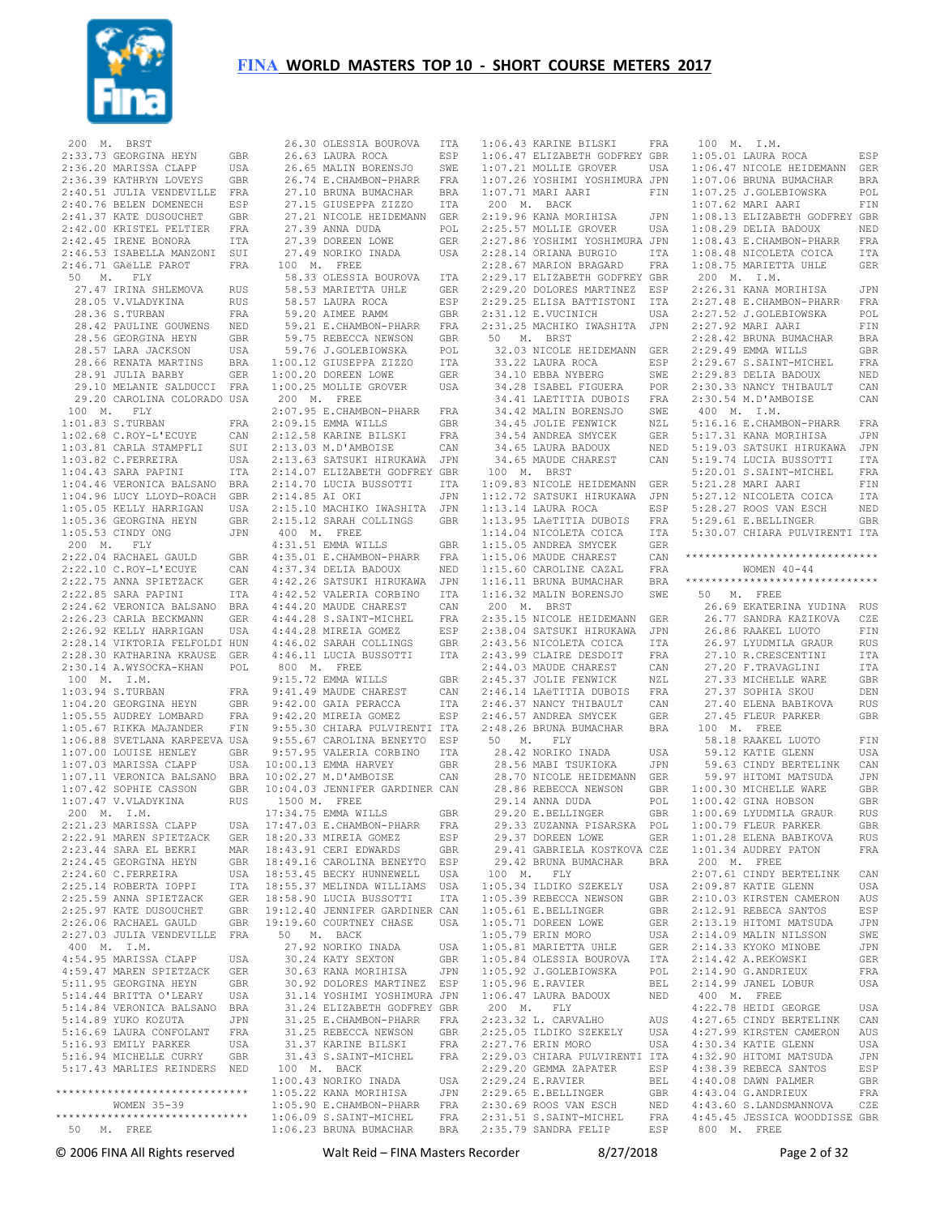

| 200 M. BRST |                                                                                 |                      |                          |
|-------------|---------------------------------------------------------------------------------|----------------------|--------------------------|
|             | 2:33.73 GEORGINA HEYN                                                           | GBR                  |                          |
|             | 2:36.20 MARISSA CLAPP                                                           | USA                  |                          |
|             | 2:36.39 KATHRYN LOVEYS                                                          | GBR                  |                          |
|             | 2:40.51 JULIA VENDEVILLE                                                        | FRA                  |                          |
|             | 2:40.76 BELEN DOMENECH                                                          | ESP                  |                          |
|             | 2:41.37 KATE DUSOUCHET                                                          | GBR                  |                          |
|             | 2:42.00 KRISTEL PELTIER                                                         | $_{\rm FRA}$         |                          |
|             | 2:42.45 IRENE BONORA<br>2:46.53 ISABELLA MANZONI SUI                            | ITA                  |                          |
|             | 2:46.71 GAëLLE PAROT                                                            | FRA                  | $\mathbf{1}$             |
| 50 M. FLY   |                                                                                 |                      |                          |
|             | 27.47 IRINA SHLEMOVA                                                            | RUS                  |                          |
| 28.05       | V.VLADYKINA                                                                     | <b>RUS</b>           |                          |
|             | 28.36 S.TURBAN                                                                  | FRA                  |                          |
|             | 28.42 PAULINE GOUWENS                                                           | NED                  |                          |
|             | 28.56 GEORGINA HEYN                                                             | <b>GBR</b>           |                          |
|             | 28.57 LARA JACKSON<br>$28.66$ RENATA MARTINS                                    | USA                  |                          |
|             | 28.91 JULIA BARBY                                                               | BRA<br>GER           | 1:<br>1:                 |
|             | 29.10 MELANIE SALDUCCI FRA                                                      |                      | 1:                       |
|             | 29.20 CAROLINA COLORADO USA                                                     |                      | 2                        |
| 100 M. FLY  |                                                                                 |                      | $\overline{2}$ :         |
|             | 1:01.83 S.TURBAN                                                                | FRA                  | 2:                       |
|             | $1:02.68$ C.ROY-L'ECUYE                                                         | CAN                  | 2:                       |
|             | 1:03.81 CARLA STAMPFLI                                                          | SUI                  | 2:                       |
|             | $1:03.82$ C.FERREIRA                                                            | USA                  | 2:                       |
|             | 1:04.43 SARA PAPINI                                                             | ITA                  | 2:                       |
|             | 1:04.46 VERONICA BALSANO BRA<br>1:04.96 LUCY LLOYD-ROACH GBR                    |                      | 2:<br>2:                 |
|             | $1:05.05$ KELLY HARRIGAN                                                        | USA                  | 2:                       |
|             | 1:05.36 GEORGINA HEYN                                                           | $\operatorname{GBR}$ | 2:                       |
|             | 1:05.53 CINDY ONG                                                               | $\mathtt{JPN}$       | $\overline{\mathcal{L}}$ |
| 200 M. FLY  |                                                                                 |                      | 4:                       |
|             | 2:22.04 RACHAEL GAULD<br>2:22.10 C.ROY-L'ECUYE                                  | $\mbox{GBR}$         | 4:                       |
|             |                                                                                 | CAN                  | 4:                       |
|             | 2:22.10 0.000<br>2:22.75 ANNA SPIETZACK                                         | GER                  | 4:                       |
|             | 2:22.85 SARA PAPINI                                                             | ITA                  | 4:                       |
|             | 2:24.62 VERONICA BALSANO BRA                                                    |                      | 4:<br>4:                 |
|             | 2:26.23 CARLA BECKMANN<br>2:26.92 KELLY HARRIGAN                                | GER<br>USA           | 4:                       |
|             | 2:28.14 VIKTORIA FELFOLDI HUN                                                   |                      | 4:                       |
|             | 2:28.30 KATHARINA KRAUSE GER                                                    |                      | 4:                       |
|             | 2:30.14 A.WYSOCKA-KHAN POL                                                      |                      | $\epsilon$               |
| 100 M. I.M. |                                                                                 |                      | 9:                       |
|             | 1:03.94 S.TURBAN                                                                | FRA                  | 9:                       |
|             | 1:04.20 GEORGINA HEYN                                                           | GBR                  | 9:                       |
|             | 1:05.55 AUDREY LOMBARD                                                          | FRA                  | 9:                       |
|             | 1:05.67 RIKKA MAJANDER                                                          | FIN                  | 9:                       |
|             | 1:06.88 SVETLANA KARPEEVA USA<br>1:07.00 SYSSED HENLEY<br>1:07.00 LOUISE HENLEY | GBR                  | 9:                       |
|             | 1:07.03 MARISSA CLAPP                                                           | USA                  | 9:9:10:                  |
|             |                                                                                 |                      | 10:                      |
|             | 1:07.11 VERONICA BALSANO BRA<br>1:07.42 SOPHIE CASSON GBR                       |                      | 10:                      |
|             | $1:07.47$ V. VLADYKINA                                                          | RUS                  | $\mathbf{1}$             |
| 200 M. I.M. |                                                                                 |                      | 17:                      |
|             | 2:21.23 MARISSA CLAPP                                                           | USA                  | 17:                      |
|             | 2:22.91 MAREN SPIETZACK                                                         | GER                  | 18:                      |
|             | 2:23.44 SARA EL BEKRI<br>2:24.45 GEORGINA HEYN                                  | MAR<br>$\mbox{GBR}$  | 18:<br>18:               |
|             | 2:24.60 C.FERREIRA                                                              | USA                  | 18:                      |
|             | 2:25.14 ROBERTA IOPPI                                                           | ITA                  | 18:                      |
|             | 2:25.59 ANNA SPIETZACK                                                          | ${\tt GER}$          | 18:                      |
|             | 2:25.97 KATE DUSOUCHET                                                          | GBR                  | 19:                      |
|             | 2:26.06 RACHAEL GAULD                                                           | GBR                  | 19:                      |
|             | 2:27.03 JULIA VENDEVILLE FRA                                                    |                      | E                        |
| 400 M. I.M. |                                                                                 |                      |                          |
|             | 4:54.95 MARISSA CLAPP                                                           | USA                  |                          |
|             | 4:59.47 MAREN SPIETZACK                                                         | GER<br>GBR           |                          |
|             | 5:11.95 GEORGINA HEYN                                                           | USA                  |                          |
|             | 5:14.44 BRITTA O'LEARY<br>5:14.84 VERONICA BALSANO                              | BRA                  |                          |
|             | 5:14.89 YUKO KOZUTA                                                             | JPN                  |                          |
|             | 5:16.69 LAURA CONFOLANT                                                         | FRA                  |                          |
|             | 5:16.93 EMILY PARKER                                                            | USA                  |                          |
|             | 5:16.94 MICHELLE CURRY                                                          | GBR                  |                          |
|             | 5:17.43 MARLIES REINDERS                                                        | NED                  | $\mathbf{1}$             |
|             | *****************************                                                   |                      | 1:<br>1:                 |
|             | WOMEN 35-39                                                                     |                      | 1:                       |
|             | *****************************                                                   |                      | 1:                       |
| 50 M. FREE  |                                                                                 |                      | 1:                       |

| 26.30 OLESSIA BOUROVA ITA                                                                                                                            |            |
|------------------------------------------------------------------------------------------------------------------------------------------------------|------------|
| 26.63 LAURA ROCA                                                                                                                                     | ESP        |
| 26.65 MALIN BORENSJO                                                                                                                                 |            |
|                                                                                                                                                      | SWE        |
| 26.74 E.CHAMBON-PHARR                                                                                                                                | FRA        |
| 27.10 BRUNA BUMACHAR                                                                                                                                 | BRA        |
| 27.15 GIUSEPPA ZIZZO                                                                                                                                 | ITA        |
|                                                                                                                                                      |            |
| 27.21 NICOLE HEIDEMANN GER<br>27.39 ANNA DUDA POL                                                                                                    |            |
|                                                                                                                                                      |            |
| 27.39 DOREEN LOWE                                                                                                                                    | <b>GER</b> |
| 27.49 NORIKO INADA                                                                                                                                   | USA        |
| 100 M. FREE                                                                                                                                          |            |
|                                                                                                                                                      |            |
| 58.33 OLESSIA BOUROVA<br>58.53 MARIETTA UHLE                                                                                                         | ITA        |
|                                                                                                                                                      | GER        |
| 58.57 LAURA ROCA                                                                                                                                     | ESP        |
| 59.20 AIMEE RAMM                                                                                                                                     | GBR        |
|                                                                                                                                                      |            |
| 59.21 E.CHAMBON-PHARR<br>59.75 REBECCA NEWSON                                                                                                        | FRA        |
|                                                                                                                                                      | GBR        |
| 59.76 J.GOLEBIOWSKA                                                                                                                                  | POL        |
| 1:00.12 GIUSEPPA ZIZZO                                                                                                                               | ITA        |
| $1:00.20$ DOREEN LOWE                                                                                                                                | GER        |
|                                                                                                                                                      |            |
| 1:00.25 MOLLIE GROVER                                                                                                                                | USA        |
| 200 M. FREE                                                                                                                                          |            |
| 2:07.95 E.CHAMBON-PHARR FRA                                                                                                                          |            |
| 2:09.15 EMMA WILLS                                                                                                                                   | GBR        |
|                                                                                                                                                      |            |
| 2:12.58 KARINE BILSKI<br>2:13.03 M.D'AMBOISE                                                                                                         | FRA        |
|                                                                                                                                                      | CAN        |
|                                                                                                                                                      |            |
|                                                                                                                                                      |            |
|                                                                                                                                                      |            |
|                                                                                                                                                      |            |
| 2:14.85 AI OKI                                                                                                                                       | JPN        |
| 2:15.10 MACHIKO IWASHITA                                                                                                                             | JPN        |
| 2:15.12 SARAH COLLINGS                                                                                                                               | <b>GBR</b> |
|                                                                                                                                                      |            |
| 400 M. FREE                                                                                                                                          |            |
| $4:31.51$ EMMA WILLS                                                                                                                                 | GBR        |
| 4:35.01 E.CHAMBON-PHARR                                                                                                                              | FRA        |
| 4:37.34 DELIA BADOUX                                                                                                                                 | NED        |
| 4:42.26 SATSUKI HIRUKAWA                                                                                                                             | JPN        |
|                                                                                                                                                      |            |
| 4:42.52 VALERIA CORBINO                                                                                                                              | ITA        |
| 4:44.20 MAUDE CHAREST                                                                                                                                | CAN        |
|                                                                                                                                                      | FRA        |
|                                                                                                                                                      |            |
|                                                                                                                                                      | ESP        |
|                                                                                                                                                      |            |
| 4:44.28 S.SAINT-MICHEL<br>4:44.28 MIREIA GOMEZ<br>4:46.02 SARAH COLLINGS                                                                             | GBR        |
| 4:46.11 LUCIA BUSSOTTI                                                                                                                               | ITA        |
| 800 M. FREE                                                                                                                                          |            |
| 9:15.72 EMMA WILLS                                                                                                                                   | GBR        |
|                                                                                                                                                      | CAN        |
|                                                                                                                                                      |            |
| 9:41.49 MAUDE CHAREST<br>9:42.00 GAIA PERACCA<br>9:42.20 MIDELA COMEZ                                                                                | ITA        |
| 9:42.20 MIREIA GOMEZ                                                                                                                                 | ESP        |
|                                                                                                                                                      |            |
|                                                                                                                                                      |            |
|                                                                                                                                                      |            |
|                                                                                                                                                      |            |
|                                                                                                                                                      |            |
| 9:55.30 CHIARA PULVIRENTI ITA<br>9:55.67 CAROLINA BENEYTO ESP<br>9:57.95 VALERIA CORBINO ITA<br>10:00.13 EMMA HARVEY GBR<br>10:02.27 M.D'AMBOISE CAN |            |
| 10:04.03 JENNIFER GARDINER CAN                                                                                                                       |            |
| 1500 M. FREE                                                                                                                                         |            |
| 17:34.75 EMMA WILLS                                                                                                                                  | GBR        |
|                                                                                                                                                      |            |
| 17:47.03 E.CHAMBON-PHARR                                                                                                                             | FRA        |
| 18:20.33 MIREIA GOMEZ                                                                                                                                | ESP        |
| 18:43.91 CERI EDWARDS                                                                                                                                | <b>GBR</b> |
| 18:49.16 CAROLINA BENEYTO                                                                                                                            | ESP        |
| 18:53.45 BECKY HUNNEWELL                                                                                                                             | USA        |
|                                                                                                                                                      |            |
| 18:55.37 MELINDA WILLIAMS                                                                                                                            | USA        |
| 18:58.90 LUCIA BUSSOTTI                                                                                                                              | ITA        |
| 19:12.40 JENNIFER GARDINER CAN                                                                                                                       |            |
| 19:19.60 COURTNEY CHASE                                                                                                                              | USA        |
|                                                                                                                                                      |            |
| 50 M. BACK                                                                                                                                           |            |
| 27.92 NORIKO INADA                                                                                                                                   | USA        |
| 30.24 KATY SEXTON                                                                                                                                    | GBR        |
| 30.63 KANA MORIHISA                                                                                                                                  | JPN        |
| 30.92 DOLORES MARTINEZ ESP                                                                                                                           |            |
| 31.14 YOSHIMI YOSHIMURA JPN                                                                                                                          |            |
|                                                                                                                                                      |            |
| 31.24 ELIZABETH GODFREY GBR                                                                                                                          |            |
| 31.25 E.CHAMBON-PHARR                                                                                                                                | FRA        |
| 31.25 REBECCA NEWSON                                                                                                                                 | GBR        |
| 31.37 KARINE BILSKI                                                                                                                                  | FRA        |
| 31.43 S.SAINT-MICHEL                                                                                                                                 | FRA        |
|                                                                                                                                                      |            |
| 100 M. BACK                                                                                                                                          |            |
| 1:00.43 NORIKO INADA                                                                                                                                 | USA        |
| 1:05.22 KANA MORIHISA                                                                                                                                | JPN        |
| $1:05.90$ E.CHAMBON-PHARR                                                                                                                            | FRA        |
| 1:06.09 S.SAINT-MICHEL                                                                                                                               | FRA        |
| $1:06.23$ BRUNA BUMACHAR                                                                                                                             | <b>BRA</b> |

| 1:06.43<br>1:06.47<br>1:07.21 | KARINE BILSKI                 |            |          |
|-------------------------------|-------------------------------|------------|----------|
|                               |                               | FRA        | 100 M    |
|                               | ELIZABETH GODFREY             | GBR        | 1:05.01  |
|                               |                               |            |          |
|                               | MOLLIE GROVER                 | USA        | 1:06.47  |
| 1:07.26                       | YOSHIMI YOSHIMURA             | JPN        | 1:07.06  |
| 1:07.71                       | MARI<br>AARI                  | FIN        | 1:07.25  |
| 200 M.                        | <b>BACK</b>                   |            | 1:07.62  |
|                               |                               |            |          |
| 2:19.96                       | KANA MORIHISA                 | JPN        | 1:08.13  |
| 2:25.57                       | MOLLIE GROVER                 | USA        | 1:08.29  |
| 2:27.86                       | YOSHIMI YOSHIMURA             | JPN        | 1:08.43  |
| 2:28.14                       | ORIANA BURGIO                 | ITA        | 1:08.48  |
|                               |                               |            |          |
| 2:28.67                       | MARION BRAGARD                | FRA        | 1:08.75  |
| 2:29.17                       | ELIZABETH GODFREY             | GBR        | 200 M    |
| 2:29.20                       | DOLORES MARTINEZ              | ESP        | 2:26.31  |
|                               |                               |            | 2:27.48  |
| 2:29.25                       | ELISA BATTISTONI              | ITA        |          |
| 2:31.12                       | E.VUCINICH                    | USA        | 2:27.52  |
| 2:31.25                       | MACHIKO<br>IWASHITA           | JPN        | 2:27.92  |
| 50<br>Μ.                      | <b>BRST</b>                   |            | 2:28.42  |
|                               |                               |            |          |
| 32.03                         | NICOLE HEIDEMANN              | GER        | 2:29.49  |
| 33.22                         | LAURA ROCA                    | ESP        | 2:29.67  |
| 34.10                         | EBBA NYBERG                   | SWE        | 2:29.83  |
|                               |                               |            |          |
| 34.28                         | ISABEL FIGUERA                | POR        | 2:30.33  |
| 34.41                         | LAETITIA DUBOIS               | FRA        | 2:30.54  |
| 34.42                         | MALIN BORENSJO                | SWE        | 400 M    |
| 34.45                         | <b>JOLIE FENWICK</b>          | NZL        | 5:16.16  |
|                               |                               |            |          |
| 34.54                         | ANDREA SMYCEK                 | GER        | 5:17.31  |
| 34.65                         | LAURA BADOUX                  | NED        | 5:19.03  |
| 34.65                         | MAUDE CHAREST                 | CAN        | 5:19.74  |
|                               |                               |            |          |
|                               | 100 M. BRST                   |            | 5:20.01  |
| 1:09.83                       | NICOLE HEIDEMANN              | GER        | 5:21.28  |
| 1:12.72                       | SATSUKI HIRUKAWA              | JPN        | 5:27.12  |
| 1:13.14                       | LAURA ROCA                    |            | 5:28.27  |
|                               |                               | ESP        |          |
| 1:13.95                       | LAëTITIA DUBOIS               | FRA        | 5:29.61  |
| 1:14.04                       | NICOLETA COICA                | ITA        | 5:30.07  |
| 1:15.05                       | ANDREA SMYCEK                 | <b>GER</b> |          |
|                               |                               |            | ******** |
| 1:15.06                       | MAUDE CHAREST                 | CAN        |          |
| 1:15.60                       | CAROLINE CAZAL                | <b>FRA</b> |          |
| 1:16.11                       | BRUNA BUMACHAR                | BRA        | ******** |
| 1:16.32                       | MALIN BORENSJO                | SWE        | 50<br>М  |
|                               |                               |            |          |
| 200 M.                        | <b>BRST</b>                   |            | 26.69    |
| 2:35.15                       | NICOLE HEIDEMANN              | GER        | 26.77    |
| 2:38.04                       | SATSUKI HIRUKAWA              | JPN        | 26.86    |
| 2:43.56                       | NICOLETA COICA                | ITA        | 26.97    |
|                               |                               |            |          |
| 2:43.99                       | CLAIRE DESDOIT                | FRA        | 27.10    |
| 2:44.03                       | MAUDE CHAREST                 | CAN        | 27.20    |
| 2:45.37                       | <b>JOLIE FENWICK</b>          | NZL        | 27.33    |
| 2:46.14                       |                               |            |          |
|                               | LAëTITIA DUBOIS               | FRA        | 27.37    |
|                               | NANCY THIBAULT                |            |          |
| 2:46.37                       |                               | CAN        | 27.40    |
| 2:46.57                       | ANDREA SMYCEK                 | GER        |          |
|                               |                               |            | 27.45    |
| 2:48.26                       | BRUNA BUMACHAR                | <b>BRA</b> | 100 M    |
| 50<br>Μ.                      | FLY                           |            | 58.18    |
| 28.42                         | NORIKO INADA                  | USA        | 59.12    |
| 28.56                         | MABI TSUKIOKA                 | JPN        | 59.63    |
|                               |                               |            |          |
| 28.70                         | NICOLE HEIDEMANN              | GER        | 59.97    |
| 28.86                         | REBECCA NEWSON                | GBR        | 1:00.30  |
| 29.14                         | ANNA DUDA                     | POL        | 1:00.42  |
| 29.20                         | E.BELLINGER                   | GBR        | 1:00.69  |
|                               |                               |            |          |
|                               | 29.33 ZUZANNA PISARSKA        | POL        | 1:00.79  |
|                               | 29.37 DOREEN LOWE             | GER        | 1:01.28  |
|                               | 29.41 GABRIELA KOSTKOVA CZE   |            | 1:01.34  |
|                               | 29.42 BRUNA BUMACHAR          | BRA        | 200 M    |
| 100 M.                        | FLY                           |            | 2:07.61  |
|                               |                               |            |          |
|                               | 1:05.34 ILDIKO SZEKELY        | USA        | 2:09.87  |
|                               | 1:05.39 REBECCA NEWSON        | GBR        | 2:10.03  |
|                               | 1:05.61 E.BELLINGER           | GBR        | 2:12.91  |
|                               |                               |            |          |
|                               | 1:05.71 DOREEN LOWE           | GER        | 2:13.19  |
|                               | 1:05.79 ERIN MORO             | USA        | 2:14.09  |
|                               | 1:05.81 MARIETTA UHLE         | GER        | 2:14.33  |
|                               | 1:05.84 OLESSIA BOUROVA       | ITA        | 2:14.42  |
|                               | 1:05.92 J.GOLEBIOWSKA         | POL        | 2:14.90  |
|                               |                               |            |          |
|                               | 1:05.96 E.RAVIER              | BEL        | 2:14.99  |
|                               | $1:06.47$ LAURA BADOUX        | NED        | 400 M    |
| 200 M.                        | FLY                           |            | 4:22.78  |
|                               |                               |            |          |
|                               | 2:23.32 L. CARVALHO           | AUS        | 4:27.65  |
|                               | 2:25.05 ILDIKO SZEKELY        | USA        | 4:27.99  |
|                               | 2:27.76 ERIN MORO             | USA        | 4:30.34  |
|                               | 2:29.03 CHIARA PULVIRENTI ITA |            | 4:32.90  |
|                               |                               |            |          |
|                               | 2:29.20 GEMMA ZAPATER         | ESP        | 4:38.39  |
|                               | 2:29.24 E.RAVIER              | BEL        | 4:40.08  |
|                               | 2:29.65 E.BELLINGER           | GBR        | 4:43.04  |
|                               | 2:30.69 ROOS VAN ESCH         | NED        | 4:43.60  |
|                               | 2:31.51 S.SAINT-MICHEL        | FRA        | 4:45.45  |

 100 M. I.M. 1:05.02 LAURA ROCA ESP<br>NICOLE HEIDEMANN GER NICOLE HEIDEMANN 1:07.06 BRUNA BUMACHAR BRA J.GOLEBIOWSKA MART AART FIN ELIZABETH GODFREY GBR 1:08.29 DELIA BADOUX NED E.CHAMBON-PHARR FRA NICOLETA COICA ITA MARIETTA UHLE GER  $T$  M. 2:26.31 KANA MORIHISA JPN E. CHAMBON-PHARR FRA J.GOLEBIOWSKA POL<br>MARI AARI FIN MARI AARI BRUNA BUMACHAR BRA EMMA WILLS GBR<br>S SAINT-MICHEL FRA S.SAINT-MICHEL DELIA BADOUX NED<br>NANCY THIRAULT CAN NANCY THIBAULT 2:30.54 M.D'AMBOISE CAN 400 M. I.M. 5:16.16 E.CHAMBON-PHARR FRA KANA MORTHISA JPN SATSUKI HIRUKAWA JPN 5:19.74 LUCIA BUSSOTTI ITA S. SAINT-MICHEL FRA 5:21.28 MARI AARI FIN NICOLETA COICA ITA ROOS VAN ESCH NED 5:29.61 E.BELLINGER GBR 5:30.07 CHIARA PULVIRENTI ITA \*\*\*\*\*\*\*\*\*\*\*\*\*\*\*\*\*\*\*\*\*\*\*\*\*\*\*\*\*\* WOMEN  $40-44$ \*\*\*\*\*\*\*\*\*\*\*\*\*\*\*\*\*\*\*\*\*\*\*\*\*\*\*\*\*\* 50 M. FREE 26.69 EKATERINA YUDINA RUS SANDRA KAZIKOVA CZE RAAKEL LUOTO FIN LYUDMILA GRAUR RUS<br>R.CRESCENTINI ITA R.CRESCENTINI 27.20 F.TRAVAGLINI ITA MICHELLE WARE GBR SOPHIA SKOU DEN ELENA BABIKOVA RUS 27.45 FLEUR PARKER GBR 100 M. FREE RAAKEL LUOTO FIN 59.12 KATIE GLENN USA CINDY BERTELINK CAN 59.97 HITOMI MATSUDA JPN MICHELLE WARE GBR GINA HOBSON GBR LYUDMILA GRAUR RUS<br>FLEUR PARKER GBR FLEUR PARKER ELENA BABIKOVA RUS<br>AUDREY PATON FRA AUDREY PATON 200 M. FREE CINDY BERTELINK CAN KATIE GLENN USA **EXERGEN CAMERON AUS**<br>REBECA SANTOS ESP REBECA SANTOS Example Matsuda den JPN<br>19 Hitler Husson SWE MALIN NILSSON XYOKO MINOBE JPN<br>A REKOWSKI GER A.REKOWSKI G.ANDRIEUX FRA JANEL LOBUR USA 400 M. FREE HEIDI GEORGE USA<br>CINDY BERTELINK CAN CINDY BERTELINK KIRSTEN CAMERON AUS<br>KATTE GLENN USA KATIE GLENN 4:32.90 HITOMI MATSUDA JPN REBECA SANTOS ESP<br>DAWN PALMER GRR DAWN PALMER G.ANDRIEUX FRA<br>S.LANDSMANNOVA CZE S.LANDSMANNOVA 4:45.45 JESSICA WOODDISSE GBR 800 M. FREE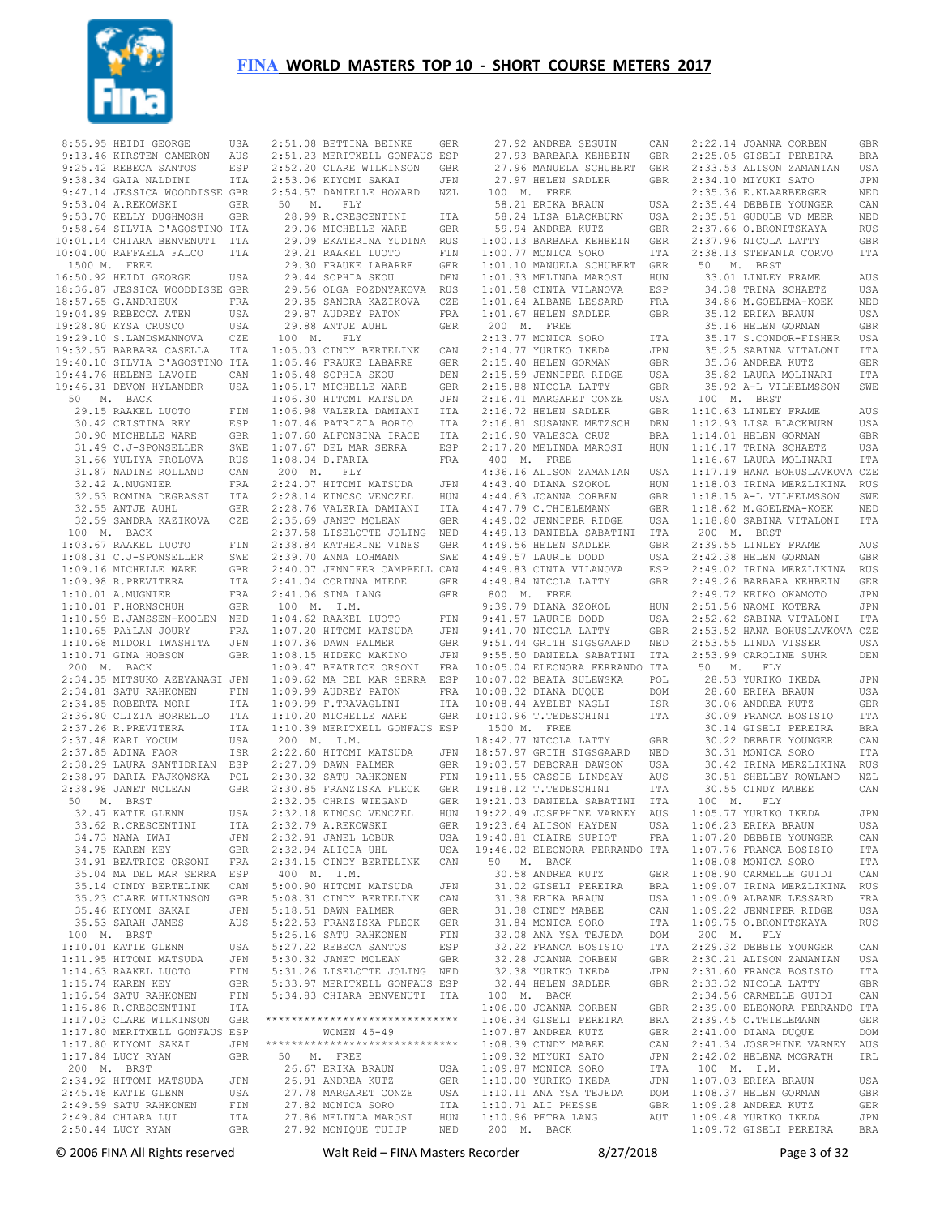

8:55.95 HEIDI GEORGE 9:13.46 KIRSTEN CAMERON AUS 9:25.42 REBECA SANTOS ESP 9:38.34 GAIA NALDINI ITA 9:47.14 JESSICA WOODDISSE GBR 9:53.04 A.REKOWSKI GER 9:53.70 KELLY DUGHMOSH GBR 9:58.64 SILVIA D'AGOSTINO ITA 10:01.14 CHIARA BENVENUTI ITA 10:04.00 RAFFAELA FALCO ITA 1500 M. FREE 16:50.92 HEIDI GEORGE USA 18:36.87 JESSICA WOODDISSE GBR 18:57.65 G.ANDRIEUX FRA 19:04.89 REBECCA ATEN USA 19:28.80 KYSA CRUSCO USA 19:29.10 S.LANDSMANNOVA CZE 19:32.57 BARBARA CASELLA ITA 19:40.10 SILVIA D'AGOSTINO ITA 19:44.76 HELENE LAVOIE CAN 19:46.31 DEVON HYLANDER USA 50 M. BACK 29.15 RAAKEL LUOTO FIN 30.42 CRISTINA REY ESP 30.90 MICHELLE WARE GBR 31.49 C.J-SPONSELLER SWE 31.66 YULIYA FROLOVA RUS 31.87 NADINE ROLLAND CAN 32.42 A.MUGNIER FRA 32.53 ROMINA DEGRASSI ITA 32.55 ANTJE AUHL GER 32.59 SANDRA KAZIKOVA CZE 100 M. BACK 1:03.67 RAAKEL LUOTO FIN 1:08.31 C.J-SPONSELLER SWE 1:09.16 MICHELLE WARE GBR 1:09.98 R.PREVITERA ITA 1:10.01 A.MUGNIER FRA 1:10.01 F.HORNSCHUH GER 1:10.59 E.JANSSEN-KOOLEN NED 1:10.65 PAïLAN JOURY FRA 1:10.68 MIDORI IWASHITA JPN  $1:10.71$  GINA HOBSON 200 M. BACK 2:34.35 MITSUKO AZEYANAGI JPN 2:34.81 SATU RAHKONEN FIN 2:34.85 ROBERTA MORI ITA 2:36.80 CLIZIA BORRELLO ITA 2:37.26 R.PREVITERA ITA<br>2:37.26 R.PREVITERA ITA<br>2:37.48 KART YOCUM USA  $2:37.48$  KARI YOCUM 2:37.85 ADINA FAOR ISR 2:38.29 LAURA SANTIDRIAN ESP 2:38.97 DARIA FAJKOWSKA POL 2:38.98 JANET MCLEAN GBR 50 M. BRST 32.47 KATIE GLENN USA<br>33.62 R CRESCENTINI UTA 33.62 R.CRESCENTINI 34.73 NANA IWAI JPN 34 75 KAREN KEY 34.91 BEATRICE ORSONI FRA 35.04 MA DEL MAR SERRA ESP 35.14 CINDY BERTELINK CAN 35.23 CLARE WILKINSON GBR<br>35.46 KIYOMI SAKAI JIPN 35.46 KIYOMI SAKAI 35.53 SARAH JAMES AUS 100 M. BRST 1:10.01 KATIE GLENN USA<br>1:11 95 HITOMI MATSUDA JPN  $1:11.95$  HITOMI MATSUDA 1:14.63 RAAKEL LUOTO FIN 1:15.74 KAREN KEY GBR<br>1:16.54 SATU RAHKONEN FIN  $1:16.54$  SATU RAHKONEN 1:16.86 R.CRESCENTINI ITA<br>1:17.03 CLARE WILKINSON GRR 1:17.03 CLARE WILKINSON GBR 1:17.80 MERITXELL GONFAUS ESP  $1:17.80$  KIYOMI SAKAI 1:17.84 LUCY RYAN GBR 200 M. BRST 2:34.92 HITOMI MATSUDA JPN 2:45.48 KATIE GLENN USA<br>2:49.59 SATU RAHKONEN FIN

 2:49.59 SATU RAHKONEN FIN 2:49.84 CHIARA LUI ITA 2:50.44 LUCY RYAN GBR 27.86 MELINDA MAROSI HUN 27.92 MONIQUE TUIJP NED 2:51.08 BETTINA BEINKE GER 2:51.23 MERITXELL GONFAUS ESP 2:52.20 CLARE WILKINSON GBR 2:53.06 KIYOMI SAKAI JPN 2:54.57 DANIELLE HOWARD NZL 50 M. FLY 28.99 R.CRESCENTINI ITA 29.06 MICHELLE WARE GBR 29.09 EKATERINA YUDINA RUS 29.21 RAAKEL LUOTO FIN 29.30 FRAUKE LABARRE GER 29.44 SOPHIA SKOU DEN 29.56 OLGA POZDNYAKOVA RUS 29.85 SANDRA KAZIKOVA CZE 29.87 AUDREY PATON FRA 29.88 ANTJE AUHL GER 100 M. FLY 1:05.03 CINDY BERTELINK CAN 1:05.46 FRAUKE LABARRE GER 1:05.48 SOPHIA SKOU DEN 1:06.17 MICHELLE WARE GBR 1:06.30 HITOMI MATSUDA JPN 1:06.98 VALERIA DAMIANI ITA 1:07.46 PATRIZIA BORIO ITA 1:07.60 ALFONSINA IRACE ITA 1:07.67 DEL MAR SERRA ESP 1:08.04 D.FARIA FRA 200 M. FLY 2:24.07 HITOMI MATSUDA JPN 2:28.14 KINCSO VENCZEL HUN 2:28.76 VALERIA DAMIANI ITA 2:35.69 JANET MCLEAN GBR 2:37.58 LISELOTTE JOLING NED 2:38.84 KATHERINE VINES GBR 2:39.70 ANNA LOHMANN SWE 2:40.07 JENNIFER CAMPBELL CAN 2:41.04 CORINNA MIEDE GER 2:41.06 SINA LANG GER 100 M. I.M. 1:04.62 RAAKEL LUOTO FIN 1:07.20 HITOMI MATSUDA JPN 1:07.36 DAWN PALMER GBR  $1:08.15$  HIDEKO MAKINO 1:09.47 BEATRICE ORSONI FRA 1:09.62 MA DEL MAR SERRA ESP 1:09.99 AUDREY PATON FRA 1:09.99 F.TRAVAGLINI ITA  $1:10.20$  MICHELLE WARE 1:10.39 MERITXELL GONFAUS ESP 200 M. I.M.  $2:22.60$  HITOMI MATSUDA  $2:27.09$  DAWN PALMER 2:30.32 SATU RAHKONEN FIN 2:30.85 FRANZISKA FLECK GER 19:18.12 T.TEDESCHINI ITA 2:32.05 CHRIS WIEGAND GER 2:32.18 KINCSO VENCZEL HUN<br>2:32.79 A REKOWSKI GER 2:32.79 A.REKOWSKI GER 2:32.91 JANEL LOBUR USA<br>2:32 94 ALICIA UHL USA  $2.32.94$  ALICIA UHL 2:34.15 CINDY BERTELINK CAN 400 M. I.M. 5:00.90 HITOMI MATSUDA JPN 5:08.31 CINDY BERTELINK CAN  $5:18.51$  DAWN PALMER 5:22.53 FRANZISKA FLECK GER 5:26.16 SATU RAHKONEN 5:27.22 REBECA SANTOS ESP 5:30.32 JANET MCLEAN 5:31.26 LISELOTTE JOLING NED 5:33.97 MERITXELL GONFAUS ESP 5:34.83 CHIARA BENVENUTI ITA \*\*\*\*\*\*\*\*\*\*\*\*\*\*\*\*\*\*\*\*\*\*\*\*\*\*\*\*\*\* WOMEN 45-49 \*\*\*\*\*\*\*\*\*\*\*\*\*\*\*\*\*\*\*\*\*\*\*\*\*\*\*\*\*\* 50 M. FREE 26.67 ERIKA BRAUN USA 26.91 ANDREA KUTZ GER 27.78 MARGARET CONZE USA 27.82 MONICA SORO ITA

27.92 ANDREA SEGUIN 27.93 BARBARA KEHBEIN GER 27.96 MANUELA SCHUBERT GER 27.97 HELEN SADLER GBR 100 M. FREE 58.21 ERIKA BRAUN USA<br>58.24 LISA BLACKBURN USA 58.24 LISA BLACKBURN 59.94 ANDREA KUTZ GER 1:00.13 BARBARA KEHBEIN GER 1:00.77 MONICA SORO ITA 1:01.10 MANUELA SCHUBERT GER<br>1:01 33 MELINDA MAROSI HUN  $1:01.33$  MELINDA MAROSI 1:01.58 CINTA VILANOVA ESP 1:01.64 ALBANE LESSARD FRA 1:01.67 HELEN SADLER GBR 200 M. FREE 2:13.77 MONICA SORO ITA 2:14.77 YURIKO IKEDA JPN 2:15.40 HELEN GORMAN GBR 2:15.59 JENNIFER RIDGE USA 2:15.88 NICOLA LATTY GBR 2:16.41 MARGARET CONZE USA<br>2:16.72 HELEN SADLER GRR 2:16.72 HELEN SADLER GBR<br>2:16.81 SUSANNE METZSCH DEN<br>2:16.90 VALESCA CRUZ BRA 2:16.81 SUSANNE METZSCH 2:16.90 VALESCA CRUZ BRA<br>2:17.20 MELINDA MAROSI HUN  $2:17.20$  MELINDA MAROSI 400 M. FREE 4:36.16 ALISON ZAMANIAN USA 4:43.40 DIANA SZOKOL HUN 4:44.63 JOANNA CORBEN GBR 4:47.79 C.THIELEMANN GER 4:49.02 JENNIFER RIDGE USA 4:49.13 DANIELA SABATINI ITA 4:49.56 HELEN SADLER GBR 4:49.57 LAURIE DODD USA 4:49.83 CINTA VILANOVA ESP 4:49.84 NICOLA LATTY GBR 800 M. FREE 9:39.79 DIANA SZOKOL HUN 9:41.57 LAURIE DODD USA 9:41.70 NICOLA LATTY GBR 9:51.44 GRITH SIGSGAARD – NED<br>9:55.50 DANIELA SABATINI – TTA 9:55.50 DANIELA SABATINI 10:05.04 ELEONORA FERRANDO ITA 10:07.02 BEATA SULEWSKA POL 10:08.32 DIANA DUQUE DOM 10:08.44 AYELET NAGLI ISR 1111 10:000:11 IIILEH INGEI 1111 10:000:11 IIILEH INGEI 1500 M. FREE 18:42.77 NICOLA LATTY GBR 18:57.97 GRITH SIGSGAARD NED 19:03.57 DEBORAH DAWSON USA 19:11.55 CASSIE LINDSAY AUS<br>19:18.12 T.TEDESCHINI ITA 19:21.03 DANIELA SABATINI ITA 19:22.49 JOSEPHINE VARNEY AUS 19:23.64 ALISON HAYDEN USA 19:40.81 CLAIRE SUPIOT FRA 19:46.02 ELEONORA FERRANDO ITA 50 M. BACK 30.58 ANDREA KUTZ GER<br>31.52 GISELI PEREIRA BRA<br>31.32 ELEMENT PEREIRA BRA 31.02 GISELI PEREIRA BRA 31.38 ERIKA BRAUN USA 31.38 CINDY MABEE CAN 31.38 CINDY MABEL CAN<br>31.34 MONICA SORO 1TA<br>32.08 ANA YSA TEJEDA DOM 32.08 ANA YSA TEJEDA 32.22 FRANCA BOSISIO ITA 32.28 JOANNA CORBEN 32.38 YURIKO IKEDA JPN 32.44 HELEN SADLER GBR 100 M. BACK 1:06.00 JOANNA CORBEN GBR 1:06.34 GISELI PEREIRA BRA 1:07.87 ANDREA KUTZ GER  $1:08.39$  CINDY MABEE 1:09.32 MIYUKI SATO JPN 1:09.87 MONICA SORO ITA 1:10.00 YURIKO IKEDA JPN 1:10.11 ANA YSA TEJEDA DOM 1:10.71 ALI PHESSE GBR 1:10.96 PETRA LANG AUT 200 M. BACK

 2:22.14 JOANNA CORBEN GBR 2:25.05 GISELI PEREIRA BRA 2:33.53 ALISON ZAMANIAN USA 2:34.10 MIYUKI SATO JPN 2:35.36 E.KLAARBERGER NED 2:35.44 DEBBIE YOUNGER CAN<br>2:35.51 GUDULE VD MEER NED  $2:35.51$  GUDULE VD MEER 2:37.66 O.BRONITSKAYA RUS 2:37.96 NICOLA LATTY GBR 2:38.13 STEFANIA CORVO ITA 50 M. BRST 33.01 LINLEY FRAME AUS 34.38 TRINA SCHAETZ USA 34.86 M.GOELEMA-KOEK NED 35.12 ERIKA BRAUN USA 35.16 HELEN GORMAN GBR 35.17 S.CONDOR-FISHER USA 35.25 SABINA VITALONI ITA 35.36 ANDREA KUTZ GER 35.82 LAURA MOLINARI ITA 35.92 A-L VILHELMSSON SWE 100 M. BRST 1:10.63 LINLEY FRAME AUS 1:12.93 LISA BLACKBURN USA 1:14.01 HELEN GORMAN GBR<br>1:16.17 TRINA SCHAETZ USA  $1.16$  17 TRINA SCHAETZ 1:16.67 LAURA MOLINARI ITA 1:17.19 HANA BOHUSLAVKOVA CZE 1:18.03 IRINA MERZLIKINA RUS 1:18.15 A-L VILHELMSSON SWE 1:18.62 M.GOELEMA-KOEK NED 1:18.80 SABINA VITALONI ITA 200 M. BRST 2:39.55 LINLEY FRAME AUS 2:42.38 HELEN GORMAN GBR 2:49.02 IRINA MERZLIKINA RUS 2:49.26 BARBARA KEHBEIN GER 2:49.72 KEIKO OKAMOTO JPN 2:51.56 NAOMI KOTERA JPN 2:52.62 SABINA VITALONI ITA 2:53.52 HANA BOHUSLAVKOVA CZE -------<br>2:53.55 LINDA VISSER USA<br>2:53.99 CAROLINE SUHR DEN 2:53.99 CAROLINE SUHR 50 M. FLY 28.53 YURIKO IKEDA JPN 28.60 ERIKA BRAUN USA 30.06 ANDREA KUTZ GER 30.09 FRANCA BOSISIO ITA 30.14 GISELI PEREIRA BRA 30.22 DEBBIE YOUNGER CAN 30.31 MONICA SORO ITA 30.42 IRINA MERZLIKINA RUS 30.51 SHELLEY ROWLAND NZL 30.55 CINDY MABEE CAN 100 M. FLY 1:05.77 YURIKO IKEDA JPN<br>1:06.23 ERIKA RRAUN 115A  $1:06.23$  ERIKA BRAUN 1:07.20 DEBBIE YOUNGER CAN  $1:07.76$  FRANCA BOSISIO 1:08.08 MONICA SORO ITA 1:08.90 CARMELLE GUIDI CAN 1:09.07 IRINA MERZLIKINA RUS 1:09.09 ALBANE LESSARD FRA 1:09.22 JENNIFER RIDGE USA 1:09.75 O.BRONITSKAYA RUS 200 M. FLY 2:29.32 DEBBIE YOUNGER CAN<br>2:30.21 ALISON ZAMANIAN LISA 2:30.21 ALISON ZAMANIAN 2:31.60 FRANCA BOSISIO ITA 2:33.32 NICOLA LATTY GBR<br>2:34.56 CARMELLE GUIDI CAN 2:34.56 CARMELLE GUIDI 2:39.00 ELEONORA FERRANDO ITA 2:39.45 C.THIELEMANN GER 2:41.00 DIANA DUQUE DOM 2:41.34 JOSEPHINE VARNEY AUS 2:42.02 HELENA MCGRATH IRL 100 M. I.M. 1:07.03 ERIKA BRAUN USA 1:08.37 HELEN GORMAN GBR  $1:09.28$  ANDREA KUTZ 1:09.48 YURIKO IKEDA JPN 1:09.72 GISELI PEREIRA BRA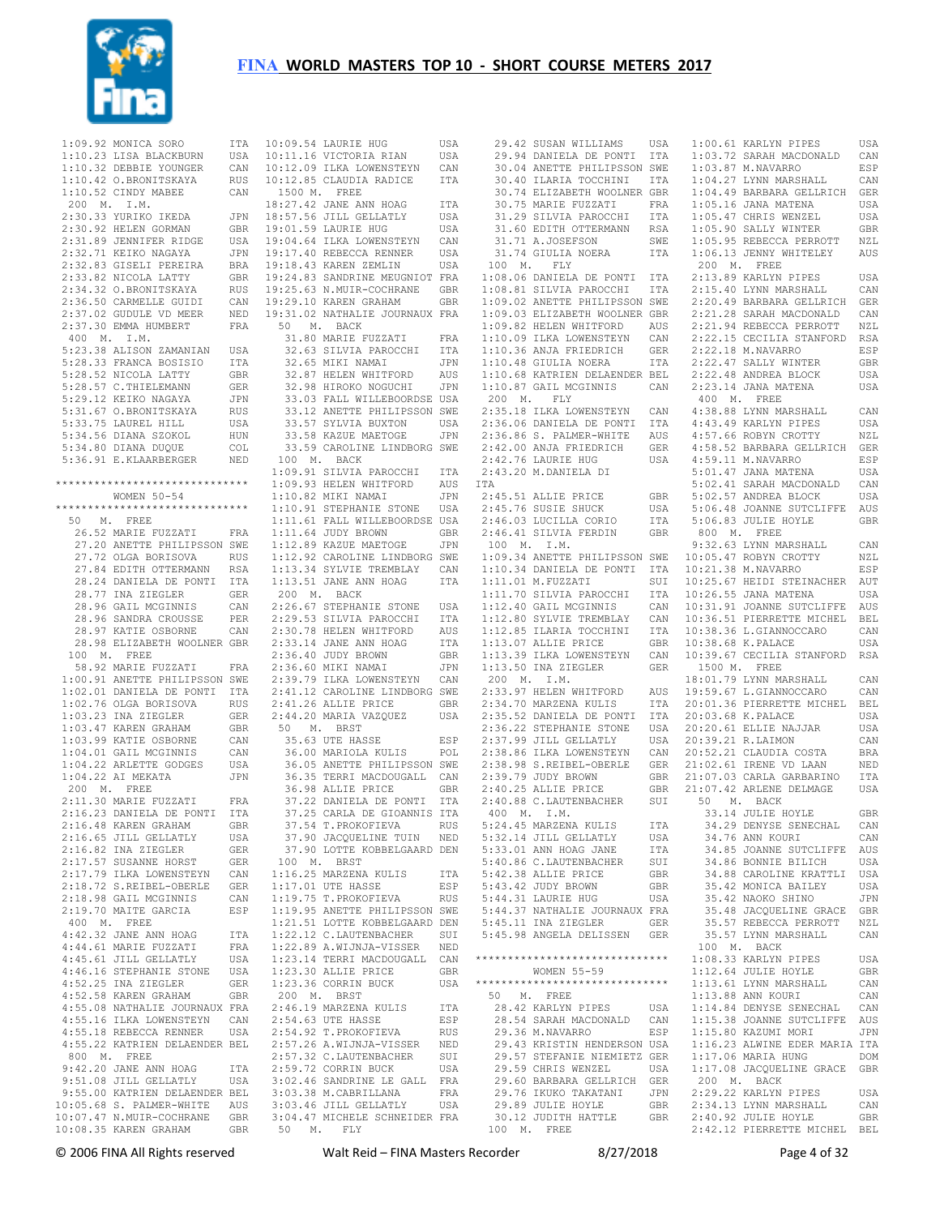

1:09.92 MONICA SORO ITA 10:09.54 LAURIE HUG 1:10.23 LISA BLACKBURN USA  $1:10.32$  DEBBIE YOUNGER 1:10.42 O.BRONITSKAYA RUS 1:10.52 CINDY MABEE CAN 200 M. I.M. 2:30.33 YURIKO IKEDA 2:30.92 HELEN GORMAN GBR 2:31.89 JENNIFER RIDGE USA 2:32.71 KEIKO NAGAYA JPN 2:32.83 GISELI PEREIRA BRA 2:33.82 NICOLA LATTY GBR 2:34.32 O.BRONITSKAYA RUS 2:36.50 CARMELLE GUIDI CAN 2:37.02 GUDULE VD MEER NED 2:37.30 EMMA HUMBERT FRA 400 M. I.M. 5:23.38 ALISON ZAMANIAN USA 5:28.33 FRANCA BOSISIO ITA 5:28.52 NICOLA LATTY GBR 5:28.57 C.THIELEMANN GER 5:29.12 KEIKO NAGAYA JPN 5:31.67 O.BRONITSKAYA RUS 5:33.75 LAUREL HILL USA 5:34.56 DIANA SZOKOL HUN 5:34.80 DIANA DUQUE COL 5:36.91 E.KLAARBERGER NED \*\*\*\*\*\*\*\*\*\*\*\*\*\*\*\*\*\*\*\*\*\*\*\*\*\*\*\*\*\* WOMEN 50-54 \*\*\*\*\*\*\*\*\*\*\*\*\*\*\*\*\*\*\*\*\*\*\*\*\*\*\*\*\*\* 50 M. FREE 26.52 MARIE FUZZATI FRA 27.20 ANETTE PHILIPSSON SWE 27.72 OLGA BORISOVA RUS 27.84 EDITH OTTERMANN RSA 28.24 DANIELA DE PONTI ITA 28.77 INA ZIEGLER GER 28.96 GAIL MCGINNIS CAN 28.96 SANDRA CROUSSE PER 28.97 KATIE OSBORNE CAN 28.98 ELIZABETH WOOLNER GBR 100 M. FREE 58.92 MARIE FUZZATI FRA 1:00.91 ANETTE PHILIPSSON SWE 1:02.01 DANIELA DE PONTI ITA 1:02.76 OLGA BORISOVA RUS 1:03.23 INA ZIEGLER GER 1:03.47 KAREN GRAHAM GBR 1:03.99 KATIE OSBORNE CAN 1:04.01 GAIL MCGINNIS CAN 1:04.22 ARLETTE GODGES USA 1:04.22 AI MEKATA JPN 200 M. FREE 2:11.30 MARIE FUZZATI FRA 2:16.23 DANIELA DE PONTI ITA  $2:16.48$  KAREN GRAHAM 2:16.65 JILL GELLATLY USA<br>2:16.82 INA ZIEGLER GER 2:16.82 INA ZIEGLER GER 2:17.57 SUSANNE HORST GER 2:17.79 ILKA LOWENSTEYN CAN 2:18.72 S.REIBEL-OBERLE 2:18.98 GAIL MCGINNIS CAN 2:19.70 MAITE GARCIA ESP 400 M. FREE 4:42.32 JANE ANN HOAG ITA 4:44.61 MARIE FUZZATI FRA 4:45.61 JILL GELLATLY USA<br>4:46.16 STEPHANIE STONE USA 4:46.16 STEPHANIE STONE USA<br>4:52.25 INA ZIEGLER GER 4:52.25 INA ZIEGLER GER 4:52.58 KAREN GRAHAM GBR 4:55.08 NATHALIE JOURNAUX FRA 4:55.16 ILKA LOWENSTEYN CAN 4:55.18 REBECCA RENNER USA 4:55.22 KATRIEN DELAENDER BEL 800 M. FREE 9:42.20 JANE ANN HOAG ITA 9:51.08 JILL GELLATLY 9:55.00 KATRIEN DELAENDER BEL 10:05.68 S. PALMER-WHITE AUS 10:07.47 N.MUIR-COCHRANE GBR 10:08.35 KAREN GRAHAM GBR 50 M. FLY

10:12.09 ILKA LOWENSTEYN CAN 10:12.85 CLAUDIA RADICE ITA 1500 M. FREE 18:27.42 JANE ANN HOAG ITA 18:57.56 JILL GELLATLY USA 19:01.59 LAURIE HUG USA 19:04.64 ILKA LOWENSTEYN CAN<br>19:17.40 REBECCA RENNER USA 19:17.40 REBECCA RENNER 19:18.43 KAREN ZEMLIN USA 19:24.83 SANDRINE MEUGNIOT FRA 19:25.63 N.MUIR-COCHRANE GBR 19:29.10 KAREN GRAHAM GBR 19:31.02 NATHALIE JOURNAUX FRA 50 M. BACK 31.80 MARIE FUZZATI FRA 32.63 SILVIA PAROCCHI ITA 32.65 MIKI NAMAI JPN 32.87 HELEN WHITFORD AUS 32.98 HIROKO NOGUCHI JPN 33.03 FALL WILLEBOORDSE USA 33.12 ANETTE PHILIPSSON SWE 33.57 SYLVIA BUXTON USA 33.58 KAZUE MAETOGE JPN 33.59 CAROLINE LINDBORG SWE 100 M. BACK 1:09.91 SILVIA PAROCCHI ITA 1:09.93 HELEN WHITFORD AUS 1:10.82 MIKI NAMAI JPN 1:10.91 STEPHANIE STONE USA 1:11.61 FALL WILLEBOORDSE USA 1:11.64 JUDY BROWN GBR 1:12.89 KAZUE MAETOGE JPN 1:12.92 CAROLINE LINDBORG SWE 1:13.34 SYLVIE TREMBLAY CAN 1:13.51 JANE ANN HOAG ITA 200 M. BACK 2:26.67 STEPHANIE STONE USA 2:29.53 SILVIA PAROCCHI ITA 2:30.78 HELEN WHITFORD AUS 2:33.14 JANE ANN HOAG ITA 2:36.40 JUDY BROWN GBR 2:36.60 MIKI NAMAI JPN 2:39.79 ILKA LOWENSTEYN CAN 2:41.12 CAROLINE LINDBORG SWE 2:41.26 ALLIE PRICE GBR 2:44.20 MARIA VAZQUEZ USA 50 M. BRST 35.63 UTE HASSE ESP 36.00 MARIOLA KULIS POL 36.05 ANETTE PHILIPSSON SWE 36.35 TERRI MACDOUGALL CAN 36.98 ALLIE PRICE GBR 37.22 DANIELA DE PONTI ITA 37.25 CARLA DE GIOANNIS ITA 37.54 T.PROKOFIEVA RUS 37.90 JACQUELINE TUIN NED 37.90 LOTTE KOBBELGAARD DEN 100 M. BRST 1:16.25 MARZENA KULIS ITA GER 1:17.01 UTE HASSE ESP<br>CAN 1:19.75 TL PROKOFIEVA PHO 1:19.75 T.PROKOFIEVA RUS ESP 1:19.95 ANETTE PHILIPSSON SWE 1:21.51 LOTTE KOBBELGAARD DEN 1:22.12 C.LAUTENBACHER SUI 1:22.89 A.WIJNJA-VISSER NED 1:23.14 TERRI MACDOUGALL CAN 1:23.30 ALLIE PRICE GBR 1:23.36 CORRIN BUCK USA 200 M. BRST 2:46.19 MARZENA KULIS ITA<br>2:54.63 UTE HASSE RSP 2:54.63 UTE HASSE 2:54.92 T.PROKOFIEVA RUS<br>2:57.26 A WI.TN.TA-VISSER NED 2:57.26 A.WIJNJA-VISSER 2:57.32 C.LAUTENBACHER SUI<br>2:59.72 CORRIN BUCK USA  $2:59.72$  CORRIN BUCK USA 3:02.46 SANDRINE LE GALL FRA 3:03.38 M.CABRILLANA FRA 3:03.46 JILL GELLATLY USA 3:04.47 MICHELE SCHNEIDER FRA

10:09.54 LAURIE HUG USA 10:11.16 VICTORIA RIAN USA 29.42 SUSAN WILLIAMS USA 29.94 DANIELA DE PONTI ITA 1:00.61 KARLYN PIPES USA 30.04 ANETTE PHILIPSSON SWE 1:03.72 SARAH MACDONALD CAN 1:03.87 M.NAVARRO ESP 30.40 ILARIA TOCCHINI ITA 30.74 ELIZABETH WOOLNER GBR 30.75 MARIE FUZZATI<br>30.75 MARIE FUZZATI 31.29 SILVIA PAROCCHI 31.60 EDITH OTTERMANN RSA 31.71 A.JOSEFSON SWE 31.74 GIULIA NOERA ITA 100 M. FLY 1:08.06 DANIELA DE PONTI ITA 1:08.81 SILVIA PAROCCHI ITA 1:09.02 ANETTE PHILIPSSON SWE 1:09.03 ELIZABETH WOOLNER GBR 1:09.82 HELEN WHITFORD AUS 1:10.09 ILKA LOWENSTEYN CAN 1:10.36 ANJA FRIEDRICH GER 1:10.48 GIULIA NOERA ITA 1:10.68 KATRIEN DELAENDER BEL 1:10.87 GAIL MCGINNIS CAN 200 M. FLY 2:35.18 ILKA LOWENSTEYN CAN 4:38.88 LYNN MARSHALL CAN 2:36.06 DANIELA DE PONTI ITA 2:36.86 S. PALMER-WHITE AUS 2:42.00 ANJA FRIEDRICH 2:42.76 LAURIE HUG USA 2:43.20 M.DANIELA DI ITA  $2 \cdot 45$  51 ALLIE PRICE 2:45.76 SUSIE SHUCK USA<br>2:46.03 LUCILLA CORIO ITA 2:46.03 LUCILLA CORIO ITA 2:46.41 SILVIA FERDIN GBR 100 M. I.M. 1:09.34 ANETTE PHILIPSSON SWE 10:05.47 ROBYN CROTTY NZL 1:10.34 DANIELA DE PONTI ITA 1:11.01 M.FUZZATI SUI 10:21.38 M.NAVARRO ESP 10:25.67 HEIDI STEINACHER AUT 1:11.70 SILVIA PAROCCHI  $1:12.40$  GAIL MCGINNIS  $1:12.80$  SYLVIE TREMBLAY 1:12.85 ILARIA TOCCHINI ITA 1:13.07 ALLIE PRICE GBR 1:13.39 ILKA LOWENSTEYN CAN 10:38.68 K.PALACE USA 10:39.67 CECILIA STANFORD RSA 1:13.50 INA ZIEGLER GER 200 M. I.M. 2:33.97 HELEN WHITFORD 2:34.70 MARZENA KULIS 2:35.52 DANIELA DE PONTI ITA 2:36.22 STEPHANIE STONE USA 20:03.68 K.PALACE USA 20:20.61 ELLIE NAJJAR USA 2:37.99 JILL GELLATLY 2:38.86 ILKA LOWENSTEYN 2:38.98 S.REIBEL-OBERLE 2:39.79 JUDY BROWN GBR 2:40.25 ALLIE PRICE GBR 2:40.88 C.LAUTENBACHER SUI 50 M. BACK 400 M. I.M. 5:24.45 MARZENA KULIS ITA<br>5:32.14 JILL GELLATLY USA 5:32.14 JILL GELLATLY USA<br>5:32.14 JILL GELLATLY USA<br>5:33.01 ANN HOAG JANE TTA 5:33.01 ANN HOAG JANE 5:40.86 C.LAUTENBACHER SUI 5:42.38 ALLIE PRICE GBR<br>5:43.42 JUDY BROWN GBR 5:43.42 JUDY BROWN GBR 5:44.31 LAURIE HUG USA 5:44.37 NATHALIE JOURNAUX FRA 5:45.11 INA ZIEGLER GER 5:45.98 ANGELA DELISSEN GER \*\*\*\*\*\*\*\*\*\*\*\*\*\*\*\*\*\*\*\*\*\*\*\*\*\*\*\*\*\* 1:08.33 KARLYN PIPES USA WOMEN 55-59 \*\*\*\*\*\*\*\*\*\*\*\*\*\*\*\*\*\*\*\*\*\*\*\*\*\*\*\*\*\* 50 M. FREE 28.42 KARLYN PIPES USA 28.54 SARAH MACDONALD CAN 29.36 M.NAVARRO ESP 29.43 KRISTIN HENDERSON USA 29.57 STEFANIE NIEMIETZ GER 29.59 CHRIS WENZEL USA 29.60 BARBARA GELLRICH GER 29.76 IKUKO TAKATANI JPN 29.89 JULIE HOYLE GBR 30.12 JUDITH HATTLE GBR 2:40.92 JULIE HOYLE GBR 100 M. FREE

 1:04.27 LYNN MARSHALL CAN 1:04.49 BARBARA GELLRICH GER 1:05.16 JANA MATENA USA FRA 1:05.16 JANA MATENA USA<br>ITA 1:05.47 CHRIS WENZEL USA 1:05.90 SALLY WINTER GBR 1:05.95 REBECCA PERROTT NZL 1:06.13 JENNY WHITELEY AUS 200 M. FREE 2:13.89 KARLYN PIPES USA 2:15.40 LYNN MARSHALL CAN 2:20.49 BARBARA GELLRICH GER 2:21.28 SARAH MACDONALD CAN 2:21.94 REBECCA PERROTT NZL 2:22.15 CECILIA STANFORD RSA 2:22.18 M.NAVARRO ESP 2:22.47 SALLY WINTER GBR<br>2:22.48 ANDREA BLOCK USA  $2:22.48$  ANDREA BLOCK 2:23.14 JANA MATENA USA 400 M. FREE 4:43.49 KARLYN PIPES USA 4:57.66 ROBYN CROTTY NZL GER 4:58.52 BARBARA GELLRICH GER 4:59.11 M.NAVARRO ESP 5:01.47 JANA MATENA USA 5:02.41 SARAH MACDONALD CAN GBR 5:02.57 ANDREA BLOCK USA 5:06.48 JOANNE SUTCLIFFE AUS 5:06.83 JULIE HOYLE GBR 800 M. FREE 9:32.63 LYNN MARSHALL CAN 10:26.55 JANA MATENA USA 10:31.91 JOANNE SUTCLIFFE AUS 10:36.51 PIERRETTE MICHEL BEL 10:38.36 L.GIANNOCCARO CAN 1500 M. FREE 18:01.79 LYNN MARSHALL CAN AIIS 19:59.67 L. GTANNOCCARO CAN 17A 20:01.36 PIERRETTE MICHEL BEL 20:39.21 R.LAIMON CAN 20:52.21 CLAUDIA COSTA BRA 21:02.61 IRENE VD LAAN NED 21:07.03 CARLA GARBARINO ITA 21:07.42 ARLENE DELMAGE USA 33.14 JULIE HOYLE GBR 34.29 DENYSE SENECHAL CAN 34.76 ANN KOURI CAN<br>34.85 JOANNE SUTCLIFFE AUS 34.85 JOANNE SUTCLIFFE 34.86 BONNIE BILICH USA 34.88 CAROLINE KRATTLI USA 35.42 MONICA BAILEY USA 35.42 NAOKO SHINO JPN 35.48 JACQUELINE GRACE GBR 35.57 REBECCA PERROTT NZL 35.57 LYNN MARSHALL CAN 100 M. BACK 1:12.64 JULIE HOYLE GBR 1:13.61 LYNN MARSHALL CAN 1:13.88 ANN KOURI CAN 1:14.84 DENYSE SENECHAL CAN 1:15.38 JOANNE SUTCLIFFE AUS 1:15.80 KAZUMI MORI JPN 1:16.23 ALWINE EDER MARIA ITA 1:17.06 MARIA HUNG DOM 1:17.08 JACQUELINE GRACE GBR 200 M. BACK 2:29.22 KARLYN PIPES USA<br>2:34.13 LYNN MARSHALL CAN  $2:34.13$  LYNN MARSHALL 2:42.12 PIERRETTE MICHEL BEL

© 2006 FINA All Rights reserved Walt Reid – FINA Masters Recorder 8/27/2018 Page 4 of 32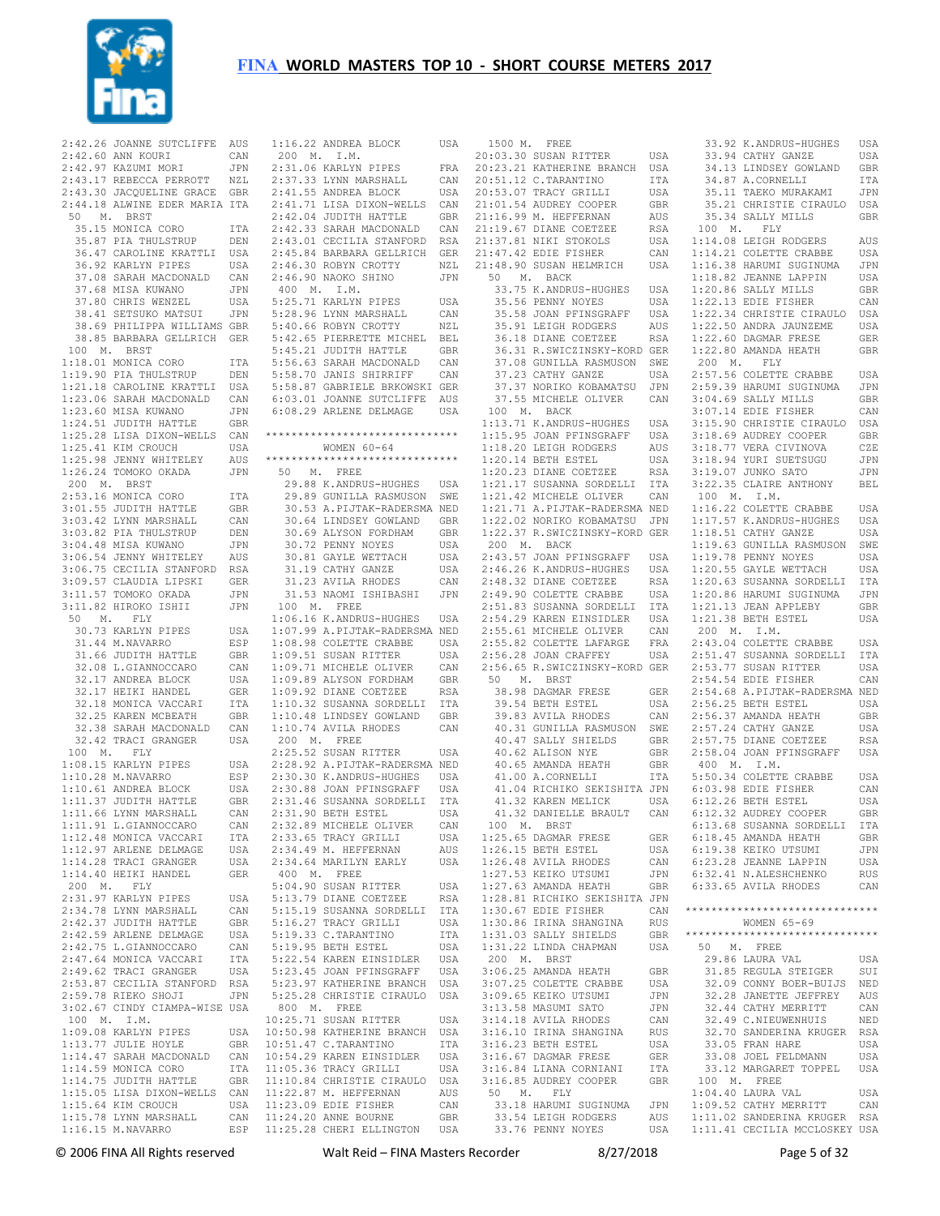

 2:42.60 ANN KOURI CAN 2:42.97 KAZUMI MORI JPN 2:43.17 REBECCA PERROTT NZL 2:43.30 JACQUELINE GRACE GBR 2:44.18 ALWINE EDER MARIA ITA 50 M. BRST 35.15 MONICA CORO ITA 35.87 PIA THULSTRUP DEN 36.47 CAROLINE KRATTLI USA 36.92 KARLYN PIPES USA 37.08 SARAH MACDONALD CAN 37.68 MISA KUWANO JPN 37.80 CHRIS WENZEL USA 38.41 SETSUKO MATSUI JPN 38.69 PHILIPPA WILLIAMS GBR 38.85 BARBARA GELLRICH GER 100 M. BRST  $100$  m.  $100$ <br>1:18.01 MONICA CORO ITA 1:19.90 PIA THULSTRUP DEN 1:21.18 CAROLINE KRATTLI USA 1:23.06 SARAH MACDONALD CAN 1:23.60 MISA KUWANO JPN 1:24.51 JUDITH HATTLE GBR 1:25.28 LISA DIXON-WELLS CAN  $1.25$  41 KIM CROUCH USA 1:25.98 JENNY WHITELEY AUS 1:26.24 TOMOKO OKADA JPN 200 M. BRST 2:53.16 MONICA CORO ITA 3:01.55 JUDITH HATTLE GBR 3:03.42 LYNN MARSHALL CAN 3:03.82 PIA THULSTRUP DEN 3:04.48 MISA KUWANO JPN 3:06.54 JENNY WHITELEY AUS 3:06.75 CECILIA STANFORD RSA 3:09.57 CLAUDIA LIPSKI GER 3:11.57 TOMOKO OKADA JPN 3:11.82 HIROKO ISHII JPN 50 M. FLY 30.73 KARLYN PIPES USA 31.44 M.NAVARRO ESP<br>31.66 JUDITH HATTLE GBR 31.66 JUDITH HATTLE GBR 32.08 L.GIANNOCCARO CAN 32.17 ANDREA BLOCK USA 32.17 HEIKI HANDEL GER 32.18 MONICA VACCARI ITA 32.25 KAREN MCBEATH GBR 32.38 SARAH MACDONALD CAN 32.42 TRACI GRANGER USA 100 M. FLY 1:08.15 KARLYN PIPES USA 1:10.28 M.NAVARRO ESP 1:10.61 ANDREA BLOCK USA 1:11.37 JUDITH HATTLE GBR 1:11.66 LYNN MARSHALL CAN<br>1:11.91 L.GIANNOCCARO CAN 1:11.91 L.GIANNOCCARO 1:12.48 MONICA VACCARI ITA<br>1·12.97 ARLENE DELMAGE IISA  $1.12$  97 ARLENE DELMAGE 1:14.28 TRACI GRANGER USA 1:14.40 HEIKI HANDEL GER 200 M. FLY 2:31.97 KARLYN PIPES USA<br>2:34 78 LYNN MARSHALL CAN  $2:34.78$  LYNN MARSHALL 2:42.37 JUDITH HATTLE GBR<br>2:42.59 ARLENE DELMAGE USA  $2.42.59$  ARLENE DELMAGE 2:42.75 L.GIANNOCCARO CAN<br>2:47.64 MONICA VACCARI ITA 2:47.64 MONICA VACCARI ITA<br>2:49.62 TRACI GRANGER USA 2:49.62 TRACI GRANGER 2:53.87 CECILIA STANFORD RSA<br>2:59.78 RIEKO SHOJI JPN  $2:59.78$  RIEKO SHOJI 3:02.67 CINDY CIAMPA-WISE USA 100 M. I.M.  $1:09.08$  KARLYN PIPES  $1:13$ .77 JULIE HOYLE 1:14.47 SARAH MACDONALD CAN 10:54.29 KAREN EINSIDLER USA 1:14.59 MONICA CORO ITA<br>1:14.75 JUDITH HATTLE GBR  $1:14.75$  JUDITH HATTLE 1:15.05 LISA DIXON-WELLS CAN  $1:15.64$  KIM CROUCH 1:15.78 LYNN MARSHALL  $1:16.15$  M.NAVARRO

 2:42.26 JOANNE SUTCLIFFE AUS 1:16.22 ANDREA BLOCK USA 1500 M. FREE 200 M. I.M.  $2:31.06$  KARLYN PIPES 2:37.33 LYNN MARSHALL CAN 2:41.55 ANDREA BLOCK USA 2:41.71 LISA DIXON-WELLS CAN  $2 \cdot 42$  04 JUDITH HATTLE GBR 2:42.33 SARAH MACDONALD CAN 2:43.01 CECILIA STANFORD RSA 2:45.84 BARBARA GELLRICH GER 2:46.30 ROBYN CROTTY NZL 2:46.90 NAOKO SHINO JPN 400 M. I.M. 5:25.71 KARLYN PIPES USA 5:28.96 LYNN MARSHALL CAN 5:40.66 ROBYN CROTTY NZL 5:42.65 PIERRETTE MICHEL BEL 5:45.21 JUDITH HATTLE GBR 5:56.63 SARAH MACDONALD 5:58.70 JANIS SHIRRIFF CAN 5:58.87 GABRIELE BRKOWSKI GER 6:03.01 JOANNE SUTCLIFFE AUS 6:08.29 ARLENE DELMAGE USA \*\*\*\*\*\*\*\*\*\*\*\*\*\*\*\*\*\*\*\*\*\*\*\*\*\*\*\*\*\* WOMEN 60-64 \*\*\*\*\*\*\*\*\*\*\*\*\*\*\*\*\*\*\*\*\*\*\*\*\*\*\*\*\*\* 50 M. FREE 29.88 K.ANDRUS-HUGHES USA 29.89 GUNILLA RASMUSON SWE 30.53 A.PIJTAK-RADERSMA NED 30.64 LINDSEY GOWLAND GBR 30.69 ALYSON FORDHAM GBR 30.72 PENNY NOYES USA 30.81 GAYLE WETTACH USA 31.19 CATHY GANZE USA 31.23 AVILA RHODES CAN 31.53 NAOMI ISHIBASHI JPN 100 M. FREE 1:06.16 K.ANDRUS-HUGHES USA 1:07.99 A.PIJTAK-RADERSMA NED 1:08.98 COLETTE CRABBE USA  $1:09.51$  SUSAN RITTER 1:09.71 MICHELE OLIVER CAN 1:09.89 ALYSON FORDHAM GBR 1:09.92 DIANE COETZEE RSA 1:10.32 SUSANNA SORDELLI ITA 1:10.48 LINDSEY GOWLAND GBR 1:10.74 AVILA RHODES CAN 200 M. FREE 2:25.52 SUSAN RITTER USA 2:28.92 A.PIJTAK-RADERSMA NED 2:30.30 K.ANDRUS-HUGHES USA 2:30.88 JOAN PFINSGRAFF USA 2:31.46 SUSANNA SORDELLI ITA 2:31.90 BETH ESTEL USA<br>2:32 89 MICHELE OLIVER CAN 2:32.89 MICHELE OLIVER CAN<br>2:33.65 TRACY GRILLI USA 2:33.65 TRACY GRILLI USA 2:34.49 M. HEFFERNAN AUS 2:34.64 MARILYN EARLY USA 400 M. FREE 5:04.90 SUSAN RITTER USA 5:13.79 DIANE COETZEE RSA 5:15.19 SUSANNA SORDELLI ITA 5:16.27 TRACY GRILLI USA 5:19.33 C.TARANTINO ITA 5:19.95 BETH ESTEL USA<br>5:22 54 KAREN EINSIDLER USA 5:22.54 KAREN EINSIDLER USA 5:23.45 JOAN PFINSGRAFF 5:23.97 KATHERINE BRANCH USA 5:25.28 CHRISTIE CIRAULO USA 800 M. FREE 10:25.71 SUSAN RITTER USA 10:50.98 KATHERINE BRANCH USA 10:51.47 C.TARANTINO ITA 11:05.36 TRACY GRILLI USA 11:10.84 CHRISTIE CIRAULO USA 11:22.87 M. HEFFERNAN AUS 11:23.09 EDIE FISHER CAN 11:24.20 ANNE BOURNE GBR ESP 11:25.28 CHERI ELLINGTON USA

20:03.30 SUSAN RITTER USA FRA 20.23.21 KATHERINE BRANCH USA 20:51.12 C.TARANTINO ITA 20:53.07 TRACY GRILLI USA 21:01.54 AUDREY COOPER GBR<br>21:16.99 M. HEFFERNAN AUS  $21 \cdot 16$  99 M. HEFFERNAN  $21:19.67$  DIANE COETZEE  $21:37.81$  NIKI STOKOLS 21:47.42 EDIE FISHER CAN 21:48.90 SUSAN HELMRICH USA 1:14.21 COLETTE CRABBE USA 1:16.38 HARUMI SUGINUMA JPN 50 M. BACK 33.75 K.ANDRUS-HUGHES USA<br>35.56 PENNY NOYES USA 35.56 PENNY NOYES 35.58 JOAN PFINSGRAFF USA 35.91 LEIGH RODGERS AUS 36.18 DIANE COETZEE RSA 36.31 R.SWICZINSKY-KORD GER 37.08 GUNILLA RASMUSON SWE 37.23 CATHY GANZE USA 37.37 NORIKO KOBAMATSU JPN 37.55 MICHELE OLIVER CAN 100 M. BACK 1:13.71 K.ANDRUS-HUGHES USA 1:15.95 JOAN PFINSGRAFF USA 1:18.20 LEIGH RODGERS 1:20.14 BETH ESTEL USA<br>1:20.23 DIANE COETZEE RSA  $1:20.23$  DIANE COETZEE 1:21.17 SUSANNA SORDELLI ITA 1:21.42 MICHELE OLIVER CAN 1:21.71 A.PIJTAK-RADERSMA NED 1:22.02 NORIKO KOBAMATSU JPN 1:22.37 R.SWICZINSKY-KORD GER 200 M. BACK 2:43.57 JOAN PFINSGRAFF USA 2:46.26 K.ANDRUS-HUGHES USA 2:48.32 DIANE COETZEE RSA 2:49.90 COLETTE CRABBE USA 2:51.83 SUSANNA SORDELLI ITA 2:54.29 KAREN EINSIDLER USA 2:55.61 MICHELE OLIVER CAN<br>2:55.82 COLETTE LAFARGE FRA 2:55.82 COLETTE LAFARGE FRA<br>2:56.28 JOAN CRAFFEY USA  $2:56.28$  JOAN CRAFFEY 2:56.65 R.SWICZINSKY-KORD GER 50 M. BRST 38.98 DAGMAR FRESE GER 39.54 BETH ESTEL USA 39.83 AVILA RHODES CAN 40.31 GUNILLA RASMUSON SWE 40.47 SALLY SHIELDS GBR<br>40.62 ALISON NYE GBR 40.62 ALISON NYE GBR 40.65 AMANDA HEATH GBR 41.00 A.CORNELLI ITA 41.04 RICHIKO SEKISHITA JPN 41.32 KAREN MELICK USA 41.32 DANIELLE BRAULT CAN 6:12.32 AUDREY COOPER GBR 100 M. BRST 1:25.65 DAGMAR FRESE GER  $1:26.15$  BETH ESTEL 1:26.48 AVILA RHODES CAN<br>1:27.53 KEIKO UTSUMI JPN 1:27.53 KEIKO UTSUMI  $1:27.63$  AMANDA HEATH 1:28.81 RICHIKO SEKISHITA JPN  $1:30.67$  EDIE FISHER 1:30.86 IRINA SHANGINA RUS 1:31.03 SALLY SHIELDS GBR 1:31.22 LINDA CHAPMAN USA 200 M. BRST 3:06.25 AMANDA HEATH GBR<br>3:07.25 COLETTE CRABBE USA 3:07.25 COLETTE CRABBE USA  $3:09.65$  KEIKO UTSUMI 3:13.58 MASUMI SATO JPN<br>3:14 18 AVILA RHODES CAN 3:14.18 AVILA RHODES CAN 3:16.10 IRINA SHANGINA RUS<br>3:16.23 BETH ESTEL USA 3:16.23 BETH ESTEL USA<br>3:16.67 DAGMAR FRESE GER 3:16.67 DAGMAR FRESE 3:16.84 LIANA CORNIANI ITA<br>3:16.85 AUDREY COOPER GBR 3:16.85 AUDREY COOPER 50 M. FLY 50 M. FLY<br>33.18 HARUMI SUGINUMA<br>22.54 JEICH BODGEBO 33.54 LEIGH RODGERS AUS 33.76 PENNY NOYES USA 1:11.02 SANDERINA KRUGER RSA 1:11.41 CECILIA MCCLOSKEY USA 33.92 K.ANDRUS-HUGHES USA 33.94 CATHY GANZE USA 34.13 LINDSEY GOWLAND GBR 34.87 A.CORNELLIT TTA 35.11 TAEKO MURAKAMI JPN 35.21 CHRISTIE CIRAULO USA 35.34 SALLY MILLS GBR 100 M. FLY 1:14.08 LEIGH RODGERS AUS 1:18.82 JEANNE LAPPIN USA 1:20.86 SALLY MILLS GBR 1:22.13 EDIE FISHER CAN 1:22.34 CHRISTIE CIRAULO USA 1:22.50 ANDRA JAUNZEME USA 1:22.60 DAGMAR FRESE GER 1:22.80 AMANDA HEATH GBR 200 M. FLY 2:57.56 COLETTE CRABBE USA 2:59.39 HARUMI SUGINUMA JPN 3:04.69 SALLY MILLS GBR 3:07.14 EDIE FISHER CAN 3:15.90 CHRISTIE CIRAULO USA 3:18.69 AUDREY COOPER GBR<br>3:18.77 VERA CIVINOVA CZE 3:18.77 VERA CIVINOVA 3:18.94 YURI SUETSUGU JPN 3:19.07 JUNKO SATO JPN 3:22.35 CLAIRE ANTHONY BEL 100 M. I.M. 1:16.22 COLETTE CRABBE USA 1:17.57 K.ANDRUS-HUGHES USA 1:18.51 CATHY GANZE USA 1:19.63 GUNILLA RASMUSON SWE 1:19.78 PENNY NOYES USA 1:20.55 GAYLE WETTACH USA 1:20.63 SUSANNA SORDELLI ITA 1:20.86 HARUMI SUGINUMA JPN 1:21.13 JEAN APPLEBY GBR 1:21.38 BETH ESTEL USA 200 M. I.M. 2:43.04 COLETTE CRABBE USA 2:51.47 SUSANNA SORDELLI ITA 2:53.77 SUSAN RITTER USA 2:54.54 EDIE FISHER CAN 2:54.68 A.PIJTAK-RADERSMA NED 2:56.25 BETH ESTEL USA 2:56.37 AMANDA HEATH GBR 2:57.24 CATHY GANZE USA 2:57.75 DIANE COETZEE RSA 2:58.04 JOAN PFINSGRAFF USA 400 M. I.M. 5:50.34 COLETTE CRABBE USA 6:03.98 EDIE FISHER CAN 6:12.26 BETH ESTEL USA 6:13.68 SUSANNA SORDELLI ITA 6:18.45 AMANDA HEATH GBR  $6.19.38$  KEIKO UTSUMI 6:23.28 JEANNE LAPPIN USA 6:32.41 N.ALESHCHENKO RUS 6:33.65 AVILA RHODES CAN \*\*\*\*\*\*\*\*\*\*\*\*\*\*\*\*\*\*\*\*\*\*\*\*\*\*\*\*\*\* WOMEN 65-69 \*\*\*\*\*\*\*\*\*\*\*\*\*\*\*\*\*\*\*\*\*\*\*\*\*\*\*\*\*\* 50 M. FREE 29.86 LAURA VAL USA 31.85 REGULA STEIGER SUI 32.09 CONNY BOER-BUIJS NED 32.28 JANETTE JEFFREY AUS 32.44 CATHY MERRITT CAN<br>32.49 C NIEUWENHUIS NED 32.49 C. NIEUWENHUIS 32.70 SANDERINA KRUGER RSA<br>33.05 FRAN HARE 33.05 FRAN HARE 33.08 JOEL FELDMANN USA 33.12 MARGARET TOPPEL USA 100 M. FREE 1:04.40 LAURA VAL USA JPN 1:09.52 CATHY MERRITT CAN<br>AUS 1:11.02 SANDERINA KRUGER RSA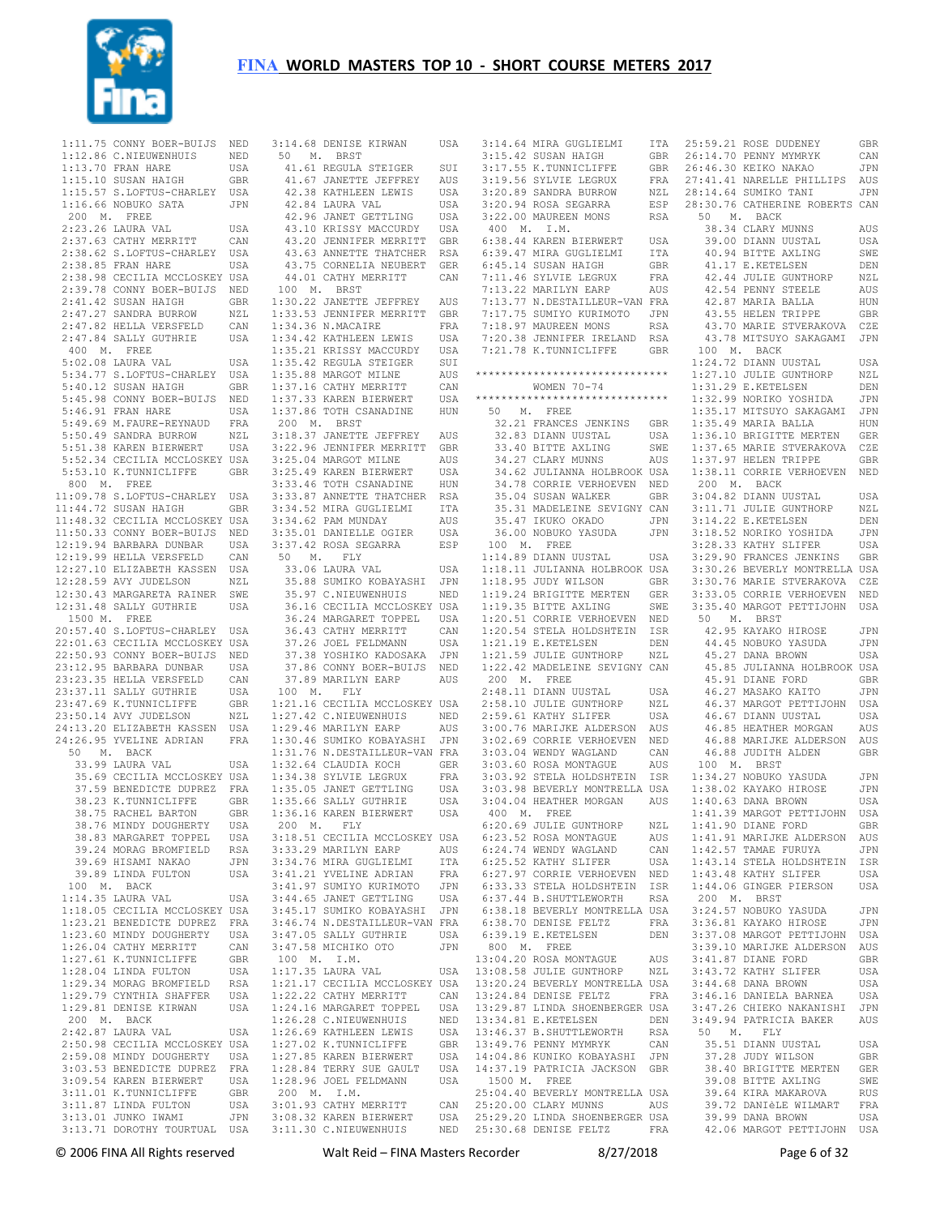

 1:11.75 CONNY BOER-BUIJS NED 3:14.68 DENISE KIRWAN USA 3:14.64 MIRA GUGLIELMI ITA 25:59.21 ROSE DUDENEY GBR 1:12.86 C.NIEUWENHUIS NED 1:13.70 FRAN HARE USA 1:15.10 SUSAN HAIGH GBR 1:15.57 S.LOFTUS-CHARLEY USA 1:16.66 NOBUKO SATA JPN 200 M. FREE 2:23.26 LAURA VAL USA 2:37.63 CATHY MERRITT CAN 2:38.62 S.LOFTUS-CHARLEY USA 2:38.85 FRAN HARE USA 2:38.98 CECILIA MCCLOSKEY USA 2:39.78 CONNY BOER-BUIJS NED 2:41.42 SUSAN HAIGH GBR 2:47.27 SANDRA BURROW NZL 2:47.82 HELLA VERSFELD CAN 2:47.84 SALLY GUTHRIE USA 400 M. FREE  $5 \cdot 02$  08 LAURA VAL USA 5:34.77 S.LOFTUS-CHARLEY USA 5:40.12 SUSAN HAIGH GBR 5:45.98 CONNY BOER-BUIJS NED 5:46.91 FRAN HARE USA 5:49.69 M.FAURE-REYNAUD FRA 5:50.49 SANDRA BURROW NZL 5:51.38 KAREN BIERWERT USA 5:52.34 CECILIA MCCLOSKEY USA 5:53.10 K.TUNNICLIFFE GBR 800 M. FREE 11:09.78 S.LOFTUS-CHARLEY USA 11:44.72 SUSAN HAIGH GBR 11:48.32 CECILIA MCCLOSKEY USA 11:50.33 CONNY BOER-BUIJS NED 12:19.94 BARBARA DUNBAR USA 12:19.99 HELLA VERSFELD CAN 12:27.10 ELIZABETH KASSEN USA 12:28.59 AVY JUDELSON NZL 12:30.43 MARGARETA RAINER SWE 12:31.48 SALLY GUTHRIE USA 1500 M. FREE 20:57.40 S.LOFTUS-CHARLEY USA 22:01.63 CECILIA MCCLOSKEY USA 22:50.93 CONNY BOER-BUIJS NED 22.30.30 SCHILL<br>23:12.95 BARBARA DUNBAR USA 23:23.35 HELLA VERSFELD CAN 23:37.11 SALLY GUTHRIE USA 23:47.69 K.TUNNICLIFFE GBR 23:50.14 AVY JUDELSON NZL 24:13.20 ELIZABETH KASSEN USA 24:26.95 YVELINE ADRIAN FRA 50 M. BACK 33.99 LAURA VAL USA 35.69 CECILIA MCCLOSKEY USA 37.59 BENEDICTE DUPREZ FRA 38.23 K.TUNNICLIFFE GBR 38.75 RACHEL BARTON GBR<br>38.76 MINDY DOUGHERTY USA 38.76 MINDY DOUGHERTY 38.83 MARGARET TOPPEL USA<br>39.24 MORAG BROMETELD RSA 39.24 MORAG BROMFIELD RSA 39.69 HISAMI NAKAO JPN 39.89 LINDA FULTON USA 100 M. BACK 1:14.35 LAURA VAL USA 1:18.05 CECILIA MCCLOSKEY USA 1:23.21 BENEDICTE DUPREZ FRA 1:23.60 MINDY DOUGHERTY USA 1:26.04 CATHY MERRITT CAN<br>1:27 61 K TUNNICLIFFE GBR 1:27.61 K.TUNNICLIFFE GBR<br>1:28.04 LINDA FULTON USA 1:28.04 LINDA FULTON USA<br>1·29.34 MORAG BROMFIELD RSA 1:29.34 MORAG BROMFIELD RSA 1:29.79 CYNTHIA SHAFFER 1:29.81 DENISE KIRWAN USA 200 M. BACK 2:42.87 LAURA VAL USA 2:50.98 CECILIA MCCLOSKEY USA 2:59.08 MINDY DOUGHERTY USA 3:03.53 BENEDICTE DUPREZ FRA 3:09.54 KAREN BIERWERT USA 3:11.01 K.TUNNICLIFFE GBR<br>3:11 87 LINDA FULTON USA  $3:11.87$  LINDA FULTON 3:13.01 JUNKO IWAMI JPN 3:13.71 DOROTHY TOURTUAL USA 3:11.30 C.NIEUWENHUIS NED

50 M. BRST 41.61 REGULA STEIGER SUI 41.67 JANETTE JEFFREY AUS 42.38 KATHLEEN LEWIS USA 42.84 LAURA VAL USA 42.96 JANET GETTLING USA 43.10 KRISSY MACCURDY USA 43.20 JENNIFER MERRITT GBR 43.63 ANNETTE THATCHER RSA 43.75 CORNELIA NEUBERT GER 44.01 CATHY MERRITT CAN 100 M. BRST 1:30.22 JANETTE JEFFREY AUS 1:33.53 JENNIFER MERRITT GBR 1:34.36 N.MACAIRE FRA 1:34.42 KATHLEEN LEWIS USA 1:35.21 KRISSY MACCURDY USA 1:35.42 REGULA STEIGER SUI 1:35.88 MARGOT MILNE AUS 1:37.16 CATHY MERRITT CAN 1:37.33 KAREN BIERWERT USA 1:37.86 TOTH CSANADINE HUN 200 M. BRST 3:18.37 JANETTE JEFFREY AUS 3:22.96 JENNIFER MERRITT GBR 3:25.04 MARGOT MILNE AUS 3:25.49 KAREN BIERWERT USA 3:33.46 TOTH CSANADINE HUN 3:33.87 ANNETTE THATCHER RSA 3:34.52 MIRA GUGLIELMI ITA 3:34.62 PAM MUNDAY AUS 3:35.01 DANIELLE OGIER USA 3:37.42 ROSA SEGARRA ESP 50 M. FLY 33.06 LAURA VAL USA 35.88 SUMIKO KOBAYASHI JPN 35.97 C.NIEUWENHUIS NED 36.16 CECILIA MCCLOSKEY USA 36.24 MARGARET TOPPEL USA 36.43 CATHY MERRITT CAN 37.26 JOEL FELDMANN USA 37.38 YOSHIKO KADOSAKA JPN 37.86 CONNY BOER-BUIJS NED 37.89 MARILYN EARP AUS 100 M. FLY 1:21.16 CECILIA MCCLOSKEY USA 1:27.42 C.NIEUWENHUIS NED 1:29.46 MARILYN EARP AUS 1:30.46 SUMIKO KOBAYASHI JPN 1:31.76 N.DESTAILLEUR-VAN FRA 1:32.64 CLAUDIA KOCH GER 1:34.38 SYLVIE LEGRUX FRA 1:35.05 JANET GETTLING USA 1:35.66 SALLY GUTHRIE USA 1:36.16 KAREN BIERWERT USA 200 M. FLY 3:18.51 CECILIA MCCLOSKEY USA 3:33.29 MARILYN EARP AUS 3:34.76 MIRA GUGLIELMI ITA 3:41.21 YVELINE ADRIAN FRA 3:41.97 SUMIYO KURIMOTO JPN 3:44.65 JANET GETTLING USA 3:45.17 SUMIKO KOBAYASHI JPN 3:46.74 N.DESTAILLEUR-VAN FRA 3:47.05 SALLY GUTHRIE USA 3:47.58 MICHIKO OTO JPN 100 M. I.M. 1:17.35 LAURA VAL USA 1:21.17 CECILIA MCCLOSKEY USA 1:22.22 CATHY MERRITT CAN 1:24.16 MARGARET TOPPEL USA 1:26.28 C.NIEUWENHUIS NED<br>1:26.69 KATHLEEN LEWIS USA 1:26.69 KATHLEEN LEWIS USA<br>1:27.02 K TUNNICLIEFE GBR  $1 \cdot 27$  02 K. TUNNICLIFFE 1:27.85 KAREN BIERWERT USA 1:28.84 TERRY SUE GAULT USA 1:28.96 JOEL FELDMANN USA 200 M. I.M.

 3:01.93 CATHY MERRITT CAN 3:08.32 KAREN BIERWERT USA 25:20.00 CLARY MUNNS AUS 25:29.20 LINDA SHOENBERGER USA  $3:15.42$  SUSAN HAIGH 3:17.55 K.TUNNICLIFFE GBR 3:19.56 SYLVIE LEGRUX 3:20.89 SANDRA BURROW 3:20.94 ROSA SEGARRA ESP 3:22.00 MAUREEN MONS RSA 400 M. I.M. 6:38.44 KAREN BIERWERT USA<br>6:39.47 MIRA GUGLIELMI ITA 6:39.47 MIRA GUGLIELMI 6:45.14 SUSAN HAIGH GBR 7:11.46 SYLVIE LEGRUX FRA 7:13.22 MARILYN EARP AUS 7:13.77 N.DESTAILLEUR-VAN FRA 7:17.75 SUMIYO KURIMOTO JPN 7:18.97 MAUREEN MONS 7:20.38 JENNIFER IRELAND RSA 7:21.78 K.TUNNICLIFFE GBR \*\*\*\*\*\*\*\*\*\*\*\*\*\*\*\*\*\*\*\*\*\*\*\*\*\*\*\*\*\* WOMEN 70-74 \*\*\*\*\*\*\*\*\*\*\*\*\*\*\*\*\*\*\*\*\*\*\*\*\*\*\*\*\*\* 50 M. FREE 32.21 FRANCES JENKINS GBR<br>32.83 DIANN UUSTAL USA 32.83 DIANN UUSTAL USA 33.40 BITTE AXLING 34.27 CLARY MUNNS AUS 34.62 JULIANNA HOLBROOK USA 34.78 CORRIE VERHOEVEN NED 35.04 SUSAN WALKER 35.31 MADELEINE SEVIGNY CAN 35.47 IKUKO OKADO JPN 36.00 NOBUKO YASUDA JPN 100 M. FREE 1:14.89 DIANN UUSTAL USA 1:18.11 JULIANNA HOLBROOK USA 1:18.95 JUDY WILSON GBR 1:19.24 BRIGITTE MERTEN GER 1:19.35 BITTE AXLING SWE 1:20.51 CORRIE VERHOEVEN NED 1:20.54 STELA HOLDSHTEIN ISR 1:21.19 E.KETELSEN DEN 1:21.59 JULIE GUNTHORP NZL 1:22.42 MADELEINE SEVIGNY CAN 200 M. FREE 2:48.11 DIANN UUSTAL USA 2:58.10 JULIE GUNTHORP NZL 2:59.61 KATHY SLIFER USA 3:00.76 MARIJKE ALDERSON AUS 3:02.69 CORRIE VERHOEVEN NED 3:03.04 WENDY WAGLAND CAN 3:03.60 ROSA MONTAGUE AUS 3:03.92 STELA HOLDSHTEIN ISR 3:03.98 BEVERLY MONTRELLA USA 1:38.02 KAYAKO HIROSE JPN 3:04.04 HEATHER MORGAN AUS 400 M. FREE 6:20.69 JULIE GUNTHORP NZL 6:23.52 ROSA MONTAGUE AUS<br>6:24 74 WENDY WAGLAND CAN 6:24.74 WENDY WAGLAND CAN  $6:25.52$  KATHY SLIFER 6:27.97 CORRIE VERHOEVEN NED 6:33.33 STELA HOLDSHTEIN ISR 6:37.44 B.SHUTTLEWORTH RSA 6:38.18 BEVERLY MONTRELLA USA 6:38.70 DENISE FELTZ FRA 6:39.19 E.KETELSEN 800 M. FREE 13:04.20 ROSA MONTAGUE AUS 13:08.58 JULIE GUNTHORP NZL 13:20.24 BEVERLY MONTRELLA USA 13:24.84 DENISE FELTZ FRA 13:29.87 LINDA SHOENBERGER USA 13:34.81 E.KETELSEN DEN 13:46.37 B.SHUTTLEWORTH RSA<br>13:49 76 PENNY MYMRYK CAN 13:49.76 PENNY MYMRYK 14:04.86 KUNIKO KOBAYASHI JPN 14:37.19 PATRICIA JACKSON GBR 1500 M. FREE 25:04.40 BEVERLY MONTRELLA USA 25:30.68 DENISE FELTZ FRA 42.06 MARGOT PETTIJOHN USA

26:14.70 PENNY MYMRYK CAN 26:46.30 KEIKO NAKAO JPN 27:41.41 NARELLE PHILLIPS AUS 28:14.64 SUMIKO TANI JPN ESP 28:30.76 CATHERINE ROBERTS CAN 50 M. BACK 38.34 CLARY MUNNS AUS 39.00 DIANN UUSTAL USA 40.94 BITTE AXLING SWE 41.17 E.KETELSEN DEN 42.44 JULIE GUNTHORP NZL 42.54 PENNY STEELE AUS 42.87 MARIA BALLA HUN 43.55 HELEN TRIPPE GBR 43.70 MARIE STVERAKOVA CZE 43.78 MITSUYO SAKAGAMI JPN 100 M. BACK 1:24.72 DIANN UUSTAL USA 1:27.10 JULIE GUNTHORP NZL 1:31.29 E.KETELSEN DEN 1:32.99 NORIKO YOSHIDA JPN 1:35.17 MITSUYO SAKAGAMI JPN 1:35.49 MARIA BALLA HUN 1:36.10 BRIGITTE MERTEN GER 1:37.65 MARIE STVERAKOVA CZE 1:37.97 HELEN TRIPPE GBR 1:38.11 CORRIE VERHOEVEN NED 200 M. BACK 3:04.82 DIANN UUSTAL USA 3:11.71 JULIE GUNTHORP NZL 3:14.22 E.KETELSEN DEN 3:18.52 NORIKO YOSHIDA JPN 3:28.33 KATHY SLIFER USA 3:29.90 FRANCES JENKINS GBR 3:30.26 BEVERLY MONTRELLA USA 3:30.76 MARIE STVERAKOVA CZE 3:33.05 CORRIE VERHOEVEN NED 3:35.40 MARGOT PETTIJOHN USA 50 M. BRST 42.95 KAYAKO HIROSE JPN 44.45 NOBUKO YASUDA JPN<br>45.27 DANA BROWN USA 45.27 DANA BROWN 45.85 JULIANNA HOLBROOK USA 45.91 DIANE FORD GBR 46.27 MASAKO KAITO JPN 46.37 MARGOT PETTIJOHN USA 46.67 DIANN UUSTAL USA 46.85 HEATHER MORGAN AUS 46.88 MARIJKE ALDERSON AUS 46.88 JUDITH ALDEN GBR 100 M. BRST 1:34.27 NOBUKO YASUDA JPN 1:40.63 DANA BROWN USA 1:41.39 MARGOT PETTIJOHN USA  $1:41.90$  diane ford 1:41.91 MARIJKE ALDERSON AUS<br>1:42 57 TAMAE FURUYA JPN  $1.42$  57 TAMAE FURUYA 1:43.14 STELA HOLDSHTEIN ISR 1:43.48 KATHY SLIFER USA 1:44.06 GINGER PIERSON USA 200 M. BRST 3:24.57 NOBUKO YASUDA JPN 3:36.81 KAYAKO HIROSE JPN 3:37.08 MARGOT PETTIJOHN USA 3:39.10 MARIJKE ALDERSON AUS<br>3:41 87 DIANE FORD GBR 3:41.87 DIANE FORD GBR 3:43.72 KATHY SLIFER USA 3:44.68 DANA BROWN USA<br>3:46.16 DANIELA BARNEA USA  $3:46.16$  DANIELA BARNEA 3:47.26 CHIEKO NAKANISHI JPN 3:49.94 PATRICIA BAKER AUS 50 M. FLY 35.51 DIANN UUSTAL USA 37.28 JUDY WILSON GBR 38.40 BRIGITTE MERTEN GER<br>39.08 BITTE AXIING SWE 39.08 BITTE AXLING 39.64 KIRA MAKAROVA RUS<br>39.72 DANJÈLE WILMART FRA 39.72 DANIèLE WILMART 39.99 DANA BROWN USA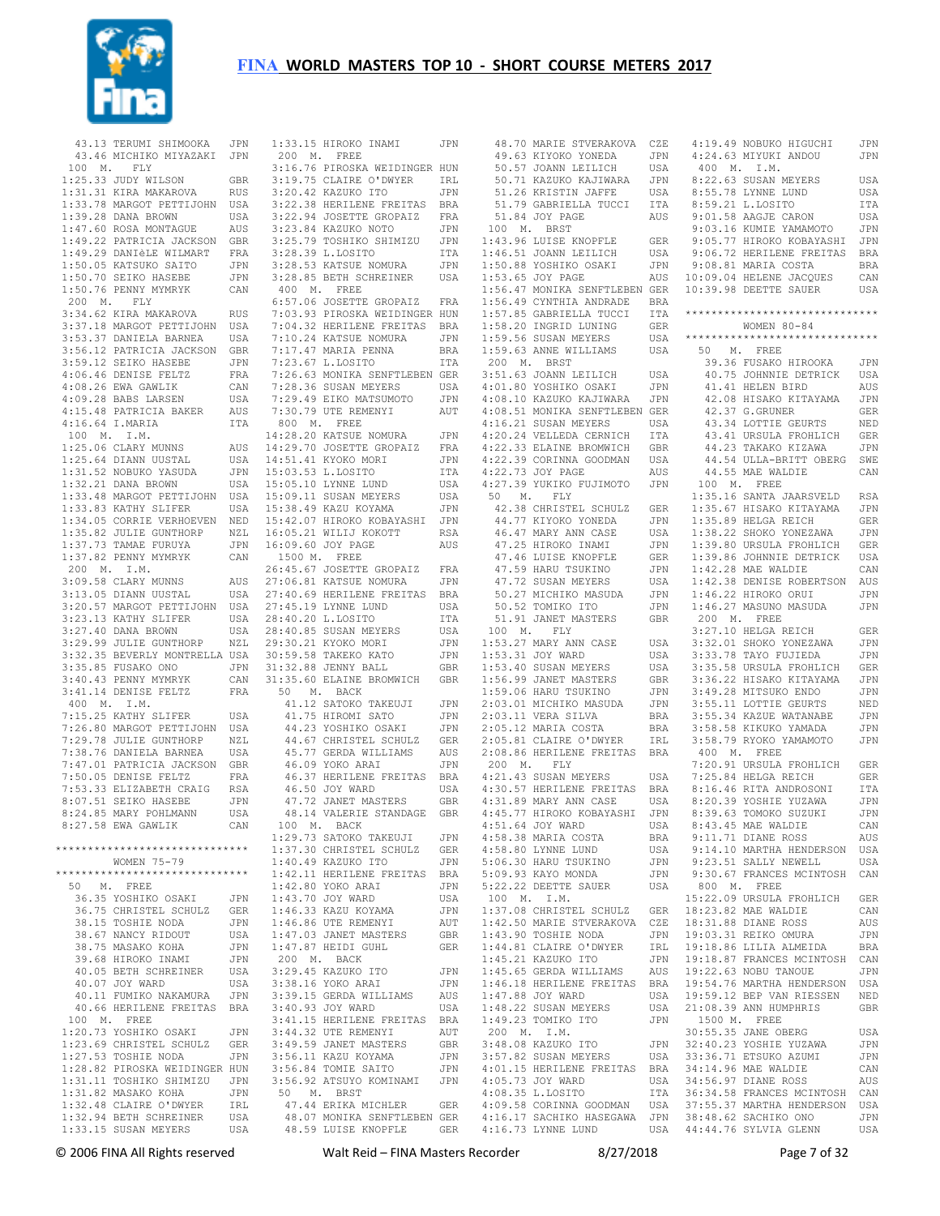

 43.13 TERUMI SHIMOOKA JPN 43.46 MICHIKO MIYAZAKI JPN 100 M. FLY 1:25.33 JUDY WILSON GBR 1:31.31 KIRA MAKAROVA RUS 1:33.78 MARGOT PETTIJOHN USA 1:39.28 DANA BROWN USA 1:47.60 ROSA MONTAGUE AUS 1:49.22 PATRICIA JACKSON GBR 1:49.29 DANIèLE WILMART FRA 1:50.05 KATSUKO SAITO JPN 1:50.70 SEIKO HASEBE JPN 1:50.76 PENNY MYMRYK CAN 200 M. FLY 3:34.62 KIRA MAKAROVA RUS 3:37.18 MARGOT PETTIJOHN USA 3:53.37 DANIELA BARNEA USA 3:56.12 PATRICIA JACKSON GBR 3:59.12 SEIKO HASEBE JPN 4:06.46 DENISE FELTZ FRA 4:08.26 EWA GAWLIK CAN 4:09.28 BABS LARSEN USA 4:15.48 PATRICIA BAKER AUS 4:16.64 I.MARIA ITA 100 M. I.M. 1:25.06 CLARY MUNNS AUS 1:25.64 DIANN UUSTAL USA<br>1:31.52 NOBUKO YASUDA JPN 1:31.52 NOBUKO YASUDA 1:32.21 DANA BROWN USA 1:33.48 MARGOT PETTIJOHN USA 1:33.83 KATHY SLIFER USA 1:34.05 CORRIE VERHOEVEN NED 1:35.82 JULIE GUNTHORP NZL 1:37.73 TAMAE FURUYA JPN 1:37.82 PENNY MYMRYK CAN 200 M. I.M. 3:09.58 CLARY MUNNS AUS 3:13.05 DIANN UUSTAL USA 3:20.57 MARGOT PETTIJOHN USA 3:23.13 KATHY SLIFER USA 3:27.40 DANA BROWN USA 3:29.99 JULIE GUNTHORP NZL 3:32.35 BEVERLY MONTRELLA USA 3:35.85 FUSAKO ONO JPN 3:40.43 PENNY MYMRYK CAN<br>3:41.14 DENISE FELTZ FRA  $3:41.14$  DENISE FELTZ 400 M. I.M. 7:15.25 KATHY SLIFER USA 7:26.80 MARGOT PETTIJOHN USA 7:29.78 JULIE GUNTHORP NZL 7:38.76 DANIELA BARNEA USA 7:47.01 PATRICIA JACKSON GBR 7:50.05 DENISE FELTZ FRA<br>7:53.33 ELIZABETH CRAIG RSA 7:53.33 ELIZABETH CRAIG RSA 8:07.51 SEIKO HASEBE JPN 8:24.85 MARY POHLMANN USA 8:27.58 EWA GAWLIK CAN \*\*\*\*\*\*\*\*\*\*\*\*\*\*\*\*\*\*\*\*\*\*\*\*\*\*\*\*\*\* WOMEN 75-79 \*\*\*\*\*\*\*\*\*\*\*\*\*\*\*\*\*\*\*\*\*\*\*\*\*\*\*\*\*\* 50 M. FREE 36.35 YOSHIKO OSAKI JPN<br>36.75 CHRISTEL SCHULZ GER 36.75 CHRISTEL SCHULZ 38.15 TOSHIE NODA JPN<br>38.67 NANCY RIDOUT USA 38.67 NANCY RIDOUT 38.75 MASAKO KOHA JPN<br>39.68 HIROKO INAMI JPN 39.68 HIROKO INAMI 40.05 BETH SCHREINER USA 40.07 JOY WARD USA<br>40.11 FUMIKO NAKAMURA JPN 40.11 FUMIKO NAKAMURA 40.66 HERILENE FREITAS BRA<br>100 M. FREE 100 M. FREE 1:20.73 YOSHIKO OSAKI JPN 1:23.69 CHRISTEL SCHULZ GER 1:27.53 TOSHIE NODA JPN 1:28.82 PIROSKA WEIDINGER HUN 1:31.11 TOSHIKO SHIMIZU JPN 1:31.82 MASAKO KOHA JPN<br>1:32.48 CLAIRE O'DWYER TRL  $1:32.48$  CLAIRE O'DWYER 1:32.94 BETH SCHREINER USA<br>1:33.15 SUSAN MEYERS USA  $1:33.15$  SUSAN MEYERS

| 1:33.15 HIROKO INAMI<br>200 M. FREE                                                                                                          | JPN          |
|----------------------------------------------------------------------------------------------------------------------------------------------|--------------|
| 3:16.76 PIROSKA WEIDINGER HUN                                                                                                                |              |
| 3:19.75 CLAIRE O'DWYER<br>3:19.75 CLAIRE O'DWYER                                                                                             | IRL          |
| 3:20.42 KAZUKO ITO                                                                                                                           | JPN          |
| 3:22.38 HERILENE FREITAS BRA                                                                                                                 |              |
| $3:22.94$ JOSETTE GROPAIZ                                                                                                                    | $_{\rm FRA}$ |
| 3:22:3:4 KAZUKO NOTO JPN<br>3:25.79 TOSHIKO SHIMIZU JPN                                                                                      |              |
|                                                                                                                                              |              |
| 3:28.39 L.LOSITO                                                                                                                             | ITA          |
| 3:28.53 KATSUE NOMURA JPN<br>3:28.85 BETH SCHREINER USA                                                                                      |              |
| 400 M. FREE                                                                                                                                  |              |
| 6:57.06 JOSETTE GROPAIZ FRA                                                                                                                  |              |
| 7:03.93 PIROSKA WEIDINGER HUN                                                                                                                |              |
|                                                                                                                                              |              |
|                                                                                                                                              |              |
| 7:04.32 HERILENE FREITAS BRA<br>7:04.32 HERILENE FREITAS BRA<br>7:10.24 KATSUE NOMURA JPN<br>7:17.47 MARIA PENNA BRA<br>7:23.67 L.LOSITO ITA |              |
| 7:23.67 L.LOSITO                                                                                                                             | ITA          |
| 7:26.63 MONIKA SENFTLEBEN GER                                                                                                                |              |
| 7:28.36 SUSAN MEYERS                                                                                                                         | USA<br>JPN   |
| 7:29.49 EIKO MATSUMOTO<br>7:30.79 UTE REMENYI                                                                                                |              |
| 800 M. FREE                                                                                                                                  | AUT          |
|                                                                                                                                              |              |
|                                                                                                                                              |              |
|                                                                                                                                              |              |
| 14:28.20 KATSUE NOMURA JPN<br>14:29.70 JOSETTE GROPAIZ FRA<br>14:51.41 KYOKO MORI JPN<br>15:03.53 L.LOSITO ITA<br>15:05.53 L.LOSITO ITA      |              |
| 15:05.10 LYNNE LUND                                                                                                                          | USA          |
| 15:09.11 SUSAN MEYERS<br>15:38.49 KAZU KOYAMA                                                                                                | USA          |
|                                                                                                                                              | JPN          |
|                                                                                                                                              |              |
| 15:42.07 HIROKO KOBAYASHI JPN<br>16:05.21 WILIJ KOKOTT RSA                                                                                   |              |
| 16:09.60 JOY PAGE                                                                                                                            | AUS          |
| 1500 M. FREE                                                                                                                                 |              |
| 26:45.67 JOSETTE GROPAIZ FRA<br>27:06.81 KATSUE NOMURA JPN                                                                                   |              |
| 27:40.69 HERILENE FREITAS BRA                                                                                                                |              |
|                                                                                                                                              | USA          |
| 27:45.19 LYNNE LUND<br>28:40.20 L.LOSITO                                                                                                     | ITA          |
| 28:40.85 SUSAN MEYERS                                                                                                                        | USA          |
|                                                                                                                                              | JPN          |
| 29:30.21 KYOKO MORI<br>30:59.58 TAKEKO KATO                                                                                                  | JPN          |
| 31:32.88 JENNY BALL                                                                                                                          | GBR          |
| 31:35.60 ELAINE BROMWICH GBR                                                                                                                 |              |
| 50 M. BACK                                                                                                                                   |              |
| 41.12 SATOKO TAKEUJI<br>41.75 HIROMI SATO                                                                                                    | JPN          |
| 44.23 YOSHIKO OSAKI                                                                                                                          | JPN<br>JPN   |
|                                                                                                                                              | GER          |
| 44.67 CHRISTEL SCHULZ<br>45.77 GERDA WILLIAMS<br>46.09 YOKO ARAT                                                                             | AUS          |
| 46.09 YOKO ARAI                                                                                                                              | JPN          |
| 46.37 HERILENE FREITAS                                                                                                                       | <b>BRA</b>   |
| 46.50 JOY WARD                                                                                                                               | USA          |
| 47.72 JANET MASTERS                                                                                                                          | GBR          |
| 48.14 VALERIE STANDAGE                                                                                                                       | GBR          |
| 100<br>M. BACK                                                                                                                               |              |
| 1:29.73 SATOKO TAKEUJI                                                                                                                       | JPN          |
| 1:37.30 CHRISTEL SCHULZ<br>1:40.49 KAZUKO ITO                                                                                                | GER<br>JPN   |
|                                                                                                                                              | <b>BRA</b>   |
| 1:42.11 HERILENE FREITAS<br>1:42.80 YOKO ARAI                                                                                                | JPN          |
| 1:43.70 JOY WARD                                                                                                                             | USA          |
| 1:46.33 KAZU KOYAMA                                                                                                                          | JPN          |
| 1:46.86 UTE REMENYI                                                                                                                          | AUT          |
| $1:47.03$ JANET MASTERS                                                                                                                      | GBR          |
| 1:47.87 HEIDI GUHL                                                                                                                           |              |
| 200 M. BACK                                                                                                                                  | <b>GER</b>   |
|                                                                                                                                              |              |
| 3:29.45 KAZUKO ITO                                                                                                                           | JPN          |
| 3:38.16 YOKO ARAI                                                                                                                            | JPN          |
| 3:39.15 GERDA WILLIAMS                                                                                                                       | AUS          |
| 3:40.93 JOY WARD                                                                                                                             | USA          |
| 3:41.15 HERILENE FREITAS BRA                                                                                                                 | AUT          |
| 3:44.32 UTE REMENYI                                                                                                                          | GBR          |
| 3:49.59 JANET MASTERS<br>3:56.11 KAST MASTERS                                                                                                | JPN          |
| 3:56.11 KAZU KOYAMA<br>3:56.84 TOMIE SAITO                                                                                                   | JPN          |
| 3:56.92 ATSUYO KOMINAMI                                                                                                                      | JPN          |
|                                                                                                                                              |              |
| 50 M. BRST<br>47.44 ERIKA MICHLER                                                                                                            | GER          |
| 48.07 MONIKA SENFTLEBEN GER<br>48.59 LUISE KNOPFLE                                                                                           | GER          |

| 48.70 MARIE STVERAKOVA                                                                       | CZE | 4:19.49 NOBUKO HIGUCHI                                                                 | JPN        |
|----------------------------------------------------------------------------------------------|-----|----------------------------------------------------------------------------------------|------------|
| 49.63 KIYOKO YONEDA                                                                          | JPN | 4:24.63 MIYUKI ANDOU                                                                   | JPN        |
| 50.57 JOANN LEILICH                                                                          | USA | 400 M.<br>I.M.                                                                         |            |
| 50.71 KAZUKO KAJIWARA                                                                        | JPN | 8:22.63 SUSAN MEYERS                                                                   | USA        |
| 51.26 KRISTIN JAFFE                                                                          | USA | 8:55.78 LYNNE LUND                                                                     | USA        |
|                                                                                              |     | 8:59.21 L.LOSITO                                                                       |            |
| 51.79 GABRIELLA TUCCI                                                                        | ITA |                                                                                        | ITA        |
| 51.84 JOY PAGE                                                                               | AUS | 9:01.58 AAGJE CARON                                                                    | USA        |
| 100 M.<br><b>BRST</b>                                                                        |     | 9:03.16 KUMIE YAMAMOTO                                                                 | JPN        |
| 1:43.96 LUISE KNOPFLE                                                                        | GER | 9:05.77 HIROKO KOBAYASHI                                                               | JPN        |
| 1:46.51 JOANN LEILICH                                                                        | USA | 9:06.72 HERILENE FREITAS                                                               | BRA        |
| 1:50.88 YOSHIKO OSAKI                                                                        | JPN | 9:08.81 MARIA COSTA                                                                    | BRA        |
| 1:53.65 JOY PAGE                                                                             | AUS | 10:09.04 HELENE JACQUES                                                                | CAN        |
| 1:56.47 MONIKA SENFTLEBEN GER                                                                |     | 10:39.98 DEETTE SAUER                                                                  | USA        |
| 1:56.49 CYNTHIA ANDRADE                                                                      | BRA |                                                                                        |            |
| 1:57.85 GABRIELLA TUCCI                                                                      | ITA | ******************************                                                         |            |
| 1:58.20 INGRID LUNING                                                                        | GER | WOMEN $80 - 84$                                                                        |            |
| 1:59.56 SUSAN MEYERS                                                                         | USA | ******************************                                                         |            |
| 1:59.63 ANNE WILLIAMS                                                                        | USA | 50<br>M. FREE                                                                          |            |
| 200 M.<br><b>BRST</b>                                                                        |     | 39.36 FUSAKO HIROOKA                                                                   | JPN        |
|                                                                                              |     |                                                                                        |            |
| 3:51.63 JOANN LEILICH                                                                        | USA | 40.75 JOHNNIE DETRICK                                                                  | USA        |
| 4:01.80 YOSHIKO OSAKI                                                                        | JPN | 41.41 HELEN BIRD                                                                       | AUS        |
| 4:08.10 KAZUKO KAJIWARA                                                                      | JPN | 42.08 HISAKO KITAYAMA                                                                  | JPN        |
| 4:08.51 MONIKA SENFTLEBEN GER                                                                |     | 42.37 G.GRUNER                                                                         | GER        |
| 4:16.21 SUSAN MEYERS                                                                         | USA | 43.34 LOTTIE GEURTS                                                                    | NED        |
| 4:20.24 VELLEDA CERNICH                                                                      | ITA | 43.41 URSULA FROHLICH                                                                  | GER        |
| 4:22.33 ELAINE BROMWICH                                                                      | GBR | 44.23 TAKAKO KIZAWA                                                                    | JPN        |
| 4:22.39 CORINNA GOODMAN                                                                      | USA | 44.54 ULLA-BRITT OBERG                                                                 | SWE        |
| 4:22.73 JOY PAGE                                                                             | AUS | 44.55 MAE WALDIE                                                                       | CAN        |
| 4:27.39 YUKIKO FUJIMOTO                                                                      | JPN | 100 M.<br>FREE                                                                         |            |
| 50<br>М.<br>FLY                                                                              |     | 1:35.16 SANTA JAARSVELD                                                                | RSA        |
|                                                                                              |     |                                                                                        |            |
| 42.38 CHRISTEL SCHULZ                                                                        | GER | 1:35.67 HISAKO KITAYAMA                                                                | JPN        |
| 44.77 KIYOKO YONEDA                                                                          | JPN | 1:35.89 HELGA REICH                                                                    | GER        |
| 46.47 MARY ANN CASE                                                                          | USA | 1:38.22 SHOKO YONEZAWA                                                                 | JPN        |
| 47.25 HIROKO INAMI                                                                           | JPN | 1:39.80 URSULA FROHLICH                                                                | GER        |
| 47.46 LUISE KNOPFLE                                                                          | GER | 1:39.86 JOHNNIE DETRICK                                                                | USA        |
| 47.59 HARU TSUKINO                                                                           | JPN | 1:42.28 MAE WALDIE                                                                     | CAN        |
| 47.72 SUSAN MEYERS                                                                           | USA | 1:42.38 DENISE ROBERTSON                                                               | AUS        |
| 50.27 MICHIKO MASUDA                                                                         | JPN | 1:46.22 HIROKO ORUI                                                                    | JPN        |
| 50.52 TOMIKO ITO                                                                             | JPN | 1:46.27 MASUNO MASUDA                                                                  | JPN        |
| 51.91 JANET MASTERS                                                                          | GBR | 200<br>М.<br>FREE                                                                      |            |
| 100 M.<br>FLY                                                                                |     | 3:27.10 HELGA REICH                                                                    | GER        |
| 1:53.27 MARY ANN CASE                                                                        | USA | 3:32.01 SHOKO YONEZAWA                                                                 | JPN        |
|                                                                                              |     |                                                                                        |            |
|                                                                                              |     |                                                                                        |            |
| 1:53.31 JOY WARD                                                                             | USA | 3:33.78 TAYO FUJIEDA                                                                   | JPN        |
| 1:53.40 SUSAN MEYERS                                                                         | USA | 3:35.58 URSULA FROHLICH                                                                | GER        |
| 1:56.99 JANET MASTERS                                                                        | GBR | 3:36.22 HISAKO KITAYAMA                                                                | JPN        |
| 1:59.06 HARU TSUKINO                                                                         | JPN | 3:49.28 MITSUKO ENDO                                                                   | JPN        |
| 2:03.01 MICHIKO MASUDA                                                                       | JPN | 3:55.11 LOTTIE GEURTS                                                                  | NED        |
| 2:03.11 VERA SILVA                                                                           | BRA | 3:55.34 KAZUE WATANABE                                                                 | JPN        |
| 2:05.12 MARIA COSTA                                                                          | BRA | 3:58.58 KIKUKO YAMADA                                                                  | JPN        |
| 2:05.81 CLAIRE O'DWYER                                                                       | IRL | 3:58.79 RYOKO YAMAMOTO                                                                 | JPN        |
|                                                                                              |     |                                                                                        |            |
| 2:08.86 HERILENE FREITAS                                                                     | BRA | М.<br>FREE<br>400                                                                      |            |
| 200 M.<br>FLY                                                                                |     | 7:20.91 URSULA FROHLICH                                                                | GER        |
| 4:21.43 SUSAN MEYERS                                                                         | USA | 7:25.84 HELGA REICH                                                                    | <b>GER</b> |
| 4:30.57 HERILENE FREITAS                                                                     | BRA | 8:16.46 RITA ANDROSONI                                                                 | ITA        |
| 4:31.89 MARY ANN CASE                                                                        | USA | 8:20.39 YOSHIE YUZAWA                                                                  | JPN        |
| 4:45.77 HIROKO KOBAYASHI                                                                     | JPN | 8:39.63 TOMOKO SUZUKI                                                                  | JPN        |
| 4:51.64 JOY WARD                                                                             | USA | 8:43.45 MAE WALDIE                                                                     | CAN        |
| 4:58.38 MARIA COSTA                                                                          | BRA | 9:11.71 DIANE ROSS                                                                     | AUS        |
| 4:58.80 LYNNE LUND                                                                           | USA | 9:14.10 MARTHA HENDERSON                                                               | USA        |
| 5:06.30 HARU TSUKINO                                                                         | JPN | 9:23.51 SALLY NEWELL                                                                   | USA        |
| 5:09.93 KAYO MONDA                                                                           | JPN | 9:30.67 FRANCES MCINTOSH                                                               | CAN        |
| 5:22.22 DEETTE SAUER                                                                         | USA | 800 M. FREE                                                                            |            |
| 100 M. I.M.                                                                                  |     | 15:22.09 URSULA FROHLICH                                                               | GER        |
| 1:37.08 CHRISTEL SCHULZ GER                                                                  |     | 18:23.82 MAE WALDIE                                                                    | CAN        |
| 1:42.50 MARIE STVERAKOVA                                                                     |     |                                                                                        | AUS        |
|                                                                                              |     | CZE $18:31.88$ DIANE ROSS                                                              |            |
| 1:43.90 TOSHIE NODA                                                                          |     | JPN 19:03.31 REIKO OMURA                                                               | JPN        |
| 1:44.81 CLAIRE O'DWYER                                                                       |     | IRL 19:18.86 LILIA ALMEIDA                                                             | BRA        |
| 1:45.21 KAZUKO ITO                                                                           |     |                                                                                        | CAN        |
| 1:45.65 GERDA WILLIAMS                                                                       |     | JPN 19:18.87 FRANCES MCINTOSH<br>AUS 19:22.63 NOBU TANOUE                              | JPN        |
|                                                                                              |     | 1:46.18 HERILENE FREITAS BRA 19:54.76 MARTHA HENDERSON                                 | USA        |
| 1:47.88 JOY WARD                                                                             |     | USA 19:59.12 BEP VAN RIESSEN                                                           | NED        |
| 1:48.22 SUSAN MEYERS                                                                         |     | USA 21:08.39 ANN HUMPHRIS                                                              | GBR        |
| 1:49.23 TOMIKO ITO                                                                           | JPN | 1500 M. FREE                                                                           |            |
| 200 M.<br>I.M.                                                                               |     | 30:55.35 JANE OBERG                                                                    | USA        |
| 3:48.08 KAZUKO ITO                                                                           | JPN | 32:40.23 YOSHIE YUZAWA                                                                 | JPN        |
| 3:57.82 SUSAN MEYERS                                                                         | USA | 33:36.71 ETSUKO AZUMI                                                                  | JPN        |
|                                                                                              |     |                                                                                        | CAN        |
|                                                                                              |     |                                                                                        | AUS        |
| 4:01.15 HERILENE FREITAS BRA 34:14.96 MAE WALDIE<br>4:05.73 JOY WARD USA 34:56.97 DIANE ROSS |     |                                                                                        |            |
| 4:08.35 L.LOSITO                                                                             |     | ITA 36:34.58 FRANCES MCINTOSH CAN                                                      |            |
| 4:09.58 CORINNA GOODMAN                                                                      |     |                                                                                        | USA        |
| 4:16.17 SACHIKO HASEGAWA<br>4:16.73 LYNNE LUND                                               |     | USA 37:55.37 MARTHA HENDERSON<br>JPN 38:48.62 SACHIKO ONO<br>USA 44:44.76 SYLVIA GLENN | JPN<br>USA |

© 2006 FINA All Rights reserved Walt Reid – FINA Masters Recorder 8/27/2018 Page 7 of 32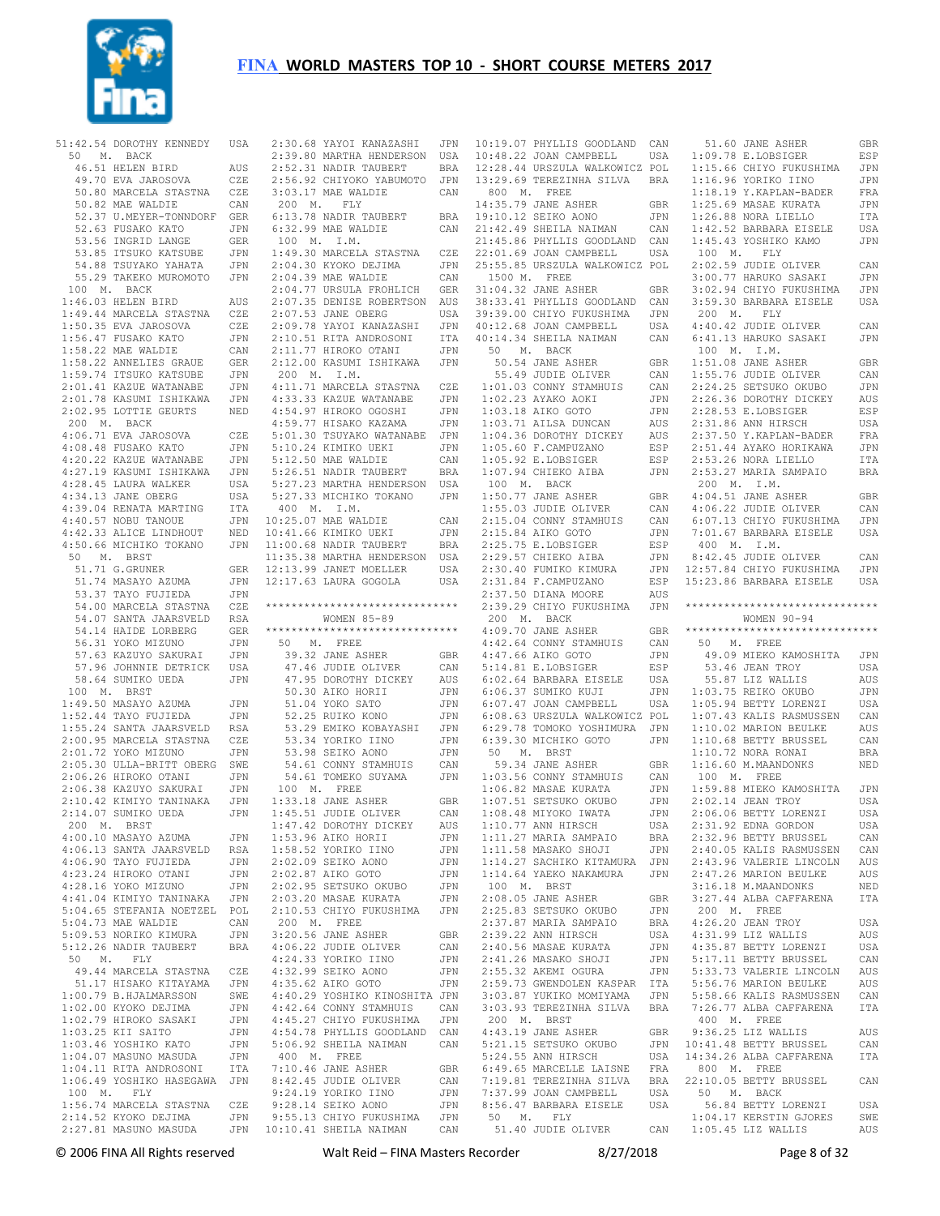

 50 M. BACK 46.51 HELEN BIRD AUS 49.70 EVA JAROSOVA CZE 50.80 MARCELA STASTNA CZE 50.82 MAE WALDIE CAN 52.37 U.MEYER-TONNDORF GER 52.63 FUSAKO KATO JPN 53.56 INGRID LANGE GER 53.85 ITSUKO KATSUBE JPN 54.88 TSUYAKO YAHATA JPN 55.29 TAKEKO MUROMOTO JPN 100 M. BACK 1:46.03 HELEN BIRD AUS 1:49.44 MARCELA STASTNA CZE 1:50.35 EVA JAROSOVA CZE 1:56.47 FUSAKO KATO JPN 1:58.22 MAE WALDIE CAN 1:58.22 ANNELIES GRAUE GER 1:59.74 ITSUKO KATSUBE JPN 2:01.41 KAZUE WATANABE JPN 2:01.78 KASUMI ISHIKAWA JPN 2:02.95 LOTTIE GEURTS NED 200 M. BACK 4:06.71 EVA JAROSOVA CZE  $4 \cdot 08$  48 FUSAKO KATO  $JPN$  4:20.22 KAZUE WATANABE JPN 4:27.19 KASUMI ISHIKAWA JPN 4:28.45 LAURA WALKER USA 4:34.13 JANE OBERG USA 4:39.04 RENATA MARTING ITA 4:40.57 NOBU TANOUE JPN 4:42.33 ALICE LINDHOUT NED 4:50.66 MICHIKO TOKANO JPN 50 M. BRST 51.71 G.GRUNER GER 51.74 MASAYO AZUMA JPN 53.37 TAYO FUJIEDA JPN 54.00 MARCELA STASTNA CZE 54.07 SANTA JAARSVELD RSA 54.14 HAIDE LORBERG GER 56.31 YOKO MIZUNO JPN<br>57.63 KAZUYO SAKURAT JPN 57.63 KAZUYO SAKURAI 57.96 JOHNNIE DETRICK USA 58.64 SUMIKO UEDA JPN 100 M. BRST 1:49.50 MASAYO AZUMA JPN 1:52.44 TAYO FUJIEDA JPN 1:55.24 SANTA JAARSVELD RSA 2:00.95 MARCELA STASTNA CZE 2:01.72 YOKO MIZUNO JPN 2:05.30 ULLA-BRITT OBERG SWE<br>2:06.26 HIROKO OTANI JPN  $2:06.26$  HIROKO OTANI 2:06.38 KAZUYO SAKURAI JPN<br>2:10.42 KIMIYO TANINAKA JPN  $2:10.42$  KIMIYO TANINAKA 2:14.07 SUMIKO UEDA JPN 200 M. BRST 4:00.10 MASAYO AZUMA JPN<br>4:06.13 SANTA JAARSVELD RSA 4:06.13 SANTA JAARSVELD RSA 4:06.90 TAYO FUJIEDA JPN 4:23.24 HIROKO OTANI JPN 4:28.16 YOKO MIZUNO JPN 4:41.04 KIMIYO TANINAKA JPN 5:04.65 STEFANIA NOETZEL POL 5:04.73 MAE WALDIE CAN 5:09.53 NORIKO KIMURA 5:12.26 NADIR TAUBERT BRA 50 M. FLY 49.44 MARCELA STASTNA CZE 51.17 HISAKO KITAYAMA JPN<br>00.79 B.HJALMARSSON SWE  $1:00.79$  B.HJALMARSSON 1:02.00 KYOKO DEJIMA JPN  $1:02.79$  HIROKO SASAKI 1:03.25 KII SAITO JPN 1:03.46 YOSHIKO KATO JPN 1:04.07 MASUNO MASUDA JPN 1:04.11 RITA ANDROSONI ITA 100 M. FLY<br>1:56.74 MARCELA STASTNA 1:56.74 MARCELA STASTNA CZE 2:14.52 KYOKO DEJIMA JPN  $2:27.81$  MASUNO MASUDA

51:42.54 DOROTHY KENNEDY USA 2:30.68 YAYOI KANAZASHI JPN 10:19.07 PHYLLIS GOODLAND CAN 1:06.49 YOSHIKO HASEGAWA JPN 8:42.45 JUDIE OLIVER CAN 2:39.80 MARTHA HENDERSON USA 2:52.31 NADIR TAUBERT BRA 2:56.92 CHIYOKO YABUMOTO JPN 3:03.17 MAE WALDIE CAN 200 M. FLY 6:13.78 NADIR TAUBERT 6:32.99 MAE WALDIE CAN 100 M. I.M. 1:49.30 MARCELA STASTNA CZE 2:04.30 KYOKO DEJIMA JPN<br>2:04.39 MAE WALDIE CAN  $2 \cdot 04$  39 MAE WALDIE 2:04.77 URSULA FROHLICH GER 2:07.35 DENISE ROBERTSON AUS 2:07.53 JANE OBERG USA 2:09.78 YAYOI KANAZASHI JPN 2:10.51 RITA ANDROSONI ITA 2:11.77 HIROKO OTANI JPN 2:12.00 KASUMI ISHIKAWA JPN 200 M. I.M. 4:11.71 MARCELA STASTNA CZE 4:33.33 KAZUE WATANABE JPN 4:54.97 HIROKO OGOSHI JPN 4:59.77 HISAKO KAZAMA JPN 5:01.30 TSUYAKO WATANABE JPN 5:10.24 KIMIKO UEKI JPN 5:12.50 MAE WALDIE CAN 5:26.51 NADIR TAUBERT BRA 5:27.23 MARTHA HENDERSON USA 5:27.33 MICHIKO TOKANO JPN 400 M. I.M. 10:25.07 MAE WALDIE CAN 10:41.66 KIMIKO UEKI JPN 11:00.68 NADIR TAUBERT BRA 11:35.38 MARTHA HENDERSON USA 12:13.99 JANET MOELLER USA 12:17.63 LAURA GOGOLA USA \*\*\*\*\*\*\*\*\*\*\*\*\*\*\*\*\*\*\*\*\*\*\*\*\*\*\*\*\*\* WOMEN 85-89 \*\*\*\*\*\*\*\*\*\*\*\*\*\*\*\*\*\*\*\*\*\*\*\*\*\*\*\*\*\* 50 M. FREE 39.32 JANE ASHER GBR 47.46 JUDIE OLIVER CAN 47.95 DOROTHY DICKEY AUS 50.30 AIKO HORII JPN 51.04 YOKO SATO JPN 52.25 RUIKO KONO JPN 53.29 EMIKO KOBAYASHI JPN 53.34 YORIKO IINO 53.98 SEIKO AONO JPN 54.61 CONNY STAMHUIS CAN 54.61 TOMEKO SUYAMA JPN 100 M. FREE 1:33.18 JANE ASHER GBR 1:45.51 JUDIE OLIVER CAN 1:47.42 DOROTHY DICKEY 1:53.96 AIKO HORII JPN  $1.58$  52 YORIKO IINO 2:02.09 SEIKO AONO JPN 2:02.87 AIKO GOTO JPN<br>2:02.95 SETSUKO OKURO ,TPN  $2:02:95$  SETSUKO OKUBO 2:03.20 MASAE KURATA JPN 2:10.53 CHIYO FUKUSHIMA JPN 200 M. FREE 3:20.56 JANE ASHER GBR 4:06.22 JUDIE OLIVER CAN<br>4:24.33 YORIKO IINO JPN 4:24.33 YORIKO IINO 4:32.99 SEIKO AONO JPN 4:35.62 AIKO GOTO 4:40.29 YOSHIKO KINOSHITA JPN 4:42.64 CONNY STAMHUIS CAN  $4 \cdot 45$  27 CHIYO FUKUSHIMA 4:54.78 PHYLLIS GOODLAND CAN 5:06.92 SHEILA NAIMAN CAN 400 M. FREE 7:10.46 JANE ASHER GBR<br>8:42.45 JUDIE OLIVER CAN 9:24.19 YORIKO IINO JPN 9:28.14 SEIKO AONO JPN 9:55.13 CHIYO FUKUSHIMA JPN 10:10.41 SHEILA NAIMAN CAN

10:48.22 JOAN CAMPBELL USA 12:28.44 URSZULA WALKOWICZ POL 13:29.69 TEREZINHA SILVA BRA 800 M. FREE 14:35.79 JANE ASHER GBR<br>19:10.12 SEIKO AONO JPN  $RRA = 19 \cdot 1012$  SEIKO AONO 21:42.49 SHEILA NAIMAN CAN 21:45.86 PHYLLIS GOODLAND CAN 22:01.69 JOAN CAMPBELL USA 25:55.85 URSZULA WALKOWICZ POL 1500 M. FREE 31:04.32 JANE ASHER GBR 38:33.41 PHYLLIS GOODLAND CAN 39:39.00 CHIYO FUKUSHIMA JPN 40:12.68 JOAN CAMPBELL USA<br>40:14.34 SHEILA NAIMAN CAN 40:14.34 SHEILA NAIMAN CAN 50 M. BACK 50.54 JANE ASHER GBR 55.49 JUDIE OLIVER CAN 1:01.03 CONNY STAMHUIS CAN<br>1:02.23 AYAKO AOKI JPN<br>1:02.13 ATAKO AOKI JPN 1:02.23 AYAKO AOKI JPN 1:03.18 AIKO GOTO JPN 1:03.71 AILSA DUNCAN AUS 1:04.36 DOROTHY DICKEY AUS<br>1:05.60 F.CAMPUZANO ESP  $1:05.60$  F.CAMPUZANO 1:05.92 E.LOBSIGER ESP 1:07.94 CHIEKO AIBA JPN 100 M. BACK 1:50.77 JANE ASHER GBR 1:55.03 JUDIE OLIVER CAN 2:15.04 CONNY STAMHUIS CAN 2:15.84 AIKO GOTO JPN 2:25.75 E.LOBSIGER ESP<br>2:29.57 CHIEKO AIBA ...TPN  $2:29.57$  CHIEKO AIBA 2:30.40 FUMIKO KIMURA  $2:31.84$  F.CAMPUZANO 2:37.50 DIANA MOORE AUS 2:39.29 CHIYO FUKUSHIMA JPN \*\*\*\*\*\*\*\*\*\*\*\*\*\*\*\*\*\*\*\*\*\*\*\*\*\*\*\*\*\* 200 M. BACK 4:09.70 JANE ASHER GBR 4:42.64 CONNY STAMHUIS CAN<br>4:47.66 AIKO GOTO JPN  $4:47.66$  AIKO GOTO 5:14.81 E.LOBSIGER ESP 6:02.64 BARBARA EISELE USA 6:06.37 SUMIKO KUJI<br>6:07 47 JOAN CAMPBELL 6:07.47 JOAN CAMPBELL USA 6:08.63 URSZULA WALKOWICZ POL 6:29.78 TOMOKO YOSHIMURA JPN 6:39.30 MICHIKO GOTO JPN 1:10.68 BETTY BRUSSEL CAN 50 M. BRST 59.34 JANE ASHER GBR 1:03.56 CONNY STAMHUIS CAN  $1:06.82$  MASAE KURATA 1:07.51 SETSUKO OKUBO JPN 1:08.48 MIYOKO IWATA JPN<br>1:08.48 MIYOKO IWATA JPN  $1:10.77$  ANN HIRSCH 1:11.27 MARIA SAMPAIO BRA<br>1:11.58 MASAKO SHOJI JIPN  $1 \cdot 11$ .58 MASAKO SHOJI 1:14.27 SACHIKO KITAMURA JPN 1:14.64 YAEKO NAKAMURA JPN 100 M. BRST ة - -<br>2:08.05 JANE ASHER GBR<br>2:25.83 SETSUKO OKURO - JPN 2:25.83 SETSUKO OKUBO 2:37.87 MARIA SAMPAIO BRA<br>2:39.22 ANN HIRSCH USA  $2.39.22$  ANN HIRSCH 2:40.56 MASAE KURATA JPN  $2:41.26$  MASAKO SHOJI 2:55.32 AKEMI OGURA JPN 2:59.73 GWENDOLEN KASPAR ITA 3:03.87 YUKIKO MOMIYAMA 3:03.93 TEREZINHA SILVA BRA 200 M. BRST 4:43.19 JANE ASHER GBR 5:21.15 SETSUKO OKUBO  $5:24.55$  ANN HIRSCH 6:49.65 MARCELLE LAISNE FRA 7:19.81 TEREZINHA SILVA 7:37.99 JOAN CAMPBELL USA 8:56.47 BARBARA EISELE 50 M. FLY

 51.40 JUDIE OLIVER CAN 1:05.45 LIZ WALLIS AUS 1:09.78 E.LOBSIGER ESP 1:15.66 CHIYO FUKUSHIMA JPN 1:16.96 YORIKO IINO JPN 1:18.19 Y.KAPLAN-BADER FRA 1:25.69 MASAE KURATA JPN 1:26.88 NORA LIELLO ITA 1:42.52 BARBARA EISELE USA 1:45.43 YOSHIKO KAMO JPN 100 M. FLY 2:02.59 JUDIE OLIVER CAN<br>3:00 77 HARUKO SASAKI JPN 3:00.77 HARUKO SASAKI 3:02.94 CHIYO FUKUSHIMA JPN 3:59.30 BARBARA EISELE USA 200 M. FLY 4:40.42 JUDIE OLIVER CAN 6:41.13 HARUKO SASAKI JPN 100 M. I.M. 1:51.08 JANE ASHER GBR 1:55.76 JUDIE OLIVER CAN 2:24.25 SETSUKO OKUBO JPN 2:26.36 DOROTHY DICKEY AUS 2:28.53 E.LOBSIGER ESP 2:31.86 ANN HIRSCH USA 2:37.50 Y.KAPLAN-BADER FRA 2:51.44 AYAKO HORIKAWA JPN 2:53.26 NORA LIELLO ITA 2:53.27 MARIA SAMPAIO BRA 200 M. I.M. 4:04.51 JANE ASHER GBR 4:06.22 JUDIE OLIVER CAN 6:07.13 CHIYO FUKUSHIMA JPN 7:01.67 BARBARA EISELE USA 400 M. I.M. 8:42.45 JUDIE OLIVER CAN 12:57.84 CHIYO FUKUSHIMA JPN 15:23.86 BARBARA EISELE USA WOMEN 90-94 \*\*\*\*\*\*\*\*\*\*\*\*\*\*\*\*\*\*\*\*\*\*\*\*\*\*\*\*\*\* 50 M. FREE 49.09 MIEKO KAMOSHITA JPN 53.46 JEAN TROY USA 55.87 LIZ WALLIS AUS 1:03.75 REIKO OKUBO JPN 1:05.94 BETTY LORENZI USA 1:07.43 KALIS RASMUSSEN CAN 1:10.02 MARION BEULKE AUS 1:10.72 NORA RONAI BRA 1:16.60 M.MAANDONKS NED 100 M. FREE 1:59.88 MIEKO KAMOSHITA JPN 2:02.14 JEAN TROY USA 2:06.06 BETTY LORENZI USA<br>2:31 92 EDNA GORDON USA  $2:31.92$  EDNA GORDON 2:32.96 BETTY BRUSSEL CAN<br>2:40 05 KALIS RASMUSSEN CAN  $2 \cdot 40.05$  KALIS RASMUSSEN 2:43.96 VALERIE LINCOLN AUS 2:47.26 MARION BEULKE AUS 3:16.18 M.MAANDONKS NED 3:27.44 ALBA CAFFARENA ITA 200 M. FREE 4:26.20 JEAN TROY USA<br>4:31 99 LTZ WALLIS AIIS 4:31.99 LIZ WALLIS 4:35.87 BETTY LORENZI USA<br>5:17 11 BETTY BRUSSEL CAN 5:17.11 BETTY BRUSSEL CAN 5:33.73 VALERIE LINCOLN AUS 5:56.76 MARION BEULKE AUS 5:58.66 KALIS RASMUSSEN CAN 7:26.77 ALBA CAFFARENA ITA 400 M. FREE 9:36.25 LIZ WALLIS AUS<br>10:41 48 BETTY BRUSSEL CAN  $JPN$   $10.41$   $48$  BETTY BRUSSEL 14:34.26 ALBA CAFFARENA ITA 800 M. FREE 22:10.05 BETTY BRUSSEL CAN 50 M. BACK 56.84 BETTY LORENZI USA 1:04.17 KERSTIN GJORES SWE

51.60 JANE ASHER GBR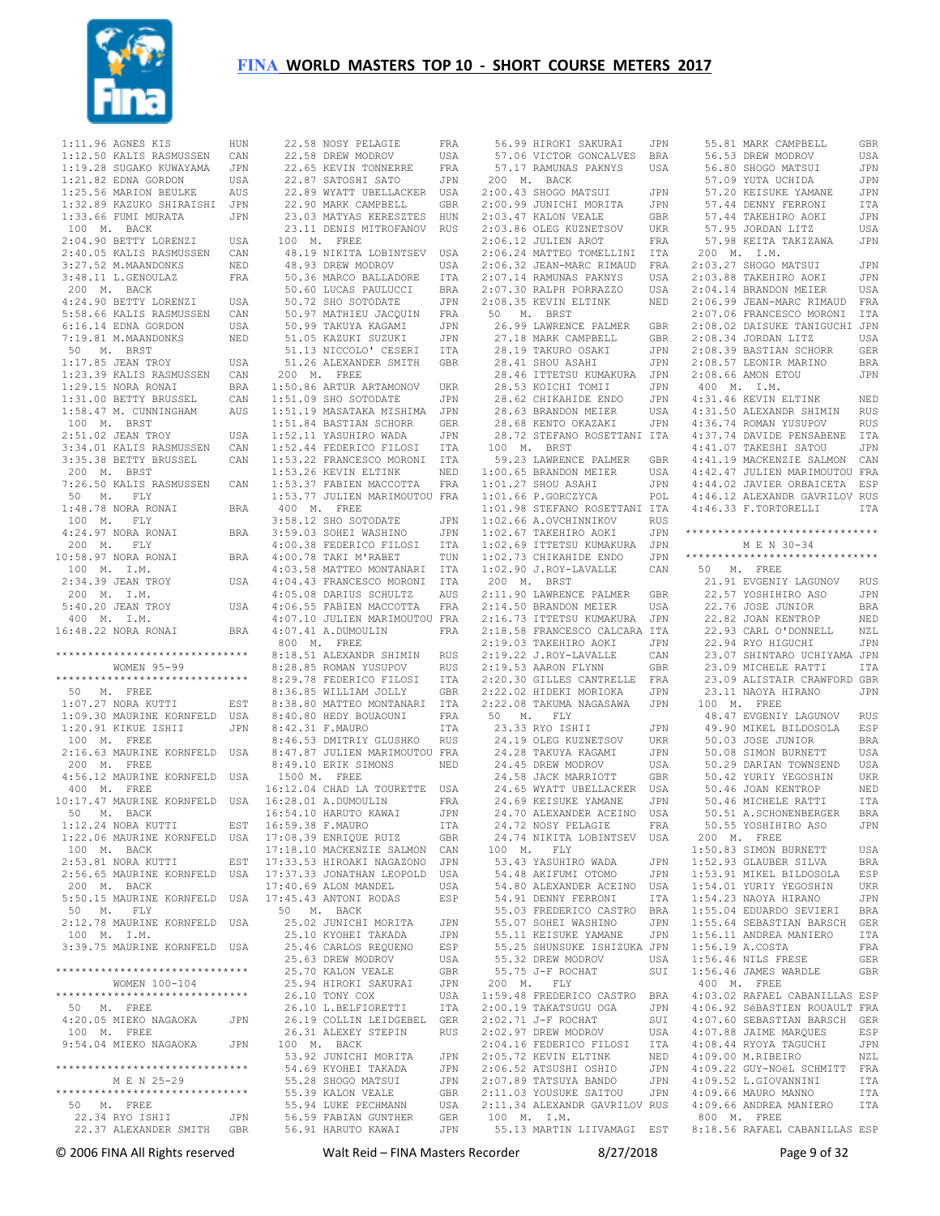

 1:11.96 AGNES KIS HUN 1:12.50 KALIS RASMUSSEN CAN 1:19.28 SUGAKO KUWAYAMA JPN 1:21.82 EDNA GORDON USA 1:25.56 MARION BEULKE AUS 1:32.89 KAZUKO SHIRAISHI JPN 1:33.66 FUMI MURATA JPN 100 M. BACK 2:04.90 BETTY LORENZI USA 2:40.05 KALIS RASMUSSEN CAN 3:27.52 M.MAANDONKS NED 3:48.11 L.GENOULAZ FRA 200 M. BACK 4:24.90 BETTY LORENZI USA 5:58.66 KALIS RASMUSSEN CAN 6:16.14 EDNA GORDON USA 7:19.81 M.MAANDONKS NED 50 M. BRST 1:17.85 JEAN TROY USA 1:23.39 KALIS RASMUSSEN CAN 1:29.15 NORA RONAI BRA 1:31.00 BETTY BRUSSEL CAN 1:58.47 M. CUNNINGHAM AUS 100 M. BRST 2:51.02 JEAN TROY USA 3:34.01 KALIS RASMUSSEN CAN 3:35.38 BETTY BRUSSEL CAN 200 M. BRST 7:26.50 KALIS RASMUSSEN CAN 50 M. FLY 1:48.78 NORA RONAI BRA 100 M. FLY 4:24.97 NORA RONAI BRA 200 M. FLY 10:58.97 NORA RONAI BRA 100 M. I.M. 2:34.39 JEAN TROY USA 200 M. I.M. 5:40.20 JEAN TROY USA 400 M. I.M. 16:48.22 NORA RONAI BRA \*\*\*\*\*\*\*\*\*\*\*\*\*\*\*\*\*\*\*\*\*\*\*\*\*\*\*\*\*\* WOMEN 95-99 \*\*\*\*\*\*\*\*\*\*\*\*\*\*\*\*\*\*\*\*\*\*\*\*\*\*\*\*\*\* 50 M. FREE 1:07.27 NORA KUTTI EST 1:09.30 MAURINE KORNFELD USA 1:20.91 KIKUE ISHII JPN 100 M. FREE 2:16.63 MAURINE KORNFELD USA 200 M. FREE 4:56.12 MAURINE KORNFELD USA 400 M. FREE 10:17.47 MAURINE KORNFELD USA 50 M. BACK 1:12.24 NORA KUTTI EST 1:22.06 MAURINE KORNFELD USA 100 M. BACK 2:53.81 NORA KUTTI EST 2:56.65 MAURINE KORNFELD USA 200 M. BACK 5:50.15 MAURINE KORNFELD USA 50 M. FLY 2:12.78 MAURINE KORNFELD USA 100 M. I.M. 3:39.75 MAURINE KORNFELD USA \*\*\*\*\*\*\*\*\*\*\*\*\*\*\*\*\*\*\*\*\*\*\*\*\*\*\*\*\*\* WOMEN 100-104 \*\*\*\*\*\*\*\*\*\*\*\*\*\*\*\*\*\*\*\*\*\*\*\*\*\*\*\*\*\* 50 M. FREE 4:20.05 MIEKO NAGAOKA JPN 100 M. FREE 9:54.04 MIEKO NAGAOKA JPN \*\*\*\*\*\*\*\*\*\*\*\*\*\*\*\*\*\*\*\*\*\*\*\*\*\*\*\*\*\* M E N 25-29 \*\*\*\*\*\*\*\*\*\*\*\*\*\*\*\*\*\*\*\*\*\*\*\*\*\*\*\*\*\* 50 M. FREE 22.34 RYO ISHII JPN 22.37 ALEXANDER SMITH GBR

|                                                                                                        | FRA               |
|--------------------------------------------------------------------------------------------------------|-------------------|
| 22.58 NOSY PELAGIE<br>22.58 DREW MODROV                                                                | USA               |
| 22.65 KEVIN TONNERRE                                                                                   | FRA               |
|                                                                                                        | $\mathtt{JPN}$    |
| 22.87 SATOSHI SATO<br>22.89 WYATT UBELLACKER                                                           | USA               |
| 22.90 MARK CAMPBELL                                                                                    | GBR               |
| 23.03 MATYAS KERESZTES<br>23.11 DENIS MITROFANOV                                                       | HUN               |
| 100 M. FREE                                                                                            | <b>RUS</b>        |
| 48.19 NIKITA LOBINTSEV                                                                                 | USA               |
| 48.93 DREW MODROV                                                                                      | USA               |
| 50.36 MARCO BALLADORE                                                                                  | ITA               |
| 50.60 LUCAS PAULUCCI<br>50.72 SHO SOTODATE                                                             | BRA               |
|                                                                                                        | JPN               |
| 50.97 MATHIEU JACQUIN                                                                                  | FRA               |
|                                                                                                        | JPN               |
| LINVIA KAGAMI<br>51.05 KAZUKI SUZUKI<br>51.13 NICCOLO<br>51.13 NICCOLO' CESERI                         | JPN<br>ITA        |
| 51.26 ALEXANDER SMITH                                                                                  | GBR               |
| 200 M. FREE                                                                                            |                   |
| 1:50.86 ARTUR ARTAMONOV<br>1:51 09 SHO SOTODATE                                                        | UKR               |
| 1:51.09 SHO SOTODATE                                                                                   | JPN               |
| 1:51.19 MASATAKA MISHIMA                                                                               | JPN               |
| 1:51.84 BASTIAN SCHORR                                                                                 | GER               |
| 1:51.84 BASTIAN JULIES<br>1:52.11 YASUHIRO WADA<br>1:52.44 FEDERICO FILOSI<br>1:53.22 FRANCESCO MORONI | JPN               |
|                                                                                                        | ITA<br>ITA        |
| 1:53.26 KEVIN ELTINK                                                                                   | NED               |
|                                                                                                        |                   |
| 1:53.37 FABIEN MACCOTTA FRA<br>1:53.77 JULIEN MARIMOUTOU FRA                                           |                   |
| 400 M. FREE                                                                                            |                   |
| 3:58.12 SHO SOTODATE<br>3:59.03 SOHEI WASHINO                                                          | JPN               |
|                                                                                                        | JPN               |
| 4:00.38 FEDERICO FILOSI<br>4:00.78 TAKI M'RABET                                                        | <b>ITA</b><br>TUN |
| 4:03.58 MATTEO MONTANARI                                                                               | I TA              |
|                                                                                                        |                   |
|                                                                                                        |                   |
| 4:04.43 FRANCESCO MORONI ITA<br>4:05.08 DARIUS SCHULTZ AUS<br>4:06.55 FABIEN MACCOTTA FRA              |                   |
| 4:07.10 JULIEN MARIMOUTOU FRA                                                                          |                   |
| $4:07.41$ A.DUMOULIN                                                                                   | FRA               |
| 800 M. FREE                                                                                            |                   |
| 8:18.51 ALEXANDR SHIMIN<br>8:28.85 ROMAN YUSUPOV                                                       | RUS<br>RUS        |
| 8:29.78 FEDERICO FILOSI                                                                                | ITA               |
| 8:36.85 WILLIAM JOLLY                                                                                  | GBR               |
| 8:38.80 MATTEO MONTANARI                                                                               | ITA               |
| 8:40.80 HEDY BOUAOUNI                                                                                  | FRA               |
| 8:42.31 F.MAURO                                                                                        | ITA               |
| 8:46.53 DMITRIY GLUSHKO RUS<br>8:47.87 JULIEN MARIMOUTOU FRA                                           |                   |
| 8:49.10 ERIK SIMONS                                                                                    | NED               |
| 1500 M. FREE                                                                                           |                   |
| 16:12.04 CHAD LA TOURETTE USA                                                                          |                   |
| 16:28.01 A.DUMOULIN<br>16:54.10 HARUTO KAWAI                                                           | FRA               |
|                                                                                                        | JPN               |
| 16:59.38 F.MAURO                                                                                       | <b>ITA</b>        |
| 17:08.39 ENRIQUE RUIZ                                                                                  | GBR               |
| 17:18.10 MACKENZIE SALMON<br>17:33.53 HIROAKI NAGAZONO                                                 | CAN               |
| 17:37.33 JONATHAN LEOPOLD                                                                              |                   |
|                                                                                                        | $_{\rm JPN}$      |
|                                                                                                        | USA               |
|                                                                                                        | USA<br>ESP        |
| 17:40.69 ALON MANDEL<br>17:45.43 ANTONI RODAS<br>50 M. BACK                                            |                   |
| 25.02 JUNICHI MORITA                                                                                   | JPN               |
| 25.10 KYOHEI TAKADA                                                                                    | JPN               |
| 25.46 CARLOS REQUENO                                                                                   | ESP               |
| 25.63 DREW MODROV                                                                                      | USA               |
| 25.70 KALON VEALE<br>25.94 HIROKI SAKURAI                                                              | GBR<br>JPN        |
| 26.10 TONY COX                                                                                         | USA               |
| 26.10 L.BELFIORETTI                                                                                    | ITA               |
| 26.19 COLLIN LEIDGEBEL GER                                                                             |                   |
| 26.31 ALEXEY STEPIN                                                                                    | <b>RUS</b>        |
| 100 M. BACK                                                                                            |                   |
| 53.92 JUNICHI MORITA                                                                                   | JPN               |
| 54.69 KYOHEI TAKADA<br>55.28 SHOGO MATSUI                                                              | JPN<br>JPN        |
| 55.39 KALON VEALE                                                                                      | GBR               |
| 55.94 LUKE PECHMANN                                                                                    | USA               |
| 56.59 FABIAN GUNTHER<br>56.91 HARUTO KAWAI                                                             | GER<br>JPN        |

|                                                                                                                                                                                                                                                           | JPN        |             | 55.81 MARK CAMPBELL                                            | GBR         |
|-----------------------------------------------------------------------------------------------------------------------------------------------------------------------------------------------------------------------------------------------------------|------------|-------------|----------------------------------------------------------------|-------------|
| 57.06 VICTOR GONCALVES                                                                                                                                                                                                                                    | BRA        |             | 56.53 DREW MODROV                                              | USA         |
| 57.17 RAMUNAS PAKNYS                                                                                                                                                                                                                                      | USA        |             | 56.80 SHOGO MATSUI                                             | JPN         |
| 200 M. BACK                                                                                                                                                                                                                                               |            |             | 57.09 YUTA UCHIDA                                              | JPN         |
| 2:00.43 SHOGO MATSUI                                                                                                                                                                                                                                      | JPN        |             | 57.20 KEISUKE YAMANE                                           | JPN         |
| 2:00.99 JUNICHI MORITA                                                                                                                                                                                                                                    | JPN        |             | 57.44 DENNY FERRONI                                            | ITA         |
| 2:03.47 KALON VEALE                                                                                                                                                                                                                                       | GBR        |             | 57.44 TAKEHIRO AOKI                                            | JPN         |
| 2:03.86 OLEG KUZNETSOV                                                                                                                                                                                                                                    | UKR        |             | 57.95 JORDAN LITZ                                              | USA         |
| 2:06.12 JULIEN AROT                                                                                                                                                                                                                                       |            |             |                                                                |             |
|                                                                                                                                                                                                                                                           | FRA        |             | 57.98 KEITA TAKIZAWA                                           | JPN         |
| 2:06.24 MATTEO TOMELLINI                                                                                                                                                                                                                                  | ITA        | 200<br>М.   | I.M.                                                           |             |
| 2:06.32 JEAN-MARC RIMAUD                                                                                                                                                                                                                                  | FRA        |             | 2:03.27 SHOGO MATSUI                                           | JPN         |
| 2:07.14 RAMUNAS PAKNYS                                                                                                                                                                                                                                    | USA        |             | 2:03.88 TAKEHIRO AOKI                                          | JPN         |
| 2:07.30 RALPH PORRAZZO                                                                                                                                                                                                                                    | USA        |             | 2:04.14 BRANDON MEIER                                          | USA         |
| 2:08.35 KEVIN ELTINK                                                                                                                                                                                                                                      | NED        |             | 2:06.99 JEAN-MARC RIMAUD                                       | FRA         |
| 50<br>M. BRST                                                                                                                                                                                                                                             |            |             | 2:07.06 FRANCESCO MORONI                                       | ITA         |
| 26.99 LAWRENCE PALMER                                                                                                                                                                                                                                     | GBR        |             | 2:08.02 DAISUKE TANIGUCHI JPN                                  |             |
| 27.18 MARK CAMPBELL                                                                                                                                                                                                                                       | GBR        |             | 2:08.34 JORDAN LITZ                                            | USA         |
| 28.19 TAKURO OSAKI                                                                                                                                                                                                                                        | JPN        |             | 2:08.39 BASTIAN SCHORR                                         | GER         |
| 28.41 SHOU ASAHI                                                                                                                                                                                                                                          | JPN        |             | 2:08.57 LEONIR MARINO                                          | BRA         |
| 28.46 ITTETSU KUMAKURA                                                                                                                                                                                                                                    | JPN        |             | 2:08.66 AMON ETOU                                              | JPN         |
|                                                                                                                                                                                                                                                           |            | 400 M.      |                                                                |             |
| 28.53 KOICHI TOMII                                                                                                                                                                                                                                        | JPN        |             | I.M.                                                           |             |
| 28.62 CHIKAHIDE ENDO                                                                                                                                                                                                                                      | JPN        |             | 4:31.46 KEVIN ELTINK                                           | NED         |
| 28.63 BRANDON MEIER                                                                                                                                                                                                                                       | USA        |             | 4:31.50 ALEXANDR SHIMIN                                        | RUS         |
| 28.68 KENTO OKAZAKI                                                                                                                                                                                                                                       | JPN        |             | 4:36.74 ROMAN YUSUPOV                                          | RUS         |
| 28.72 STEFANO ROSETTANI ITA                                                                                                                                                                                                                               |            |             | 4:37.74 DAVIDE PENSABENE                                       | <b>ITA</b>  |
| 100 M.<br>BRST                                                                                                                                                                                                                                            |            |             | 4:41.07 TAKESHI SATOU                                          | JPN         |
| 59.23 LAWRENCE PALMER                                                                                                                                                                                                                                     | <b>GBR</b> |             | 4:41.19 MACKENZIE SALMON                                       | CAN         |
| 1:00.65 BRANDON MEIER                                                                                                                                                                                                                                     | USA        |             | 4:42.47 JULIEN MARIMOUTOU FRA                                  |             |
| $1:01.27$ SHOU ASAHI                                                                                                                                                                                                                                      | JPN        |             | 4:44.02 JAVIER ORBAICETA                                       | ESP         |
| $1:01.66$ P.GORCZYCA                                                                                                                                                                                                                                      | POL        |             | 4:46.12 ALEXANDR GAVRILOV RUS                                  |             |
| 1:01.98 STEFANO ROSETTANI ITA                                                                                                                                                                                                                             |            |             | 4:46.33 F.TORTORELLI                                           | ITA         |
| 1:02.66 A.OVCHINNIKOV                                                                                                                                                                                                                                     | RUS        |             |                                                                |             |
| 1:02.67 TAKEHIRO AOKI                                                                                                                                                                                                                                     |            |             | ******************************                                 |             |
|                                                                                                                                                                                                                                                           | JPN        |             |                                                                |             |
| 1:02.69 ITTETSU KUMAKURA                                                                                                                                                                                                                                  | JPN        |             | M E N 30-34                                                    |             |
| 1:02.73 CHIKAHIDE ENDO                                                                                                                                                                                                                                    | JPN        |             | ******************************                                 |             |
| 1:02.90 J.ROY-LAVALLE                                                                                                                                                                                                                                     | CAN        | 50<br>М.    | FREE                                                           |             |
| 200<br>М.<br><b>BRST</b>                                                                                                                                                                                                                                  |            |             | 21.91 EVGENIY LAGUNOV                                          | RUS         |
| 2:11.90 LAWRENCE PALMER                                                                                                                                                                                                                                   | GBR        |             | 22.57 YOSHIHIRO ASO                                            | JPN         |
| 2:14.50 BRANDON MEIER                                                                                                                                                                                                                                     | USA        |             | 22.76 JOSE JUNIOR                                              | BRA         |
| 2:16.73 ITTETSU KUMAKURA                                                                                                                                                                                                                                  | JPN        |             | 22.82 JOAN KENTROP                                             | NED         |
| 2:18.58 FRANCESCO CALCARA ITA                                                                                                                                                                                                                             |            |             | 22.93 CARL O'DONNELL                                           | NZL         |
| 2:19.03 TAKEHIRO AOKI                                                                                                                                                                                                                                     | JPN        |             | 22.94 RYO HIGUCHI                                              | JPN         |
| 2:19.22 J.ROY-LAVALLE                                                                                                                                                                                                                                     | CAN        |             | 23.07 SHINTARO UCHIYAMA JPN                                    |             |
|                                                                                                                                                                                                                                                           |            |             |                                                                |             |
|                                                                                                                                                                                                                                                           |            |             |                                                                |             |
| 2:19.53 AARON FLYNN                                                                                                                                                                                                                                       | GBR        |             | 23.09 MICHELE RATTI                                            | ITA         |
| 2:20.30 GILLES CANTRELLE                                                                                                                                                                                                                                  | FRA        |             | 23.09 ALISTAIR CRAWFORD GBR                                    |             |
| 2:22.02 HIDEKI MORIOKA                                                                                                                                                                                                                                    | JPN        |             | 23.11 NAOYA HIRANO                                             | JPN         |
| 2:22.08 TAKUMA NAGASAWA                                                                                                                                                                                                                                   | JPN        | 100 M.      | FREE                                                           |             |
| 50<br>М.<br>FLY                                                                                                                                                                                                                                           |            |             | 48.47 EVGENIY LAGUNOV                                          | RUS         |
| 23.33 RYO ISHII                                                                                                                                                                                                                                           | JPN        |             | 49.90 MIKEL BILDOSOLA                                          | ESP         |
| 24.19 OLEG KUZNETSOV                                                                                                                                                                                                                                      | UKR        |             | 50.03 JOSE JUNIOR                                              | BRA         |
| 24.28 TAKUYA KAGAMI                                                                                                                                                                                                                                       | JPN        |             | 50.08 SIMON BURNETT                                            | USA         |
| 24.45 DREW MODROV                                                                                                                                                                                                                                         | USA        |             | 50.29 DARIAN TOWNSEND                                          | USA         |
| 24.58 JACK MARRIOTT                                                                                                                                                                                                                                       | GBR        |             | 50.42 YURIY YEGOSHIN                                           | UKR         |
| 24.65 WYATT UBELLACKER                                                                                                                                                                                                                                    | USA        |             | 50.46 JOAN KENTROP                                             | NED         |
| 24.69 KEISUKE YAMANE                                                                                                                                                                                                                                      | <b>JPN</b> |             | 50.46 MICHELE RATTI                                            | ITA         |
| 24.70 ALEXANDER ACEINO                                                                                                                                                                                                                                    | USA        |             |                                                                | BRA         |
|                                                                                                                                                                                                                                                           |            |             | 50.51 A.SCHONENBERGER                                          |             |
| 24.72 NOSY PELAGIE                                                                                                                                                                                                                                        | FRA        |             | 50.55 YOSHIHIRO ASO                                            | JPN         |
| 24.74 NIKITA LOBINTSEV USA                                                                                                                                                                                                                                |            | 200 M. FREE |                                                                |             |
| 100 M.<br>FLY                                                                                                                                                                                                                                             |            |             | 1:50.83 SIMON BURNETT                                          | USA         |
|                                                                                                                                                                                                                                                           |            |             |                                                                | <b>BRA</b>  |
|                                                                                                                                                                                                                                                           |            |             |                                                                | ESP         |
|                                                                                                                                                                                                                                                           |            |             |                                                                | UKR         |
|                                                                                                                                                                                                                                                           |            |             |                                                                | JPN         |
|                                                                                                                                                                                                                                                           |            |             |                                                                | BRA         |
|                                                                                                                                                                                                                                                           |            |             |                                                                | GER         |
|                                                                                                                                                                                                                                                           |            |             |                                                                | ITA         |
|                                                                                                                                                                                                                                                           |            |             |                                                                | FRA         |
|                                                                                                                                                                                                                                                           |            |             |                                                                | ${\tt GER}$ |
| 00 M. FLY 1:50.83 SIMON BURNETT<br>53.43 YASUHIRO WADA JPN 1:52.93 GLAUBER SILVA<br>54.48 AKIFUMI OTOMO JPN 1:53.91 MIKEL BILDOSOLA<br>54.30 ALEXANDER ACEINO USA 1:54.01 YURIY YEGOSHIN<br>54.91 DENNY FERRONI ITA 1:54.23 NAOYA HIR<br>55.75 J-F ROCHAT | SUI        |             | 1:56.46 JAMES WARDLE                                           | GBR         |
| 200 M. FLY                                                                                                                                                                                                                                                |            |             | 400 M. FREE                                                    |             |
|                                                                                                                                                                                                                                                           |            |             |                                                                |             |
|                                                                                                                                                                                                                                                           |            |             |                                                                |             |
| $1:59.48$ FREDERICO CASTRO BRA $4:03.02$ RAFAEL CABANILLAS ESP<br>$2:00.19$ TAKATSUGU OGA JPN $4:06.92$ SéBASTIEN ROUAULT FRA                                                                                                                             |            |             |                                                                |             |
| 2:02.71 J-F ROCHAT                                                                                                                                                                                                                                        | SUI        |             | 4:07.60 SEBASTIAN BARSCH GER                                   |             |
| 2:02.97 DREW MODROV                                                                                                                                                                                                                                       | USA        |             | 4:07.88 JAIME MARQUES                                          | ESP         |
| 2:04.16 FEDERICO FILOSI                                                                                                                                                                                                                                   | ITA        |             | 4:08.44 RYOYA TAGUCHI                                          | JPN         |
| 2:05.72 KEVIN ELTINK                                                                                                                                                                                                                                      | NED        |             | 4:09.00 M.RIBEIRO                                              | NZL         |
| 2:06.52 ATSUSHI OSHIO                                                                                                                                                                                                                                     | JPN        |             |                                                                |             |
| 2:07.89 TATSUYA BANDO                                                                                                                                                                                                                                     | JPN        |             | 4:09.22 GUY-NOËL SCHMITT FRA<br>4:09.52 L.GIOVANNINI       ITA |             |
| 2:11.03 YOUSUKE SAITOU                                                                                                                                                                                                                                    | JPN        |             | 4:09.66 MAURO MANNO                                            | ITA         |
| 2:11.34 ALEXANDR GAVRILOV RUS 4:09.66 ANDREA MANIERO                                                                                                                                                                                                      |            |             |                                                                | ITA         |
| 100 M. I.M.                                                                                                                                                                                                                                               |            | 800 M. FREE |                                                                |             |
| 55.13 MARTIN LIIVAMAGI EST 8:18.56 RAFAEL CABANILLAS ESP                                                                                                                                                                                                  |            |             |                                                                |             |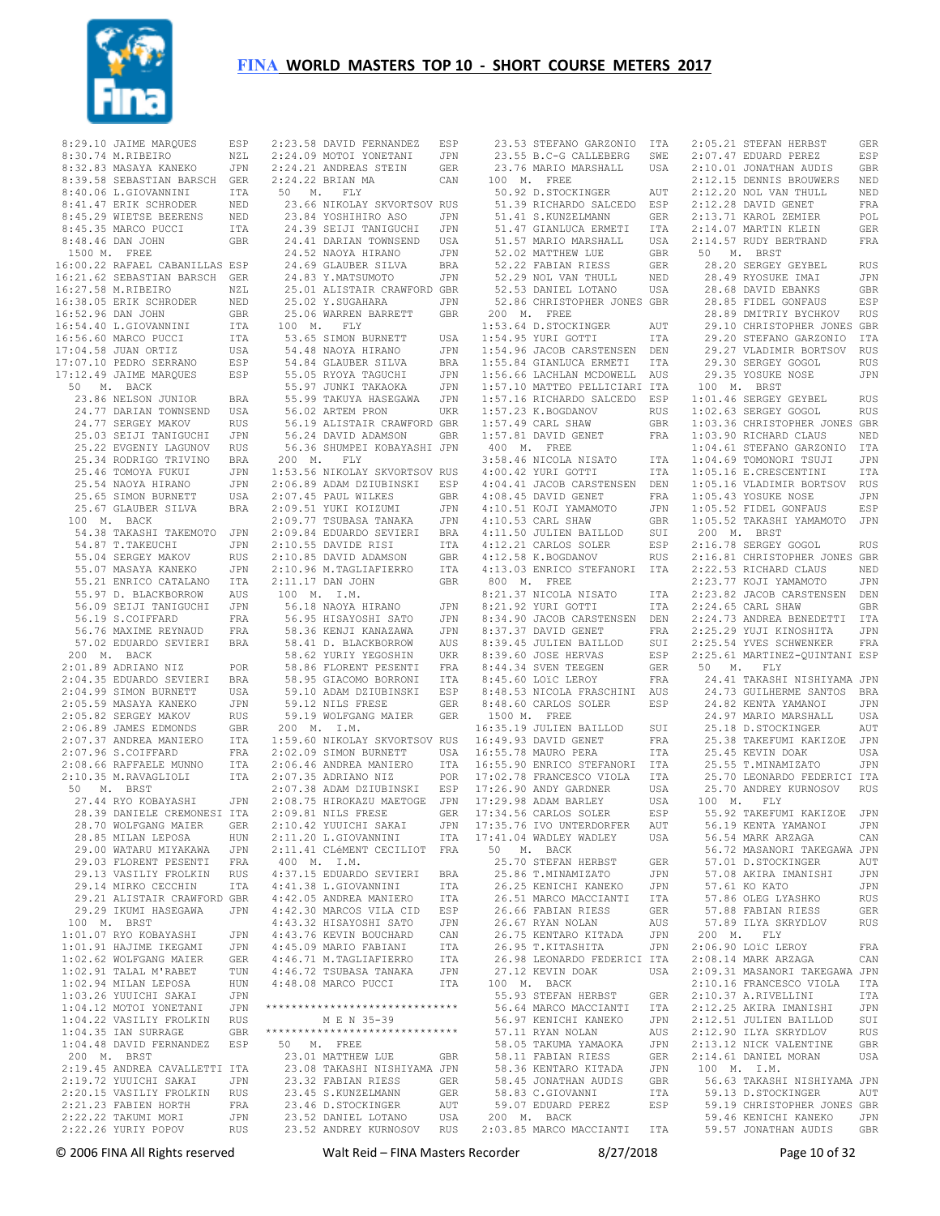

8:30.74 M.RIBEIRO NZL<br>8:32 83 MASAYA KANEKO JPN 8:39.58 SEBASTIAN BARSCH GER 8:40.06 L.GIOVANNINI ITA 8:41.47 ERIK SCHRODER NED 8:45.29 WIETSE BEERENS NED 8:45.35 MARCO PUCCI ITA 8:48.46 DAN JOHN GBR 1500 M. FREE 16:00.22 RAFAEL CABANILLAS ESP 16:21.62 SEBASTIAN BARSCH GER 16:27.58 M.RIBEIRO NZL 16:38.05 ERIK SCHRODER NED 16:52.96 DAN JOHN GBR 16:54.40 L.GIOVANNINI ITA 16:56.60 MARCO PUCCI ITA 17:04.58 JUAN ORTIZ USA 17:07.10 PEDRO SERRANO ESP 17:12.49 JAIME MARQUES ESP 50 M. BACK 23.86 NELSON JUNIOR BRA 24.77 DARIAN TOWNSEND USA 24.77 SERGEY MAKOV RUS 25.03 SEIJI TANIGUCHI JPN 25.22 EVGENIY LAGUNOV RUS 25.34 RODRIGO TRIVINO BRA 25.31 NORMANI<br>25.46 TOMOYA FUKUI JPN 25.54 NAOYA HIRANO JPN 25.65 SIMON BURNETT USA 25.67 GLAUBER SILVA BRA 100 M. BACK 54.38 TAKASHI TAKEMOTO JPN 54.87 T.TAKEUCHI JPN 55.04 SERGEY MAKOV RUS 55.07 MASAYA KANEKO JPN 55.21 ENRICO CATALANO ITA 55.97 D. BLACKBORROW AUS<br>56.09 SEIJI TANIGUCHI JPN 56.09 SEIJI TANIGUCHI 56.19 S.COIFFARD FRA<br>56.76 MAXIME REYNAUD FRA 56.76 MAXIME REYNAUD 57.02 EDUARDO SEVIERI BRA 200 M. BACK 2:01.89 ADRIANO NIZ POR 2:04.35 EDUARDO SEVIERI BRA 2:04.99 SIMON BURNETT USA 2:05.59 MASAYA KANEKO JPN 2:05.82 SERGEY MAKOV RUS 2:06.89 JAMES EDMONDS GBR 2:07.37 ANDREA MANIERO 2:07.96 S.COIFFARD FRA<br>2.08 66 RAFFAELE MUNNO ITA  $2:08.66$  RAFFAELE MUNNO 2:10.35 M.RAVAGLIOLI ITA 50 M. BRST 27.44 RYO KOBAYASHI JPN 28.39 DANIELE CREMONESI ITA 28.70 WOLFGANG MAIER GER 28.85 MILAN LEPOSA HUN<br>29 00 WATARII MIYAKAWA JPN 29.00 WATARU MIYAKAWA 29.03 FLORENT PESENTI FRA 29.13 VASILIY FROLKIN RUS 29.14 MIRKO CECCHIN ITA 29.21 ALISTAIR CRAWFORD GBR 29.29 IKUMI HASEGAWA JPN 100 M. BRST 1:01.07 RYO KOBAYASHI JPN 1:01.91 HAJIME IKEGAMI JPN<br>1:02.62 WOLFGANG MAIER GER 1:02.62 WOLFGANG MAIER GER 1:02.91 TALAL M'RABET TUN 1:02.94 MILAN LEPOSA HUN<br>1:03.26 YUUICHI SAKAI JPN 1:03.26 YUUICHI SAKAI 1:04.12 MOTOI YONETANI JPN 1:04.22 VASILIY FROLKIN RUS 1:04.35 IAN SURRAGE GBR 1:04.48 DAVID FERNANDEZ ESP 200 M. BRST 2:19.45 ANDREA CAVALLETTI ITA 2:19.72 YUUICHI SAKAI JPN 2:20.15 VASILIY FROLKIN RUS 2:21.23 FABIEN HORTH FRA 2:22.22 TAKUMI MORI JPN 2:22.26 YURIY POPOV

2:24.09 MOTOI YONETANI JPN<br>2:24.21 ANDREAS STEIN GER 2:24.22 BRIAN MA CAN 50 M. FLY 23.66 NIKOLAY SKVORTSOV RUS 23.84 YOSHIHIRO ASO JPN 24.39 SEIJI TANIGUCHI JPN 24.33 SERS REG. 2008.<br>24.41 DARIAN TOWNSEND USA<br>24.52 NAOYA HIRANO JPN  $24.41$  DANITE.<br> $24.52$  NAOYA HIRANO edical<br>24.69 GLAUBER SILVA BRA<br>24.83 Y MATSUMOTO JPN 24.83 Y.MATSUMOTO 25.01 ALISTAIR CRAWFORD GBR 25.02 Y.SUGAHARA JPN<br>25.06 MAPPEN PAPPETT CPP 25.06 WARREN BARRETT GBR 100 M. FLY 53.65 SIMON BURNETT USA 54.48 NAOYA HIRANO JPN 54.84 GLAUBER SILVA BRA 55.05 RYOYA TAGUCHI JPN 55.97 JUNKI TAKAOKA JPN 55.99 TAKUYA HASEGAWA JPN 56.02 ARTEM PRON UKR 56.19 ALISTAIR CRAWFORD GBR 56.24 DAVID ADAMSON GBR 56.36 SHUMPEI KOBAYASHI JPN 200 M. FLY 1:53.56 NIKOLAY SKVORTSOV RUS 2:06.89 ADAM DZIUBINSKI ESP 2:07.45 PAUL WILKES GBR 2:09.51 YUKI KOIZUMI JPN 2:09.77 TSUBASA TANAKA JPN 2:09.84 EDUARDO SEVIERI BRA 2:10.55 DAVIDE RISI ITA 2:10.85 DAVID ADAMSON GBR 2:10.96 M.TAGLIAFIERRO ITA 2:11.17 DAN JOHN GBR 100 M. I.M. 56.18 NAOYA HIRANO JPN 56.95 HISAYOSHI SATO JPN 58.36 KENJI KANAZAWA JPN 58.41 D. BLACKBORROW AUS<br>58.62 YURIY YEGOSHIN UKR 58.62 YURIY YEGOSHIN UKR 58.86 FLORENT PESENTI FRA 58.95 GIACOMO BORRONI ITA 59.10 ADAM DZIUBINSKI ESP 59.12 NILS FRESE GER 59.19 WOLFGANG MAIER GER 200 M. I.M. 1:59.60 NIKOLAY SKVORTSOV RUS 2:02.09 SIMON BURNETT USA 2:06.46 ANDREA MANIERO ITA 2:07.35 ADRIANO NIZ POR 2:07.38 ADAM DZIUBINSKI ESP 17:26.90 ANDY GARDNER USA 2:08.75 HIROKAZU MAETOGE JPN<br>2:09.81 NILS FRESE GER  $2:09.81$  NILS FRESE 2:10.42 YUUICHI SAKAI JPN 2:11.20 L.GIOVANNINI ITA 17:41.04 WADLEY WADLEY USA 2:11.41 CLéMENT CECILIOT FRA 400 M. I.M. 4:37.15 EDUARDO SEVIERI BRA 4:41.38 L.GIOVANNINI ITA 4:42.05 ANDREA MANIERO ITA 4:42.30 MARCOS VILA CID ESP 4:43.32 HISAYOSHI SATO JPN 4:43.76 KEVIN BOUCHARD CAN 4:45.09 MARIO FABIANI ITA 4:46.71 M.TAGLIAFIERRO ITA 4:46.72 TSUBASA TANAKA JPN 4:48.08 MARCO PUCCI ITA \*\*\*\*\*\*\*\*\*\*\*\*\*\*\*\*\*\*\*\*\*\*\*\*\*\*\*\*\*\* M E N 35-39 \*\*\*\*\*\*\*\*\*\*\*\*\*\*\*\*\*\*\*\*\*\*\*\*\*\*\*\*\*\* 50 M. FREE 23.01 MATTHEW LUE GBR 23.08 TAKASHI NISHIYAMA JPN 23.32 FABIAN RIESS GER 23.45 S.KUNZELMANN GER 23.46 D.STOCKINGER AUT 23.52 DANIEL LOTANO USA

 8:29.10 JAIME MARQUES ESP 8:30.74 M.RIBEIRO NZL 2:23.58 DAVID FERNANDEZ ESP 2:24.09 MOTOI YONETANI JPN 23.53 STEFANO GARZONIO ITA 23.55 B.C-G CALLEBERG SWE 2:05.21 STEFAN HERBST GER 23.52 ANDREY KURNOSOV RUS 2:03.85 MARCO MACCIANTI ITA 59.57 JONATHAN AUDIS GBR 23.76 MARIO MARSHALL USA 2:07.47 EDUARD PEREZ ESP 2:10.01 JONATHAN AUDIS GBR 100 M. FREE 50.92 D.STOCKINGER AUT 51.39 RICHARDO SALCEDO ESP 51.41 S.KUNZELMANN GER 51.47 GIANLUCA ERMETI ITA 51.57 MARIO MARSHALL USA 52.02 MATTHEW LUE GBR 52.22 FABIAN RIESS GER 52.29 NOL VAN THULL NED 52.53 DANIEL LOTANO USA 52.86 CHRISTOPHER JONES GBR 200 M. FREE 1:53.64 D.STOCKINGER AUT 1:54.95 YURI GOTTI ITA 1:54.96 JACOB CARSTENSEN DEN 1:55.84 GIANLUCA ERMETI ITA 1:56.66 LACHLAN MCDOWELL AUS 1:57.10 MATTEO PELLICIARI ITA 1:57.16 RICHARDO SALCEDO ESP 1:01.46 SERGEY GEYBEL RUS 1:02.63 SERGEY GOGOL RUS  $1:57.23$  K.BOGDANOV  $1:57.49$  CARL SHAW  $1:57.81$  DAVID GENET 400 M. FREE 3:58.46 NICOLA NISATO ITA 4:00.42 YURI GOTTI ITA 4:04.41 JACOB CARSTENSEN DEN 4:08.45 DAVID GENET FRA 4:10.51 KOJI YAMAMOTO JPN 4:10.53 CARL SHAW GBR 4:11.50 JULIEN BAILLOD SUI 4:12.21 CARLOS SOLER ESP 1:12.58 K.BOGDANOV 4:13.03 ENRICO STEFANORI ITA 800 M. FREE 2:22.53 RICHARD CLAUS NED 2:23.77 KOJI YAMAMOTO JPN 8:21.37 NICOLA NISATO ITA<br>8:21.92 YURI GOTTI ITA<br>8:34.90 JACOB CARSTENSEN DEN<br>8:37.37 DAVID GENET FRA<br>8:39.45 JULIEN BAILLOD SUI 8:39.60 JOSE HERVAS ESP 8:44.34 SVEN TEEGEN GER 8:45.60 LOïC LEROY FRA 8:48.53 NICOLA FRASCHINI AUS 8:48.60 CARLOS SOLER ESP 1500 M. FREE 16:35.19 JULIEN BAILLOD SUI 16:49.93 DAVID GENET FRA 16:55.78 MAURO PERA ITA 16:55.90 ENRICO STEFANORI ITA 17:02.78 FRANCESCO VIOLA ITA<br>17:26.90 ANDY GARDNER USA 17:29.98 ADAM BARLEY USA 17:34.56 CARLOS SOLER ESP 17:35.76 IVO UNTERDORFER AUT 50 M. BACK 25.70 STEFAN HERBST GER 25.86 T.MINAMIZATO JPN<br>26.25 KENICHI KANEKO JPN 26.25 KENICHI KANEKO JPN 26.51 MARCO MACCIANTI ITA 26.66 FABIAN RIESS GER<br>26.67 RYAN NOLAN AUS 26.67 RYAN NOLAN AUS<br>26.75 KENTARO KITADA JPN 26.75 KENTARO KITADA JPN<br>26.95 T.KITASHITA JPN 26.95 T.KITASHITA 26.98 LEONARDO FEDERICI ITA 2:08.14 MARK ARZAGA CAN 27.12 KEVIN DOAK USA 100 M. BACK 55.93 STEFAN HERBST GER 56.64 MARCO MACCIANTI - ITA<br>56.97 KENICHI KANEKO - JEN 56.97 KENICHI KANEKO 57.11 RYAN NOLAN AUS 58.05 TAKUMA YAMAOKA JPN 58.11 FABIAN RIESS GER 58.36 KENTARO KITADA JPN 58.45 JONATHAN AUDIS GBR 58.83 C.GIOVANNI ITA 59.07 EDUARD PEREZ ESP 200 M. BACK 2:12.15 DENNIS BROUWERS NED  $2 \cdot 12$  20 NOL VAN THULL NED 2:12.28 DAVID GENET FRA<br>2:13.71 KAROL ZEMIER POL  $2 \cdot 13$ . 71 KAROL ZEMIER 2:14.07 MARTIN KLEIN GER 2:14.57 RUDY BERTRAND FRA 50 M. BRST 28.20 SERGEY GEYBEL RUS<br>28.49 RYOSUKE TMAT JPN 28.49 RYOSUKE IMAI 28.68 DAVID EBANKS GBR 28.85 FIDEL GONFAUS ESP 28.89 DMITRIY BYCHKOV RUS 29.10 CHRISTOPHER JONES GBR 29.20 STEFANO GARZONIO ITA 29.27 VLADIMIR BORTSOV RUS 29.30 SERGEY GOGOL RUS 29.35 YOSUKE NOSE JPN 100 M. BRST 1:03.36 CHRISTOPHER JONES GBR 1:03.90 RICHARD CLAUS NED 1:04.61 STEFANO GARZONIO ITA 1:04.69 TOMONORI TSUJI JPN 1:05.16 E.CRESCENTINI ITA 1:05.16 VLADIMIR BORTSOV RUS 1:05.43 YOSUKE NOSE JPN 1:05.52 FIDEL GONFAUS ESP 1:05.52 TAKASHI YAMAMOTO JPN 200 M. BRST 2:16.78 SERGEY GOGOL RUS EDI 2:10:00 BERGET GOODS RUS 2:16.81 CHRISTOPHER JONES GBR 2:23.82 JACOB CARSTENSEN DEN 2:24.65 CARL SHAW GBR 2:24.73 ANDREA BENEDETTI ITA 2:25.29 YUJI KINOSHITA JPN 2:25.54 YVES SCHWENKER FRA 2:25.61 MARTINEZ-QUINTANI ESP 50 M. FLY 24.41 TAKASHI NISHIYAMA JPN 24.73 GUILHERME SANTOS BRA 24.82 KENTA YAMANOI JPN 24.97 MARIO MARSHALL USA 25.18 D.STOCKINGER AUT 25.38 TAKEFUMI KAKIZOE JPN 25.55 1.1.1.1.1.<br>25.45 KEVIN DOAK USA 25.55 T.MINAMIZATO JPN 25.70 LEONARDO FEDERICI ITA 25.70 ANDREY KURNOSOV RUS 100 M. FLY 55.92 TAKEFUMI KAKIZOE JPN<br>56.19 KENTA YAMANOI JPN 56.19 KENTA YAMANOI 56.54 MARK ARZAGA CAN 56.72 MASANORI TAKEGAWA JPN 57.01 D. STOCKINGER AUT 57.08 AKIRA IMANISHI JPN 57.61 KO KATO JPN 57.86 OLEG LYASHKO RUS<br>57.88 EARTAN RIESS GER 57.88 FABIAN RIESS GER 57.89 ILYA SKRYDLOV RUS 200 M. FLY 2:06.90 LOIC LEROY FRA<br>2:08.14 MARK ARZAGA CAN 2:09.31 MASANORI TAKEGAWA JPN 2:10.16 FRANCESCO VIOLA ITA 2:10.37 A.RIVELLINI ITA 2:12.25 AKIRA IMANISHI JPN<br>2:12.51 JULIEN BAILLOD SUI 2:12.51 JULIEN BAILLOD 2:12.90 ILYA SKRYDLOV RUS<br>2:13.12 NICK VALENTINE GBR 2:13.12 NICK VALENTINE 2:14.61 DANIEL MORAN USA 100 M. I.M. 56.63 TAKASHI NISHIYAMA JPN 59.13 D.STOCKINGER AUT 59.19 CHRISTOPHER JONES GBR 59.46 KENICHI KANEKO JPN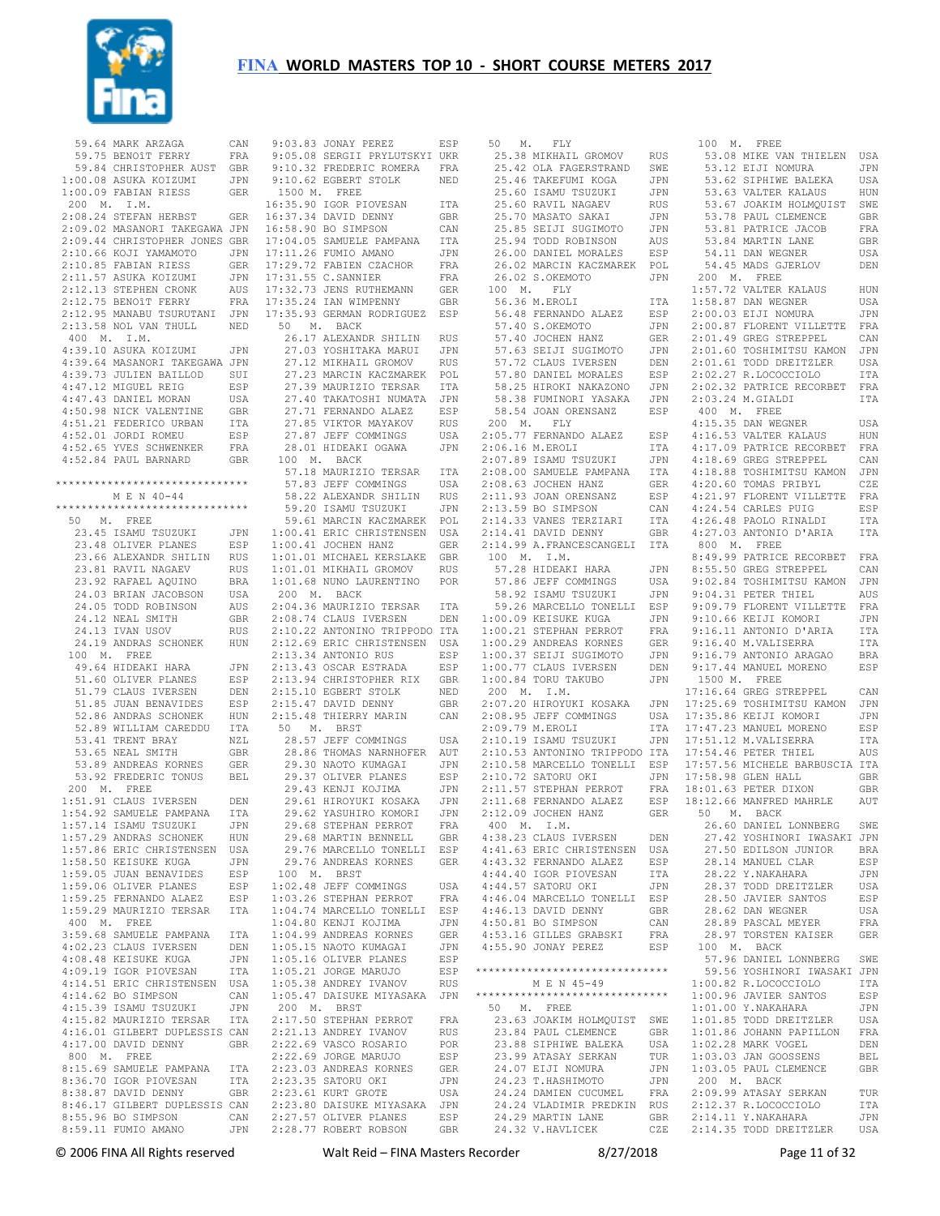

59.64 MARK ARZAGA 59.75 BENOîT FERRY FRA 59.84 CHRISTOPHER AUST GBR 1:00.08 ASUKA KOIZUMI JPN 1:00.09 FABIAN RIESS GER 200 M. I.M. 2:08.24 STEFAN HERBST 2:09.02 MASANORI TAKEGAWA JPN 2:09.44 CHRISTOPHER JONES GBR<br>2:10.66 KOJI YAMAMOTO JPN  $2:10.66$  KOJI YAMAMOTO 2:10.85 FABIAN RIESS GER 2:11.57 ASUKA KOIZUMI JPN 2:12.13 STEPHEN CRONK AUS 2:12.75 BENOîT FERRY FRA 2:12.95 MANABU TSURUTANI JPN 2:13.58 NOL VAN THULL NED 400 M. I.M. 4:39.10 ASUKA KOIZUMI JPN 4:39.64 MASANORI TAKEGAWA JPN 4:39.73 JULIEN BAILLOD SUI 4:47.12 MIGUEL REIG ESP 4:47.43 DANIEL MORAN USA 4:50.98 NICK VALENTINE GBR 4:51.21 FEDERICO URBAN ITA 4:52.01 JORDI ROMEU ESP 4:52.65 YVES SCHWENKER FRA 4:52.84 PAUL BARNARD GBR \*\*\*\*\*\*\*\*\*\*\*\*\*\*\*\*\*\*\*\*\*\*\*\*\*\*\*\*\*\* M E N 40-44 \*\*\*\*\*\*\*\*\*\*\*\*\*\*\*\*\*\*\*\*\*\*\*\*\*\*\*\*\*\* 50 M. FREE 23.45 ISAMU TSUZUKI JPN 23.48 OLIVER PLANES ESP 23.66 ALEXANDR SHILIN RUS 23.81 RAVIL NAGAEV RUS 23.92 RAFAEL AQUINO BRA 24.03 BRIAN JACOBSON USA 24.05 TODD ROBINSON AUS 24.12 NEAL SMITH GBR 24.13 IVAN USOV RUS<br>24.19 ANDRAS SCHONEK HUN 24.19 ANDRAS SCHONEK 100 M. FREE 49.64 HIDEAKI HARA JPN 51.60 OLIVER PLANES ESP 51.79 CLAUS IVERSEN DEN 51.85 JUAN BENAVIDES ESP 52.86 ANDRAS SCHONEK HUN 52.89 WILLIAM CAREDDU ITA 53.41 TRENT BRAY NZL 53.65 NEAL SMITH GBR 53.89 ANDREAS KORNES GER 53.92 FREDERIC TONUS BEL 200 M. FREE 1:51.91 CLAUS IVERSEN DEN<br>1:54.92 SAMUELE PAMPANA TTA 1:54.92 SAMUELE PAMPANA ITA  $1:57.14$  ISAMU TSUZUKI 1:57.29 ANDRAS SCHONEK HUN 1:57.86 ERIC CHRISTENSEN USA 1:58.50 KEISUKE KUGA JPN 1:59.05 JUAN BENAVIDES ESP 1:59.06 OLIVER PLANES ESP 1:59.25 FERNANDO ALAEZ ESP 1:59.29 MAURIZIO TERSAR ITA 400 M. FREE 3:59.68 SAMUELE PAMPANA ITA 4:02.23 CLAUS IVERSEN DEN<br>4:08.48 KEISUKE KUGA JPN 4:08.48 KEISUKE KUGA 4:09.19 IGOR PIOVESAN ITA 4:14.51 ERIC CHRISTENSEN USA<br>4:14.62 BO SIMPSON CAN 4:14.62 BO SIMPSON CAN 4:15.39 ISAMU TSUZUKI JPN 4:15.82 MAURIZIO TERSAR 4:16.01 GILBERT DUPLESSIS CAN 4:17.00 DAVID DENNY GBR 800 M. FREE 8:15.69 SAMUELE PAMPANA ITA 8:36.70 IGOR PIOVESAN ITA 8:38.87 DAVID DENNY GBR 2:23.35 SATORU OKI JPN 2:23.61 KURT GROTE USA 8:46.17 GILBERT DUPLESSIS CAN 8:55.96 BO SIMPSON CAN  $8:59.11$  FUMIO AMANO

 9:03.83 JONAY PEREZ ESP 9:05.08 SERGII PRYLUTSKYI UKR 9:10.32 FREDERIC ROMERA FRA 9:10.62 EGBERT STOLK NED 1500 M. FREE 16:35.90 IGOR PIOVESAN ITA 16:37.34 DAVID DENNY GBR 16:58.90 BO SIMPSON CAN 17:04.05 SAMUELE PAMPANA ITA 17:11.26 FUMIO AMANO JPN 17:29.72 FABIEN CZACHOR FRA  $17.31$  55 C. SANNIER FRA 17:32.73 JENS RUTHEMANN GER 17:35.24 IAN WIMPENNY GBR 17:35.93 GERMAN RODRIGUEZ ESP 50 M. BACK 26.17 ALEXANDR SHILLIN RUS 27.03 YOSHITAKA MARUI JPN 27.12 MIKHAIL GROMOV RUS 27.23 MARCIN KACZMAREK POL 27.39 MAURIZIO TERSAR ITA 27.40 TAKATOSHI NUMATA JPN 27.71 FERNANDO ALAEZ ESP 27.85 VIKTOR MAYAKOV RUS 27.87 JEFF COMMINGS USA 28.01 HIDEAKI OGAWA JPN 100 M. BACK 57.18 MAURIZIO TERSAR ITA 57.83 JEFF COMMINGS USA 58.22 ALEXANDR SHILLIN RUS 59.20 ISAMU TSUZUKI JPN 59.61 MARCIN KACZMAREK POL 1:00.41 ERIC CHRISTENSEN USA 1:00.41 JOCHEN HANZ GER 1:01.01 MICHAEL KERSLAKE GBR 1:01.01 MIKHAIL GROMOV RUS 1:01.68 NUNO LAURENTINO POR 200 M. BACK 2:04.36 MAURIZIO TERSAR ITA 2:08.74 CLAUS IVERSEN DEN 2:10.22 ANTONINO TRIPPODO ITA 2:12.69 ERIC CHRISTENSEN USA<br>2:13.34 ANTONIO RUS RSP 2:13.34 ANTONIO RUS 2:13.43 OSCAR ESTRADA ESP 2:13.94 CHRISTOPHER RIX GBR 2:15.53 SHARRESTICK NED 2:15.47 DAVID DENNY GBR 2:15.48 THIERRY MARIN CAN 50 M. BRST 28.57 JEFF COMMINGS USA 28.86 THOMAS NARNHOFER AUT 29.30 NAOTO KUMAGAI JPN 29.37 OLIVER PLANES ESP 29.43 KENJI KOJIMA JPN 29.61 HIROYUKI KOSAKA JPN 29.62 YASUHIRO KOMORI JPN<br>29.68 STEPHAN PERROT – FRA 29.68 STEPHAN PERROT 29.68 MARTIN BENNELL GBR 29.76 MARCELLO TONELLI ESP 29.76 ANDREAS KORNES GER 100 M. BRST 1:02.48 JEFF COMMINGS USA 1:03.26 STEPHAN PERROT FRA 1:04.74 MARCELLO TONELLI ESP 1:04.80 KENJI KOJIMA JPN<br>1:04.99 ANDREAS KORNES GER 1:04.99 ANDREAS KORNES 1:05.15 NAOTO KUMAGAI JPN<br>1:05.16 OLIVER PLANES ESP  $1:05.16$  OLIVER PLANES 1:05.21 JORGE MARUJO ESP 1:05.38 ANDREY IVANOV RUS 1:05.47 DAISUKE MIYASAKA JPN 200 M. BRST 2:17.50 STEPHAN PERROT FRA 2:21.13 ANDREY IVANOV RUS<br>2:22 69 VASCO ROSARIO POR 2:22.69 VASCO ROSARIO 2:22.69 JORGE MARUJO ESP 2:23.03 ANDREAS KORNES GER<br>2:23.35 SATORU OKT JPN 2:23.80 DAISUKE MIYASAKA JPN 2:27.57 OLIVER PLANES ESP 2:28.77 ROBERT ROBSON GBR

 50 M. FLY 25.38 MIKHAIL GROMOV RUS 25.42 OLA FAGERSTRAND SWE 25.46 TAKEFUMI KOGA JPN 25.60 ISAMU TSUZUKI JPN 25.60 RAVIL NAGAEV RUS 25.70 MASATO SAKAI JPN 25.85 SEIJI SUGIMOTO JPN 25.94 TODD ROBINSON AUS 26.00 DANIEL MORALES ESP 26.02 MARCIN KACZMAREK POL 26.02 S.OKEMOTO JPN 100 M. FLY 56.36 M.EROLI ITA 56.48 FERNANDO ALAEZ ESP 57.40 S.OKEMOTO JPN 57.40 JOCHEN HANZ GER 57.63 SEIJI SUGIMOTO JPN 57.72 CLAUS IVERSEN DEN 57.80 DANIEL MORALES ESP 58.25 HIROKI NAKAZONO JPN 58.38 FUMINORI YASAKA 58.54 JOAN ORENSANZ ESP 200 M. FLY 2:05.77 FERNANDO ALAEZ ESP<br>2:06.16 M.EROLI ITA  $2 \cdot 06$  16 M EROLI 2:07.89 ISAMU TSUZUKI JPN  $2 \cdot 08$  00 SAMUELE PAMPANA 2:08.63 JOCHEN HANZ GER 2:11.93 JOAN ORENSANZ ESP 2:13.59 BO SIMPSON CAN 2:14.33 VANES TERZIARI ITA<br>2:14.41 DAVID DENNY GRR  $2 \cdot 14$  41 DAVID DENNY 2:14.99 A.FRANCESCANGELI ITA 100 M. I.M. 57.28 HIDEAKI HARA JPN 57.86 JEFF COMMINGS USA<br>58.92 ISAMU TSUZUKI JPN 58.92 ISAMU TSUZUKI 59.26 MARCELLO TONELLI ESP 1:00.09 KEISUKE KUGA JPN 1:00.21 STEPHAN PERROT FRA 1:00.29 ANDREAS KORNES GER 1:00.37 SEIJI SUGIMOTO JPN  $1:00.77$  CLAUS IVERSEN 1:00.84 TORU TAKUBO JPN 200 M. I.M. 2:07.20 HIROYUKI KOSAKA  $2 \cdot 08.95$  JEFF COMMINGS  $2 \cdot 09$  79 M EROLI  $2 \cdot 10$  19 ISAMU TSUZUKI 2:10.53 ANTONINO TRIPPODO ITA 2:10.58 MARCELLO TONELLI ESP 2:10.72 SATORU OKI JPN 2:11.57 STEPHAN PERROT FRA<br>2:11.68 FERNANDO ALAEZ FSP  $2:11.68$  FERNANDO ALAEZ  $2:12.09$  JOCHEN HANZ 400 M. I.M. 4:38.23 CLAUS IVERSEN DEN 4:41.63 ERIC CHRISTENSEN USA 4:43.32 FERNANDO ALAEZ ESP 4:44.40 IGOR PIOVESAN ITA 4:44.57 SATORU OKI JPN 4:46.04 MARCELLO TONELLI ESP<br>4:46.13 DAVID DENNY GRR  $4:46.13$  DAVID DENNY 4:50.81 BO SIMPSON CAN 4:53.16 GILLES GRABSKI FRA 4:55.90 JONAY PEREZ ESP 100 M. BACK \*\*\*\*\*\*\*\*\*\*\*\*\*\*\*\*\*\*\*\*\*\*\*\*\*\*\*\*\*\* M F. N 45-49 \*\*\*\*\*\*\*\*\*\*\*\*\*\*\*\*\*\*\*\*\*\*\*\*\*\*\*\*\*\* 50 M. FREE 23.63 JOAKIM HOLMQUIST SWE 23.84 PAUL CLEMENCE GBR<br>23.88 STPHTWE BALEKA USA 23.88 SIPHIWE BALEKA USA<br>23.88 SIPHIWE BALEKA USA<br>23.99 ATASAY SERKAN TUR<br>21.07 TT-T WOWNER 23.99 ATASAY SERKAN TUR 24.07 EIJI NOMURA JPN 24.23 T.HASHIMOTO JPN 24.24 DAMIEN CUCUMEL FRA 24.24 VLADIMIR PREDKIN RUS 24.29 MARTIN LANE GBR 24.32 V.HAVLICEK CZE 2:14.11 Y.NAKAHARA JPN 2:14.35 TODD DREITZLER USA 100 M. FREE 53.08 MIKE VAN THIELEN USA 53.12 EIJI NOMURA JPN 53.62 SIPHIWE BALEKA USA 53.63 VALTER KALAUS HUN 53.67 JOAKIM HOLMQUIST SWE 53.78 PAUL CLEMENCE GBR 53.81 PATRICE JACOB FRA 53.84 MARTIN LANE GBR 54.11 DAN WEGNER USA 54.45 MADS GJERLOV DEN 200 M. FREE 1:57.72 VALTER KALAUS HUN 1:58.87 DAN WEGNER USA 2:00.03 EIJI NOMURA JPN 2:00.87 FLORENT VILLETTE FRA 2:01.49 GREG STREPPEL CAN 2:01.60 TOSHIMITSU KAMON JPN 2:01.61 TODD DREITZLER USA 2:02.27 R.LOCOCCIOLO ITA 2:02.32 PATRICE RECORBET FRA 2:03.24 M.GTALDI 1TA 400 M. FREE 4:15.35 DAN WEGNER USA 4:16.53 VALTER KALAUS HUN 4:17.09 PATRICE RECORBET FRA 4:18.69 GREG STREPPEL CAN 4:18.88 TOSHIMITSU KAMON JPN 4:20.60 TOMAS PRIBYL CZE 4:21.97 FLORENT VILLETTE FRA 4:24.54 CARLES PUIG ESP 4:26.48 PAOLO RINALDI ITA 4:27.03 ANTONIO D'ARIA ITA 800 M. FREE 8:49.99 PATRICE RECORBET FRA 8:55.50 GREG STREPPEL CAN 9:02 84 TOSHIMITSU KAMON JPN 9:04.31 PETER THIEL AUS 9:09.79 FLORENT VILLETTE. FRA 9:10.66 KEIJI KOMORI JPN 9:16.11 ANTONIO D'ARIA ITA 9:16.40 M.VALISERRA ITA 9:16.79 ANTONIO ARAGAO 9:17.44 MANUEL MORENO ESP 1500 M. FREE 17:16.64 GREG STREPPEL CAN 17:25.69 TOSHIMITSU KAMON JPN 17:35.86 KEIJI KOMORI JPN 17:47.23 MANUEL MORENO ESP 17:51.12 M.VALISERRA ITA 17:54.46 PETER THIEL AUS 17:57.56 MICHELE BARBUSCIA ITA 17:58.98 GLEN HALL GBR FRA 18:01.63 PETER DIXON GBR 18:12.66 MANFRED MAHRLE AUT 50 M. BACK 26.60 DANIEL LONNBERG SWE 27.42 YOSHINORI IWASAKI JPN<br>27.50 EDILSON JUNIOR – BRA 27.50 EDILSON JUNIOR 28.14 MANUEL CLAR ESP 28.22 Y.NAKAHARA JPN 28.37 TODD DREITZLER USA 28.50 JAVIER SANTOS ESP<br>28.62 DAN WEGNER HSA 28.62 DAN WEGNER 28.89 PASCAL MEYER FRA 28.97 TORSTEN KAISER GER 57.96 DANIEL LONNBERG SWE 59.56 YOSHINORI IWASAKI JPN 1:00.82 R.LOCOCCIOLO ITA 1:00.96 JAVIER SANTOS ESP  $1:01.00$  Y.NAKAHARA JPN<br> $1:01$  85 TODD DRETTZIER USA  $1:01.85$  TODD DREITZLER 1:01.86 JOHANN PAPILLON FRA<br>1:02.28 MARK VOGEL DEN  $1 \cdot 02.28$  MARK VOGEL 1:03.03 JAN GOOSSENS BEL 1:03.05 PAUL CLEMENCE GBR 200 M. BACK 2:09.99 ATASAY SERKAN TUR 2:12.37 R.LOCOCCIOLO ITA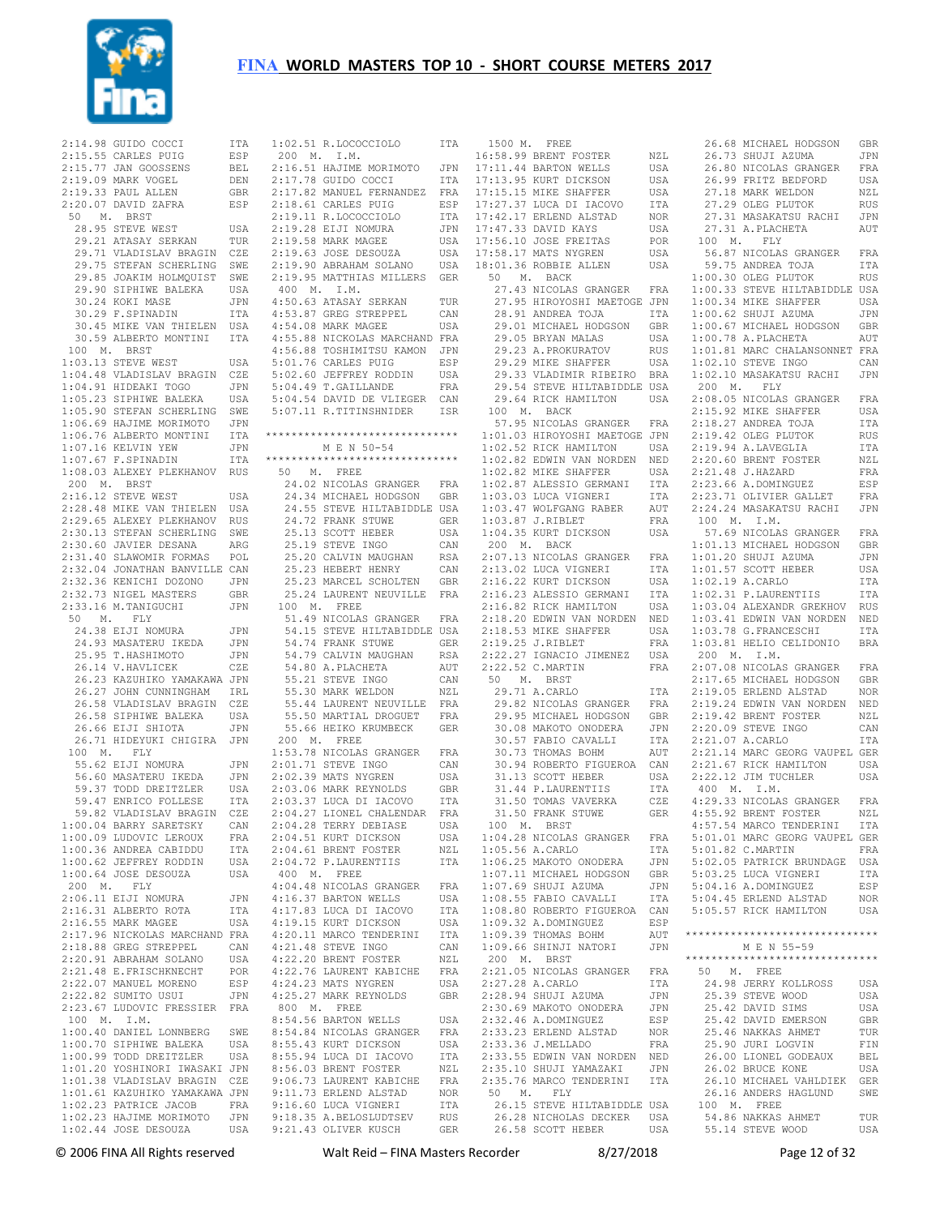

 $2:14.98$  GUIDO COCCI  $2:15.55$  CARLES PUIG  $2:15.77$  JAN GOOSSENS 2:19.09 MARK VOGEL DEN 2:19.33 PAUL ALLEN GBR 2:20.07 DAVID ZAFRA ESP 50 M. BRST 28.95 STEVE WEST USA 29.21 ATASAY SERKAN TUR 29.71 VLADISLAV BRAGIN CZE 29.75 STEFAN SCHERLING SWE 29.85 JOAKIM HOLMQUIST SWE 29.90 SIPHIWE BALEKA USA 30.24 KOKI MASE JPN 30.29 F.SPINADIN ITA 30.45 MIKE VAN THIELEN USA 30.59 ALBERTO MONTINI ITA 100 M. BRST 1:03.13 STEVE WEST USA 1:04.48 VLADISLAV BRAGIN CZE 1:04.91 HIDEAKI TOGO JPN 1:05.23 SIPHIWE BALEKA USA 1:05.90 STEFAN SCHERLING SWE<br>1:06.69 HAJIME MORIMOTO JPN<br>1:06.76 ALBERTO MONTINI TTA  $1:06.69$  HAJIME MORIMOTO 1:06.76 ALBERTO MONTINI 1:07.16 KELVIN YEW JPN 1:07.67 F.SPINADIN ITA 1:08.03 ALEXEY PLEKHANOV RUS 200 M. BRST 2:16.12 STEVE WEST USA 2:28.48 MIKE VAN THIELEN USA 2:29.65 ALEXEY PLEKHANOV RUS 2:30.13 STEFAN SCHERLING SWE 2:30.60 JAVIER DESANA ARG 2:31.40 SLAWOMIR FORMAS POL 2:32.04 JONATHAN BANVILLE CAN 2:32.36 KENICHI DOZONO JPN 2:32.73 NIGEL MASTERS GBR<br>2:33.16 M.TANIGUCHI JPN 2:32.73 Night -- .<br>2:33.16 M.TANIGUCHI 50 M. FLY 24.38 EIJI NOMURA JPN -----<br>24.93 MASATERU IKEDA - JPN<br>25.95 T.HASHIMOTO - JPN 25.95 T.HASHIMOTO JPN 26.14 V.HAVLICEK CZE 26.23 KAZUHIKO YAMAKAWA JPN 26.27 JOHN CUNNINGHAM IRL 26.58 VLADISLAV BRAGIN CZE 26.58 SIPHIWE BALEKA USA 26.66 EIJI SHIOTA JPN 26.71 HIDEYUKI CHIGIRA JPN 100 M. FLY 55.62 EIJI NOMURA JPN 56.60 MASATERU IKEDA JPN 59.37 TODD DREITZLER USA 59.47 ENRICO FOLLESE ITA 59.82 VLADISLAV BRAGIN CZE<br>00.04 BARRY SARETSKY CAN  $1:00.04$  BARRY SARETSKY 1:00.09 LUDOVIC LEROUX FRA<br>1:00.36 ANDREA CABIDDU ITA  $1:00.36$  ANDREA CABIDDU 1:00.62 JEFFREY RODDIN USA<br>1:00.64 JOSE DESOUZA USA  $1:00.64$  JOSE DESOUZA 200 M. FLY 2:06.11 EIJI NOMURA JPN 2:16.31 ALBERTO ROTA ITA 2:16.55 MARK MAGEE USA 2:17.96 NICKOLAS MARCHAND FRA 2:18.88 GREG STREPPEL CAN<br>2:20 91 ARRAHAM SOLANO USA  $2:20.91$  ABRAHAM SOLANO 2:21.48 E.FRISCHKNECHT POR 2:22.07 MANUEL MORENO ESP<br>2:22.82 SUMITO USUI JPN  $2:22.82$  SUMITO USUI 2:23.67 LUDOVIC FRESSIER FRA 100 M. I.M. 1:00.40 DANIEL LONNBERG SWE<br>1:00.70 SIPHIWE BALEKA USA  $1:00.70$  SIPHIWE BALEKA 1:00.99 TODD DREITZLER USA 1:01.20 YOSHINORI IWASAKI JPN 1:01.38 VLADISLAV BRAGIN CZE 1:01.61 KAZUHIKO YAMAKAWA JPN 1:02.23 PATRICE JACOB FRA 1:02.23 HAJIME MORIMOTO JPN

 1:02.44 JOSE DESOUZA USA 9:21.43 OLIVER KUSCH GER 1:02.51 R.LOCOCCIOLO ITA 200 M. I.M. 2:16.51 HAJIME MORIMOTO JPN  $2:17.78$  GUIDO COCCI 2:17.82 MANUEL FERNANDEZ FRA 2:18.61 CARLES PUIG ESP  $2:19.11$  R.LOCOCCIOLO 2:19.28 EIJI NOMURA JPN 2:19.58 MARK MAGEE USA<br>2:19.63 JOSE DESOUZA USA  $2:19.63$  JOSE DESOUZA 2:19.90 ABRAHAM SOLANO USA 2:19.95 MATTHIAS MILLERS GER 400 M. I.M. 4:50.63 ATASAY SERKAN TUR 4:53.87 GREG STREPPEL CAN 4:54.08 MARK MAGEE USA 4:55.88 NICKOLAS MARCHAND FRA 4:56.88 TOSHIMITSU KAMON JPN 5:01.76 CARLES PUIG ESP 5:02.60 JEFFREY RODDIN USA 5:04.49 T.GAILLANDE FRA 5:04.54 DAVID DE VLIEGER CAN 5:07.11 R.TITINSHNIDER ISR \*\*\*\*\*\*\*\*\*\*\*\*\*\*\*\*\*\*\*\*\*\*\*\*\*\*\*\*\*\* M E N 50-54 \*\*\*\*\*\*\*\*\*\*\*\*\*\*\*\*\*\*\*\*\*\*\*\*\*\*\*\*\*\* 50 M. FREE 24.02 NICOLAS GRANGER FRA 24.34 MICHAEL HODGSON GBR 24.55 STEVE HILTABIDDLE USA 24.72 FRANK STUWE GER 25.13 SCOTT HEBER USA 25.19 STEVE INGO CAN 25.20 CALVIN MAUGHAN RSA 25.23 HEBERT HENRY CAN 25.23 MARCEL SCHOLTEN GBR 25.24 LAURENT NEUVILLE FRA 100 M. FREE 51.49 NICOLAS GRANGER FRA 54.15 STEVE HILTABIDDLE USA 54.74 FRANK STUWE GER<br>54.79 CALVIN MAUGHAN RSA 54.79 CALVIN MAUGHAN 54.80 A.PLACHETA AUT 55.21 STEVE INGO CAN 55.30 MARK WELDON NZL 55.44 LAURENT NEUVILLE FRA 55.50 MARTIAL DROGUET FRA 55.66 HEIKO KRUMBECK GER 200 M. FREE 1:53.78 NICOLAS GRANGER FRA 2:01.71 STEVE INGO CAN 2:02.39 MATS NYGREN USA 2:03.06 MARK REYNOLDS GBR 2:03.37 LUCA DI IACOVO ITA 2:04.27 LIONEL CHALENDAR FRA<br>2:04.28 TERRY DEBIASE USA 2:04.28 TERRY DEBIASE USA<br>2:04.51 KURT DICKSON USA 2:04.51 KURT DICKSON USA 2:04.61 BRENT FOSTER NZL 2:04.72 P.LAURENTIIS ITA 400 M. FREE 4:04.48 NICOLAS GRANGER FRA 4:16.37 BARTON WELLS USA<br>4·17 83 LUCA DI TACOVO ITA 4:17.83 LUCA DI IACOVO 4:19.15 KURT DICKSON USA<br>4:20.11 MARCO TENDERINI ITA 4:20.11 MARCO TENDERINI 4:21.48 STEVE INGO<br>4:21.48 STEVE INGO CAN<br>4:22 20 BRENT FOSTER NZL 4:22.20 BRENT FOSTER NZL<br>4:22.76 LAURENT KABICHE FRA 4:22.76 LAURENT KABICHE 4:24.23 MATS NYGREN USA 4:25.27 MARK REYNOLDS GBR 800 M. FREE 8:54.56 BARTON WELLS USA 8:54.84 NICOLAS GRANGER FRA 8:55.43 KURT DICKSON 8:55.94 LUCA DI IACOVO ITA 8:56.03 BRENT FOSTER NZL<br>9:06.73 LAURENT KABICHE FRA 9:06.73 LAURENT KABICHE 9:00:75 ERLEND ALSTAD NOR<br>9:11.73 ERLEND ALSTAD NOR<br>9:16.60 LUCA VIGNERI ITA 9:16.60 LUCA VIGNERI 9:16.60 LUCA VIGNERI<br>9:18.35 A.BELOSLUDTSEV RUS<br>9:21.43 OLIVER KUSCH GER

 1500 M. FREE 16:58.99 BRENT FOSTER NZL 17:11.44 BARTON WELLS USA 17:13.95 KURT DICKSON USA 17:15.15 MIKE SHAFFER USA 17:27.37 LUCA DI IACOVO ITA ITA 17:42.17 ERLEND ALSTAD NOR<br>JPN 17:47.33 DAVID KAYS USA 17:47.33 DAVID KAYS USA<br>17:56.10 JOSE FREITAS POR 17:56.10 JOSE FREITAS POR 17:58.17 MATS NYGREN USA 18:01.36 ROBBIE ALLEN USA 56.87 NICOLAS GRANGER FRA 59.75 ANDREA TOJA ITA 50 M. BACK 27.43 NICOLAS GRANGER FRA 27.95 HIROYOSHI MAETOGE JPN 28.91 ANDREA TOJA ITA 29.01 MICHAEL HODGSON GBR 29.05 BRYAN MALAS USA 29.23 A.PROKURATOV RUS 29.29 MIKE SHAFFER USA 29.33 VLADIMIR RIBEIRO BRA 29.54 STEVE HILTABIDDLE USA 29.64 RICK HAMILTON USA 2:08.05 NICOLAS GRANGER FRA  $100$  M. BACK 57.95 NICOLAS GRANGER FRA 1:01.03 HIROYOSHI MAETOGE JPN  $1 \cdot 02$  52 RICK HAMILTON 1:02.82 EDWIN VAN NORDEN NED  $1:02.82$  MIKE SHAFFER 1:02.87 ALESSIO GERMANI ITA  $1:03.03$  LUCA VIGNERI 1:03.47 WOLFGANG RABER AUT<br>1:03.87 J RIBLET 1:03.87 J.RIBLET FRA 1:04.35 KURT DICKSON USA 200 M. BACK 2:07.13 NICOLAS GRANGER 2:13.02 LUCA VIGNERI ITA<br>2:13.02 LUCA VIGNERI ITA<br>2:16.22 KURT DICKSON USA 2:16.22 KURT DICKSON USA<br>2:16.23 ALESSIO GERMANI ITA 2:16.23 ALESSIO GERMANI 2:16.82 RICK HAMILTON USA 2:18.20 EDWIN VAN NORDEN NED 2:18.53 MIKE SHAFFER USA 2:19.25 J.RIBLET 2:22.27 IGNACIO JIMENEZ USA 2:22.52 C.MARTIN FRA 50 M. BRST 29.71 A.CARLO ITA 29.82 NICOLAS GRANGER FRA 29.95 MICHAEL HODGSON GBR 30.08 MAKOTO ONODERA JPN<br>30.57 FABIO CAVALLI ITA<br>30.52 Tituras DOUY 30.57 FABIO CAVALLI 30.57 FABLE CAVILLES<br>30.73 THOMAS BOHM AUT 30.94 ROBERTO FIGUEROA CAN<br>31.13 SCOTT HEBER USA 31.13 SCOTT HEBER USA<br>31.44 P.LAURENTIIS ITA<br>31.50 TOMAS VAVERKA CZE 31.44 P.LAURENTIIS 31.50 TOMAS VAVERKA 31.50 FRANK STUWE 100 M. BRST 1:04.28 NICOLAS GRANGER FRA  $1:05.56$  A.CARLO 1:06.25 MAKOTO ONODERA JPN<br>1:07.11 MICHAEL HODGSON GRR 1:07.11 MICHAEL HODGSON GBR<br>1:07.69 SHUJI AZUMA JPN<br>1:01.55 SHUJI AZUMA JPN 1:07.69 SHUJI AZUMA JPN 1:08.55 FABIO CAVALLI ITA 1:08.80 ROBERTO FIGUEROA CAN 1:09.32 A.DOMINGUEZ ESP  $1:09.39$  THOMAS BOHM 1:09.66 SHINJI NATORI JPN 200 M. BRST 2:21.05 NICOLAS GRANGER FRA<br>2:27.28 A.CARLO ITA 2:27.28 A.CARLO ITA 2:28.94 SHUJI AZUMA JPN 2:30.69 MAKOTO ONODERA JPN<br>2:32.46 A DOMINGUEZ FSP 2:32.46 A.DOMINGUEZ ESP<br>2:33.23 ERLEND ALSTAD NOR 2:33.23 ERLEND ALSTAD NOR<br>2:33.36 J MELLADO FRA 2:33.36 J.MELLADO FRA 2:33.55 EDWIN VAN NORDEN NED 2:35.10 SHUJI YAMAZAKI JPN 2:35.76 MARCO TENDERINI ITA 50 M. FLY<br>26.15 STEVE HILTABIDDLE USA<br>26.28 NICHOLAS DECKER USA<br>26.58 SCOTT HEBER USA 26.68 MICHAEL HODGSON GBR 26.73 SHUJI AZUMA JPN 26.80 NICOLAS GRANGER FRA 26.99 FRITZ BEDFORD USA 27.18 MARK WELDON NZL 27.29 OLEG PLUTOK RUS 27.31 MASAKATSU RACHI JPN 27.31 A.PLACHETA AUT 100 M. FLY 59.75 ANDREA TOJA ITA<br>1:00.30 OLEG PLUTOK RUS 1:00.33 STEVE HILTABIDDLE USA 1:00.34 MIKE SHAFFER USA 1:00.62 SHUJI AZUMA JPN 1:00.67 MICHAEL HODGSON GBR 1:00.78 A.PLACHETA AUT 1:01.81 MARC CHALANSONNET FRA 1:02.10 STEVE INGO CAN 1:02.10 MASAKATSU RACHI JPN 200 M. FLY 2:15.92 MIKE SHAFFER USA 2:18.27 ANDREA TOJA ITA 2:19.42 OLEG PLUTOK RUS 2:19.94 A.LAVEGLIA ITA 2:20.60 BRENT FOSTER NZL 2:21.48 J.HAZARD FRA 2:23.66 A.DOMINGUEZ ESP 2:23.71 OLIVIER GALLET FRA 2:24.24 MASAKATSU RACHI JPN 100 M. I.M. 57.69 NICOLAS GRANGER FRA 1:01.13 MICHAEL HODGSON GBR 1:01.20 SHUJI AZUMA JPN 1:01.57 SCOTT HEBER USA 1:02.19 A.CARLO ITA 1:02.31 P.LAURENTIIS ITA 1:03.04 ALEXANDR GREKHOV RUS 1:03.41 EDWIN VAN NORDEN NED 1:03.78 G.FRANCESCHI ITA 1:03.81 HELIO CELIDONIO BRA 200 M. I.M. 2:07.08 NICOLAS GRANGER FRA 2:17.65 MICHAEL HODGSON GBR 2:19.05 ERLEND ALSTAD NOR 2:19.24 EDWIN VAN NORDEN NED 2:19.42 BRENT FOSTER NZL 2:20.09 STEVE INGO CAN 2:21.07 A.CARLO ITA 2:21.14 MARC GEORG VAUPEL GER 2:21.67 RICK HAMILTON USA 2:22.12 JIM TUCHLER USA 400 M. I.M. 4:29.33 NICOLAS GRANGER FRA GER 4:55.92 BRENT FOSTER NZL<br>4:57.54 MARCO TENDERINI ITA 4:57.54 MARCO TENDERINI 5:01.01 MARC GEORG VAUPEL GER  $5 \cdot 01$ .82 C. MARTIN 5:02.05 PATRICK BRUNDAGE USA 5:03.25 LUCA VIGNERI ITA 5:04.16 A.DOMINGUEZ ESP 5:04.45 ERLEND ALSTAD NOR 5:05.57 RICK HAMILTON USA \*\*\*\*\*\*\*\*\*\*\*\*\*\*\*\*\*\*\*\*\*\*\*\*\*\*\*\*\*\* M E N 55-59 \*\*\*\*\*\*\*\*\*\*\*\*\*\*\*\*\*\*\*\*\*\*\*\*\*\*\*\*\*\* 50 M. FREE 24.98 JERRY KOLLROSS USA 25.39 STEVE WOOD USA 25.42 DAVID SIMS USA<br>25.42 DAVID EMERSON CRR 25.42 DAVID EMERSON 25.42 DING COLLECT TUR<br>25.46 NAKKAS AHMET TUR<br>25.90 JURI LOGVIN FIN 25.90 JURI LOGVIN 26.00 LIONEL GODEAUX BEL 26.02 BRUCE KONE USA 26.10 MICHAEL VAHLDIEK GER 26.16 ANDERS HAGLUND SWE<br>100 M. FREE<br>54.86 NAKKAS AHMET TUR<br>55.14 STEVE WOOD USA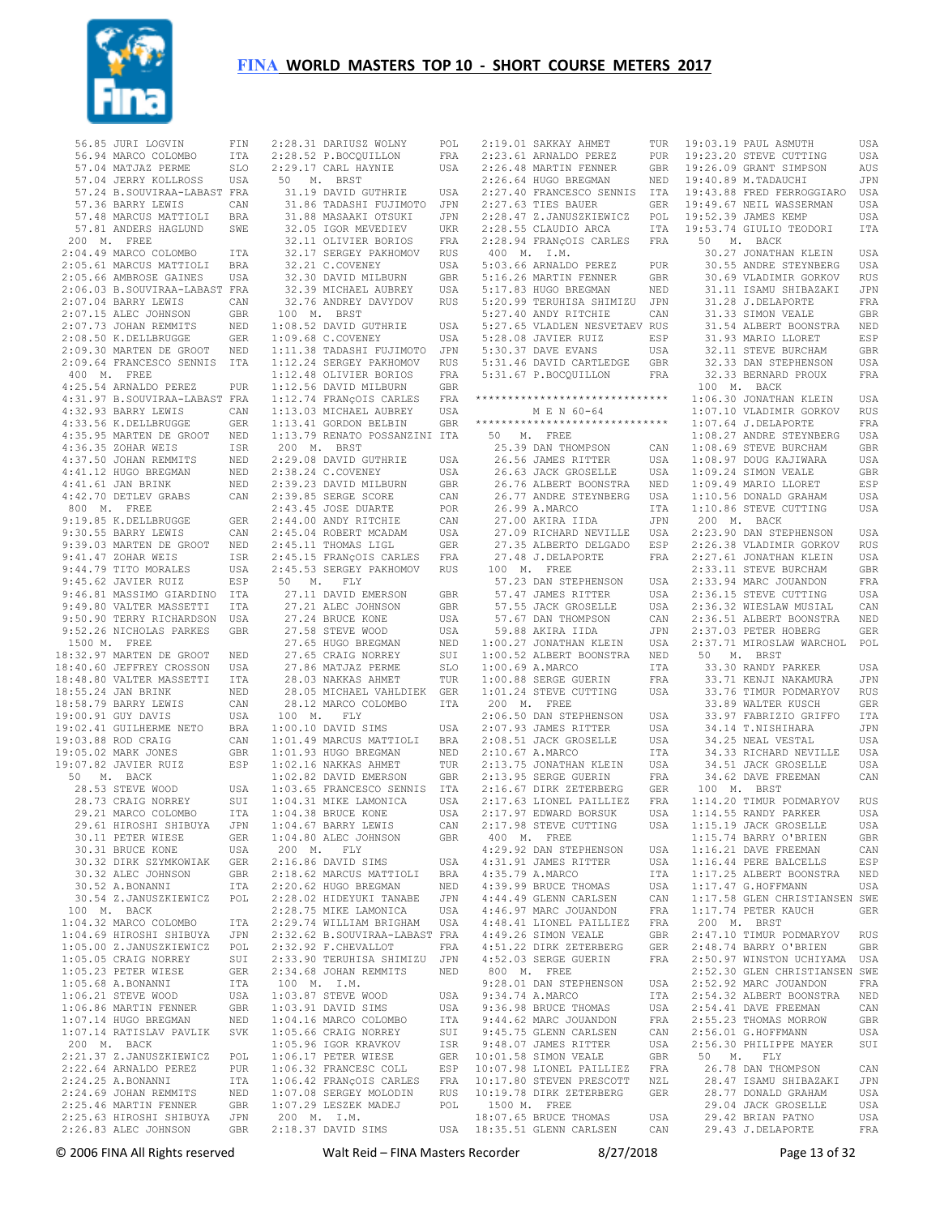

|                     |                                                                                                                                                                                                                                                                                                                                                                                            | FIN                   | í                            |
|---------------------|--------------------------------------------------------------------------------------------------------------------------------------------------------------------------------------------------------------------------------------------------------------------------------------------------------------------------------------------------------------------------------------------|-----------------------|------------------------------|
|                     | 56.85 JURI LOGVIN                                                                                                                                                                                                                                                                                                                                                                          |                       |                              |
|                     | 56.94 MARCO COLOMBO<br>57.04 MATJAZ PERME                                                                                                                                                                                                                                                                                                                                                  | $_{\tt ITA}$          |                              |
|                     |                                                                                                                                                                                                                                                                                                                                                                                            | SLO                   | Í                            |
|                     | 57.04 JERRY KOLLROSS USA                                                                                                                                                                                                                                                                                                                                                                   |                       |                              |
|                     | 57.24 B. SOUVIRAA-LABAST FRA                                                                                                                                                                                                                                                                                                                                                               |                       |                              |
|                     | 57.36 BARRY LEWIS                                                                                                                                                                                                                                                                                                                                                                          |                       |                              |
|                     |                                                                                                                                                                                                                                                                                                                                                                                            | CAN                   |                              |
|                     |                                                                                                                                                                                                                                                                                                                                                                                            |                       |                              |
|                     | 57.48 MARCUS MATTIOLI BRA<br>57.81 ANDERS HAGLUND SWE                                                                                                                                                                                                                                                                                                                                      |                       |                              |
|                     | 200 M. FREE                                                                                                                                                                                                                                                                                                                                                                                |                       |                              |
|                     | 2:04.49 MARCO COLOMBO                                                                                                                                                                                                                                                                                                                                                                      | ITA                   |                              |
|                     |                                                                                                                                                                                                                                                                                                                                                                                            |                       |                              |
|                     |                                                                                                                                                                                                                                                                                                                                                                                            |                       |                              |
|                     | 2:05.61 MARCUS MATTIOLI BRA<br>2:05.66 AMBROSE GAINES USA                                                                                                                                                                                                                                                                                                                                  |                       |                              |
|                     |                                                                                                                                                                                                                                                                                                                                                                                            |                       |                              |
|                     | 2:06.03 B.SOUVIRAA-LABAST FRA<br>2:07.04 BARRY LEWIS CAN<br>2:07.15 ALEC JOHNSON GBR<br>2:07.15 ALEC JOHNSON GBR                                                                                                                                                                                                                                                                           |                       |                              |
|                     |                                                                                                                                                                                                                                                                                                                                                                                            |                       |                              |
|                     |                                                                                                                                                                                                                                                                                                                                                                                            |                       |                              |
|                     |                                                                                                                                                                                                                                                                                                                                                                                            |                       |                              |
|                     | 2:08.50 K.DELLBRUGGE                                                                                                                                                                                                                                                                                                                                                                       | GER                   |                              |
|                     | 2:00:30 MARTEN DE GROOT NED                                                                                                                                                                                                                                                                                                                                                                |                       |                              |
|                     |                                                                                                                                                                                                                                                                                                                                                                                            |                       |                              |
|                     | 2:09.64 FRANCESCO SENNIS                                                                                                                                                                                                                                                                                                                                                                   | ITA                   |                              |
|                     | 400 M. FREE                                                                                                                                                                                                                                                                                                                                                                                |                       |                              |
|                     |                                                                                                                                                                                                                                                                                                                                                                                            | PUR                   |                              |
|                     |                                                                                                                                                                                                                                                                                                                                                                                            |                       |                              |
|                     |                                                                                                                                                                                                                                                                                                                                                                                            |                       |                              |
|                     |                                                                                                                                                                                                                                                                                                                                                                                            |                       |                              |
|                     |                                                                                                                                                                                                                                                                                                                                                                                            | GER                   |                              |
|                     |                                                                                                                                                                                                                                                                                                                                                                                            |                       |                              |
|                     |                                                                                                                                                                                                                                                                                                                                                                                            |                       |                              |
|                     | $\begin{tabular}{llllll} 400 & \text{M.} & \text{FREE} & \text{PUE} \\ 4:25.54 & \text{ARNALDO} & \text{BEREZ} & \text{PUR} \\ 4:31.97 & \text{B. SOUTRAA-LABAST} & \text{FRA} \\ 4:32.93 & \text{BARY LEWIS} & \text{CAN} \\ 4:33.56 & \text{K.DELLBRUGGE} & \text{GER} \\ 4:35.95 & \text{MARTEN DE GROT} & \text{NED} \\ \bullet & \text{C. 35. 70HAR WEIS} & \text{ISR} \end{tabular}$ |                       |                              |
|                     | 1.17.50 JOHAN REMMITS<br>4:41.12 HUGO BREGMAN<br>4:41.61 JAN BRINK<br>4:42.70 DETLEV GRABS                                                                                                                                                                                                                                                                                                 | NED                   |                              |
|                     |                                                                                                                                                                                                                                                                                                                                                                                            | NED                   |                              |
|                     |                                                                                                                                                                                                                                                                                                                                                                                            | NED                   |                              |
|                     |                                                                                                                                                                                                                                                                                                                                                                                            |                       |                              |
|                     |                                                                                                                                                                                                                                                                                                                                                                                            | CAN                   |                              |
|                     | 800 M. FREE                                                                                                                                                                                                                                                                                                                                                                                |                       |                              |
|                     | 9:19.85 K.DELLBRUGGE<br>9:30.55 BARRY LEWIS                                                                                                                                                                                                                                                                                                                                                | GER                   |                              |
|                     |                                                                                                                                                                                                                                                                                                                                                                                            |                       |                              |
|                     |                                                                                                                                                                                                                                                                                                                                                                                            | CAN                   |                              |
|                     |                                                                                                                                                                                                                                                                                                                                                                                            |                       |                              |
|                     |                                                                                                                                                                                                                                                                                                                                                                                            |                       |                              |
|                     |                                                                                                                                                                                                                                                                                                                                                                                            |                       |                              |
|                     | 9:39.03 MARTEN DE GROOT NED<br>9:41.47 ZOHAR WEIS 1SR<br>9:44.79 TITO MORALES USA<br>9:45.62 JAVIER RUIZ ESP                                                                                                                                                                                                                                                                               |                       |                              |
|                     |                                                                                                                                                                                                                                                                                                                                                                                            |                       |                              |
|                     | 9:46.81 MASSIMO GIARDINO ITA<br>9:49.80 VALTER MASSETTI ITA<br>9:50.90 TERRY RICHARDSON USA                                                                                                                                                                                                                                                                                                | ITA                   |                              |
|                     |                                                                                                                                                                                                                                                                                                                                                                                            |                       |                              |
|                     |                                                                                                                                                                                                                                                                                                                                                                                            |                       |                              |
|                     |                                                                                                                                                                                                                                                                                                                                                                                            | GBR                   |                              |
|                     | 9:52.26 NICHOLAS PARKES                                                                                                                                                                                                                                                                                                                                                                    |                       |                              |
|                     | 1500 M. FREE                                                                                                                                                                                                                                                                                                                                                                               |                       |                              |
|                     |                                                                                                                                                                                                                                                                                                                                                                                            |                       |                              |
|                     |                                                                                                                                                                                                                                                                                                                                                                                            |                       |                              |
|                     |                                                                                                                                                                                                                                                                                                                                                                                            |                       |                              |
|                     | 18:32.97 MARTEN DE GROOT NED<br>18:40.60 JEFFREY CROSSON USA<br>18:48.80 VALTER MASSETTI TA<br>18:55.24 JAN REINK NED<br>18:48.80 VALLER<br>18:55.24 JAN BRINK<br>18:58.79 BARRY LEWIS                                                                                                                                                                                                     |                       |                              |
|                     |                                                                                                                                                                                                                                                                                                                                                                                            | NED                   |                              |
|                     |                                                                                                                                                                                                                                                                                                                                                                                            | CAN                   |                              |
|                     | 19:00.91 GUY DAVIS                                                                                                                                                                                                                                                                                                                                                                         | USA                   |                              |
|                     |                                                                                                                                                                                                                                                                                                                                                                                            |                       |                              |
|                     | 19:02.41 GUILHERME NETO BRA                                                                                                                                                                                                                                                                                                                                                                |                       |                              |
|                     | 19:03.88 ROD CRAIG<br>19:05 02 MARK JONES                                                                                                                                                                                                                                                                                                                                                  | CAN                   |                              |
|                     |                                                                                                                                                                                                                                                                                                                                                                                            | GBR                   |                              |
|                     |                                                                                                                                                                                                                                                                                                                                                                                            |                       |                              |
| 19:05.02 MARK JONES |                                                                                                                                                                                                                                                                                                                                                                                            |                       |                              |
|                     | 19:07.82 JAVIER RUIZ                                                                                                                                                                                                                                                                                                                                                                       | ESP                   |                              |
|                     | 50 M. BACK                                                                                                                                                                                                                                                                                                                                                                                 |                       |                              |
|                     |                                                                                                                                                                                                                                                                                                                                                                                            |                       |                              |
|                     |                                                                                                                                                                                                                                                                                                                                                                                            |                       |                              |
|                     |                                                                                                                                                                                                                                                                                                                                                                                            |                       |                              |
|                     | 28.53 STEVE WOOD USA<br>28.73 CRAIG NORREY SUI<br>29.21 MARCO COLOMBO ITA<br>29.61 UTROSUT OUTRON                                                                                                                                                                                                                                                                                          |                       | .                            |
|                     | 29.61 HIROSHI SHIBUYA                                                                                                                                                                                                                                                                                                                                                                      | JPN                   |                              |
|                     |                                                                                                                                                                                                                                                                                                                                                                                            | GER                   |                              |
|                     |                                                                                                                                                                                                                                                                                                                                                                                            | USA                   |                              |
|                     | 30.11 PETER WIESE<br>30.31 BRUCE KONE                                                                                                                                                                                                                                                                                                                                                      | GER                   |                              |
|                     | 30.32 DIRK SZYMKOWIAK                                                                                                                                                                                                                                                                                                                                                                      |                       |                              |
|                     | 30.32 ALEC JOHNSON                                                                                                                                                                                                                                                                                                                                                                         | GBR                   |                              |
|                     | 30.52 A.BONANNI                                                                                                                                                                                                                                                                                                                                                                            | ITA                   |                              |
|                     | 30.54 Z.JANUSZKIEWICZ                                                                                                                                                                                                                                                                                                                                                                      | POL                   |                              |
|                     |                                                                                                                                                                                                                                                                                                                                                                                            |                       |                              |
|                     | 100 M. BACK                                                                                                                                                                                                                                                                                                                                                                                |                       |                              |
|                     |                                                                                                                                                                                                                                                                                                                                                                                            |                       |                              |
|                     |                                                                                                                                                                                                                                                                                                                                                                                            |                       |                              |
|                     |                                                                                                                                                                                                                                                                                                                                                                                            |                       |                              |
|                     | 1:04.32 MARCO COLOMBO ITA<br>1:04.69 HIROSHI SHIBUYA JPN<br>1:05.00 Z.JANUSZKIEWICZ POL                                                                                                                                                                                                                                                                                                    | SUI                   |                              |
|                     | 1:05.05 CRAIG NORREY                                                                                                                                                                                                                                                                                                                                                                       |                       |                              |
|                     | 1:05.23 PETER WIESE                                                                                                                                                                                                                                                                                                                                                                        | GER                   | 医皮肤病 医皮肤病 医皮肤病 医皮肤病 医皮肤病 医心脏 |
|                     |                                                                                                                                                                                                                                                                                                                                                                                            | ITA                   |                              |
|                     | 1:05.68 A.BONANNI<br>1:06.21 STEVE WOOD                                                                                                                                                                                                                                                                                                                                                    | USA                   |                              |
|                     |                                                                                                                                                                                                                                                                                                                                                                                            | GBR                   |                              |
|                     | $1:06.86$ MARTIN FENNER                                                                                                                                                                                                                                                                                                                                                                    |                       |                              |
|                     | $1:07.14$ HUGO BREGMAN                                                                                                                                                                                                                                                                                                                                                                     | NED                   |                              |
|                     | 1:07.14 RATISLAV PAVLIK SVK                                                                                                                                                                                                                                                                                                                                                                |                       |                              |
|                     |                                                                                                                                                                                                                                                                                                                                                                                            |                       |                              |
|                     |                                                                                                                                                                                                                                                                                                                                                                                            |                       |                              |
|                     |                                                                                                                                                                                                                                                                                                                                                                                            |                       |                              |
|                     | 200 M. BACK<br>2:21.37 Z.JANUSZKIEWICZ POL<br>2:22.64 ARNALDO PEREZ PUR                                                                                                                                                                                                                                                                                                                    |                       |                              |
|                     | 2:24.25 A.BONANNI                                                                                                                                                                                                                                                                                                                                                                          | ITA                   |                              |
|                     |                                                                                                                                                                                                                                                                                                                                                                                            | NED                   |                              |
|                     |                                                                                                                                                                                                                                                                                                                                                                                            | GBR                   |                              |
|                     |                                                                                                                                                                                                                                                                                                                                                                                            |                       | 医单位的 医单位的 医生物的 医皮肤病 医皮肤病     |
|                     | 2:24.69 JOHAN REMMITS<br>2:25.46 MARTIN FENNER<br>2:25.63 HIROSHI SHIBUYA<br>2:26.83 ALEC JOHNSON                                                                                                                                                                                                                                                                                          | $\mathtt{JPN}$<br>GBR | Í                            |

| 2:28.31 DARIUSZ WOLNY<br>2:28.52 P.BOCQUILLON                                                                                                              | POL            |
|------------------------------------------------------------------------------------------------------------------------------------------------------------|----------------|
|                                                                                                                                                            | FRA            |
| 2:29.17 CARL HAYNIE                                                                                                                                        | USA            |
| 50 M. BRST<br>31.19 DAVID GUTHRIE                                                                                                                          |                |
|                                                                                                                                                            | USA            |
| 31.86 TADASHI FUJIMOTO                                                                                                                                     |                |
|                                                                                                                                                            | JPN            |
| 31.88 MASAAKI OTSUKI                                                                                                                                       | JPN            |
| 32.05 IGOR MEVEDIEV                                                                                                                                        | UKR            |
|                                                                                                                                                            | FRA            |
| 32.11 OLIVIER BORIOS<br>32.17 SERGEY PAKHOMOV                                                                                                              | RUS            |
| 32.21 C.COVENEY                                                                                                                                            | USA            |
| 32.30 DAVID MILBURN                                                                                                                                        | $\mbox{GBR}$   |
|                                                                                                                                                            |                |
| 32.39 MICHAEL AUBREY<br>32.76 ANDREY DAVYDOV                                                                                                               | USA            |
|                                                                                                                                                            | <b>RUS</b>     |
| 100 M. BRST                                                                                                                                                |                |
| 1:08.52 DAVID GUTHRIE                                                                                                                                      | USA            |
| 1:09.68 C.COVENEY                                                                                                                                          | USA            |
|                                                                                                                                                            | JPN            |
| 1:11.38 TADASHI FUJIMOTO<br>1:12.24 SERGEY PAKHOMOV<br>1:12.48 OLIVIER BORIOS<br>1:12.56 DAVID MILBURN<br>1:13.03 MICHARL AUBREY<br>1:13.03 MICHARL AUBREY |                |
|                                                                                                                                                            | RUS<br>FRA     |
|                                                                                                                                                            |                |
|                                                                                                                                                            | GBR            |
|                                                                                                                                                            |                |
|                                                                                                                                                            | FRA<br>USA     |
| 1:13.41 GORDON BELBIN                                                                                                                                      | GBR            |
|                                                                                                                                                            |                |
| 1:13.79 RENATO POSSANZINI ITA                                                                                                                              |                |
| 200 M. BRST                                                                                                                                                |                |
| 2:29.08 DAVID GUTHRIE                                                                                                                                      | USA            |
| 2:38.24 C.COVENEY                                                                                                                                          | USA            |
| 2:39.23 DAVID MILBURN                                                                                                                                      | $\mbox{GBR}$   |
| 2:39.85 SERGE SCORE                                                                                                                                        | CAN            |
|                                                                                                                                                            |                |
| 2:43.45 JOSE DUARTE                                                                                                                                        | POR            |
| $2:44.00$ ANDY RITCHIE                                                                                                                                     | CAN            |
| $2:45.04$ ROBERT MCADAM                                                                                                                                    | USA            |
| $2:45.11$ THOMAS LIGL                                                                                                                                      | GER            |
|                                                                                                                                                            | FRA            |
| 2:45.15 FRANÇOIS CARLES<br>2:45.53 SERGEY PAKHOMOV                                                                                                         | <b>RUS</b>     |
| 50 M. FLY                                                                                                                                                  |                |
|                                                                                                                                                            |                |
|                                                                                                                                                            | GBR            |
|                                                                                                                                                            | GBR            |
|                                                                                                                                                            | USA            |
|                                                                                                                                                            | USA            |
| 27.11 DAVID EMERSON<br>27.21 ALEC JOHNSON<br>27.24 BRUCE KONE<br>27.58 STEVE WOOD<br>27.65 HUGO BREGMAN                                                    | NED            |
|                                                                                                                                                            |                |
| 27.65 CRAIG NORREY                                                                                                                                         | SUI            |
| 27.86 MATJAZ PERME                                                                                                                                         | SLO            |
| 28.03 NAKKAS AHMET                                                                                                                                         | TUR            |
| 28.05 MICHAEL VAHLDIEK                                                                                                                                     | GER            |
| 28.12 MARCO COLOMBO                                                                                                                                        | ITA            |
| 100 M. FLY                                                                                                                                                 |                |
| $1:00.10$ DAVID SIMS                                                                                                                                       | USA            |
|                                                                                                                                                            |                |
| 1:01.49 MARCUS MATTIOLI                                                                                                                                    | <b>BRA</b>     |
| $1:01.93$ HUGO BREGMAN                                                                                                                                     | NED            |
|                                                                                                                                                            | TUR            |
|                                                                                                                                                            | GBR            |
| 1:02.16 NAKKAS AHMET<br>1:02.82 DAVID EMERSON<br>1:03.65 FRANCESCO SENNIS                                                                                  | ITA            |
|                                                                                                                                                            | USA            |
| 1:04.31 MIKE LAMONICA<br>1:04.38 BRUCE KONE                                                                                                                | USA            |
| $1:04.67$ BARRY LEWIS                                                                                                                                      |                |
|                                                                                                                                                            | CAN            |
| 1:04.80 ALEC JOHNSON                                                                                                                                       | GBR            |
| 200 M. FLY                                                                                                                                                 |                |
| 2:16.86 DAVID SIMS                                                                                                                                         | USA            |
| 2:18.62 MARCUS MATTIOLI                                                                                                                                    | <b>BRA</b>     |
|                                                                                                                                                            | NED            |
| 2:20.62 HUGO BREGMAN<br>2:28.02 HIDEYUKI TANABE                                                                                                            | JPN            |
|                                                                                                                                                            |                |
| 2:28.75 MIKE LAMONICA                                                                                                                                      | USA            |
| 2:29.74 WILLIAM BRIGHAM                                                                                                                                    | USA            |
| 2:32.62 B.SOUVIRAA-LABAST FRA<br>2:32.92 F.CHEVALLOT FRA                                                                                                   |                |
|                                                                                                                                                            |                |
| 2:33.90 TERUHISA SHIMIZU                                                                                                                                   |                |
| 2:34.68 JOHAN REMMITS                                                                                                                                      |                |
|                                                                                                                                                            | JPN            |
|                                                                                                                                                            | NED            |
| 100 M. I.M.                                                                                                                                                |                |
|                                                                                                                                                            | USA            |
| 1:03.87 STEVE WOOD<br>1:03.91 DAVID SIMS                                                                                                                   | USA            |
| $1:04.16$ MARCO COLOMBO                                                                                                                                    | ITA            |
|                                                                                                                                                            |                |
| 1:05.66 CRAIG NORREY                                                                                                                                       | $\texttt{SUI}$ |
|                                                                                                                                                            | ISR            |
|                                                                                                                                                            | GER            |
|                                                                                                                                                            | ESP            |
|                                                                                                                                                            | FRA            |
|                                                                                                                                                            | RUS            |
| 1:05.96 LGOR KRAVKOV<br>1:06.17 PETER WIESE<br>1:06.17 PETER WIESE<br>1:06.32 FRANCESC COLL<br>1:06.42 FRANÇOIS CARLES<br>1:07.08 SERGEY MOLODIN           | POL            |
| $1:07.29$ LESZEK MADEJ                                                                                                                                     |                |
| 200 M. I.M.<br>2:18.37 DAVID SIMS                                                                                                                          | USA            |

| $2:19.01$ SAKKAY AHMET                                                                                                                   | TUR                                                         |
|------------------------------------------------------------------------------------------------------------------------------------------|-------------------------------------------------------------|
| 2:23.61 ARNALDO PEREZ                                                                                                                    | PUR                                                         |
| 2:26.48 MARTIN FENNER                                                                                                                    | GBR                                                         |
|                                                                                                                                          | NED                                                         |
|                                                                                                                                          | ITA                                                         |
| 2:26.64 HUGO BREGMAN<br>2:27.40 FRANCESCO SENNIS<br>2:27.63 TIES BAUER                                                                   | <b>GER</b>                                                  |
| 2:28.47 Z.JANUSZKIEWICZ                                                                                                                  | POL                                                         |
| 2:28.55 CLAUDIO ARCA                                                                                                                     | ITA                                                         |
| 2:28.94 FRANçOIS CARLES                                                                                                                  | FRA                                                         |
| 400 M. I.M.                                                                                                                              |                                                             |
| 5:03.66 ARNALDO PEREZ<br>5:16.26 MARTIN FENNER                                                                                           | PUR                                                         |
|                                                                                                                                          | GBR                                                         |
| 5:17.83 HUGO BREGMAN                                                                                                                     | <b>NED</b>                                                  |
| 5:20.99 TERUHISA SHIMIZU                                                                                                                 | JPN                                                         |
| 5:27.40 ANDY RITCHIE                                                                                                                     | CAN                                                         |
|                                                                                                                                          |                                                             |
|                                                                                                                                          |                                                             |
|                                                                                                                                          |                                                             |
| 5:27.65 VLADLEN NESVETAEV RUS<br>5:28.08 JAVIER RUIZ ESP<br>5:30.37 DAVE EVANS USA<br>5:31.46 DAVID CARTLEDGE GER<br>5.31.47 P BOCOUULON |                                                             |
| 5:31.67 P.BOCQUILLON                                                                                                                     | FRA                                                         |
| ******************************                                                                                                           |                                                             |
| M E N 60-64                                                                                                                              |                                                             |
| ******************************                                                                                                           |                                                             |
| 50 M. FREE                                                                                                                               |                                                             |
| 25.39 DAN THOMPSON                                                                                                                       | CAN                                                         |
| 25.39 DAN THOMPSON<br>26.56 JAMES RITTER<br>26.63 JACK GROSELLE                                                                          | USA                                                         |
|                                                                                                                                          | USA                                                         |
| 26.76 ALBERT BOONSTRA                                                                                                                    | NED                                                         |
| 26.77 ANDRE STEYNBERG                                                                                                                    | USA                                                         |
| 26.99 A.MARCO                                                                                                                            | ITA                                                         |
| 27.00 AKIRA IIDA                                                                                                                         | JPN                                                         |
| 27.09 RICHARD NEVILLE<br>27.35 ALBERTO DELGADO                                                                                           | USA                                                         |
|                                                                                                                                          | ESP                                                         |
| 27.48 J.DELAPORTE                                                                                                                        | FRA                                                         |
| 100 M. FREE<br>57.23 DAN STEPHENSON                                                                                                      | USA                                                         |
|                                                                                                                                          | USA                                                         |
| 57.47 JAMES RITTER<br>57.55 JACK GROSELLE<br>57.67 DAN THOMPSON                                                                          | USA                                                         |
|                                                                                                                                          | CAN                                                         |
| 59.88 AKIRA IIDA                                                                                                                         | JPN                                                         |
| 1:00.27 JONATHAN KLEIN<br>1:00.27 JONATHAN KLEIN<br>1:00.52 ALBERT BOONSTRA<br>1:00.69 A.MARCO                                           | USA                                                         |
|                                                                                                                                          | NED                                                         |
| 1:00.69 A.MARCO                                                                                                                          | ITA                                                         |
|                                                                                                                                          | FRA                                                         |
| 1:00.88 SERGE GUERIN<br>1:01.24 STEVE CUTTING                                                                                            | USA                                                         |
| 200 M. FREE                                                                                                                              |                                                             |
| 2:06.50 DAN STEPHENSON<br>2:07.93 JAMES RITTER                                                                                           | USA                                                         |
|                                                                                                                                          | USA                                                         |
|                                                                                                                                          | USA                                                         |
|                                                                                                                                          | ITA                                                         |
| 2:08.51 JACK GROSELLE<br>2:10.67 A.MARCO<br>2:13.75 JONATHAN KLEIN                                                                       | USA                                                         |
| 2:13.95 SERGE GUERIN<br>2:13.95 SERGE GUERIN<br>2:16.67 DIRK ZETERBERG<br>2:17.63 LIONEL PAILLIEZ<br>2:17.97 EDWARD BORSUK               | FRA                                                         |
|                                                                                                                                          | GER                                                         |
|                                                                                                                                          | FRA                                                         |
| 2:17.98 STEVE CUTTING                                                                                                                    | USA<br>USA                                                  |
|                                                                                                                                          |                                                             |
|                                                                                                                                          | USA                                                         |
| 2:17.90 314.1<br>400 M. FREE<br>4:29.92 DAN STEPHENSON<br>4:31.91 JAMES RITTER<br>1000 A MARCO                                           | USA                                                         |
|                                                                                                                                          | ITA                                                         |
| 4:35.79 A.MARCO<br>4:39.99 BRUCE THOMAS<br>4:44.49 GLENN CARLSEN                                                                         | USA                                                         |
|                                                                                                                                          | CAN                                                         |
|                                                                                                                                          |                                                             |
| 1146.97 MARC JOUANDON<br>4:46.97 MARC JOUANDON<br>4:49.26 SIMON VEALE<br>4:51.22 DIRK ZETERBERG<br>4:52.03 SERGE GUERIN                  | $\begin{array}{c} \texttt{FRA} \\ \texttt{FRA} \end{array}$ |
|                                                                                                                                          | GBR                                                         |
|                                                                                                                                          | GER                                                         |
| 800 M. FREE                                                                                                                              | FRA                                                         |
|                                                                                                                                          |                                                             |
|                                                                                                                                          |                                                             |
|                                                                                                                                          |                                                             |
|                                                                                                                                          |                                                             |
|                                                                                                                                          |                                                             |
|                                                                                                                                          |                                                             |
|                                                                                                                                          |                                                             |
|                                                                                                                                          |                                                             |
|                                                                                                                                          |                                                             |
|                                                                                                                                          |                                                             |
| 1500 M. FREE                                                                                                                             |                                                             |
|                                                                                                                                          |                                                             |
| 18:07.65 BRUCE THOMAS USA<br>18:35.51 GLENN CARLSEN CAN                                                                                  |                                                             |

| JR       | 19:03.19 PAUL ASMUTH                                                                    | USA |
|----------|-----------------------------------------------------------------------------------------|-----|
| JR       | 19:23.20 STEVE CUTTING                                                                  | USA |
| 3R       | 19:26.09 GRANT SIMPSON                                                                  | AUS |
| GD.      | 19:40.89 M.TADAUCHI                                                                     | JPN |
|          |                                                                                         |     |
| ľΑ       | 19:43.88 FRED FERROGGIARO USA<br>$19:49.67$ NEIL WASSERMAN<br>$19:49.67$ NEIL WASSERMAN |     |
| ΞR.      |                                                                                         | USA |
| DЬ       | 19:52.39 JAMES KEMP                                                                     | USA |
| ΓA       | 19:53.74 GIULIO TEODORI                                                                 | ITA |
| ₹Ā       | 50 M. BACK                                                                              |     |
|          | 30.27 JONATHAN KLEIN                                                                    | USA |
| JR       | 30.55 ANDRE STEYNBERG                                                                   | USA |
| 3R.      | 30.69 VLADIMIR GORKOV                                                                   | RUS |
|          |                                                                                         |     |
| GD.      | 31.11 ISAMU SHIBAZAKI                                                                   | JPN |
| PN<br>AN | 31.28 J.DELAPORTE<br>31.33 SIMON VEALE                                                  | FRA |
|          |                                                                                         | GBR |
| JS       | 31.54 ALBERT BOONSTRA                                                                   | NED |
| SP       |                                                                                         | ESP |
| 3A       | 31.93 MARIO LLORET<br>32.11 STEVE BURCHAM                                               | GBR |
| 3R       |                                                                                         | USA |
| ₹Ā       | 32.33 DAN STEPHENSON<br>32.33 BERNARD PROUX                                             | FRA |
|          |                                                                                         |     |
|          | 100 M. BACK<br>100 FL DAVI<br>1:06.30 JONATHAN KLEIN<br>1:07.10 VLADIMIR GORKOV         |     |
| k *      |                                                                                         | USA |
|          |                                                                                         | RUS |
| ł×       | $1:07.64$ J.DELAPORTE                                                                   | FRA |
|          |                                                                                         | USA |
| ΑN       | 1:08.27 ANDRE STEYNBERG<br>1:08.69 STEVE BURCHAM                                        | GBR |
| 3A       | $1:08.97$ DOUG KAJIWARA                                                                 | USA |
| 3A       | $1:09.24$ SIMON VEALE                                                                   | GBR |
| ĒД       | $1:09.49$ MARIO LLORET                                                                  | ESP |
|          |                                                                                         |     |
| ЗA       | 1:10.56 DONALD GRAHAM                                                                   | USA |
| ГA       | 1:10.86 STEVE CUTTING                                                                   | USA |
| PN.      | 200 M. BACK                                                                             |     |
| 3A       |                                                                                         | USA |
| SP       | 2:23.90 DAN STEPHENSON<br>2:26.38 VLADIMIR GORKOV                                       | RUS |
| ₹Ā       | 2:27.61 JONATHAN KLEIN                                                                  | USA |
|          | 2:33.11 STEVE BURCHAM                                                                   | GBR |
| 3A       | 2:33.94 MARC JOUANDON                                                                   | FRA |
| ЗA       | 2:36.15 STEVE CUTTING                                                                   | USA |
| 3A       |                                                                                         | CAN |
| AΝ       | 2:36.15 STEVE CUTTING<br>2:36.32 WIESLAW MUSIAL<br>2:36.51 ALBERT BOONSTRA              | NED |
| PN       | 2:37.03 PETER HOBERG                                                                    |     |
|          |                                                                                         | GER |
| 3A       | 2:37.71 MIROSLAW WARCHOL POL                                                            |     |
| GD.      | 50 M. BRST                                                                              |     |
| ΓA       | 33.30 RANDY PARKER                                                                      | USA |
| ₹Ā       | 33.71 KENJI NAKAMURA                                                                    | JPN |
| 3A       | 33.76 TIMUR PODMARYOV                                                                   | RUS |
|          | 33.89 WALTER KUSCH                                                                      | GER |
| 3A       | 33.97 FABRIZIO GRIFFO                                                                   | ITA |
| 3A       | 34.14 T.NISHIHARA<br>34.14 T.NISHIHARA<br>34.25 NEAL VESTAL                             | JPN |
| 3A       |                                                                                         | USA |
| ΓA       | 34.33 RICHARD NEVILLE                                                                   | USA |
| 3A       | 34.51 JACK GROSELLE                                                                     | USA |
| ₹Ā       | 34.62 DAVE FREEMAN                                                                      | CAN |
| 3R.      | 100 M. BRST                                                                             |     |
| ₹Ā       | 1:14.20 TIMUR PODMARYOV RUS                                                             |     |
| 3A       | $1:14.55$ RANDY PARKER                                                                  | USA |
|          |                                                                                         |     |
| ЗA       | 1:15.19 JACK GROSELLE                                                                   | USA |
|          | 1:15.74 BARRY O'BRIEN                                                                   | GBR |
| ЗA       | $1:16.21$ DAVE FREEMAN                                                                  | CAN |
| 3A       | 1:16.44 PERE BALCELLS                                                                   | ESP |
| ГA       | $1:17.25$ ALBERT BOONSTRA $\;$ NED                                                      |     |
| 3A       | $1:17.47$ G.HOFFMANN                                                                    | USA |
| ΆN       | 1:17.58 GLEN CHRISTIANSEN SWE                                                           |     |
| ₹Ā       | $1:17.74$ PETER KAUCH                                                                   | GER |
| ₹A       | 200 M. BRST                                                                             |     |
| 3R       | 2:47.10 TIMUR PODMARYOV RUS                                                             |     |
| 3R.      | 2:48.74 BARRY O'BRIEN                                                                   | GBR |
| ₹Ā       | 2:50.97 WINSTON UCHIYAMA USA                                                            |     |
|          | 2:52.30 GLEN CHRISTIANSEN SWE                                                           |     |
| ЗA       |                                                                                         | FRA |
|          | 2:52.92 MARC JOUANDON                                                                   |     |
| ΓA       | 2:54.32 ALBERT BOONSTRA NED                                                             |     |
| ЗA       | 2:54.41 DAVE FREEMAN                                                                    | CAN |
| ₹Ā       | 2:55.23 THOMAS MORROW                                                                   | GBR |
| AΝ       | 2:56.01 G.HOFFMANN                                                                      | USA |
| ЗA       | 2:56.30 PHILIPPE MAYER                                                                  | SUI |
| 3R       | 50 M. FLY                                                                               |     |
| ₹A       | 26.78 DAN THOMPSON                                                                      | CAN |
| ζL       | 28.47 ISAMU SHIBAZAKI<br>28.77 DONALD GRAHAM                                            | JPN |
| ER.      |                                                                                         | USA |
|          |                                                                                         |     |
|          |                                                                                         | USA |
| ЗA       | -- DONALD GRAHAM<br>29.04 JACK GROSELLE<br>29.42 PRILL -                                | USA |
|          | 29.42 BRIAN PATNO                                                                       |     |
| łΝ       | 29.43 J.DELAPORTE<br>$\sim$<br>$\sim$                                                   | FRA |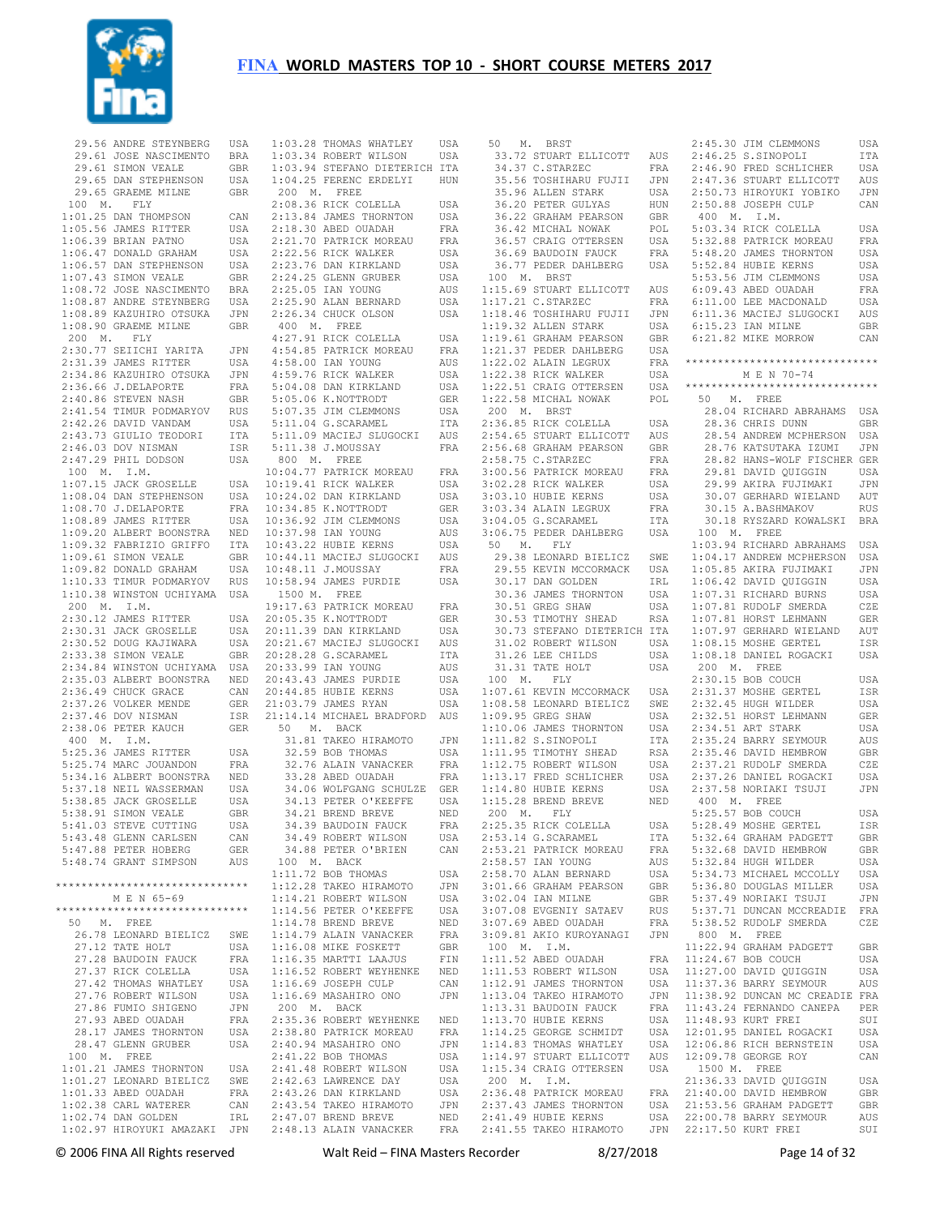

 29.56 ANDRE STEYNBERG USA 29.61 JOSE NASCIMENTO BRA 29.61 SIMON VEALE GBR 29.65 DAN STEPHENSON USA 29.65 GRAEME MILNE GBR 100 M. FLY 1:01.25 DAN THOMPSON CAN 1:05.56 JAMES RITTER USA 1:06.39 BRIAN PATNO USA 1:06.47 DONALD GRAHAM USA 1:06.57 DAN STEPHENSON USA 1:07.43 SIMON VEALE GBR 1:08.72 JOSE NASCIMENTO BRA 1:08.87 ANDRE STEYNBERG USA 1:08.89 KAZUHIRO OTSUKA JPN 1:08.90 GRAEME MILNE GBR 200 M. FLY 2:30.77 SEIICHI YARITA JPN 2:31.39 JAMES RITTER USA 2:34.86 KAZUHIRO OTSUKA JPN 2:36.66 J.DELAPORTE FRA 2:40.86 STEVEN NASH GBR 2:41.54 TIMUR PODMARYOV RUS 2:42.26 DAVID VANDAM USA 2:43.73 GIULIO TEODORI ITA 2:45.75 510112 --.<br>2:46.03 DOV NISMAN ISR<br>2:46.03 DOV NISMAN ISR 2:47.29 PHIL DODSON USA 100 M. I.M. 1:07.15 JACK GROSELLE USA 1:08.04 DAN STEPHENSON USA 1:08.70 J.DELAPORTE FRA 1:08.89 JAMES RITTER USA 1:09.20 ALBERT BOONSTRA NED 1:09.32 FABRIZIO GRIFFO ITA 1:09.61 SIMON VEALE GBR 1:09.82 DONALD GRAHAM USA 1:10.33 TIMUR PODMARYOV RUS 1:10.38 WINSTON UCHIYAMA USA 200 M. I.M. 2:30.12 JAMES RITTER USA 2:30.31 JACK GROSELLE USA 2:30.52 DOUG KAJIWARA USA<br>2:33.38 SIMON VEALE GBR  $2:33.38$  SIMON VEALE 2:34.84 WINSTON UCHIYAMA USA 2:35.03 ALBERT BOONSTRA NED 2:36.49 CHUCK GRACE CAN 2:37.26 VOLKER MENDE GER 2:37.46 DOV NISMAN ISR 2:38.06 PETER KAUCH GER 400 M. I.M. 5:25.36 JAMES RITTER USA 5:25.74 MARC JOUANDON FRA 5:34.16 ALBERT BOONSTRA NED 5:37.18 NEIL WASSERMAN USA 5:38.85 JACK GROSELLE USA 5:38.91 SIMON VEALE GBR<br>5:41 03 STEVE CUTTING USA 5:41.03 STEVE CUTTING 5:43.48 GLENN CARLSEN CAN<br>5:47 88 PETER HOBERG GER 5:47.88 PETER HOBERG GER 5:48.74 GRANT SIMPSON AUS \*\*\*\*\*\*\*\*\*\*\*\*\*\*\*\*\*\*\*\*\*\*\*\*\*\*\*\*\*\* M E N 65-69 \*\*\*\*\*\*\*\*\*\*\*\*\*\*\*\*\*\*\*\*\*\*\*\*\*\*\*\*\*\* 50 M. FREE 26.78 LEONARD BIELICZ SWE 27.12 TATE HOLT USA<br>27.28 BAUDOIN FAUCK FRA 27.28 BAUDOIN FAUCK 27.37 RICK COLELLA USA 27.42 THOMAS WHATLEY USA 27.76 ROBERT WILSON 27.86 FUMIO SHIGENO JPN<br>27.93 ARED OUADAH FRA 27.93 ABED OUADAH 28.17 JAMES THORNTON USA<br>28.47 GLENN GRUBER USA 28.47 GLENN GRUBER 100 M. FREE 1:01.21 JAMES THORNTON USA<br>1:01.27 LEONARD BIELICZ SWE 1:01.27 LEONARD BIELICZ SWE 1:01.33 ABED OUADAH FRA<br>1:02 38 CARL WATERER CAN  $1:02.38$  CARL WATERER  $1 \cdot 02$  74 DAN GOLDEN IRL 1:02.97 HIROYUKI AMAZAKI JPN

| 1:03.28 THOMAS WHATLEY USA<br>1:03.34 ROBERT WILSON USA                                                            |                |
|--------------------------------------------------------------------------------------------------------------------|----------------|
|                                                                                                                    |                |
| 1:03.94 STEFANO DIETERICH ITA                                                                                      |                |
| 1:04.25 FERENC ERDELYI HUN                                                                                         |                |
| 200 M. FREE                                                                                                        |                |
| 2:08.36 RICK COLELLA                                                                                               | USA            |
| 2:13.84 JAMES THORNTON                                                                                             | USA            |
| $2:18.30$ ABED OUADAH                                                                                              | FRA            |
| 2:21.70 PATRICK MOREAU                                                                                             | FRA            |
| 2:22.56 RICK WALKER                                                                                                | USA            |
| 2:23.76 DAN KIRKLAND                                                                                               | USA            |
| 2:24.25 GLENN GRUBER<br>2:25.05 IAN YOUNG                                                                          | USA            |
| $2:25.05$ IAN YOUNG                                                                                                | AUS            |
| 2:25.90 ALAN BERNARD                                                                                               | USA            |
| 2:26.34 CHUCK OLSON                                                                                                | USA            |
| 400 M. FREE                                                                                                        |                |
| 4:27.91 RICK COLELLA<br>4:54.85 PATRICK MOREAU                                                                     | USA            |
|                                                                                                                    | FRA            |
| 4:58.00 IAN YOUNG                                                                                                  | AUS            |
| 4:30.00 1.1. 1.1.<br>4:59.76 RICK WALKER<br>5:04.08 DAN KIRKLAND                                                   | USA            |
|                                                                                                                    | USA            |
| 5:05.06 K.NOTTRODT                                                                                                 | GER            |
| 5:07.35 JIM CLEMMONS                                                                                               | USA            |
|                                                                                                                    |                |
| $5:11.04$ G.SCARAMEL                                                                                               | ITA            |
| 5:11.09 MACIEJ SLUGOCKI                                                                                            | AUS            |
| 5:11.38 J.MOUSSAY                                                                                                  | FRA            |
|                                                                                                                    |                |
|                                                                                                                    | FRA            |
|                                                                                                                    | USA            |
|                                                                                                                    | USA            |
| 10:34.85 K.NOTTRODT                                                                                                | GER            |
| 10:36.92 JIM CLEMMONS<br>10:37.98 IAN YOUNG                                                                        | USA            |
|                                                                                                                    | AUS            |
| 10:43.22 HUBIE KERNS                                                                                               | USA            |
| 10:43.22 hours hours<br>10:44.11 MACIEJ SLUGOCKI AUS                                                               |                |
| 10:48.11 J.MOUSSAY                                                                                                 | FRA            |
| 10:58.94 JAMES PURDIE                                                                                              | USA            |
| 1500 M. FREE                                                                                                       |                |
| 19:17.63 PATRICK MOREAU FRA                                                                                        |                |
|                                                                                                                    | GER            |
| 20:05.35 K.NOTTRODT<br>20:11.39 DAN KIRKLAND                                                                       | USA            |
| 20:21.67 MACIEJ SLUGOCKI AUS                                                                                       |                |
| 20:28.28 G.SCARAMEL                                                                                                | ITA            |
| 20:33.99 IAN YOUNG                                                                                                 | AUS            |
| 20:43.43 JAMES PURDIE                                                                                              | USA            |
|                                                                                                                    |                |
| 20:44.85 HUBIE KERNS                                                                                               | USA            |
| 21:03.79 JAMES RYAN                                                                                                | USA            |
| 21:14.14 MICHAEL BRADFORD AUS                                                                                      |                |
| 50 M. BACK                                                                                                         |                |
| 31.81 TAKEO HIRAMOTO                                                                                               | JPN            |
| 32.59 BOB THOMAS                                                                                                   | USA            |
| 32.76 ALAIN VANACKER                                                                                               | FRA            |
| 33.28 ABED OUADAH                                                                                                  | FRA            |
| 34.06 WOLFGANG SCHULZE GER                                                                                         |                |
| 34.13 PETER O'KEEFFE<br>34.21 BREND BREVE                                                                          | USA            |
|                                                                                                                    | <b>NED</b>     |
| 34.39 BAUDOIN FAUCK                                                                                                | FRA            |
| 34.49 ROBERT WILSON                                                                                                | USA            |
| 34.88 PETER O'BRIEN                                                                                                | CAN            |
| 100 M. BACK                                                                                                        |                |
| $1:11.72$ BOB THOMAS                                                                                               | USA            |
|                                                                                                                    | JPN            |
|                                                                                                                    | USA            |
| 1:12.28 TAKEO HIRAMOTO<br>1:14.21 ROBERT WILSON<br>1:14.56 PETER O'KEEFFE                                          | USA            |
| $1:14.78$ BREND BREVE                                                                                              | NED            |
| 1:14.79 ALAIN VANACKER                                                                                             | FRA            |
| $1:16.08$ MIKE FOSKETT                                                                                             | GBR            |
| $1:16.35$ MARTTI LAAJUS                                                                                            | $\texttt{FIN}$ |
| 1:16.52 ROBERT WEYHENKE NED                                                                                        |                |
| $1:16.69$ JOSEPH CULP                                                                                              | CAN            |
| 1:16.69 MASAHIRO ONO                                                                                               | JPN            |
| 200 M. BACK                                                                                                        |                |
|                                                                                                                    |                |
|                                                                                                                    |                |
| 2:35.36 ROBERT WEYHENKE NED                                                                                        |                |
| 2:38.80 PATRICK MOREAU                                                                                             | FRA            |
| 2:40.94 MASAHIRO ONO                                                                                               | JPN            |
|                                                                                                                    | USA            |
|                                                                                                                    | USA            |
|                                                                                                                    | USA            |
|                                                                                                                    | USA            |
| 2:41.22 BOB THOMAS<br>2:41.22 BOB THOMAS<br>2:42.63 LAWRENCE DAY<br>2:43.26 DAN KIRKLAND<br>2:43.54 TAKEO HIRAMOTO | JPN            |
| 2:47.07 BREND BREVE                                                                                                | NED            |
| 2:48.13 ALAIN VANACKER                                                                                             | FRA            |

 50 M. BRST 35.56 TOSHIHARU FUJII JPN<br>35.96 ALLEN STARK IISA 35.96 ALLEN STARK USA 36.20 PETER GULYAS HUN 36.22 GRAHAM PEARSON GBR 36.42 MICHAL NOWAK POL 36.57 CRAIG OTTERSEN USA 36.69 BAUDOIN FAUCK 36.77 PEDER DAHLBERG 100 M. BRST 1:15.69 STUART ELLICOTT AUS<br>1:17.21 C.STARZEC FRA  $1:17.21$  C.STARZEC 1:18.46 TOSHIHARU FUJII JPN 1:19.32 ALLEN STARK USA 1:19.61 GRAHAM PEARSON GBR 1:21.37 PEDER DAHLBERG USA  $1:22.02$  ALAIN LEGRUX 1:22.38 RICK WALKER USA 1:22.58 MICHAL NOWAK POL 50 M. FREE 200 M. BRST 2:36.85 RICK COLELLA USA 2:54.65 STUART ELLICOTT AUS 2:56.68 GRAHAM PEARSON 2:58.75 C.STARZEC FRA<br>3:00.56 PATRICK MOREAU FRA 3:00.56 PATRICK MOREAU FRA<br>3:02.28 RICK WALKER USA 3:02.28 RICK WALKER 3:03.10 HUBIE KERNS USA<br>3:03.34 ALAIN LEGRUX FRA 3:03.34 ALAIN LEGRUX FRA<br>
3:04.05 G.SCARAMEL ITA<br>
3:06.75 PEDER DAHLBERG USA<br>
50 M. FLY<br>
29.38 LEONARD BIELICZ SWE 30.36 JAMES THORNTON 30.51 GREG SHAW 30.53 TIMOTHY SHEAD RSA<br>
30.73 STEFANO DIETERICH ITA<br>
31.02 ROBERT WILSON USA<br>
31.26 LEE CHILDS USA<br>
31.31 TATE HOLT USA<br>
100 M. FLY 1:07.61 KEVIN MCCORMACK USA 1:08.58 LEONARD BIELICZ SWE 1:11.82 S.SINOPOLI ITA 1:11.95 TIMOTHY SHEAD RSA 1:12.75 ROBERT WILSON<br>1:13.17 FRED SCHLICHER 1:13.17 FRED SCHLICHER USA 1:14.80 HUBIE KERNS USA 1:15.28 BREND BREVE NED 200 M. FLY 2:25.35 RICK COLELLA USA 2:58.57 IAN YOUNG AUS 2:58.70 ALAN BERNARD USA 3:01.66 GRAHAM PEARSON GBR 3:02.04 IAN MILNE GBR<br>3:07.08 EVGENIY SATAEV RUS<br>3:07.69 ABED OUADAH FRA 3:07.08 EVGENIY SATAEV 3:07.69 ABED OUADAH FRA 3:09.81 AKIO KUROYANAGI JPN 100 M. I.M.  $1:11.52$  ABED OUADAH  $1:11.53$  ROBERT WILSON 1:12.91 JAMES THORNTON  $1:13.04$  TAKEO HIRAMOTO 1:13.31 BAUDOIN FAUCK  $1.13$  70 HUBIE KERNS 1:14.25 GEORGE SCHMIDT USA 1:14.83 THOMAS WHATLEY USA 200 M. I.M. 2:36.48 PATRICK MOREAU

 33.72 STUART ELLICOTT AUS 34.37 C.STARZEC FRA 2:46.25 S.SINOPOLI ITA 2:46.90 FRED SCHLICHER USA 1:22.51 CRAIG OTTERSEN USA \*\*\*\*\*\*\*\*\*\*\*\*\*\*\*\*\*\*\*\*\*\*\*\*\*\*\*\*\*\* 29.55 KEVIN MCCORMACK USA 30.17 DAN GOLDEN IRL 1:05.85 AKIRA FUJIMAKI JPN 1:06.42 DAVID QUIGGIN USA 1:09.95 GREG SHAW USA 1:10.06 JAMES THORNTON USA 2:32.51 HORST LEHMANN GER 2:34.51 ART STARK USA 2:53.14 G.SCARAMEL ITA 2:53.21 PATRICK MOREAU FRA 5:32.64 GRAHAM PADGETT GBR 5:32.68 DAVID HEMBROW GBR 1:14.97 STUART ELLICOTT AUS 1:15.34 CRAIG OTTERSEN USA 12:09.78 GEORGE ROY CAN 1500 M. FREE 2:37.43 JAMES THORNTON USA 2:41.49 HUBIE KERNS USA 21:53.56 GRAHAM PADGETT GBR 22:00.78 BARRY SEYMOUR AUS 2:41.55 TAKEO HIRAMOTO JPN 22:17.50 KURT FREI SUI 2:45.30 JIM CLEMMONS USA 2:47.36 STUART ELLICOTT AUS 2:50.73 HIROYUKI YOBIKO JPN 2:50.88 JOSEPH CULP CAN 400 M. I.M. 5:03.34 RICK COLELLA USA 5:32.88 PATRICK MOREAU FRA 5:48.20 JAMES THORNTON USA 5:52.84 HUBIE KERNS USA 5:53.56 JIM CLEMMONS USA 6:09.43 ABED OUADAH FRA 6:11.00 LEE MACDONALD USA 6:11.36 MACIEJ SLUGOCKI AUS 6:15.23 IAN MILNE GBR 6:21.82 MIKE MORROW CAN \*\*\*\*\*\*\*\*\*\*\*\*\*\*\*\*\*\*\*\*\*\*\*\*\*\*\*\*\*\* M E N 70-74 28.04 RICHARD ABRAHAMS USA 28.36 CHRIS DUNN GBR 28.54 ANDREW MCPHERSON USA 28.76 KATSUTAKA IZUMI JPN 28.82 HANS-WOLF FISCHER GER 29.81 DAVID QUIGGIN USA 29.99 AKIRA FUJIMAKI JPN 30.07 GERHARD WIELAND AUT 30.15 A.BASHMAKOV RUS<br>30.18 RYSZARD KOWALSKI BRA<br>100 M. FREE<br>1:03.94 RICHARD ABRAHAMS USA<br>1:04.17 ANDREW MCPHERSON USA 1:07.31 RICHARD BURNS USA 1:07.81 RUDOLF SMERDA CZE 1:07.81 HORST LEHMANN GER RSA 1:07.81 HORST LEHMANN GER<br>I ITA 1:07.97 GERHARD WIELAND AUT 1:08.15 MOSHE GERTEL ISR 1:08.18 DANIEL ROGACKI USA 200 M. FREE 2:30.15 BOB COUCH USA 2:31.37 MOSHE GERTEL ISR 2:32.45 HUGH WILDER USA<br>2:32.51 HORST LEHMANN GER 2:35.24 BARRY SEYMOUR AUS 2:35.46 DAVID HEMBROW GBR 2:37.21 RUDOLF SMERDA CZE 2:37.26 DANIEL ROGACKI USA 2:37.58 NORIAKI TSUJI JPN 400 M. FREE 5:25.57 BOB COUCH USA<br>5:28.49 MOSHE GERTEL USR 5:28.49 MOSHE GERTEL 5:32.84 HUGH WILDER USA 5:34.73 MICHAEL MCCOLLY USA 5:36.80 DOUGLAS MILLER USA 5:37.49 NORIAKI TSUJI JPN 5:37.71 DUNCAN MCCREADIE FRA 5:38.52 RUDOLF SMERDA CZE 800 M. FREE 11:22.94 GRAHAM PADGETT GBR<br>11:24 67 BOB COUCH USA FRA 11:24.67 BOB COUCH 11:27.00 DAVID QUIGGIN USA<br>11:37.36 BARRY SEYMOUR AUS<br>11:38.92 DUNCAN MC CREADIE FRA<br>11:43.24 FERNANDO CANEPA PER 11:48.93 KURT FREI SUI 12:01.95 DANIEL ROGACKI USA 12:06.86 RICH BERNSTEIN USA 21:36.33 DAVID QUIGGIN USA 21:30:30 DAVID QUIGUIN COA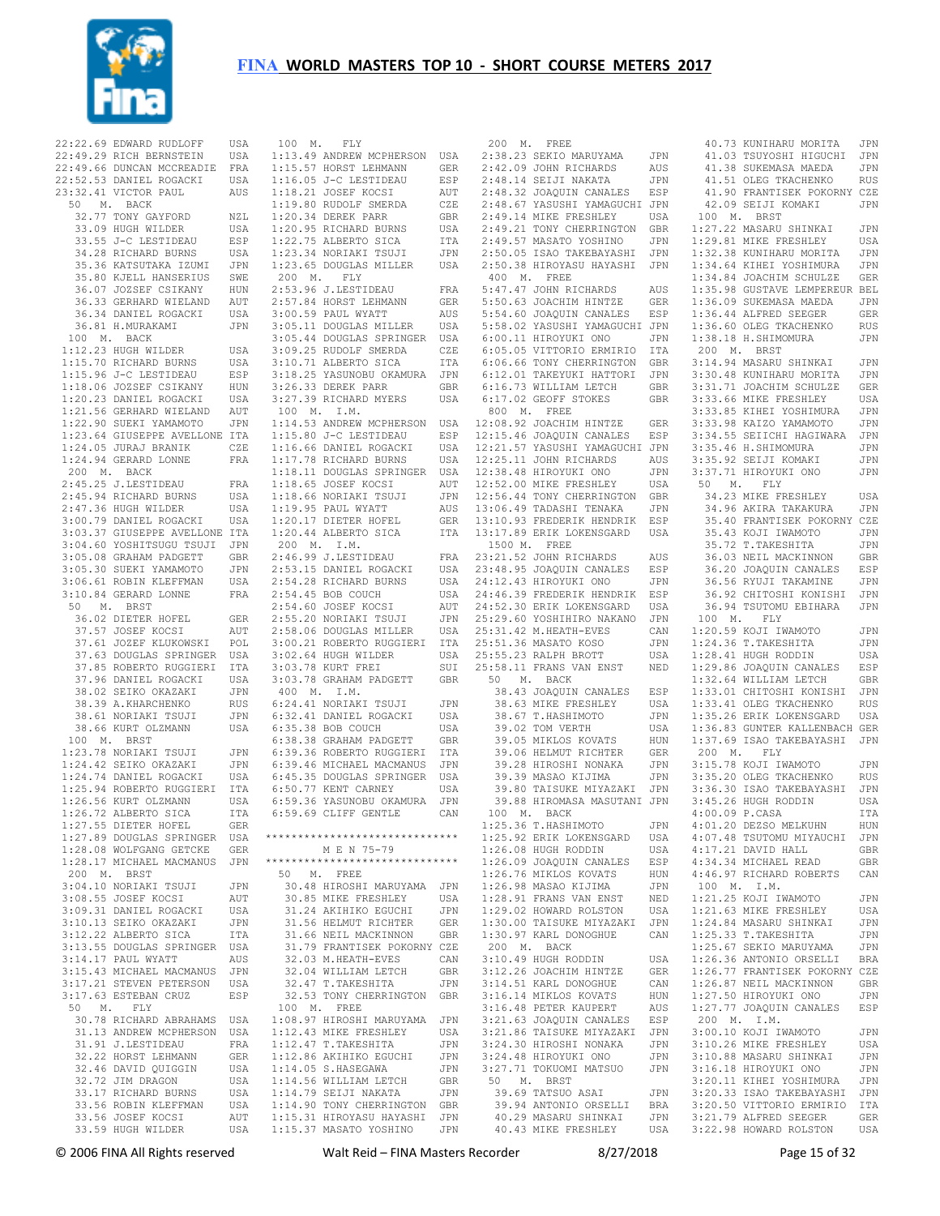

22:22.69 EDWARD RUDLOFF USA 22:49.29 RICH BERNSTEIN USA 22:49.66 DUNCAN MCCREADIE FRA 22:52.53 DANIEL ROGACKI USA 23:32.41 VICTOR PAUL AUS 50 M. BACK 32.77 TONY GAYFORD NZL 33.09 HUGH WILDER USA 33.55 J-C LESTIDEAU ESP 34.28 RICHARD BURNS USA 35.36 KATSUTAKA IZUMI JPN 35.80 KJELL HANSERIUS SWE 36.07 JOZSEF CSIKANY HUN 36.33 GERHARD WIELAND AUT 36.34 DANIEL ROGACKI USA 36.81 H.MURAKAMI JPN 100 M. BACK 1:12.23 HUGH WILDER USA 1:15.70 RICHARD BURNS USA 1:15.96 J-C LESTIDEAU ESP 1:18.06 JOZSEF CSIKANY HUN 1:20.23 DANIEL ROGACKI USA 1:21.56 GERHARD WIELAND AUT 1:22.90 SUEKI YAMAMOTO JPN 1:23.64 GIUSEPPE AVELLONE ITA 1:24.05 JURAJ BRANIK CZE 1:24.94 GERARD LONNE FRA 200 M. BACK 2:45.25 J.LESTIDEAU FRA 2:45.94 RICHARD BURNS USA 2:47.36 HUGH WILDER USA 3:00.79 DANIEL ROGACKI USA 3:03.37 GIUSEPPE AVELLONE ITA 3:04.60 YOSHITSUGU TSUJI JPN 3:05.08 GRAHAM PADGETT GBR 3:05.30 SUEKI YAMAMOTO JPN 3:06.61 ROBIN KLEFFMAN USA 3:10.84 GERARD LONNE FRA 50 M. BRST 36.02 DIETER HOFEL GER 37.57 JOSEF KOCSI AUT 37.61 JOZEF KLUKOWSKI POL 37.63 DOUGLAS SPRINGER USA 37.85 ROBERTO RUGGIERI ITA 37.96 DANIEL ROGACKI USA 38.02 SEIKO OKAZAKI JPN 38.39 A.KHARCHENKO RUS 38.61 NORTAKI TSUJI JPN 38.66 KURT OLZMANN USA 100 M. BRST 1:23.78 NORIAKI TSUJI JPN 1:24.42 SEIKO OKAZAKI JPN 1:24.74 DANIEL ROGACKI USA 1:25.94 ROBERTO RUGGIERI ITA 1:26.56 KURT OLZMANN USA 1:26.72 ALBERTO SICA ITA<br>1:27.55 DIETER HOEEL GER  $1:27.55$  DIETER HOFEL 1:27.89 DOUGLAS SPRINGER USA 1:28.08 WOLFGANG GETCKE GER 1:28.17 MICHAEL MACMANUS JPN 200 M. BRST 3:04.10 NORIAKI TSUJI JPN 3:08.55 JOSEF KOCSI AUT<br>3:09.31 DANIEL ROGACKI LISA 3:09.31 DANIEL ROGACKI USA<br>3:10.13 SEIKO OKAZAKI JPN 3:09.31 DINALL - . .<br>3:10.13 SEIKO OKAZAKI JPN<br>3:12 22 ALBERTO SICA ITA 3:12.22 ALBERTO SICA 3:13.55 DOUGLAS SPRINGER USA<br>3:14 17 PAUL WYATT AUS  $3:14.17$  PAUL WYATT 3:15.43 MICHAEL MACMANUS JPN 3:17.21 STEVEN PETERSON USA 3:17.63 ESTEBAN CRUZ ESP 50 M. FLY 30.78 RICHARD ABRAHAMS USA 31.13 ANDREW MCPHERSON USA<br>31.91 J LESTIDEAU FRA 31.91 J.LESTIDEAU 32.22 HORST LEHMANN GER 32.46 DAVID QUIGGIN USA<br>32.72 JIM DRAGON USA 32.72 JIM DRAGON 33.17 RICHARD BURNS USA<br>33.56 ROBIN KLEFFMAN USA 33.56 ROBIN KLEFFMAN 33.56 JOSEF KOCSI AUT 33.59 HUGH WILDER

 100 M. FLY 1:13.49 ANDREW MCPHERSON USA 1:15.57 HORST LEHMANN GER 1:16.05 J-C LESTIDEAU ESP 1:18.21 JOSEF KOCSI AUT 1:19.80 RUDOLF SMERDA CZE 1:20.34 DEREK PARR GBR 1:20.95 RICHARD BURNS USA 1:22.75 ALBERTO SICA ITA 1:23.34 NORIAKI TSUJI JPN 1:23.65 DOUGLAS MILLER USA 200 M. FLY 2:53.96 J.LESTIDEAU FRA 2:57.84 HORST LEHMANN GER 3:00.59 PAUL WYATT AUS 3:05.11 DOUGLAS MILLER USA 3:05.44 DOUGLAS SPRINGER USA 3:09.25 RUDOLF SMERDA CZE 3:10.71 ALBERTO SICA ITA 3:18.25 YASUNOBU OKAMURA JPN 3:26.33 DEREK PARR GBR 3:27.39 RICHARD MYERS USA 100 M. I.M. 1:14.53 ANDREW MCPHERSON USA 1:15.80 J-C LESTIDEAU ESP 1:16.66 DANIEL ROGACKI USA 1:17.78 RICHARD BURNS USA 1:18.11 DOUGLAS SPRINGER USA 1:18.65 JOSEF KOCSI AUT 1:18.66 NORIAKI TSUJI JPN 1:19.95 PAUL WYATT AUS 1:20.17 DIETER HOFEL GER  $1:20.44$  ALBERTO SICA 200 M. I.M.  $2:46.99$  J.LESTIDEAU 2:53.15 DANIEL ROGACKI USA 23:48.95 JOAQUIN CANALES ESP 2:54.28 RICHARD BURNS USA<br>2:54.45 BOB COUCH USA<br>2:54.60 JOSEF KOCST AUT 2:54.45 BOB COUCH USA 2:54.60 JOSEF KOCSI AUT 2:55.20 NORIAKI TSUJI JPN<br>?•58.06 DOUGLAS MILLER USA 2:58.06 DOUGLAS MILLER 3:00.21 ROBERTO RUGGIERI ITA<br>3:02.64 HUGH WILDER USA 3:02.64 HUGH WILDER 3:03.78 KURT FREI SUI 3:03.78 GRAHAM PADGETT GBR 400 M. I.M. 6:24.41 NORIAKI TSUJI JPN 6:32.41 DANIEL ROGACKI USA 6:35.38 BOB COUCH USA 6:38.38 GRAHAM PADGETT GBR 6:39.36 ROBERTO RUGGIERI ITA 6:39.46 MICHAEL MACMANUS JPN 6:45.35 DOUGLAS SPRINGER USA 6:50.77 KENT CARNEY USA 6:59.36 YASUNOBU OKAMURA JPN 6:59.69 CLIFF GENTLE CAN \*\*\*\*\*\*\*\*\*\*\*\*\*\*\*\*\*\*\*\*\*\*\*\*\*\*\*\*\*\* M E N 75-79 \*\*\*\*\*\*\*\*\*\*\*\*\*\*\*\*\*\*\*\*\*\*\*\*\*\*\*\*\*\* 50 M. FREE 30.48 HIROSHI MARUYAMA JPN 30.85 MIKE FRESHLEY USA 31.24 AKIHIKO EGUCHI JPN 31.56 HELMUT RICHTER GER 31.66 NEIL MACKINNON GBR 31.79 FRANTISEK POKORNY CZE 32.03 M.HEATH-EVES CAN 32.04 WILLIAM LETCH GBR<br>32.47 T.TAKESHITA JPN 32.47 T.TAKESHITA 32.53 TONY CHERRINGTON GBR 100 M. FREE 1:08.97 HIROSHI MARUYAMA JPN 1:12.43 MIKE FRESHLEY USA<br>1:12.47 T TAKESHITA JPN  $1 \cdot 12$  47 T. TAKESHITA 1:12.86 AKIHIKO EGUCHI JPN 1:14.05 S.HASEGAWA JPN<br>1:14.56 WILLIAM LETCH GBR 1:14.56 WILLIAM LETCH GBR 1:14.79 SEIJI NAKATA JPN<br>1:14.90 TONY CHERRINGTON GBR 1:14.90 TONY CHERRINGTON GBR 1:15.31 HIROYASU HAYASHI JPN 1:15.37 MASATO YOSHINO JPN

 200 M. FREE 2:38.23 SEKIO MARUYAMA JPN 2:42.09 JOHN RICHARDS AUS 2:48.14 SEIJI NAKATA JPN 2:48.32 JOAQUIN CANALES ESP 2:48.67 YASUSHI YAMAGUCHI JPN 2:49.14 MIKE FRESHLEY USA 2:49.21 TONY CHERRINGTON GBR 2:49.57 MASATO YOSHINO JPN 2:50.05 ISAO TAKEBAYASHI JPN 2:50.38 HIROYASU HAYASHI JPN<br>2:50.38 HIROYASU HAYASHI JPN 400 M. FREE 5:47.47 JOHN RICHARDS AUS 5:50.63 JOACHIM HINTZE GER 5:54.60 JOAQUIN CANALES ESP 5:58.02 YASUSHI YAMAGUCHI JPN 6:00.11 HIROYUKI ONO JPN 6:05.05 VITTORIO ERMIRIO ITA 6:06.66 TONY CHERRINGTON GBR 6:12.01 TAKEYUKI HATTORI JPN 6:16.73 WILLIAM LETCH GBR<br>6:17.02 GEOFF STOKES GBR 6:17.02 GEOFF STOKES 800 M. FREE 12:08.92 JOACHIM HINTZE GER ESP 12:15.46 JOAQUIN CANALES ESP 12:21.57 YASUSHI YAMAGUCHI JPN 12:25.11 JOHN RICHARDS AUS 12:38.48 HIROYUKI ONO JPN 12:52.00 MIKE FRESHLEY USA 12:56.44 TONY CHERRINGTON GBR 13:06.49 TADASHI TENAKA JPN 13:10.93 FREDERIK HENDRIK ESP 13:17.89 ERIK LOKENSGARD USA 1500 M. FREE 23:21.52 JOHN RICHARDS AUS 24:12.43 HIROYUKI ONO JPN 24:46.39 FREDERIK HENDRIK ESP 24:52.30 ERIK LOKENSGARD USA 25:29.60 YOSHIHIRO NAKANO JPN<br>25:31.42 M.HEATH-EVES CAN 25:31.42 M.HEATH-EVES CAN<br>25:51.36 MASATO KOSO JPN 25:51.36 MASATO KOSO JPN<br>25:51.36 MASATO KOSO JPN<br>25:55.23 RALPH BROTT USA  $25:55.23$  RALPH BROTT 25:58.11 FRANS VAN ENST NED 50 M. BACK 38.43 JOAQUIN CANALES ESP 38.63 MIKE FRESHLEY USA 38.67 T.HASHIMOTO JPN 39.02 TOM VERTH USA<br>39.05 MIKLOS KOVATS HUN 39.05 MIKLOS KOVATS 39.06 HELMUT RICHTER GER 39.28 HIROSHI NONAKA JPN 39.39 MASAO KIJIMA JPN 39.80 TAISUKE MIYAZAKI JPN 39.88 HIROMASA MASUTANI JPN 100 M. BACK 1:25.36 T.HASHIMOTO JPN 1:25.92 ERIK LOKENSGARD USA<br>1:26.08 HUGH RODDIN USA  $1:26$  08 HUGH RODDIN 1:26.09 JOAQUIN CANALES ESP 1:26.76 MIKLOS KOVATS HUN 1:26.98 MASAO KIJIMA JPN 1:28.91 FRANS VAN ENST NED<br>1:29.02 HOWARD ROLSTON USA  $1:29.02$  HOWARD ROLSTON 1:30.00 TAISUKE MIYAZAKI JPN 1:30.97 KARL DONOGHUE CAN 200 M. BACK 3:10.49 HUGH RODDIN USA 3:12.26 JOACHIM HINTZE GER 3:14.51 KARL DONOGHUE CAN<br>3:16.14 MIKLOS KOVATS HUN 3:16.14 MIKLOS KOVATS 3:16.48 PETER KAUPERT AUS<br>3:21.63 JOAQUIN CANALES ESP 3:21.63 JOAOUIN CANALES 3:21.86 TAISUKE MIYAZAKI JPN 3:24.30 HIROSHI NONAKA 3:24.48 HIROYUKI ONO JPN<br>3:27.71 TOKUOMI MATSUO JPN 3:27.71 TOKUOMI MATSUO 50 M. BRST 39.69 TATSUO ASAI JPN<br>39.94 ANTONIO ORSELLI BRA 39.94 ANTONIO ORSELLI BRA 40.29 MASARU SHINKAI JPN 40.43 MIKE FRESHLEY

 40.73 KUNIHARU MORITA JPN 41.03 TSUYOSHI HIGUCHI JPN 41.38 SUKEMASA MAEDA JPN 41.51 OLEG TKACHENKO RUS 41.90 FRANTISEK POKORNY CZE 42.09 SEIJI KOMAKI JPN 100 M. BRST 1:27.22 MASARU SHINKAI JPN 1:29.81 MIKE FRESHLEY USA 1:32.38 KUNIHARU MORITA JPN 1:34.64 KIHEI YOSHIMURA JPN 1:34.84 JOACHIM SCHULZE GER 1:35.98 GUSTAVE LEMPEREUR BEL 1:36.09 SUKEMASA MAEDA JPN 1:36.44 ALFRED SEEGER GER 1:36.60 OLEG TKACHENKO RUS 1:38.18 H.SHIMOMURA JPN 200 M. BRST 3:14.94 MASARU SHINKAI JPN 3:30.48 KUNIHARU MORITA JPN 3:31.71 JOACHIM SCHULZE GER 3:33.66 MIKE FRESHLEY USA 3:33.85 KIHEI YOSHIMURA JPN 3:33.98 KAIZO YAMAMOTO JPN 3:34.55 SEIICHI HAGIWARA JPN 3:35.46 H.SHIMOMURA JPN 3:35.92 SEIJI KOMAKI JPN 3:37.71 HIROYUKI ONO JPN 50 M. FLY 34.23 MIKE FRESHLEY USA 34.96 AKIRA TAKAKURA JPN 35.40 FRANTISEK POKORNY CZE 35.43 KOJI IWAMOTO JPN 35.72 T.TAKESHITA JPN 36.03 NEIL MACKINNON GBR 36.20 JOAQUIN CANALES ESP 36.56 RYUJI TAKAMINE JPN 36.92 CHITOSHI KONISHI JPN 36.94 TSUTOMU EBIHARA JPN 100 M. FLY 1:20.59 KOJI IWAMOTO JPN 1:24.36 T.TAKESHITA JPN<br>1:28.41 HUGH RODDIN USA  $1:28.41$  HUGH RODDIN 1:29.86 JOAQUIN CANALES ESP 1:32.64 WILLIAM LETCH GBR 1:33.01 CHITOSHI KONISHI JPN 1:33.41 OLEG TKACHENKO RUS 1:35.26 ERIK LOKENSGARD USA 1:36.83 GUNTER KALLENBACH GER 1:37.69 ISAO TAKEBAYASHI JPN 200 M. FLY 3:15.78 KOJI IWAMOTO JPN 3:35.20 OLEG TKACHENKO RUS 3:36.30 ISAO TAKEBAYASHI JPN 3:45.26 HUGH RODDIN USA 4:00.09 P.CASA ITA 4:01.20 DEZSO MELKUHN HUN 4:07.48 TSUTOMU MIYAUCHI JPN<br>4:17.21 DAVID HALL  $4 \cdot 17$ .21 DAVID HALL 4:34.34 MICHAEL READ GBR 4:46.97 RICHARD ROBERTS CAN 100 M. I.M. 1:21.25 KOJI IWAMOTO JPN  $1:21.63$  MIKE FRESHLEY 1:24.84 MASARU SHINKAI JPN  $1:25.33$  T.TAKESHITA 1:25.67 SEKIO MARUYAMA JPN<br>1:26.36 ANTONIO ORSELLI RRA 1:26.36 ANTONIO ORSELLI BRA 1:26.77 FRANTISEK POKORNY CZE 1:26.87 NEIL MACKINNON GBR<br>1:27 50 HIROYUKI ONO 5.IPN  $1:27.50$  HIROYUKI ONO 1:27.77 JOAQUIN CANALES ESP 200 M. I.M. 3:00.10 KOJI IWAMOTO JPN<br>3:10 26 MIKE FRESHLEY USA 3:10.26 MIKE FRESHLEY 3:10.88 MASARU SHINKAI JPN 3:16.18 HIROYUKI ONO JPN 3:20.11 KIHEI YOSHIMURA JPN 3:20.33 ISAO TAKEBAYASHI JPN 3:20.50 VITTORIO ERMIRIO ITA 3:21.79 ALFRED SEEGER GER USA 3:22.98 HOWARD ROLSTON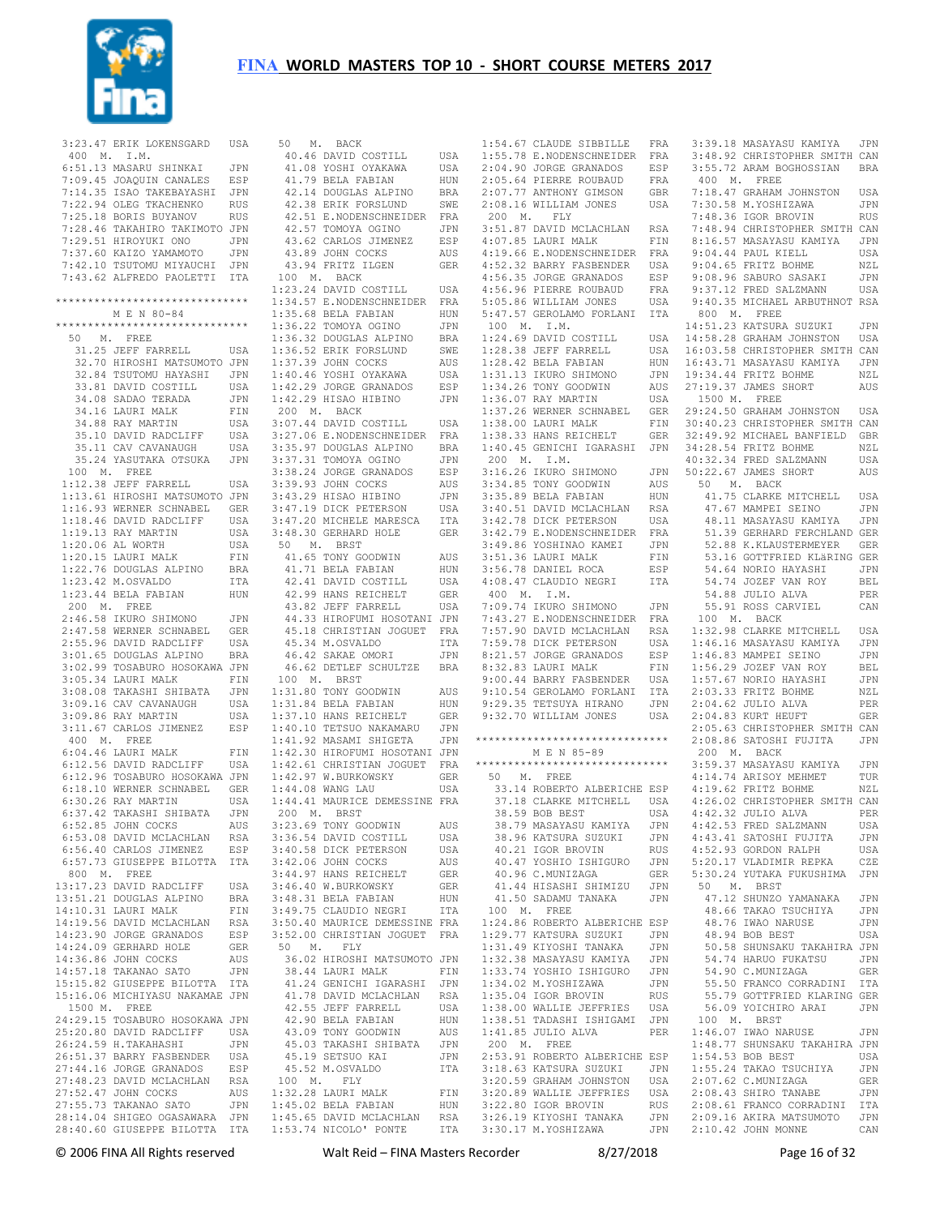

 3:23.47 ERIK LOKENSGARD USA 400 M. I.M. 6:51.13 MASARU SHINKAI JPN 7:09.45 JOAQUIN CANALES ESP 7:14.35 ISAO TAKEBAYASHI JPN 7:22.94 OLEG TKACHENKO RUS 7:25.18 BORIS BUYANOV RUS 7:28.46 TAKAHIRO TAKIMOTO JPN 7:29.51 HIROYUKI ONO JPN 7:37.60 KAIZO YAMAMOTO JPN 7:42.10 TSUTOMU MIYAUCHI JPN 7:43.62 ALFREDO PAOLETTI ITA \*\*\*\*\*\*\*\*\*\*\*\*\*\*\*\*\*\*\*\*\*\*\*\*\*\*\*\*\*\* M E N 80-84 \*\*\*\*\*\*\*\*\*\*\*\*\*\*\*\*\*\*\*\*\*\*\*\*\*\*\*\*\*\* 50 M. FREE 31.25 JEFF FARRELL USA 32.70 HIROSHI MATSUMOTO JPN 32.84 TSUTOMU HAYASHI JPN 33.81 DAVID COSTILL USA<br>34.08 SADAO TERADA JPN 34.08 SADAO TERADA 34.16 LAURI MALK FIN 34.88 RAY MARTIN USA 35.10 DAVID RADCLIFF USA 35.11 CAV CAVANAUGH USA 35.24 YASUTAKA OTSUKA JPN 100 M. FREE 1:12.38 JEFF FARRELL USA 1:13.61 HIROSHI MATSUMOTO JPN 1:16.93 WERNER SCHNABEL GER 1:18.46 DAVID RADCLIFF USA 1:19.13 RAY MARTIN USA 1:20.06 AL WORTH USA 1:20.15 LAURI MALK FIN 1:22.76 DOUGLAS ALPINO BRA 1:23.42 M.OSVALDO ITA 1:23.44 BELA FABIAN HUN 200 M. FREE 2:46.58 IKURO SHIMONO JPN 2:47.58 WERNER SCHNABEL GER 2:47.00 Nunnun - .<br>2:55.96 DAVID RADCLIFF USA<br>3:01.65 DOUGLAS ALPINO BRA 3:01.65 DOUGLAS ALPINO BRA 3:02.99 TOSABURO HOSOKAWA JPN 3:05.34 LAURI MALK 3:08.08 TAKASHI SHIBATA JPN 3:09.16 CAV CAVANAUGH USA 3:09.86 RAY MARTIN USA 3:11.67 CARLOS JIMENEZ ESP 400 M. FREE 6:04.46 LAURI MALK FIN 6:12.56 DAVID RADCLIFF USA 6:12.96 TOSABURO HOSOKAWA JPN 6:18.10 WERNER SCHNABEL GER 6:30.26 RAY MARTIN USA<br>6:37.42 TAKASHI SHIBATA JPN 6:37.42 TAKASHI SHIBATA JPN  $6:52.85$  JOHN COCKS 6:53.08 DAVID MCLACHLAN RSA<br>6:56.40 CARLOS JIMENEZ RSP 6:56.40 CARLOS JIMENEZ ESP 6:57.73 GIUSEPPE BILOTTA ITA 800 M. FREE 13:17.23 DAVID RADCLIFF USA 13:51.21 DOUGLAS ALPINO BRA 14:10.31 LAURI MALK FIN 14:19.56 DAVID MCLACHLAN RSA 14:23.90 JORGE GRANADOS ESP 14:23:30 00104 --<br>14:24.09 GERHARD HOLE GER<br>14:36.86 JOHN COCKS AUS 14:36.86 JOHN COCKS AUS 14:57.18 TAKANAO SATO JPN 15:15.82 GIUSEPPE BILOTTA ITA 15:16.06 MICHIYASU NAKAMAE JPN 1500 M. FREE 24:29.15 TOSABURO HOSOKAWA JPN 25:20.80 DAVID RADCLIFF USA<br>26:24 59 H TAKAHASHI JPN  $26.24$  59 H TAKAHASHI 26:51.37 BARRY FASBENDER USA 27:44.16 JORGE GRANADOS ESP<br>27:48.23 DAVID MCLACHLAN RSA 27:48.23 DAVID MCLACHLAN RSA<br>27:52.47 JOHN COCKS ALLS 27:52.47 JOHN COCKS<br>27:55.73 TAKANAO SATO 27:55.73 TAKANAO SATO JPN 28:14.04 SHIGEO OGASAWARA JPN 1:45.02 BELA FABIAN HUN 1:45.65 DAVID MCLACHLAN RSA

28:40.60 GIUSEPPE BILOTTA ITA 1:53.74 NICOLO' PONTE ITA 3:30.17 M.YOSHIZAWA JPN 50 M. BACK 40.46 DAVID COSTILL USA 41.08 YOSHI OYAKAWA USA 41.79 BELA FABIAN HUN 42.14 DOUGLAS ALPINO BRA 42.38 ERIK FORSLUND SWE 42.51 E.NODENSCHNEIDER FRA 42.57 TOMOYA OGINO JPN 42.37 ISBN 2007<br>43.62 CARLOS JIMENEZ ESP 43.89 JOHN COCKS AUS 43.94 FRITZ ILGEN GER 100 M. BACK 1:23.24 DAVID COSTILL USA 1:34.57 E.NODENSCHNEIDER FRA 1:35.68 BELA FABIAN HUN 1:36.22 TOMOYA OGINO JPN 1:36.32 DOUGLAS ALPINO BRA 1:36.52 ERIK FORSLUND SWE 1:37.39 JOHN COCKS AUS 1:40.46 YOSHI OYAKAWA USA 1:42.29 JORGE GRANADOS ESP 1:42.29 HISAO HIBINO JPN 200 M. BACK 3:07.44 DAVID COSTILL USA 3:27.06 E.NODENSCHNEIDER FRA 3:35.97 DOUGLAS ALPINO BRA 3:37.31 TOMOYA OGINO JPN 3:38.24 JORGE GRANADOS ESP 3:39.93 JOHN COCKS AUS 3:43.29 HISAO HIBINO JPN 3:47.19 DICK PETERSON USA 3:47.20 MICHELE MARESCA ITA 3:48.30 GERHARD HOLE GER 50 M. BRST 41.65 TONY GOODWIN AUS 41.71 BELA FABIAN HUN 42.41 DAVID COSTILL USA 42.99 HANS REICHELT GER 43.82 JEFF FARRELL USA 44.33 HIROFUMI HOSOTANI JPN 45.18 CHRISTIAN JOGUET FRA 45.34 M.OSVALDO ITA 46.42 SAKAE OMORI JPN 46.62 DETLEF SCHULTZE BRA 100 M. BRST 1:31.80 TONY GOODWIN AUS 1:31.84 BELA FABIAN HUN 1:37.10 HANS REICHELT GER 1:40.10 TETSUO NAKAMARU JPN 1:41.92 MASAMI SHIGETA JPN 1:42.30 HIROFUMI HOSOTANI JPN 1:42.61 CHRISTIAN JOGUET FRA 1:42.97 W.BURKOWSKY GER 1:44.08 WANG LAU USA 1:44.41 MAURICE DEMESSINE FRA 200 M. BRST 3:23.69 TONY GOODWIN AUS<br>3:36.54 DAVID COSTILL USA 3:36.54 DAVID COSTILL USA<br>3:36.54 DAVID COSTILL USA 3:40.58 DICK PETERSON 3:42.06 JOHN COCKS AUS 3:44.97 HANS REICHELT GER 3:46.40 W.BURKOWSKY GER 3:48.31 BELA FABIAN HUN 3:49.75 CLAUDIO NEGRI ITA 3:50.40 MAURICE DEMESSINE FRA 3:52.00 CHRISTIAN JOGUET FRA 50 M. FLY 36.02 HIROSHI MATSUMOTO JPN 38.44 LAURI MALK FIN 41.24 GENICHI IGARASHI JPN 41.78 DAVID MCLACHLAN RSA 11.75 ---<br>42.55 JEFF FARRELL USA<br>42.90 BELA FARTAN HIIM 42.90 BELA FABIAN HUN<br>43.09 TONY GOODWIN AUS 43.09 TONY GOODWIN AUS 45.03 TAKASHI SHIBATA JPN 45.19 SETSUO KAI JPN 45.52 M.OSVALDO ITA 100 M. FLY 1:32.28 LAURI MALK FIN

 1:54.67 CLAUDE SIBBILLE FRA 1:55.78 E.NODENSCHNEIDER FRA 2:04.90 JORGE GRANADOS ESP 2:05.64 PIERRE ROUBAUD FRA 2:07.77 ANTHONY GIMSON GBR 2:08.16 WILLIAM JONES USA 200 M. FLY 3:51.87 DAVID MCLACHLAN RSA 4:07.85 LAURI MALK FIN<br>4:19.66 E.NODENSCHNEIDER FRA 4:19.66 E.NODENSCHNEIDER 4:52.32 BARRY FASBENDER USA 4:56.35 JORGE GRANADOS ESP 4:56.96 PIERRE ROUBAUD FRA 5:05.86 WILLIAM JONES USA 5:47.57 GEROLAMO FORLANI ITA 100 M. I.M.  $1:24.69$  DAVID COSTILL  $1:28.38$  JEFF FARRELL  $1:28$  42 BELA FABIAN 1:31.13 IKURO SHIMONO JPN 1:34.26 TONY GOODWIN 1:36.07 RAY MARTIN USA 1:37.26 WERNER SCHNABEL 1:38.00 LAURI MALK FIN 1:38.33 HANS REICHELT GER 200 M. I.M. 3:16.26 IKURO SHIMONO 3:34.85 TONY GOODWIN AUS 3:35.89 BELA FABIAN HUN 3:40.51 DAVID MCLACHLAN RSA 3:42.78 DICK PETERSON USA 3:42.79 E.NODENSCHNEIDER FRA 3:49.86 YOSHINAO KAMEI JPN  $3:51.36$  LAURI MALK 3:56.78 DANIEL ROCA ESP 4:08.47 CLAUDIO NEGRI 400 M. I.M. 7:09.74 IKURO SHIMONO JPN 7:43.27 E.NODENSCHNEIDER FRA 7:57.90 DAVID MCLACHLAN RSA .....<br>7:59.78 DICK PETERSON USA<br>8:21.57 JORGE GRANADOS FSP 8:21.57 JORGE GRANADOS ESP<br>8:32.83 LAURI MALK FIN 8:32.83 LAURI MALK 9:00.44 BARRY FASBENDER USA 9:10.54 GEROLAMO FORLANI ITA 9:29.35 TETSUYA HIRANO JPN 9:32.70 WILLIAM JONES \*\*\*\*\*\*\*\*\*\*\*\*\*\*\*\*\*\*\*\*\*\*\*\*\*\*\*\*\*\* M E N 85-89 \*\*\*\*\*\*\*\*\*\*\*\*\*\*\*\*\*\*\*\*\*\*\*\*\*\*\*\*\*\* 50 M. FREE 33.14 ROBERTO ALBERICHE ESP 37.18 CLARKE MITCHELL USA<br>38.59 BOB BEST USA 38.59 BOB BEST USA<br>38.79 MASAYASU KAMIYA JPN 38.79 MASAYASU KAMIYA JPN 38.96 KATSURA SUZUKI JPN<br>40.21 IGOR BROVIN RIIS 40.21 IGOR BROVIN RUS 40.47 YOSHIO ISHIGURO JPN 40.96 C.MUNIZAGA GER 41.44 HISASHI SHIMIZU 41.50 SADAMU TANAKA JPN 100 M. FREE 1:24.86 ROBERTO ALBERICHE ESP 1:29.77 KATSURA SUZUKI JPN 1:31.49 KIYOSHI TANAKA JPN 1:32.38 MASAYASU KAMIYA 1:33.74 YOSHIO ISHIGURO JPN 1:34.02 M.YOSHIZAWA JPN 1:35.04 IGOR BROVIN RUS 1:38.00 WALLIE JEFFRIES USA 1:38.51 TADASHI ISHIGAMI JPN 200 M. FREE 2:53.91 ROBERTO ALBERICHE ESP 3:18.63 KATSURA SUZUKI JPN 3:20.59 GRAHAM JOHNSTON 3:20.89 WALLIE JEFFRIES USA 3:22.80 IGOR BROVIN<br>3:22.80 IGOR BROVIN 3:26.19 KIYOSHI TANAKA

 1:40.45 GENICHI IGARASHI JPN 34:28.54 FRITZ BOHME NZL 1:41.85 JULIO ALVA PER 100 M. BRST 1:46.07 IWAO NARUSE JPN 3:39.18 MASAYASU KAMIYA JPN 3:48.92 CHRISTOPHER SMITH CAN 3:55.72 ARAM BOGHOSSIAN BRA 400 M. FREE 7:18.47 GRAHAM JOHNSTON USA 7:30.58 M.YOSHIZAWA JPN 7:48.36 IGOR BROVIN RUS 7:48.94 CHRISTOPHER SMITH CAN 8:16.57 MASAYASU KAMIYA JPN 9:04.44 PAUL KIELL USA 9:04.65 FRITZ BOHME NZL<br>9:08.96 SABURO SASAKI JPN 9:08.96 SABURO SASAKI 9:37.12 FRED SALZMANN USA 9:40.35 MICHAEL ARBUTHNOT RSA 800 M. FREE 14:51.23 KATSURA SUZUKI JPN USA 14:58.28 GRAHAM JOHNSTON USA 16:03.58 CHRISTOPHER SMITH CAN 16:43.71 MASAYASU KAMIYA JPN 19:34.44 FRITZ BOHME NZL AIIS 27:19.37 JAMES SHORT AIIS 1500 M. FREE 29:24.50 GRAHAM JOHNSTON USA 30:40.23 CHRISTOPHER SMITH CAN 32:49.92 MICHAEL BANFIELD GBR 40:32.34 FRED SALZMANN USA 50:22.67 JAMES SHORT AUS 50 M. BACK 41.75 CLARKE MITCHELL USA 47.67 MAMPEI SEINO JPN 48.11 MASAYASU KAMIYA JPN 51.39 GERHARD FERCHLAND GER 52.88 K.KLAUSTERMEYER GER 53.16 GOTTFRIED KLäRING GER 54.64 NORIO HAYASHI JPN 54.74 JOZEF VAN ROY BEL 54.88 JULIO ALVA PER 55.91 ROSS CARVIEL CAN 100 M. BACK 1:32.98 CLARKE MITCHELL USA 1:46.16 MASAYASU KAMIYA JPN  $1:46.83$  MAMPEI SEINO 1:56.29 JOZEF VAN ROY BEL 1:57.67 NORIO HAYASHI JPN 2:03.33 FRITZ BOHME NZL 2:04.62 JULIO ALVA PER USA 2:04.83 KURT HEUFT GER 2:05.63 CHRISTOPHER SMITH CAN 2:08.86 SATOSHI FUJITA JPN 200 M. BACK 3:59.37 MASAYASU KAMIYA JPN 4:14.74 ARISOY MEHMET TUR 4:19.62 FRITZ BOHME NZL 4:26.02 CHRISTOPHER SMITH CAN 4:42.32 JULIO ALVA PER 4:42.53 FRED SALZMANN 4:43.41 SATOSHI FUJITA JPN 4:52.93 GORDON RALPH USA<br>5:20.17 VLADIMIR REPKA CZE 5:20.17 VLADIMIR REPKA CZE 5:30.24 YUTAKA FUKUSHIMA JPN 50 M. BRST 47.12 SHUNZO YAMANAKA JPN<br>48.66 TAKAO TSUCHIVA JPN 48.66 TAKAO TSUCHIYA 48.76 IWAO NARUSE JPN<br>48.76 IWAO NARUSE JPN<br>48.94 BOB BEST LISA 48.94 BOB BEST 50.58 SHUNSAKU TAKAHIRA JPN 54.74 HARUO FUKATSU JPN 54.90 C.MUNIZAGA GER 55.50 FRANCO CORRADINI ITA 55.79 GOTTFRIED KLARING GER 56.09 YOICHIRO ARAI JPN 1:48.77 SHUNSAKU TAKAHIRA JPN<br>1:54.53 BOB BEST USA  $1:54.53$  BOB BEST 1:55.24 TAKAO TSUCHIYA JPN 2:07.62 C.MUNIZAGA GER 2:08.43 SHIRO TANABE JPN 2:08.61 FRANCO CORRADINI ITA 2:09.16 AKIRA MATSUMOTO JPN 2:10.42 JOHN MONNE CAN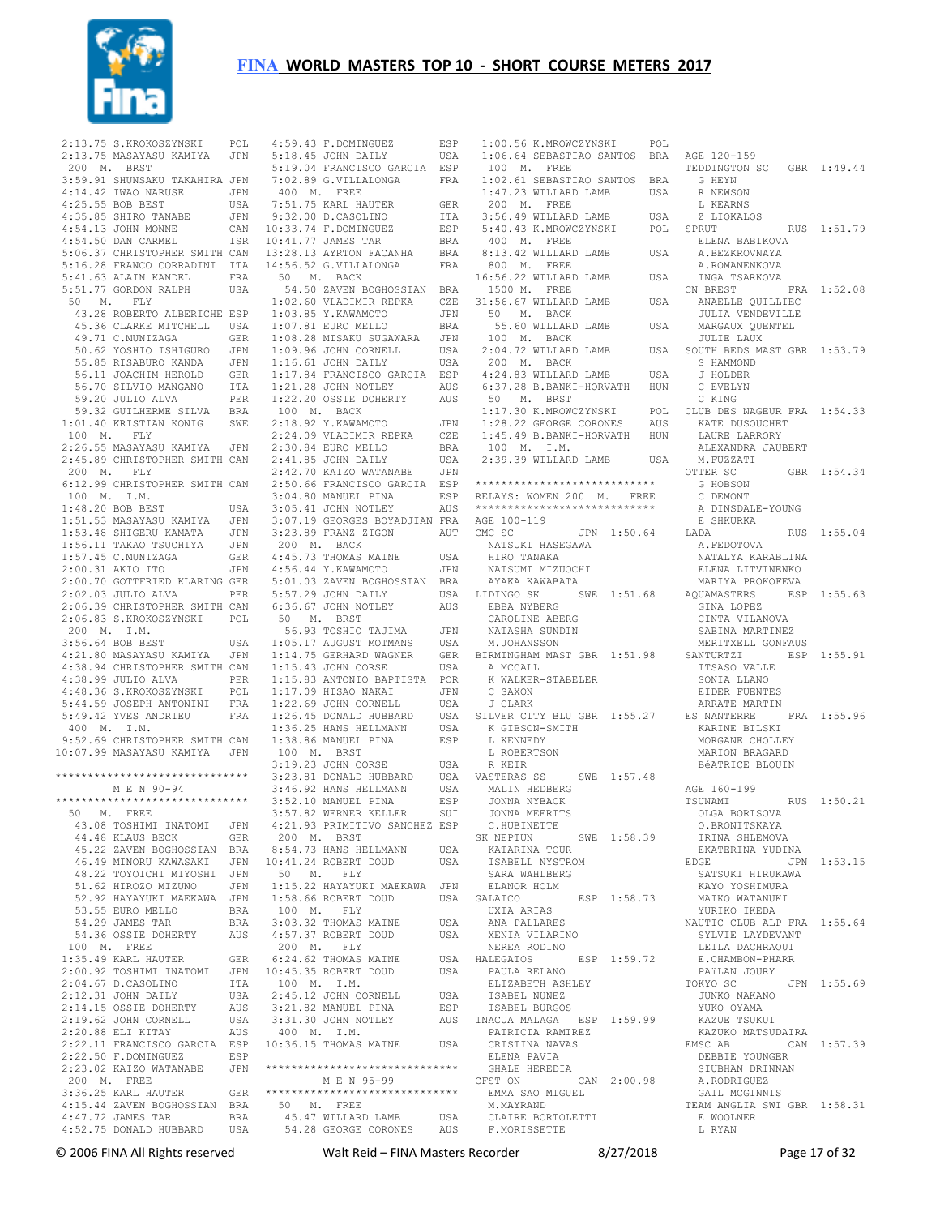

| 2:13.75 S.KROKOSZYNSKI POL<br>2:13.75 MASAYASU KAMIYA JPN                                                                                                                                                                                              |              |
|--------------------------------------------------------------------------------------------------------------------------------------------------------------------------------------------------------------------------------------------------------|--------------|
| 200 M. BRST                                                                                                                                                                                                                                            |              |
| 3:59.91 SHUNSAKU TAKAHIRA JPN                                                                                                                                                                                                                          |              |
|                                                                                                                                                                                                                                                        | JPN          |
|                                                                                                                                                                                                                                                        | USA          |
|                                                                                                                                                                                                                                                        |              |
| 9:30.21 DRAO NARUSE<br>4:14.42 IWAO NARUSE<br>4:25.55 BOB BEST<br>4:35.85 SHIRO TANABE<br>4:54.13 JOHN MONNE<br>4:54.50 DAN CARMEL                                                                                                                     | JPN          |
|                                                                                                                                                                                                                                                        | CAN          |
|                                                                                                                                                                                                                                                        | ISR          |
| 5:06.37 CHRISTOPHER SMITH CAN                                                                                                                                                                                                                          |              |
| 5:16.28 FRANCO CORRADINI ITA<br>5:41.63 ALAIN KANDEL FRA                                                                                                                                                                                               |              |
|                                                                                                                                                                                                                                                        |              |
| 5:51.77 GORDON RALPH                                                                                                                                                                                                                                   | USA          |
| 50 M. FLY                                                                                                                                                                                                                                              |              |
| 43.28 ROBERTO ALBERICHE ESP                                                                                                                                                                                                                            |              |
|                                                                                                                                                                                                                                                        |              |
|                                                                                                                                                                                                                                                        |              |
|                                                                                                                                                                                                                                                        |              |
| 43.28 ROBERTO ALBERICHE ESP<br>45.36 CLARKE MITCHELL USA<br>49.71 C.MUNIZAGA GER<br>50.62 YOSHIO ISHIGURO JPN<br>55.85 RISABURO KANDA JPN<br>56.71 JOACHIM HEROLD GER<br>56.70 SILVIO MANGANO ITA<br>59.20 JULIO ALVA PER<br>59.32 GUILHERME SILVA PER |              |
|                                                                                                                                                                                                                                                        |              |
|                                                                                                                                                                                                                                                        |              |
|                                                                                                                                                                                                                                                        |              |
|                                                                                                                                                                                                                                                        |              |
|                                                                                                                                                                                                                                                        |              |
| 100 M. FLY                                                                                                                                                                                                                                             |              |
| 2:26.55 MASAYASU KAMIYA JPN                                                                                                                                                                                                                            |              |
| 2:45.89 CHRISTOPHER SMITH CAN                                                                                                                                                                                                                          |              |
| 200 M. FLY                                                                                                                                                                                                                                             |              |
| 6:12.99 CHRISTOPHER SMITH CAN                                                                                                                                                                                                                          |              |
| 100 $M.$ I.M.                                                                                                                                                                                                                                          |              |
| 1:48.20 BOB BEST                                                                                                                                                                                                                                       | USA          |
| 1:48.20 BOB BEST<br>1:51.53 MASAYASU KAMIYA<br>1:53.48 SHIGERU KAMATA<br>1:56.11 TAKAO TSUCHIYA<br>1:57.45 C.MUNIZAGA<br>2:00.31 AKIO ITO                                                                                                              | JPN          |
|                                                                                                                                                                                                                                                        | JPN          |
|                                                                                                                                                                                                                                                        | JPN          |
|                                                                                                                                                                                                                                                        | <b>GER</b>   |
|                                                                                                                                                                                                                                                        |              |
| 2:00.31 AKIO ITO JPN<br>2:00.70 GOTTFRIED KLARING GER                                                                                                                                                                                                  |              |
| 2:02.03 JULIO ALVA                                                                                                                                                                                                                                     | PER          |
| 2:06.39 CHRISTOPHER SMITH CAN                                                                                                                                                                                                                          |              |
| 2:06.83 S.KROKOSZYNSKI POL                                                                                                                                                                                                                             |              |
| 200 M. I.M.                                                                                                                                                                                                                                            |              |
| 3:56.64 BOB BEST                                                                                                                                                                                                                                       | USA          |
|                                                                                                                                                                                                                                                        |              |
|                                                                                                                                                                                                                                                        |              |
| 4:21.80 MASAYASU KAMIYA JPN                                                                                                                                                                                                                            |              |
| 4:38.94 CHRISTOPHER SMITH CAN                                                                                                                                                                                                                          |              |
| 4:38.99 JULIO ALVA                                                                                                                                                                                                                                     | PER          |
|                                                                                                                                                                                                                                                        | POL          |
|                                                                                                                                                                                                                                                        | $_{\rm FRA}$ |
| 4:38.99 JULIO ADV.<br>4:48.36 S.KROKOSZYNSKI<br>5:44.59 JOSEPH ANTONINI<br>5:40 42 YVES ANDRIEU<br>5:49.42 YVES ANDRIEU                                                                                                                                | FRA          |
| 400 M. I.M.                                                                                                                                                                                                                                            |              |
| 9:52.69 CHRISTOPHER SMITH CAN                                                                                                                                                                                                                          |              |
| 10:07.99 MASAYASU KAMIYA JPN                                                                                                                                                                                                                           |              |
|                                                                                                                                                                                                                                                        |              |
| *****************************                                                                                                                                                                                                                          |              |
| M E N 90-94<br>*****************************                                                                                                                                                                                                           |              |
|                                                                                                                                                                                                                                                        |              |
| 50 M. FREE                                                                                                                                                                                                                                             |              |
| 43.08 TOSHIMI INATOMI                                                                                                                                                                                                                                  | JPN          |
| 44.48 KLAUS BECK                                                                                                                                                                                                                                       | GER          |
| 45.22 ZAVEN BOGHOSSIAN BRA                                                                                                                                                                                                                             |              |
|                                                                                                                                                                                                                                                        |              |
| 46.49 MINORU KAWASAKI JPN<br>48.22 TOYOICHI MIYOSHI JPN                                                                                                                                                                                                | JPN          |
| 51.62 HIROZO MIZUNO                                                                                                                                                                                                                                    |              |
| 52.92 HAYAYUKI MAEKAWA                                                                                                                                                                                                                                 | JPN          |
| 53.55 EURO MELLO                                                                                                                                                                                                                                       | <b>BRA</b>   |
| 54.29 JAMES TAR                                                                                                                                                                                                                                        | BRA          |
| 54.36 OSSIE DOHERTY                                                                                                                                                                                                                                    | AUS          |
| 100 M. FREE                                                                                                                                                                                                                                            |              |
| $1:35.49$ KARL HAUTER                                                                                                                                                                                                                                  | GER<br>JPN   |
|                                                                                                                                                                                                                                                        |              |
|                                                                                                                                                                                                                                                        | ITA<br>USA   |
|                                                                                                                                                                                                                                                        | AUS          |
| 2:14.15 OSSIE DOHERTY                                                                                                                                                                                                                                  | USA          |
| 2:19.62 JOHN CORNELL                                                                                                                                                                                                                                   |              |
| 2:20.88 ELI KITAY                                                                                                                                                                                                                                      | AUS          |
| 2:22.11 FRANCISCO GARCIA                                                                                                                                                                                                                               | ESP<br>ESP   |
| 2:22.50 F.DOMINGUEZ                                                                                                                                                                                                                                    |              |
| 2:23.02 KAIZO WATANABE                                                                                                                                                                                                                                 | JPN          |
| $200$ M. FREE<br>3:36.25 KARL HAUTER                                                                                                                                                                                                                   | GER          |
|                                                                                                                                                                                                                                                        |              |
| 4:15.44 ZAVEN BOGHOSSIAN BRA<br>4:47.72 JAMES TAR<br>4:52.75 DONALD HUBBARD                                                                                                                                                                            | BRA          |

| 4:59.43 F.DOMINGUEZ                                                                           |            |
|-----------------------------------------------------------------------------------------------|------------|
|                                                                                               | ESP        |
| $5:18.45$ JOHN DAILY                                                                          | USA        |
| 5:19.04 FRANCISCO GARCIA                                                                      | ESP        |
| 7:02.89 G.VILLALONGA                                                                          | FRA        |
| 400 M. FREE                                                                                   |            |
|                                                                                               |            |
| $7:51.75$ KARL HAUTER                                                                         | GER        |
| $9:32.00$ D.CASOLINO                                                                          | ITA        |
| 10:33.74 F.DOMINGUEZ<br>10:41.77 JAMES TAR                                                    | ESP        |
|                                                                                               | <b>BRA</b> |
| 13:28.13 AYRTON FACANHA                                                                       | BRA        |
| 14:56.52 G.VILLALONGA                                                                         | FRA        |
| 50 M. BACK                                                                                    |            |
|                                                                                               |            |
| 54.50 ZAVEN BOGHOSSIAN BRA<br>1:02.60 VLADIMIR REPKA CZE                                      |            |
|                                                                                               |            |
| 1:03.85 Y.KAWAMOTO<br>1:07.81 EURO MELLO                                                      | JPN        |
|                                                                                               | BRA        |
| 1:08.28 MISAKU SUGAWARA                                                                       | JPN        |
| 1.00.20<br>1:09.96 JOHN CORNELL                                                               | USA        |
| $1:16.61$ JOHN DAILY                                                                          | USA        |
| 1:17.84 FRANCISCO GARCIA                                                                      | ESP        |
|                                                                                               |            |
| 1:21.28 JOHN NOTLEY                                                                           | AUS        |
| 1:22.20 OSSIE DOHERTY                                                                         | AUS        |
| 100 M. BACK                                                                                   |            |
| 2:18.92 Y.KAWAMOTO                                                                            | JPN        |
| 2:24.09 VLADIMIR REPKA                                                                        | CZE        |
| 2:30.84 EURO MELLO                                                                            | <b>BRA</b> |
| 2:41.85 JOHN DAILY                                                                            | USA        |
| 2:42.70 KAIZO WATANABE                                                                        | JPN        |
| 2:50.66 FRANCISCO GARCIA                                                                      |            |
|                                                                                               | ESP        |
| 3:04.80 MANUEL PINA                                                                           | ESP        |
|                                                                                               |            |
| 3:05.41 JOHN NOTLEY AUS<br>3:07.19 GEORGES BOYADJIAN FRA                                      |            |
| 3:23.89 FRANZ ZIGON                                                                           | AUT        |
| 200 M. BACK                                                                                   |            |
| 4:45.73 THOMAS MAINE                                                                          | USA        |
|                                                                                               | JPN        |
| 4:56.44 Y.KAWAMOTO<br>5:01.03 ZAVEN BOGHOSSIAN                                                | <b>BRA</b> |
| 5:57.29 JOHN DAILY                                                                            | USA        |
| 6:36.67 JOHN NOTLEY                                                                           | AUS        |
| 50 M. BRST                                                                                    |            |
| 56.93 TOSHIO TAJIMA                                                                           | JPN        |
|                                                                                               |            |
|                                                                                               |            |
| $1:05.17$ AUGUST MOTMANS                                                                      | USA        |
|                                                                                               | GER        |
| 1:14.75 GERHARD WAGNER<br>$1:15.43$ JOHN CORSE                                                | USA        |
| 1:15.83 ANTONIO BAPTISTA                                                                      | POR        |
| 1:17.09 HISAO NAKAI                                                                           | JPN        |
|                                                                                               | USA        |
| 1:22.69 JOHN CORNELL<br>1:26.45 DONALD HUBBARD                                                | USA        |
|                                                                                               | USA        |
|                                                                                               |            |
| 1:36.25 HANS HELLMANN<br>1:38.86 MANUEL PINA<br>1:38.86 MANUEL PINA                           | ESP        |
| 100 M. BRST                                                                                   |            |
| 3:19.23 JOHN CORSE                                                                            | USA        |
|                                                                                               | USA        |
|                                                                                               | USA        |
| 3:23.81 DONALD HUBBARD<br>3:46.92 HANS HELLMANN<br>3:52 10 MANUEL PINA<br>3:52.10 MANUEL PINA | ESP        |
| 3:57.82 WERNER KELLER                                                                         | SUI        |
| 4:21.93 PRIMITIVO SANCHEZ ESP                                                                 |            |
| 200 M. BRST                                                                                   |            |
|                                                                                               | USA        |
| 8:54.73 HANS HELLMANN<br>10:41.24 ROBERT DOUD                                                 | USA        |
|                                                                                               |            |
| 50 M. FLY                                                                                     |            |
|                                                                                               | JPN        |
| 1:15.22 HAYAYUKI MAEKAWA<br>1:58.66 ROBERT DOUD                                               | USA        |
| 100 M. FLY                                                                                    |            |
| 3:03.32 THOMAS MAINE                                                                          | USA        |
| 4:57.37 ROBERT DOUD                                                                           | USA        |
| 200 M. FLY                                                                                    |            |
| 6:24.62 THOMAS MAINE                                                                          | USA        |
| 10:45.35 ROBERT DOUD                                                                          | USA        |
| 100 M. I.M.                                                                                   |            |
| 2:45.12 JOHN CORNELL                                                                          | USA        |
|                                                                                               | ESP        |
| 2:45.12 UVIII UVIII<br>3:21.82 MANUEL PINA                                                    | AUS        |
|                                                                                               |            |
| 3:31.30 JOHN NOTLEY<br>400 M. I.M.<br>10:36.15 THOMAS MAINE                                   | USA        |
|                                                                                               |            |
| *****************************                                                                 |            |
|                                                                                               |            |
| M E N 95-99<br>******************************                                                 |            |
|                                                                                               |            |
| 50 M. FREE<br>45.47 WILLARD LAMB<br>54.28 GEORGE CORONES                                      | USA        |

 1:00.56 K.MROWCZYNSKI POL 1:06.64 SEBASTIAO SANTOS BRA AGE 120-159 100 M. FREE 1:02.61 SEBASTIAO SANTOS BRA 1:47.23 WILLARD LAMB USA 200 M. FREE 3:56.49 WILLARD LAMB USA 5:40.43 K.MROWCZYNSKI POL 400 M. FREE 8:13.42 WILLARD LAMB USA 800 M. FREE 16:56.22 WILLARD LAMB USA 50 M. BACK 55.60 WILLARD LAMB USA JULIA VENDEVILLE MARGAUX QUENTEL 100 M. BACK 200 M. BACK 4:24.83 WILLARD LAMB 6:37.28 B.BANKI-HORVATH HUN C EVELYN 1:28.22 GEORGE CORONES AUS 1:45.49 B.BANKI-HORVATH HUN \*\*\*\*\*\*\*\*\*\*\*\*\*\*\*\*\*\*\*\*\*\*\*\*\*\*\*\* RELAYS: WOMEN 200 M. FREE<br>\*\*\*\*\*\*\*\*\*\*\*\*\*\*\*\*\*\*\*\*\*\*\*\*\*\*\*\* AGE 100-119 CMC SC JPN 1:50.64 NATSUKI HASEGAWA HIRO TANAKA A.FEDOTOVA NATALYA KARABLINA NATSUMI MIZUOCHI AYAKA KAWABATA ELENA LITVINENKO MARIYA PROKOFEVA LIDINGO SK SWE 1:51.68 EBBA NYBERG CAROLINE ABERG NATASHA SUNDIN M.JOHANSSON BIRMINGHAM MAST GBR 1:51.98 SANTURTZI A MCCALL K WALKER-STABELER C SAXON J CLARK K GIBSON-SMITH L KENNEDY L ROBERTSON R KEIR VASTERAS SS SWE 1:57.48 MALIN HEDBERG JONNA NYBACK JONNA MEERITS C.HUBINETTE SK NEPTUN SWE 1:58.39 KATARINA TOUR ISABELL NYSTROM SARA WAHLBERG ELANOR HOLM GALAICO ESP 1:58.73 KAYO YOSHIMURA MAIKO WATANUKI UXIA ARIAS ANA PALLARES XENIA VILARINO NEREA RODINO<br>HALEGATOS HALEGATOS ESP 1:59.72 E.CHAMBON-PHARR PAULA RELANO ELIZABETH ASHLEY ISABEL NUNEZ ISABEL BURGOS INACUA MALAGA ESP 1:59.99 PATRICIA RAMIREZ CRISTINA NAVAS ELENA PAVIA GHALE HEREDIA<br>CFST ON CAN 2:00.98 CFST ON CAN 2:00.98 EMMA SAO MIGUEL M.MAYRAND CLAIRE BORTOLETTI F.MORISSETTE

 1500 M. FREE 31:56.67 WILLARD LAMB USA CN BREST FRA 1:52.08 ANAELLE QUILLIEC 2:04.72 WILLARD LAMB USA SOUTH BEDS MAST GBR 1:53.79 50 M. BRST 1:17.30 K.MROWCZYNSKI POL C KING CLUB DES NAGEUR FRA 1:54.33 100 M. I.M. 2:39.39 WILLARD LAMB USA ALEXANDRA JAUBERT M.FUZZATI OTTER SC GBR 1:54.34 SILVER CITY BLU GBR 1:55.27 ES NANTERRE FRA 1:55.96 TEDDINGTON SC GBR 1:49.44 G HEYN R NEWSON L KEARNS Z LIOKALOS RUS 1:51.79 ELENA BABIKOVA A.BEZKROVNAYA A.ROMANENKOVA INGA TSARKOVA<br>N BREST FRA 1:52.08 JULIE LAUX S HAMMOND J HOLDER KATE DUSOUCHET LAURE LARRORY G HOBSON C DEMONT A DINSDALE-YOUNG E SHKURKA RUS  $1:55.04$ ESP 1:55.63 GINA LOPEZ CINTA VILANOVA SABINA MARTINEZ MERITXELL GONFAUS SANTURTZI ESP 1:55.91 ITSASO VALLE SONIA LLANO EIDER FUENTES ARRATE MARTIN<br>S NANTERRE FRA 1:55.96 KARINE BILSKI MORGANE CHOLLEY MARION BRAGARD BéATRICE BLOUIN AGE 160-199 TSUNAMI RUS 1:50.21 OLGA BORISOVA O.BRONITSKAYA 1:58.39 IRINA SHLEMOVA<br>EXATERINA YUDIN<br>UDGE<br>The Theory EKATERINA YUDINA EDGE JPN 1:53.15 SATSUKI HIRUKAWA YURIKO IKEDA NAUTIC CLUB ALP FRA 1:55.64 SYLVIE LAYDEVANT LEILA DACHRAOUI PAïLAN JOURY JPN 1:55.69 JUNKO NAKANO YUKO OYAMA KAZUE TSUKUI<br>KAZUKO MATSUDAIRA KAZUKO MATSUDAIRA EMSC AB CAN 1:57.39 DEBBIE YOUNGER SIUBHAN DRINNAN A.RODRIGUEZ GAIL MCGINNIS TEAM ANGLIA SWI GBR 1:58.31 E WOOLNER L RYAN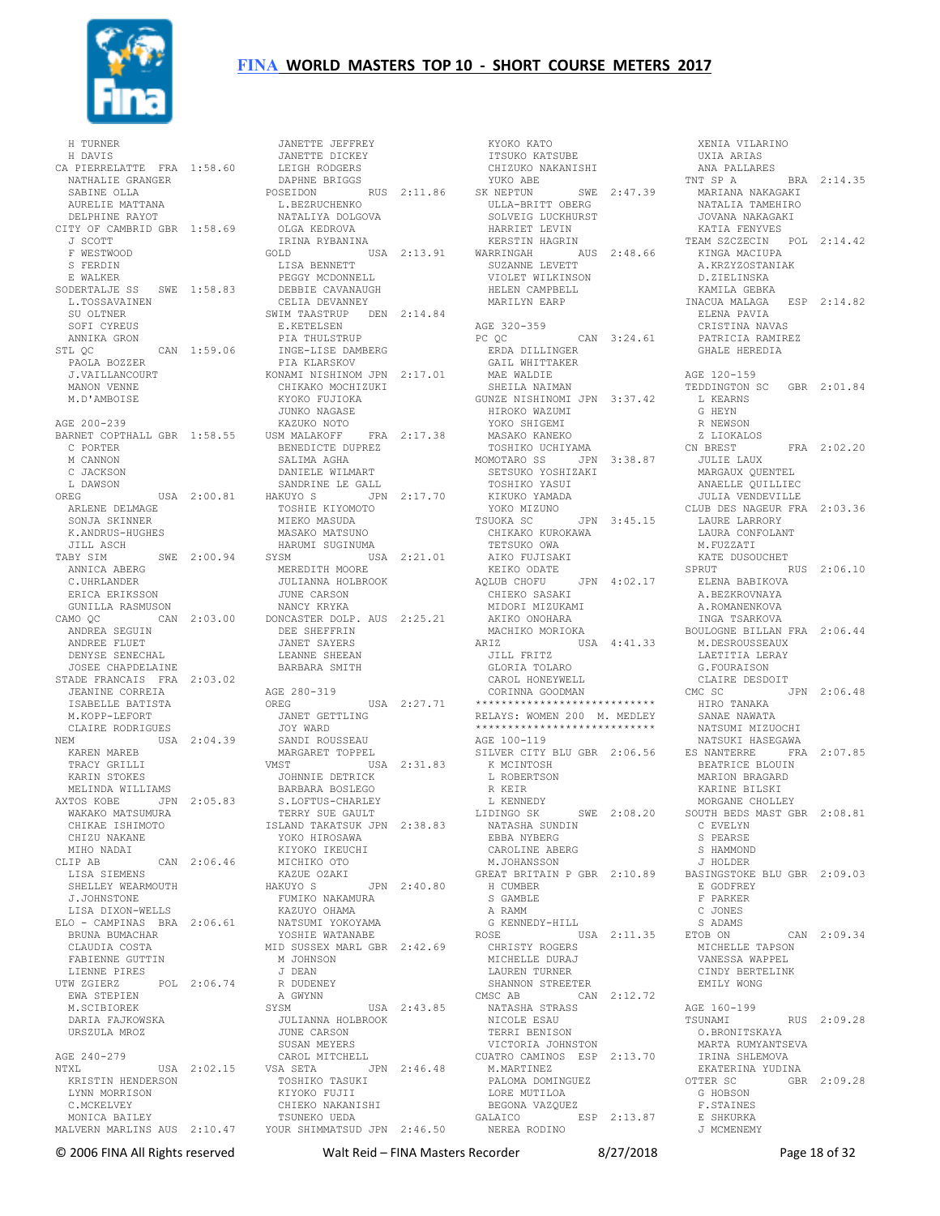

 H TURNER H DAVIS CA PIERRELATTE FRA 1:58.60 JANETTE DICKEY LEIGH RODGERS NATHALIE GRANGER SABINE OLLA AURELIE MATTANA DELPHINE RAYOT CITY OF CAMBRID GBR 1:58.69 J SCOTT OLGA KEDROVA IRINA RYBANINA F WESTWOOD S FERDIN E WALKER SODERTALJE SS SWE 1:58.83 L.TOSSAVAINEN SU OLTNER SOFI CYREUS ANNIKA GRON STL QC CAN 1:59.06 PAOLA BOZZER J.VAILLANCOURT MANON VENNE M.D'AMBOISE AGE 200-239 BARNET COPTHALL GBR 1:58.55 C PORTER M CANNON C JACKSON L DAWSON OREG USA 2:00.81 ARLENE DELMAGE SONJA SKINNER K.ANDRUS-HUGHES JILL ASCH TABY SIM SWE 2:00.94 ANNICA ABERG C.UHRLANDER ERICA ERIKSSON GUNILLA RASMUSON ANDREA SEGUIN ANDREE FLUET DENYSE SENECHAL JOSEE CHAPDELAINE STADE FRANCAIS FRA 2:03.02 JEANINE CORREIA ISABELLE BATISTA M.KOPP-LEFORT CLAIRE RODRIGUES NEM USA 2:04.39 KAREN MAREB TRACY GRILLI KARIN STOKES MELINDA WILLIAMS AXTOS KOBE JPN 2:05.83 KTOS KOBE – UTIT – UTIT<br>WAKAKO MATSUMURA<br>CHIKAR ISHIMOTO CHIKAE ISHIMOTO CHIZU NAKANE MIHO NADAI CLIP AB CAN 2:06.46 LISA SIEMENS SHELLEY WEARMOUTH J.JOHNSTONE LISA DIXON-WELLS ELO - CAMPINAS BRA 2:06.61 BRUNA BUMACHAR CLAUDIA COSTA FABIENNE GUTTIN LIENNE PIRES UTW ZGIERZ POL 2:06.74 R DUDENEY EWA STEPIEN M.SCIBIOREK DARIA FAJKOWSKA URSZULA MROZ AGE 240-279<br>
NTXL<br>
KRISTIN HENDERSON<br>
LYNN MORRISON<br>
C.MCKELVEY MONICA BAILEY

CAMO QC CAN 2:03.00 DONCASTER DOLP. AUS 2:25.21 AKIKO ONOHARA MALVERN MARLINS AUS 2:10.47 YOUR SHIMMATSUD JPN 2:46.50 JANETTE JEFFREY DAPHNE BRIGGS POSEIDON RUS 2:11.86 L.BEZRUCHENKO NATALIYA DOLGOVA GOLD USA 2:13.91 LISA BENNETT PEGGY MCDONNELL DEBBIE CAVANAUGH<br>CELIA DEVANNEY CELIA DEVANNEY SWIM TAASTRUP DEN 2:14.84 E.KETELSEN PIA THULSTRUP INGE-LISE DAMBERG PIA KLARSKOV KONAMI NISHINOM JPN 2:17.01 CHIKAKO MOCHIZUKI KYOKO FUJIOKA<br>JUNKO NAGASE JUNKO NAGASE KAZUKO NOTO USM MALAKOFF FRA 2:17.38 BENEDICTE DUPREZ TOSHIKO UCHIYAMA MOMOTARO SS JPN 3:38.87 SALIMA AGHA<br>
DANIELE WILMART<br>
SANDRINE LE GALL<br>HAKUYO S<br>
TOSHIE KIYOMOTO<br>
MIEKO MASUDA<br>
MASAKO MATSUNO HARUMI SUGINUMA SYSM USA 2:21.01 MEREDITH MOORE JULIANNA HOLBROOK<br>JULIANNA HOLBROOK JUNE CARSON NANCY KRYKA DEE SHEFFRIN JANET SAYERS LEANNE SHEEAN BARBARA SMITH AGE 280-319 USA 2:27.71 JANET GETTLING JOY WARD SANDI ROUSSEAU MARGARET TOPPEL VMST USA 2:31.83 JOHNNIE DETRICK BARBARA BOSLEGO S.LOFTUS-CHARLEY TERRY SUE GAULT ISLAND TAKATSUK JPN 2:38.83 YOKO HIROSAWA KIYOKO IKEUCHI MICHIKO OTO KAZUE OZAKI MICHING CORNE<br>KAZUE OZAKI<br>ARUM JPN 2:40.80 FUMIKO NAKAMURA<br>KAZUYO OHAMA<br>NATSUMI YOKOYAMA YOSHIE WATANABE MID SUSSEX MARL GBR 2:42.69 M JOHNSON J DEAN A GWYNN<br>SYSM USA 2:43.85 JULIANNA HOLBROOK JUNE CARSON SUSAN MEYERS<br>
CAROL MITCHELL<br>
VSA SETA<br>
TOSHIKO TASUKI<br>
KIYOKO FUJII<br>
CHIEKO NAKANISHI CHIEKO NAKANISHI<br>TSUNEKO UEDA

KYOKO KATO<br>ITSUKO KATSUBE ITSUKO KATSUBE CHIZUKO NAKANISHI YUKO ABE SK NEPTUN SWE 2:47.39 ULLA-BRITT OBERG SOLVEIG LUCKHURST HARRIET LEVIN KERSTIN HAGRIN WARRINGAH AUS 2:48.66 SUZANNE LEVETT KINGA MACIUPA A.KRZYZOSTANIAK کلک بینی بینی AUS<br>SUZANNE LEVETT<br>VIOLET WILKINSON HELEN CAMPBELL MARILYN EARP AGE 320-359<br>PC QC  $CAN 3:24.61$  ERDA DILLINGER GAIL WHITTAKER MAE WALDIE SHEILA NAIMAN GUNZE NISHINOMI JPN 3:37.42 HIROKO WAZUMI L KEARNS G HEYN YOKO SHIGEMI MASAKO KANEKO SETSUKO YOSHIZAKI<br>
TOSHIKO YAMADA<br>
KIKUKO YAMADA<br>
YOKO MIZUNO<br>TSUOKA SC JPN 3:45.15<br>
CHIKAKO KUROKAWA TETSUKO OWA AIKO FUJISAKI KEIKO ODATE AQLUB CHOFU JPN 4:02.17 CHIEKO SASAKI MIDORI MIZUKAMI MACHIKO MORIOKA<br>ARIZ USZ ARIZ USA 4:41.33 M.DESROUSSEAUX JILL FRITZ GLORIA TOLARO CAROL HONEYWELL CORINNA GOODMAN \*\*\*\*\*\*\*\*\*\*\*\*\*\*\*\*\*\*\*\*\*\*\*\*\*\*\*\* RELAYS: WOMEN 200 M. MEDLEY \*\*\*\*\*\*\*\*\*\*\*\*\*\*\*\*\*\*\*\*\*\*\*\*\*\*\*\* AGE 100-119 SILVER CITY BLU GBR 2:06.56 K MCINTOSH L ROBERTSON R KEIR L KENNEDY LIDINGO SK SWE 2:08.20 NATASHA SUNDIN EBBA NYBERG CAROLINE ABERG M.JOHANSSON GREAT BRITAIN P GBR 2:10.89 BASINGSTOKE BLU GBR 2:09.03 H CUMBER S GAMBLE A RAMM G KENNEDY-HILL ROSE USA 2:11.35 ETOB ON CHRISTY ROGERS MICHELLE DURAJ LAUREN TURNER SHANNON STREETER<br>CMSC AB CAN 2:12.72 CMSC AB CAN 2:12.72 NATASHA STRASS NICOLE ESAU TERRI BENISON VICTORIA JOHNSTON CUATRO CAMINOS ESP 2:13.70 M.MARTINEZ PALOMA DOMINGUEZ LORE MUTILOA BEGONA VAZQUEZ GALAICO ESP 2:13.87 NEREA RODINO

 XENIA VILARINO UXIA ARIAS ANA PALLARES<br>TNT SP A BRA 2:14.35<br>MARIANA NAKAGAKI<br>NATALIA TAMEHIRO<br>JOVANA NAKAGAKI KATIA FENYVES TEAM SZCZECIN POL 2:14.42 D.ZIELINSKA KAMILA GEBKA INACUA MALAGA ESP 2:14.82 ELENA PAVIA CRISTINA NAVAS PATRICIA RAMIREZ GHALE HEREDIA AGE 120-159 TEDDINGTON SC GBR 2:01.84 R NEWSON Z LIOKALOS CN BREST FRA 2:02.20 JULIE LAUX MARGAUX QUENTEL ANAELLE QUILLIEC JULIA VENDEVILLE CLUB DES NAGEUR FRA 2:03.36 LAURE LARRORY LAURA CONFOLANT M.FUZZATI KATE DUSOUCHET SPRUT RUS 2:06.10 ELENA BABIKOVA A.BEZKROVNAYA A.ROMANENKOVA INGA TSARKOVA BOULOGNE BILLAN FRA 2:06.44 LAETITIA LERAY G.FOURAISON CLAIRE DESDOIT JPN 2:06.48 HIRO TANAKA SANAE NAWATA NATSUMI MIZUOCHI NATSUKI HASEGAWA ES NANTERRE FRA 2:07.85 BEATRICE BLOUIN MARION BRAGARD KARINE BILSKI MORGANE CHOLLEY SOUTH BEDS MAST GBR 2:08.81 C EVELYN S PEARSE S HAMMOND J HOLDER E GODFREY F PARKER C JONES S ADAMS ETOB ON CAN 2:09.34 MICHELLE TAPSON VANESSA WAPPEL CINDY BERTELINK EMILY WONG AGE 160-199 RUS 2:09.28 O.BRONITSKAYA MARTA RUMYANTSEVA IRINA SHLEMOVA EKATERINA YUDINA OTTER SC GBR 2:09.28 G HOBSON F.STAINES F.STAINES<br>E SHKURKA J MCMENEMY

© 2006 FINA All Rights reserved Walt Reid – FINA Masters Recorder 8/27/2018 Page 18 of 32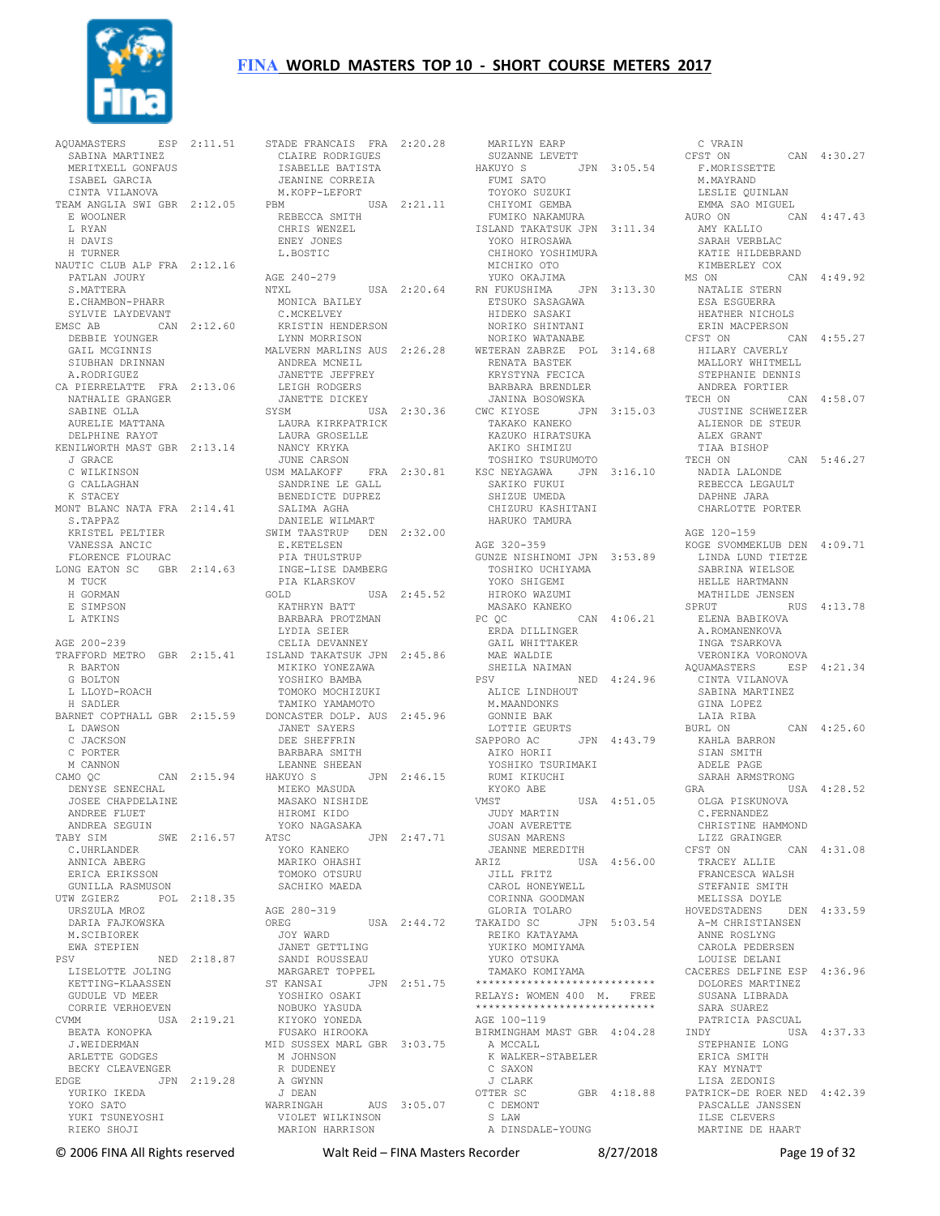

 SABINA MARTINEZ MERITXELL GONFAUS ISABEL GARCIA CINTA VILANOVA TEAM ANGLIA SWI GBR 2:12.05 E WOOLNER L RYAN H DAVIS H TURNER NAUTIC CLUB ALP FRA 2:12.16 PATLAN JOURY S.MATTERA<br>
E.CHAMBON-PHARR<br>
SYLVIE LAYDEVANT<br>
EMSC AB CAN 2:12.60<br>
DEBBIE YOUNGER<br>
GAIL MCGINNIS<br>
SIUBHAN DRINNAN<br>
A.RODRIGUEZ<br>
A.RODRIGUEZ CA PIERRELATTE FRA 2:13.06 NATHALIE GRANGER LEIGH RODGERS JANETTE DICKEY SABINE OLLA AURELIE MATTANA DELPHINE RAYOT KENILWORTH MAST GBR 2:13.14 J GRACE C WILKINSON<br>
K STACEY<br>
K STACK<br>
MONT BLANC NATA FRA 2:14.41<br>
S.TAPPAZ<br>
KRISTEL PELTIER VANESSA ANCIC FLORENCE FLOURAC LONG EATON SC GBR 2:14.63 M TUCK H GORMAN E SIMPSON L ATKINS AGE 200-239 TRAFFORD METRO GBR 2:15.41 R BARTON G BOLTON L LLOYD-ROACH H SADLER BARNET COPTHALL GBR 2:15.59 L DAWSON C JACKSON C PORTER M CANNON CAMO QC CAN 2:15.94 DENYSE SENECHAL JOSEE CHAPDELAINE ANDREE FLUET ANDREA SEGUIN TABY SIM SWE 2:16.57 C.UHRLANDER ANNICA ABERG ERICA ERIKSSON GUNILLA RASMUSON UTW ZGIERZ POL 2:18.35 URSZULA MROZ DARIA FAJKOWSKA M.SCIBIOREK EWA STEPIEN<br>PSV PSV NED 2:18.87<br>
LISELOTTE JOLING<br>
KETTING-KLAASSEN<br>
GUDULE VD MEER<br>
CORRIE VERHOEVEN<br>
CVMM USA 2:19.21<br>
BEATA KONOPKA J.WEIDERMAN ARLETTE GODGES BECKY CLEAVENGER EDGE JPN 2:19.28 YURIKO IKEDA YOKO SATO YUKI TSUNEYOSHI RIEKO SHOJI

AQUAMASTERS ESP 2:11.51 STADE FRANCAIS FRA 2:20.28<br>SABINA MARTINEZ CLAIRE RODRIGUES STADE FRANCAIS FRA 2:20.28<br>
CLAIRE RODRIGUES<br>
ISABELLE BATISTA<br>
JEANINE CORREIA<br>
M.KOPP-LEFORT<br>
PBM<br>
REBECCA SMITH<br>
CHRIS WENZEL<br>
CHRIS WENZEL ENEY JONES L.BOSTIC AGE 240-279 NTXL<br>
MONICA BAILEY<br>
C.MCKELVEY<br>
KRISTIN HENDERSON<br>
LYNN MORRISON<br>
LYNN MORRISON<br>
MALVERN MARLINS AUS 2:26.28<br>
ANDREA MCNEIL<br>
JANETTE JEFFREY SYSM USA 2:30.36 LAURA KIRKPATRICK LAURA GROSELLE NANCY KRYKA JUNE CARSON USM MALAKOFF FRA 2:30.81 SANDRINE LE GALL KSC NEYAGAWA JPN 3:16.10 SAKIKO FUKUI NADIA LALONDE REBECCA LEGAULT BENEDICTE DUPREZ SALIMA AGHA DANIELE WILMART SWIM TAASTRUP DEN 2:32.00 E.KETELSEN PIA THULSTRUP INGE-LISE DAMBERG PIA KLARSKOV GOLD USA 2:45.52 KATHRYN BATT BARBARA PROTZMAN LYDIA SEIER PC QC CAN 4:06.21 SPRUT RUS 4:13.78 ELENA BABIKOVA A.ROMANENKOVA CELIA DEVANNEY ISLAND TAKATSUK JPN 2:45.86 MIKIKO YONEZAWA YOSHIKO BAMBA TOMOKO MOCHIZUKI TAMIKO YAMAMOTO DONCASTER DOLP. AUS 2:45.96 JANET SAYERS DEE SHEFFRIN BARBARA SMITH LEANNE SHEEAN<br>HAKUYO S JPN 2:46.15<br>RUMI RUM<br>FIDE VMST MIEKO MASUDA MASAKO NISHIDE HIROMI KIDO YOKO NAGASAKA ATSC JPN 2:47.71 YOKO KANEKO MARIKO OHASHI TOMOKO OTSURU SACHIKO MAEDA AGE 280-319 OREG USA 2:44.72 GLORIA TOLARO TAKAIDO SC JPN 5:03.54 JOY WARD JANET GETTLING SANDI ROUSSEAU MARGARET TOPPEL<br>ST KANSAI JPN 2:51.75<br>YOSHIKO OSAKI<br>NOBUKO YASUDA<br>KIYOKO YONEDA<br>FUSAKO HIROOKA MID SUSSEX MARL GBR 3:03.75 M JOHNSON R DUDENEY A GWYNN J DEAN WARRINGAH AUS 3:05.07 VIOLET WILKINSON MARION HARRISON

MARILYN EARP<br>
SUZANNE LEVETT<br>
HAKUYO S<br>
FUMI SATO<br>
TOYOKO SUZUKI<br>
CHIYOMI GEMBA<br>
FUMIKO NAKAMURA<br>
FUMIKO NAKAMURA<br>
ISLAND TAKATSUK JPN 3:11.34 YOKO HIROSAWA SARAH VERBLAC CHIHOKO YOSHIMURA<br>MICUTIO I MICHIKO OTO<br>MICHIKO OTO<br>VUKO OKAJIMA<br>USA 2:20.64 RN FUKUSHIMA JPN 3:13.30 YUKO OKAJIMA RN FUKUSHIMA JPN 3:13.30<br>
ETSUKO SASAGAWA<br>
HIDEKO SASAGAWA<br>
NORIKO SHINTANI<br>
NORIKO WATANABE<br>
WETERAN ZABRZE POL 3:14.68<br>
RENATA BASTEK<br>
RRYSTYNA FECICA BARBARA BRENDLER JANINA BOSOWSKA CWC KIYOSE JPN 3:15.03 TAKAKO KANEKO KAZUKO HIRATSUKA AKIKO SHIMIZU TOSHIKO TSURUMOTO SHIZUE UMEDA CHIZURU KASHITANI HARUKO TAMURA AGE 320-359 GUNZE NISHINOMI JPN 3:53.89 TOSHIKO UCHIYAMA YOKO SHIGEMI HIROKO WAZUMI MASAKO KANEKO ERDA DILLINGER GAIL WHITTAKER MAE WALDIE SHEILA NAIMAN PSV NED 4:24.96<br>
ALICE LINDHOUT<br>
M.MAANDONKS<br>
GONNIE BAK<br>
LOTTIE GEURTS SAPPORO AC JPN 4:43.79 AIKO HORII YOSHIKO TSURIMAKI RUMI KIKUCHI KYOKO ABE VMST USA 4:51.05 JUDY MARTIN JOAN AVERETTE SUSAN MARENS JEANNE MEREDITH ARIZ USA 4:56.00 JILL FRITZ CAROL HONEYWELL CORINNA GOODMAN REIKO KATAYAMA YUKIKO MOMIYAMA YUKO OTSUKA TAMAKO KOMIYAMA \*\*\*\*\*\*\*\*\*\*\*\*\*\*\*\*\*\*\*\*\*\*\*\*\*\*\*\* RELAYS: WOMEN 400 M. FREE \*\*\*\*\*\*\*\*\*\*\*\*\*\*\*\*\*\*\*\*\*\*\*\*\*\*\*\* AGE 100-119 BIRMINGHAM MAST GBR 4:04.28 A MCCALL K WALKER-STABELER C SAXON J CLARK OTTER SC GBR 4:18.88 C DEMONT S LAW A DINSDALE-YOUNG

C VRAIN<br>
CFST ON CAN 4:30.27<br>
F.MORISSETTE<br>
M.MAYRAND<br>
LESLIE QUINLAN<br>
EMMA SAO MIGUEL<br>
AURO ON CAN 4:47.43<br>
AMY KALLIO KATIE HILDEBRAND KIMBERLEY COX<br>S ON CAN 4:49 92 MS ON NATALIE STERN ESA ESGUERRA HEATHER NICHOLS ERIN MACPERSON CFST ON CAN 4:55.27 HILARY CAVERLY MALLORY WHITMELL STEPHANIE DENNIS ANDREA FORTIER TECH ON CAN 4:58.07 JUSTINE SCHWEIZER ALIENOR DE STEUR ALEX GRANT TIAA BISHOP TECH ON CAN 5:46.27 DAPHNE JARA CHARLOTTE PORTER AGE 120-159 KOGE SVOMMEKLUB DEN 4:09.71 LINDA LUND TIETZE SABRINA WIELSOE HELLE HARTMANN MATHILDE JENSEN<br>SPRUT RUS 4:13.78 INGA TSARKOVA VERONIKA VORONOVA AQUAMASTERS ESP 4:21.34 CINTA VILANOVA SABINA MARTINEZ GINA LOPEZ LAIA RIBA<br>BURL ON  $CAN$  4:25.60 KAHLA BARRON SIAN SMITH ADELE PAGE SARAH ARMSTRONG GRA USA 4:28.52 OLGA PISKUNOVA C.FERNANDEZ CHRISTINE HAMMOND LIZZ GRAINGER CFST ON CAN 4:31.08 TRACEY ALLIE FRANCESCA WALSH STEFANIE SMITH MELISSA DOYLE HOVEDSTADENS DEN 4:33.59 A-M CHRISTIANSEN ANNE ROSLYNG CAROLA PEDERSEN LOUISE DELANI CACERES DELFINE ESP 4:36.96 DOLORES MARTINEZ SUSANA LIBRADA SARA SUAREZ PATRICIA PASCUAL INDY USA 4:37.33 STEPHANIE LONG ERICA SMITH KAY MYNATT LISA ZEDONIS PATRICK-DE ROER NED 4:42.39 PASCALLE JANSSEN ILSE CLEVERS MARTINE DE HAART

© 2006 FINA All Rights reserved Walt Reid – FINA Masters Recorder 8/27/2018 Page 19 of 32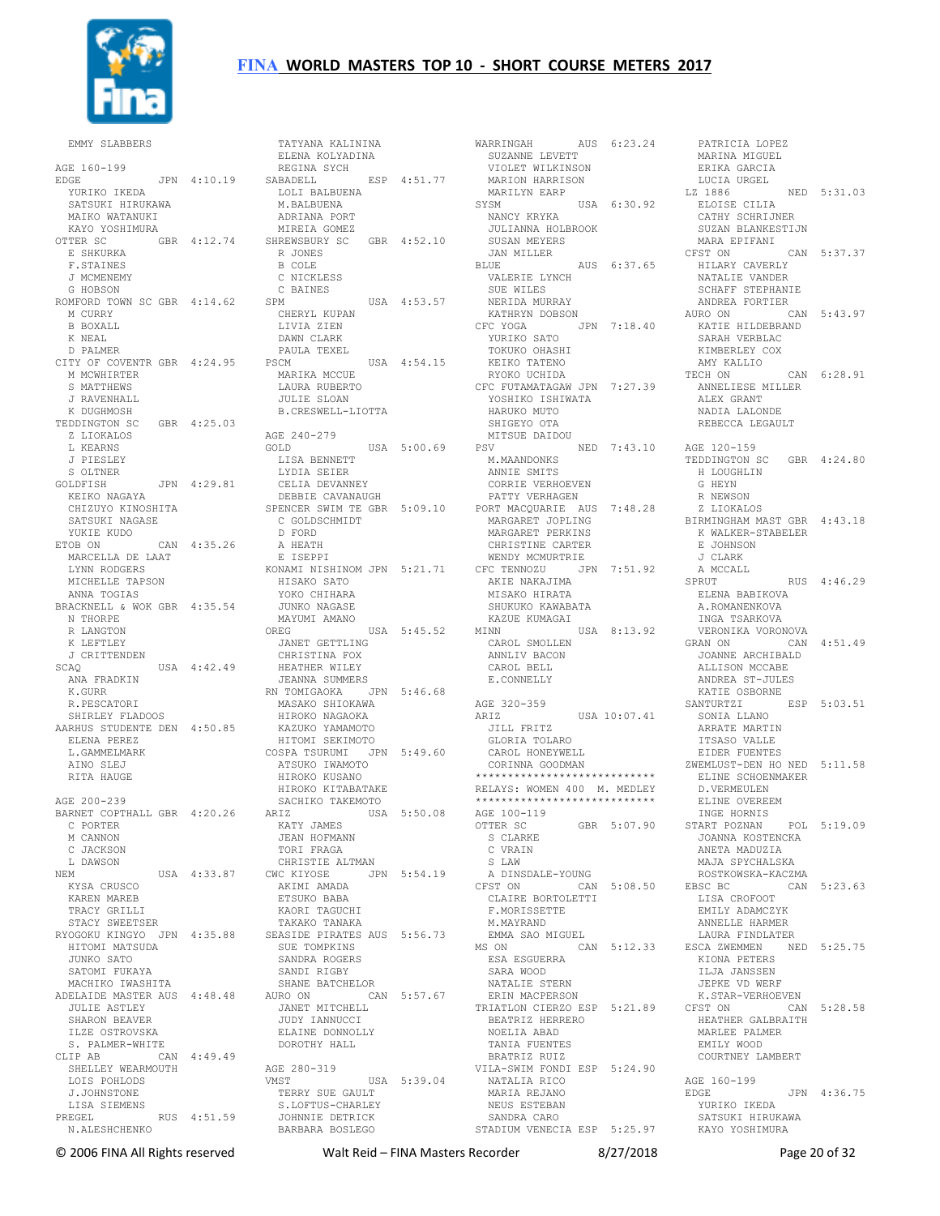

 EMMY SLABBERS AGE 160-199 EDGE JPN 4:10.19 YURIKO IKEDA SATSUKI HIRUKAWA MAIKO WATANUKI KAYO YOSHIMURA OTTER SC GBR 4:12.74 E SHKURKA F.STAINES J MCMENEMY G HOBSON ROMFORD TOWN SC GBR 4:14.62 M CURRY B BOXALL K NEAL D PALMER CITY OF COVENTR GBR 4:24.95 M MCWHIRTER S MATTHEWS J RAVENHALL K DUGHMOSH TEDDINGTON SC GBR 4:25.03 Z LIOKALOS L KEARNS J PIESLEY S OLTNER GOLDFISH JPN 4:29.81<br>KEIKO NAGAYA KEIKO NAGAYA CHIZUYO KINOSHITA SATSUKI NAGASE YUKIE KUDO ETOB ON CAN 4:35.26 MARCELLA DE LAAT LYNN RODGERS MICHELLE TAPSON ANNA TOGIAS BRACKNELL & WOK GBR 4:35.54 N THORPE R LANGTON K LEFTLEY J CRITTENDEN USA 4:42.49 ANA FRADKIN K.GURR R.PESCATORI SHIRLEY FLADOOS AARHUS STUDENTE DEN 4:50.85 ELENA PEREZ L.GAMMELMARK AINO SLEJ RITA HAUGE AGE 200-239 BARNET COPTHALL GBR 4:20.26 C PORTER M CANNON C JACKSON L DAWSON NEM USA 4:33.87 KYSA CRUSCO KAREN MAREB TRACY GRILLI STACY SWEETSER RYOGOKU KINGYO JPN 4:35.88 HITOMI MATSUDA JUNKO SATO SATOMI FUKAYA MACHIKO IWASHITA ADELAIDE MASTER AUS 4:48.48 JULIE ASTLEY SHARON BEAVER ILZE OSTROVSKA S. PALMER-WHITE<br>CLIP AB CA CAN  $4:49.49$  SHELLEY WEARMOUTH LOIS POHLODS J.JOHNSTONE LISA SIEMENS PREGEL RUS 4:51.59 N.ALESHCHENKO

 TATYANA KALININA ELENA KOLYADINA REGINA SYCH SABADELL ESP 4:51.77 LOLI BALBUENA M.BALBUENA ADRIANA PORT MIREIA GOMEZ SHREWSBURY SC GBR 4:52.10 R JONES B COLE C NICKLESS C BAINES SPM USA 4:53.57 CHERYL KUPAN LIVIA ZIEN DAWN CLARK PAULA TEXEL<br>PSCM  $USA$   $4:54.15$  MARIKA MCCUE LAURA RUBERTO JULIE SLOAN B.CRESWELL-LIOTTA AGE 240-279 GOLD USA 5:00.69 LISA BENNETT LYDIA SEIER CELIA DEVANNEY DEBBIE CAVANAUGH SPENCER SWIM TE GBR 5:09.10 C GOLDSCHMIDT<br>D FORD<br>A HEATH E ISEPPI KONAMI NISHINOM JPN 5:21.71 HISAKO SATO YOKO CHIHARA JUNKO NAGASE MAYUMI AMANO OREG USA 5:45.52 JANET GETTLING CHRISTINA FOX HEATHER WILEY JEANNA SUMMERS RN TOMIGAOKA JPN 5:46.68 MASAKO SHIOKAWA HIROKO NAGAOKA KAZUKO YAMAMOTO HITOMI SEKIMOTO COSPA TSURUMI JPN 5:49.60 ATSUKO IWAMOTO HIROKO KUSANO HIROKO KITABATAKE SACHIKO TAKEMOTO<br>ARIZ USA USA 5:50.08 KATY JAMES JEAN HOFMANN TORI FRAGA CHRISTIE ALTMAN CWC KIYOSE JPN 5:54.19 AKIMI AMADA ETSUKO BABA KAORI TAGUCHI TAKAKO TANAKA SEASIDE PIRATES AUS 5:56.73 SUE TOMPKINS<br>SUE TOMPKINS SANDRA ROGERS SANDI RIGBY SHANE BATCHELOR AURO ON CAN 5:57.67 JANET MITCHELL JUDY IANNUCCI ELAINE DONNOLLY DOROTHY HALL AGE 280-319 VMST USA 5:39.04 TERRY SUE GAULT S.LOFTUS-CHARLEY JOHNNIE DETRICK BARBARA BOSLEGO

WARRINGAH AUS 6:23.24 SUZANNE LEVETT VIOLET WILKINSON MARION HARRISON MARILYN EARP SYSM USA 6:30.92 NANCY KRYKA JULIANNA HOLBROOK SUSAN MEYERS JAN MILLER BLUE AUS 6:37.65 VALERIE LYNCH SUE WILES NERIDA MURRAY KATHRYN DOBSON CFC YOGA JPN 7:18.40 YURIKO SATO TOKUKO OHASHI KEIKO TATENO RYOKO UCHIDA CFC FUTAMATAGAW JPN 7:27.39 YOSHIKO ISHIWATA HARUKO MUTO SHIGEYO OTA MITSUE DAIDOU PSV NED 7:43.10 AGE 120-159 M.MAANDONKS ANNIE SMITS CORRIE VERHOEVEN PATTY VERHAGEN PORT MACQUARIE AUS 7:48.28 MARGARET JOPLING MARGARET PERKINS CHRISTINE CARTER<br>WENDY MCMURTRIE WENDY MCMURTRIE CFC TENNOZU JPN 7:51.92 AKIE NAKAJIMA MISAKO HIRATA SHUKUKO KAWABATA KAZUE KUMAGAI<br>MINN MINN USA 8:13.92 CAROL SMOLLEN ANNLIV BACON CAROL BELL E.CONNELLY AGE 320-359<br>ARIZ  $HSSA 10:07.41$  JILL FRITZ GLORIA TOLARO GLOKIA TOLAKO<br>CAROL HONEYWELL CORINNA GOODMAN \*\*\*\*\*\*\*\*\*\*\*\*\*\*\*\*\*\*\*\*\*\*\*\*\*\*\*\* RELAYS: WOMEN 400 M. MEDLEY \*\*\*\*\*\*\*\*\*\*\*\*\*\*\*\*\*\*\*\*\*\*\*\*\*\*\*\* AGE 100-119<br>OTTER SC GBR 5:07.90 S CLARKE C VRAIN S LAW A DINSDALE-YOUNG CFST ON CAN 5:08.50 EBSC BC CLAIRE BORTOLETTI F.MORISSETTE M.MAYRAND EMMA SAO MIGUEL MS ON CAN 5:12.33 ESA ESGUERRA SARA WOOD NATALIE STERN ERIN MACPERSON TRIATLON CIERZO ESP 5:21.89 CFST ON CAN 5:28.58 BEATRIZ HERRERO NOELIA ABAD TANIA FUENTES BRATRIZ RUIZ VILA-SWIM FONDI ESP 5:24.90 NATALIA RICO MARIA REJANO NEUS ESTEBAN SANDRA CARO STADIUM VENECIA ESP 5:25.97

 PATRICIA LOPEZ MARINA MIGUEL ERIKA GARCIA ---<br>LUCIA URGEL<br>LZ 1886 NED 5:31.03 ELOISE CILIA CATHY SCHRIJNER SUZAN BLANKESTIJN MARA EPIFANI CFST ON CAN 5:37.37 HILARY CAVERLY NATALIE VANDER SCHAFF STEPHANIE ANDREA FORTIER AURO ON CAN 5:43.97 KATIE HILDEBRAND SARAH VERBLAC KIMBERLEY COX AMY KALLIO TECH ON CAN 6:28.91 ANNELIESE MILLER ALEX GRANT NADIA LALONDE REBECCA LEGAULT TEDDINGTON SC GBR 4:24.80 H LOUGHLIN G HEYN R NEWSON Z LIOKALOS BIRMINGHAM MAST GBR 4:43.18 K WALKER-STABELER E JOHNSON J CLARK A MCCALL  $SPRIIT$  RIIS  $4 \cdot 46$  29 ELENA BABIKOVA A.ROMANENKOVA INGA TSARKOVA VERONIKA VORONOVA<br>RAN ON CAN 4:51 49 GRAN ON JOANNE ARCHIBALD ALLISON MCCABE ANDREA ST-JULES KATIE OSBORNE SANTURTZI ESP 5:03.51 SONIA LLANO ARRATE MARTIN ITSASO VALLE EIDER FUENTES ZWEMLUST-DEN HO NED 5:11.58 ELINE SCHOENMAKER D.VERMEULEN ELINE OVEREEM INGE HORNIS START POZNAN POL 5:19.09 JOANNA KOSTENCKA ANETA MADUZIA MAJA SPYCHALSKA ROSTKOWSKA-KACZMA EBSC BC CAN 5:23.63 LISA CROFOOT EMILY ADAMCZYK ANNELLE HARMER<br>LAURA FINDLATER LAURA FINDLATER ESCA ZWEMMEN NED 5:25.75 KIONA PETERS ILJA JANSSEN JEPKE VD WERF K.STAR-VERHOEVEN HEATHER GALBRAITH MARLEE PALMER EMILY WOOD COURTNEY LAMBERT AGE 160-199<br>EDGE EDGE JPN 4:36.75 YURIKO IKEDA SATSUKI HIRUKAWA KAYO YOSHIMURA

© 2006 FINA All Rights reserved Walt Reid – FINA Masters Recorder 8/27/2018 Page 20 of 32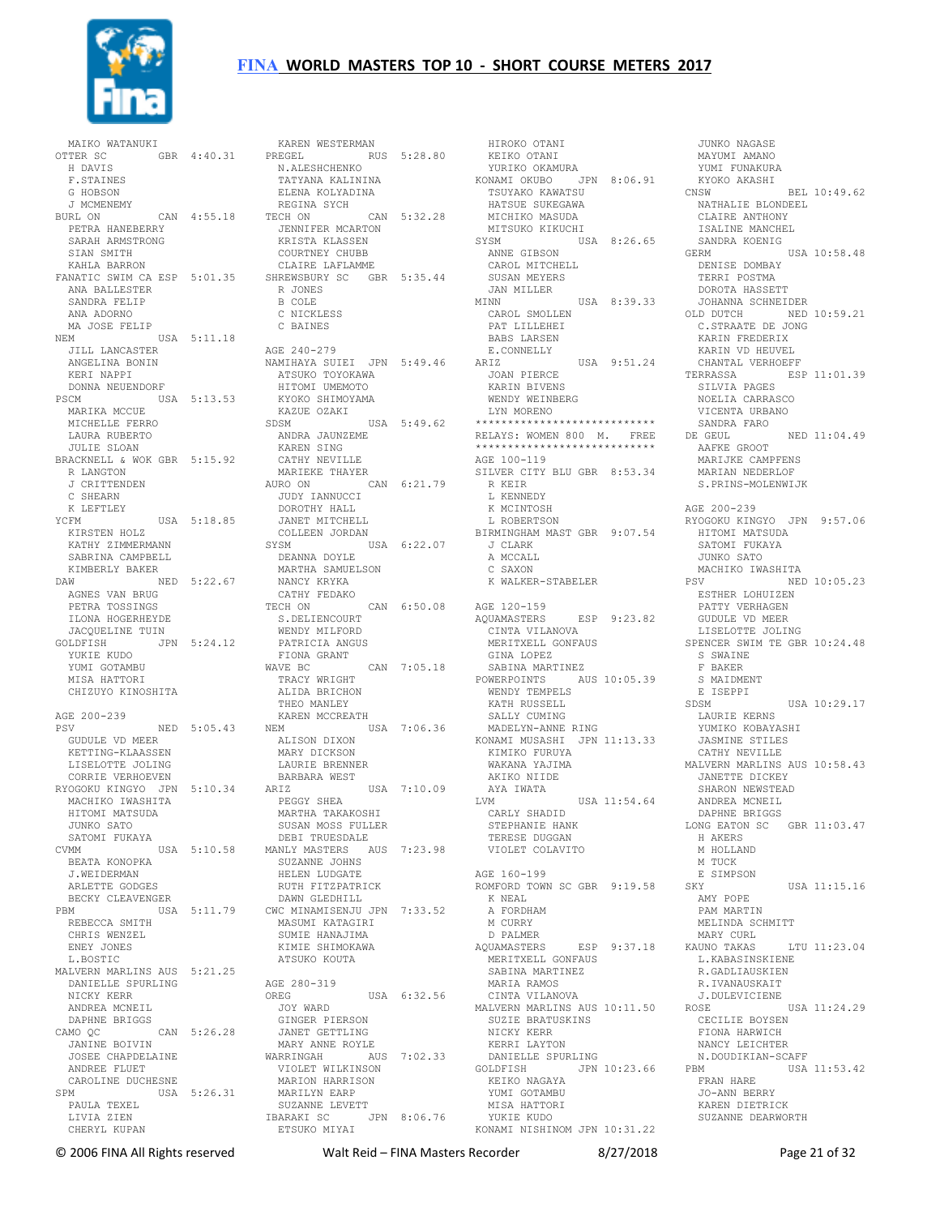

MAIKO WATANUKI<br>OTTER SC GBR 4:40.31 H DAVIS F.STAINES G HOBSON J MCMENEMY<br>BURL ON CAN 4:55.18 PETRA HANEBERRY SARAH ARMSTRONG SIAN SMITH KAHLA BARRON FANATIC SWIM CA ESP 5:01.35 ANA BALLESTER SANDRA FELIP ANA ADORNO MA JOSE FELIP NEM USA 5:11.18 JILL LANCASTER ANGELINA BONIN KERI NAPPI DONNA NEUENDORF PSCM USA 5:13.53 MARIKA MCCUE KYOKO SHIMOYAMA KAZUE OZAKI MICHELLE FERRO LAURA RUBERTO JULIE SLOAN BRACKNELL & WOK GBR 5:15.92 R LANGTON J CRITTENDEN C SHEARN K LEFTLEY YCFM USA 5:18.85 KIRSTEN HOLZ KATHY ZIMMERMANN SABRINA CAMPBELL KIMBERLY BAKER DAW NED 5:22.67 AGNES VAN BRUG<br>PETRA TOSSINGS<br>ILONA HOGERHEYDE JACQUELINE TUIN GOLDFISH JPN 5:24.12 YUKIE KUDO YUMI GOTAMBU MISA HATTORI CHIZUYO KINOSHITA AGE 200-239 PSV NED 5:05.43 NEM USA 7:06.36 GUDULE VD MEER KETTING-KLAASSEN LISELOTTE JOLING CORRIE VERHOEVEN RYOGOKU KINGYO JPN 5:10.34 MACHIKO IWASHITA HITOMI MATSUDA JUNKO SATO SATOMI FUKAYA CVMM USA 5:10.58 BEATA KONOPKA J.WEIDERMAN ARLETTE GODGES BECKY CLEAVENGER<br>PRM USA PBM USA 5:11.79 CWC MINAMISENJU JPN 7:33.52 REBECCA SMITH CHRIS WENZEL ENEY JONES L. BOSTIC MALVERN MARLINS AUS 5:21.25 DANIELLE SPURLING NICKY KERR ANDREA MCNEIL DAPHNE BRIGGS<br>CAMO OC  $CAN 5:26.28$  JANINE BOIVIN JOSEE CHAPDELAINE ANDREE FLUET CAROLINE DUCHESNE SPM USA 5:26.31 PAULA TEXEL LIVIA ZIEN CHERYL KUPAN

 KAREN WESTERMAN PREGEL RUS 5:28.80 N.ALESHCHENKO TATYANA KALININA<br>ELENA KOLYADINA ELENA KOLYADINA REGINA SYCH TECH ON CAN 5:32.28 JENNIFER MCARTON KRISTA KLASSEN COURTNEY CHUBB CLAIRE LAFLAMME SHREWSBURY SC GBR 5:35.44 R JONES B COLE C NICKLESS C BAINES AGE 240-279 NAMIHAYA SUIEI JPN 5:49.46 ATSUKO TOYOKAWA HITOMI UMEMOTO SDSM USA 5:49.62 ANDRA JAUNZEME KAREN SING CATHY NEVILLE MARIEKE THAYER<br>AURO ON C AURO ON CAN 6:21.79 JUDY IANNUCCI DOROTHY HALL JANET MITCHELL COLLEEN JORDAN<br>SYSM USA 6:22.07<br>DEANNA DOYLE<br>MARTHA SAMUELSON<br>NANCY KRYKA CATHY FEDAKO TECH ON CAN 6:50.08 S.DELIENCOURT WENDY MILFORD PATRICIA ANGUS FIONA GRANT WAVE BC CAN 7:05.18 TRACY WRIGHT ALIDA BRICHON THEO MANLEY KAREN MCCREATH ALISON DIXON MARY DICKSON LAURIE BRENNER BARBARA WEST USA 7:10.09 PEGGY SHEA MARTHA TAKAKOSHI SUSAN MOSS FULLER DEBI TRUESDALE MANLY MASTERS AUS 7:23.98 SUZANNE JOHNS HELEN LUDGATE RUTH FITZPATRICK DAWN GLEDHILL MASUMI KATAGIRI SUMIE HANAJIMA KIMIE SHIMOKAWA ATSUKO KOUTA AGE 280-319 OREG USA 6:32.56 JOY WARD GINGER PIERSON JANET GETTLING MARY ANNE ROYLE WARRINGAH AUS 7:02.33 VIOLET WILKINSON MARION HARRISON MARILYN EARP SUZANNE LEVETT IBARAKI SC JPN 8:06.76 ETSUKO MIYAI LING NICKY KERR<br>ROYLE KERRI LAYT<br>AUS 7:02.33 DANIELLE SI<br>GOLDFISH

 HIROKO OTANI KEIKO OTANI YURIKO OKAMURA KONAMI OKUBO JPN 8:06.91 TSUYAKO KAWATSU HATSUE SUKEGAWA MICHIKO MASUDA MITSUKO KIKUCHI SYSM USA 8:26.65 ANNE GIBSON CAROL MITCHELL SUSAN MEYERS JAN MILLER MINN USA 8:39.33 CAROL SMOLLEN PAT LILLEHEI BABS LARSEN E.CONNELLY<br>ARIZ USA 9:51.24 JOAN PIERCE KARIN BIVENS WENDY WEINBERG LYN MORENO \*\*\*\*\*\*\*\*\*\*\*\*\*\*\*\*\*\*\*\*\*\*\* RELAYS: WOMEN 800 M. FREE \*\*\*\*\*\*\*\*\*\*\*\*\*\*\*\*\*\*\*\*\*\*\*\*\*\*\*\* AGE 100-119 SILVER CITY BLU GBR 8:53.34 R KEIR L KENNEDY<br>K MCINTOSH L ROBERTSON BIRMINGHAM MAST GBR 9:07.54 J CLARK A MCCALL C SAXON K WALKER-STABELER AGE 120-159 AQUAMASTERS ESP 9:23.82 CINTA VILANOVA MERITXELL GONFAUS GINA LOPEZ SABINA MARTINEZ POWERPOINTS AUS 10:05.39 WENDY TEMPELS KATH RUSSELL SALLY CUMING MADELYN-ANNE RING KONAMI MUSASHI JPN 11:13.33 KIMIKO FURUYA WAKANA YAJIMA AKIKO NIIDE AYA IWATA LVM USA 11:54.64 CARLY SHADID STEPHANIE HANK TERESE DUGGAN VIOLET COLAVITO AGE 160-199 ROMFORD TOWN SC GBR 9:19.58 K NEAL A FORDHAM M CURRY D PALMER<br>AQUAMASTERS ESP 9:37.18 MERITXELL GONFAUS SABINA MARTINEZ MARIA RAMOS CINTA VILANOVA MALVERN MARLINS AUS 10:11.50 SUZIE BRATUSKINS KERRI LAYTON DANIELLE SPURLING JPN 10:23.66 KEIKO NAGAYA YUMI GOTAMBU MISA HATTORI YUKIE KUDO KONAMI NISHINOM JPN 10:31.22

 JUNKO NAGASE MAYUMI AMANO YUMI FUNAKURA KYOKO AKASHI<br>CNSW  $RET. 10:49.62$  NATHALIE BLONDEEL CLAIRE ANTHONY ISALINE MANCHEL SANDRA KOENIG GERM USA 10:58.48 DENISE DOMBAY TERRI POSTMA DOROTA HASSETT JOHANNA SCHNEIDER OLD DUTCH NED 10:59.21 C.STRAATE DE JONG KARIN FREDERIX KARIN VD HEUVEL CHANTAL VERHOEFF ESP 11:01.39 SILVIA PAGES NOELIA CARRASCO VICENTA URBANO SANDRA FARO DE GEUL NED 11:04.49 AAFKE GROOT MARIJKE CAMPFENS MARIAN NEDERLOF S.PRINS-MOLENWIJK AGE 200-239 RYOGOKU KINGYO JPN 9:57.06 HITOMI MATSUDA SATOMI FUKAYA JUNKO SATO MACHIKO IWASHITA<br>PSV NED  $NED 10:05.23$  ESTHER LOHUIZEN PATTY VERHAGEN GUDULE VD MEER LISELOTTE JOLING SPENCER SWIM TE GBR 10:24.48 S SWAINE F BAKER S MAIDMENT E ISEPPI SDSM USA 10:29.17 LAURIE KERNS YUMIKO KOBAYASHI JASMINE STILES CATHY NEVILLE MALVERN MARLINS AUS 10:58.43 JANETTE DICKEY SHARON NEWSTEAD ANDREA MCNEIL DAPHNE BRIGGS LONG EATON SC GBR 11:03.47 H AKERS M HOLLAND M THCK E SIMPSON SKY USA 11:15.16 AMY POPE PAM MARTIN MELINDA SCHMITT MARY CURL KAUNO TAKAS LTU 11:23.04 L.KABASINSKIENE R.GADLIAUSKIEN R.IVANAUSKAIT J.DULEVICIENE ROSE USA 11:24.29 CECILIE BOYSEN FIONA HARWICH NANCY LEICHTER N.DOUDIKIAN-SCAFF USA 11:53.42 FRAN HARE JO-ANN BERRY KAREN DIETRICK SUZANNE DEARWORTH

© 2006 FINA All Rights reserved Walt Reid – FINA Masters Recorder 8/27/2018 Page 21 of 32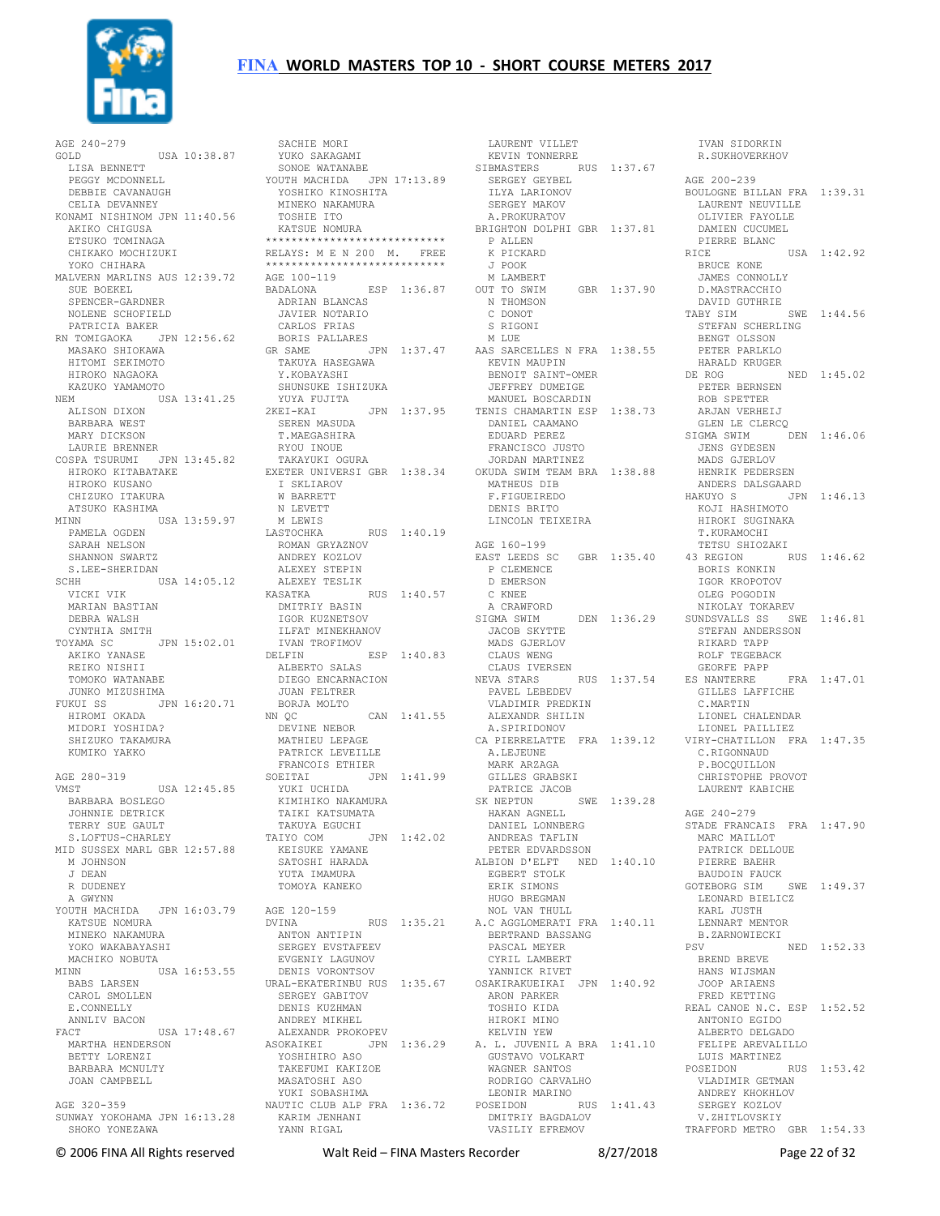

AGE 240-279 GOLD USA 10:38.87 LISA BENNETT PEGGY MCDONNELL DEBBIE CAVANAUGH CELIA DEVANNEY KONAMI NISHINOM JPN 11:40.56 AKIKO CHIGUSA ETSUKO TOMINAGA CHIKAKO MOCHIZUKI YOKO CHIHARA MALVERN MARLINS AUS 12:39.72 SUE BOEKEL SPENCER-GARDNER NOLENE SCHOFIELD PATRICIA BAKER RN TOMIGAOKA JPN 12:56.62 MASAKO SHIOKAWA HITOMI SEKIMOTO HIROKO NAGAOKA KAZUKO YAMAMOTO NEM USA 13:41.25 ALISON DIXON BARBARA WEST MARY DICKSON LAURIE BRENNER COSPA TSURUMI JPN 13:45.82 HIROKO KITABATAKE TAKAYUKI OGURA EXETER UNIVERSI GBR 1:38.34 .<br>HIROKO KITABATAKE<br>HIROKO KUSANO CHIZUKO ITAKURA ATSUKO KASHIMA<br>MTNN U MINN USA 13:59.97 M LEWIS PAMELA OGDEN SARAH NELSON SHANNON SWARTZ S.LEE-SHERIDAN SCHH USA 14:05.12 VICKI VIK MARIAN BASTIAN DEBRA WALSH CYNTHIA SMITH<br>TOYAMA SC TOYAMA SC JPN 15:02.01 AKIKO YANASE REIKO NISHII TOMOKO WATANABE JUNKO MIZUSHIMA FUKUI SS JPN 16:20.71 HIROMI OKADA MIDORI YOSHIDA? SHIZUKO TAKAMURA KUMIKO YAKKO AGE 280-319 VMST USA 12:45.85 SOEITAI JPN 1:41.99 YUKI UCHIDA KIMIHIKO NAKAMURA TAIKI KATSUMATA BARBARA BOSLEGO JOHNNIE DETRICK TERRY SUE GAULT S.LOFTUS-CHARLEY MID SUSSEX MARL GBR 12:57.88 M JOHNSON J DEAN R DUDENEY A GWYNN YOUTH MACHIDA JPN 16:03.79 KATSUE NOMURA MINEKO NAKAMURA YOKO WAKABAYASHI MACHIKO NOBUTA MINN USA 16:53.55 DENIS VORONTSOV URAL-EKATERINBU RUS 1:35.67 BABS LARSEN CAROL SMOLLEN E. CONNELLY ANNLIV BACON FACT USA 17:48.67 MARTHA HENDERSON ASOKAIKEI JPN 1:36.29 BETTY LORENZI BARBARA MCNULTY JOAN CAMPBELL AGE 320-359 SUNWAY YOKOHAMA JPN 16:13.28 SHOKO YONEZAWA

 SACHIE MORI YUKO SAKAGAMI SONOE WATANABE YOUTH MACHIDA JPN 17:13.89 YOSHIKO KINOSHITA MINEKO NAKAMURA TOSHIE ITO KATSUE NOMURA \*\*\*\*\*\*\*\*\*\*\*\*\*\*\*\*\*\*\*\*\*\*\*\*\*\*\*\* RELAYS: M E N 200 M. FREE \*\*\*\*\*\*\*\*\*\*\*\*\*\*\*\*\*\*\*\*\*\*\*\*\*\*\*\* AGE 100-119 BADALONA ESP 1:36.87 ADRIAN BLANCAS JAVIER NOTARIO CARLOS FRIAS BORIS PALLARES TAKUYA HASEGAWA Y.KOBAYASHI SHUNSUKE ISHIZUKA YUYA FUJITA SEREN MASUDA T.MAEGASHIRA RYOU INOUE I SKLIAROV W BARRETT N LEVETT RUS 1:40.19 ROMAN GRYAZNOV ANDREY KOZLOV ALEXEY STEPIN ALEXEY TESLIK KASATKA RUS 1:40.57 DMITRIY BASIN IGOR KUZNETSOV<br>
ILFAT MINEKHANOV<br>
IVAN TROFIMOV<br>
DELFIN ESP 1:40.83<br>
ALBERTO SALAS<br>
DIEGO ENCARNACION JUAN FELTRER BORJA MOLTO<br>NN OC NN QC CAN 1:41.55 ALEXANDR SHILIN DEVINE NEBOR MATHIEU LEPAGE PATRICK LEVEILLE FRANCOIS ETHIER<br>SOEITAI JPN 1:41.99<br>-------- TAKUYA EGUCHI TAIYO COM JPN 1:42.02 KEISUKE YAMANE SATOSHI HARADA YUTA IMAMURA TOMOYA KANEKO ANTON ANTIPIN SERGEY EVSTAFEEV EVGENIY LAGUNOV SERGEY GABITOV DENIS KUZHMAN ANDREY MIKHEL ALEXANDR PROKOPEV YOSHIHIRO ASO TAKEFUMI KAKIZOE MASATOSHI ASO YUKI SOBASHIMA NAUTIC CLUB ALP FRA 1:36.72 KARIM JENHANI YANN RIGAL

GR SAME JPN 1:37.47 AAS SARCELLES N FRA 1:38.55 2KEI-KAI JPN 1:37.95 MANUEL BOSCARDIN TENIS CHAMARTIN ESP 1:38.73 ROB SPETTER ARJAN VERHEIJ AGE 120-159 DVINA RUS 1:35.21 NOL VAN THULL A.C AGGLOMERATI FRA 1:40.11 LAURENT VILLET KEVIN TONNERRE SIBMASTERS RUS 1:37.67 SERGEY GEYBEL ILYA LARIONOV SERGEY MAKOV A.PROKURATOV BRIGHTON DOLPHI GBR 1:37.81 DAMIEN CUCUMEL PIERRE BLANC P ALLEN K PICKARD J POOK M LAMBERT OUT TO SWIM GBR 1:37.90 N THOMSON C DONOT S RIGONI M LUE KEVIN MAUPIN<br>KEVIN MAUPIN<br>Criss BENOIT SAINT-OMER DE ROG NED 1:45.02 JEFFREY DUMEIGE DANIEL CAAMANO EDUARD PEREZ FRANCISCO JUSTO JORDAN MARTINEZ OKUDA SWIM TEAM BRA 1:38.88 MATHEUS DIB F.FIGUEIREDO DENIS BRITO LINCOLN TEIXEIRA AGE 160-199 EAST LEEDS SC GBR 1:35.40 P CLEMENCE D EMERSON C KNEE A CRAWFORD SIGMA SWIM DEN 1:36.29 SUNDSVALLS SS SWE 1:46.81 STEFAN ANDERSSON JACOB SKYTTE MADS GJERLOV CLAUS WENG CLAUS IVERSEN NEVA STARS RUS 1:37.54 PAVEL LEBEDEV VLADIMIR PREDKIN A.SPIRIDONOV CA PIERRELATTE FRA 1:39.12 A.LEJEUNE<br>MARK ARZAGA<br>GILLES GRABSKI PATRICE JACOB SK NEPTUN SWE 1:39.28 HAKAN AGNELL DANIEL LONNBERG ANDREAS TAFLIN PETER EDVARDSSON ALBION D'ELFT NED 1:40.10 EGBERT STOLK ERIK SIMONS HUGO BREGMAN BERTRAND BASSANG PASCAL MEYER CYRIL LAMBERT YANNICK RIVET OSAKIRAKUEIKAI JPN 1:40.92 ARON PARKER TOSHIO KIDA HIROKI MINO KELVIN YEW A. L. JUVENIL A BRA 1:41.10 GUSTAVO VOLKART WAGNER SANTOS RODRIGO CARVALHO LEONIR MARINO POSEIDON RUS 1:41.43 DMITRIY BAGDALOV VASILIY EFREMOV

 IVAN SIDORKIN R.SUKHOVERKHOV AGE 200-239 BOULOGNE BILLAN FRA 1:39.31 LAURENT NEUVILLE OLIVIER FAYOLLE RICE USA 1:42.92 BRUCE KONE JAMES CONNOLLY D.MASTRACCHIO DAVID GUTHRIE TABY SIM SWE 1:44.56 STEFAN SCHERLING BENGT OLSSON PETER PARLKLO HARALD KRUGER PETER BERNSEN GLEN LE CLERCQ<br>TGMA SWIM DEN 1:46.06 SIGMA SWIM JENS GYDESEN MADS GJERLOV HENRIK PEDERSEN ANDERS DALSGAARD HAKUYO S JPN 1:46.13 KOJI HASHIMOTO HIROKI SUGINAKA T.KURAMOCHI TETSU SHIOZAKI 43 REGION RUS 1:46.62 BORIS KONKIN IGOR KROPOTOV OLEG POGODIN NIKOLAY TOKAREV STEFAN ANDERSSON<br>RIKARD TAPP ROLF TEGEBACK GEORFE PAPP ES NANTERRE FRA 1:47.01 GILLES LAFFICHE C.MARTIN LIONEL CHALENDAR LIONEL PAILLIEZ VIRY-CHATILLON FRA 1:47.35 C.RIGONNAUD P.BOCQUILLON CHRISTOPHE PROVOT LAURENT KABICHE AGE 240-279 STADE FRANCAIS FRA 1:47.90 MARC MAILLOT PATRICK DELLOUE PIERRE BAEHR BAUDOIN FAUCK GOTEBORG SIM SWE 1:49.37 LEONARD BIELICZ KARL JUSTH LENNART MENTOR B.ZARNOWIECKI<br>PSV NED 1:52.33 BREND BREVE HANS WIJSMAN JOOP ARIAENS FRED KETTING REAL CANOE N.C. ESP 1:52.52 ANTONIO EGIDO ALBERTO DELGADO FELIPE AREVALILLO LUIS MARTINEZ<br>OSEIDON RUS 1:53.42 POSEIDON VLADIMIR GETMAN ANDREY KHOKHLOV SERGEY KOZLOV V.ZHITLOVSKIY TRAFFORD METRO GBR 1:54.33

© 2006 FINA All Rights reserved Walt Reid – FINA Masters Recorder 8/27/2018 Page 22 of 32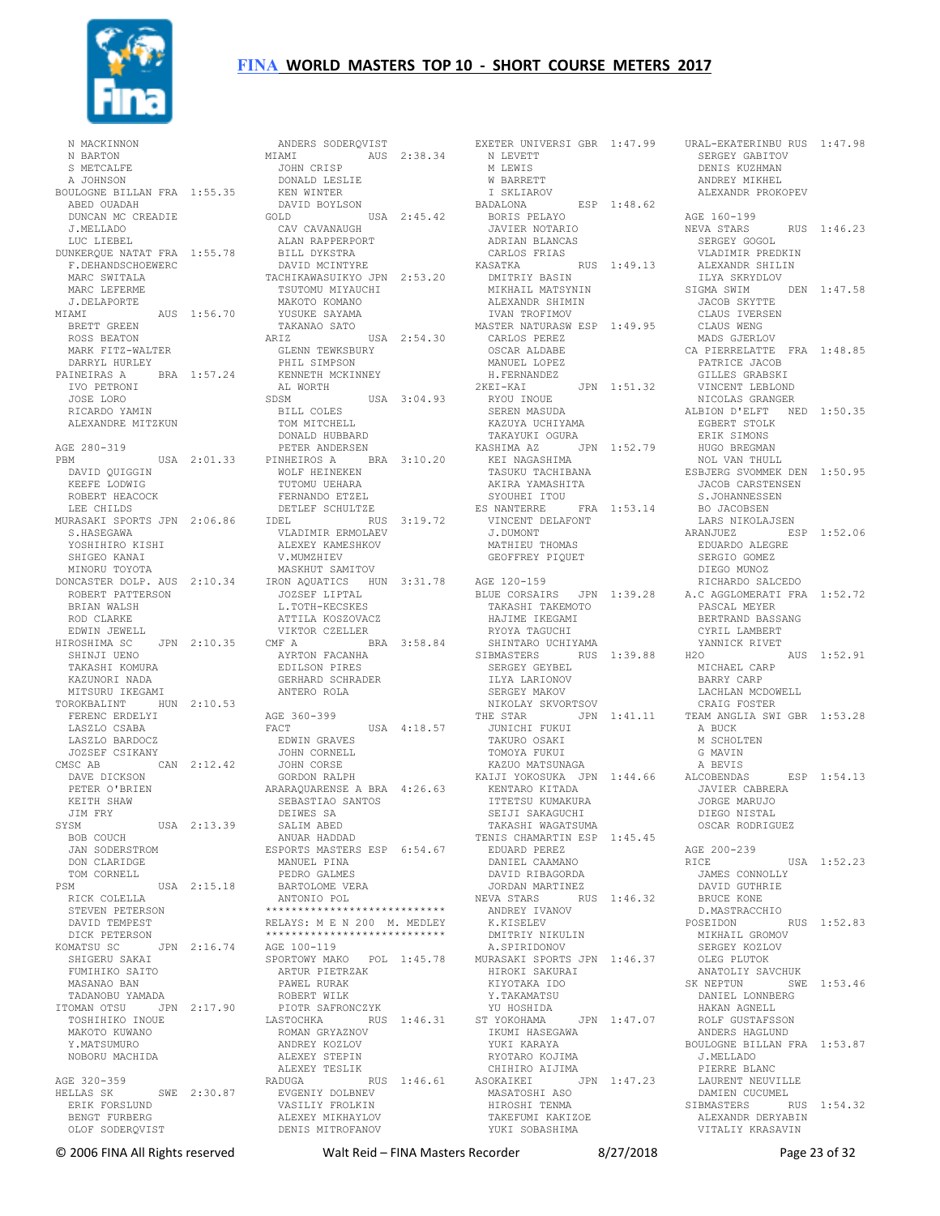

 N MACKINNON N BARTON<br>S METCALFE S METCALFE A JOHNSON BOULOGNE BILLAN FRA 1:55.35 ABED OUADAH DUNCAN MC CREADIE J.MELLADO LUC LIEBEL DUNKERQUE NATAT FRA 1:55.78 F.DEHANDSCHOEWERC MARC SWITALA MARC LEFERME J.DELAPORTE MIAMI AUS 1:56.70 BRETT GREEN ROSS BEATON MARK FITZ-WALTER DARRYL HURLEY PAINEIRAS A BRA 1:57.24 IVO PETRONI JOSE LORO RICARDO YAMIN ALEXANDRE MITZKUN AGE 280-319 PBM USA 2:01.33 <sub>BM</sub><br>DAVID QUIGGIN KEEFE LODWIG ROBERT HEACOCK LEE CHILDS MURASAKI SPORTS JPN 2:06.86 S.HASEGAWA YOSHIHIRO KISHI SHIGEO KANAI MINORU TOYOTA ROBERT PATTERSON BRIAN WALSH ROD CLARKE EDWIN JEWELL HIROSHIMA SC JPN 2:10.35 SHINJI UENO TAKASHI KOMURA KAZUNORI NADA MITSURU IKEGAMI TOROKBALINT HUN 2:10.53 FERENC ERDELYI LASZLO CSABA LASZLO BARDOCZ JOZSEF CSIKANY CMSC AB CAN 2:12.42 DAVE DICKSON PETER O'BRIEN KEITH SHAW JIM FRY<br>SYSM YSM USA 2:13.39<br>ROB COUCH BOB COUCH JAN SODERSTROM DON CLARIDGE TOM CORNELL PSM USA 2:15.18 RICK COLELLA BARTOLOME VERA ANTONIO POL STEVEN PETERSON DAVID TEMPEST DICK PETERSON KOMATSU SC JPN 2:16.74 AGE 100-119 SHIGERU SAKAI FUMIHIKO SAITO MASANAO BAN TADANOBU YAMADA ITOMAN OTSU JPN 2:17.90 TOSHIHIKO INOUE .....<br>TOSHIHIKO INOUE<br>MAKOTO KUWANO Y MATSUMURO NOBORU MACHIDA AGE 320-359 HELLAS SK SWE 2:30.87 ERIK FORSLUND BENGT FURBERG OLOF SODERQVIST

MINORU TOYOTA MASKHUT SAMITOV<br>DONCASTER DOLP. AUS 2:10.34 IRON AQUATICS HUN 3:31.78 AGE 120-159 ANDERS SODERQVIST MIAMI AUS 2:38.34 JOHN CRISP DONALD LESLIE KEN WINTER DAVID BOYLSON GOLD USA 2:45.42 CAV CAVANAUGH ALAN RAPPERPORT BILL DYKSTRA DAVID MCINTYRE TACHIKAWASUIKYO JPN 2:53.20 TSUTOMU MIYAUCHI MAKOTO KOMANO YUSUKE SAYAMA TAKANAO SATO ARIZ USA 2:54.30 GLENN TEWKSBURY<br>PHIL SIMPSON<br>KENNETH MCKINNEY<br>AL WORTH USA 3:04.93<br>SDSM USA 3:04.93 BILL COLES TOM MITCHELL DONALD HUBBARD<br>
PETER ANDERSEN<br>
PINHEIROS A BRA 3:10.20<br>
WOLF HEINEKEN<br>
TUTOMU UEHARA<br>
FERNANDO ETZEL DETLEF SCHULTZE IDEL RUS 3:19.72 VLADIMIR ERMOLAEV ALEXEY KAMESHKOV ALEXEY KAMESHKOV<br>V.MUMZHIEV MASKHUT SAMITOV JOZSEF LIPTAL<br>L.TOTH-KECSKES ATTILA KOSZOVACZ VIKTOR CZELLER BRA 3:58.84 AYRTON FACANHA EDILSON PIRES GERHARD SCHRADER ANTERO ROLA AGE 360-399 FACT USA 4:18.57 EDWIN GRAVES JOHN CORNELL JOHN CORSE GORDON RALPH GORDON KALFII<br>ARARAQUARENSE A BRA 4:26.63 SEBASTIAO SANTOS DEIWES SA SALIM ABED ANUAR HADDAD ESPORTS MASTERS ESP 6:54.67 MANUEL PINA PEDRO GALMES \*\*\*\*\*\*\*\*\*\*\*\*\*\*\*\*\*\*\*\*\*\*\*\*\*\*\*\* RELAYS: M E N 200 M. MEDLEY \*\*\*\*\*\*\*\*\*\*\*\*\*\*\*\*\*\*\*\*\*\*\*\*\*\*\*\* SPORTOWY MAKO POL 1:45.78 ARTUR PIETRZAK PAWEL RURAK ROBERT WILK PIOTR SAFRONCZYK LASTOCHKA RUS 1:46.31 ROMAN GRYAZNOV ANDREY KOZLOV ALEXEY STEPIN ALEXEY TESLIK RADUGA RUS 1:46.61 EVGENIY DOLBNEV VASILIY FROLKIN ALEXEY MIKHAYLOV DENIS MITROFANOV

EXETER UNIVERSI GBR 1:47.99 N LEVETT URAL-EKATERINBU RUS 1:47.98 SERGEY GABITOV M LEWIS<br>W BARRETT W BARRETT I SKLIAROV BADALONA ESP 1:48.62 BORIS PELAYO JAVIER NOTARIO ADRIAN BLANCAS CARLOS FRIAS KASATKA RUS 1:49.13 VLADIMIR PREDKIN ALEXANDR SHILIN DMITRIY BASIN MIKHAIL MATSYNIN ALEXANDR SHIMIN IVAN TROFIMOV MASTER NATURASW ESP 1:49.95 CARLOS PEREZ OSCAR ALDABE MANUEL LOPEZ H.FERNANDEZ<br>2KEI-KAI JPN 1:51.32 RYOU INOUE<br>SEREN MASUDA SEREN MASUDA KAZUYA UCHIYAMA TAKAYUKI OGURA KASHIMA AZ JPN 1:52.79 KEI NAGASHIMA TASUKU TACHIBANA AKIRA YAMASHITA SYOUHEI ITOU ES NANTERRE FRA 1:53.14 VINCENT DELAFONT J.DUMONT MATHIEU THOMAS GEOFFREY PIQUET BLUE CORSAIRS JPN 1:39.28 A.C AGGLOMERATI FRA 1:52.72 TAKASHI TAKEMOTO HAJIME IKEGAMI<br>RYOYA TAGUCHI<br>SHINTARO UCHIYAMA<br>SIBMASTERS RUS 1:39.88<br>SERGEY GEYBEL ILYA LARIONOV SERGEY MAKOV NIKOLAY SKVORTSOV THE STAR JPN 1:41.11 JUNICHI FUKUI TAKURO OSAKI TOMOYA FUKUI KAZUO MATSUNAGA KAIJI YOKOSUKA JPN 1:44.66 ALCOBENDAS KENTARO KITADA ITTETSU KUMAKURA SEIJI SAKAGUCHI TAKASHI WAGATSUMA TENIS CHAMARTIN ESP 1:45.45 EDUARD PEREZ DANIEL CAAMANO DAVID RIBAGORDA JORDAN MARTINEZ NEVA STARS RUS 1:46.32 ANDREY IVANOV K.KISELEV DMITRIY NIKULIN A.SPIRIDONOV MURASAKI SPORTS JPN 1:46.37 HIROKI SAKURAI KIYOTAKA IDO Y.TAKAMATSU YU HOSHIDA ST YOKOHAMA JPN 1:47.07 IKUMI HASEGAWA YUKI KARAYA RYOTARO KOJIMA CHIHIRO AIJIMA ASOKAIKEI JPN 1:47.23 MASATOSHI ASO HIROSHI TENMA TAKEFUMI KAKIZOE YUKI SOBASHIMA

 DENIS KUZHMAN ANDREY MIKHEL ALEXANDR PROKOPEV AGE 160-199 NEVA STARS RUS 1:46.23 SERGEY GOGOL ILYA SKRYDLOV SIGMA SWIM DEN 1:47.58 JACOB SKYTTE CLAUS IVERSEN CLAUS WENG MADS GJERLOV CA PIERRELATTE FRA 1:48.85 PATRICE JACOB GILLES GRABSKI VINCENT LEBLOND NICOLAS GRANGER ALBION D'ELFT NED 1:50.35 EGBERT STOLK ERIK SIMONS HUGO BREGMAN NOL VAN THULL NUL VAN INCLE<br>ESBJERG SVOMMEK DEN 1:50.95 JACOB CARSTENSEN S.JOHANNESSEN BO JACOBSEN LARS NIKOLAJSEN ARANJUEZ ESP 1:52.06 EDUARDO ALEGRE SERGIO GOMEZ DIEGO MUNOZ RICHARDO SALCEDO PASCAL MEYER BERTRAND BASSANG CYRIL LAMBERT YANNICK RIVET H2O AUS 1:52.91 MICHAEL CARP BARRY CARP LACHLAN MCDOWELL CRAIG FOSTER TEAM ANGLIA SWI GBR 1:53.28 A BUCK M SCHOLTEN G MAVIN A BEVIS RSP 1:54.13 JAVIER CABRERA JORGE MARUJO DIEGO NISTAL OSCAR RODRIGUEZ AGE 200-239<br>RICE  $USA = 1:52.23$  JAMES CONNOLLY DAVID GUTHRIE BRUCE KONE D.MASTRACCHIO POSEIDON RUS 1:52.83 MIKHAIL GROMOV SERGEY KOZLOV OLEG PLUTOK ANATOLIY SAVCHUK SK NEPTUN SWE 1:53.46 DANIEL LONNBERG HAKAN AGNELL ROLF GUSTAFSSON ANDERS HAGLUND BOULOGNE BILLAN FRA 1:53.87 J.MELLADO PIERRE BLANC LAURENT NEUVILLE DAMIEN CUCUMEL SIBMASTERS RUS 1:54.32 ALEXANDR DERYABIN VITALIY KRASAVIN

© 2006 FINA All Rights reserved Walt Reid – FINA Masters Recorder 8/27/2018 Page 23 of 32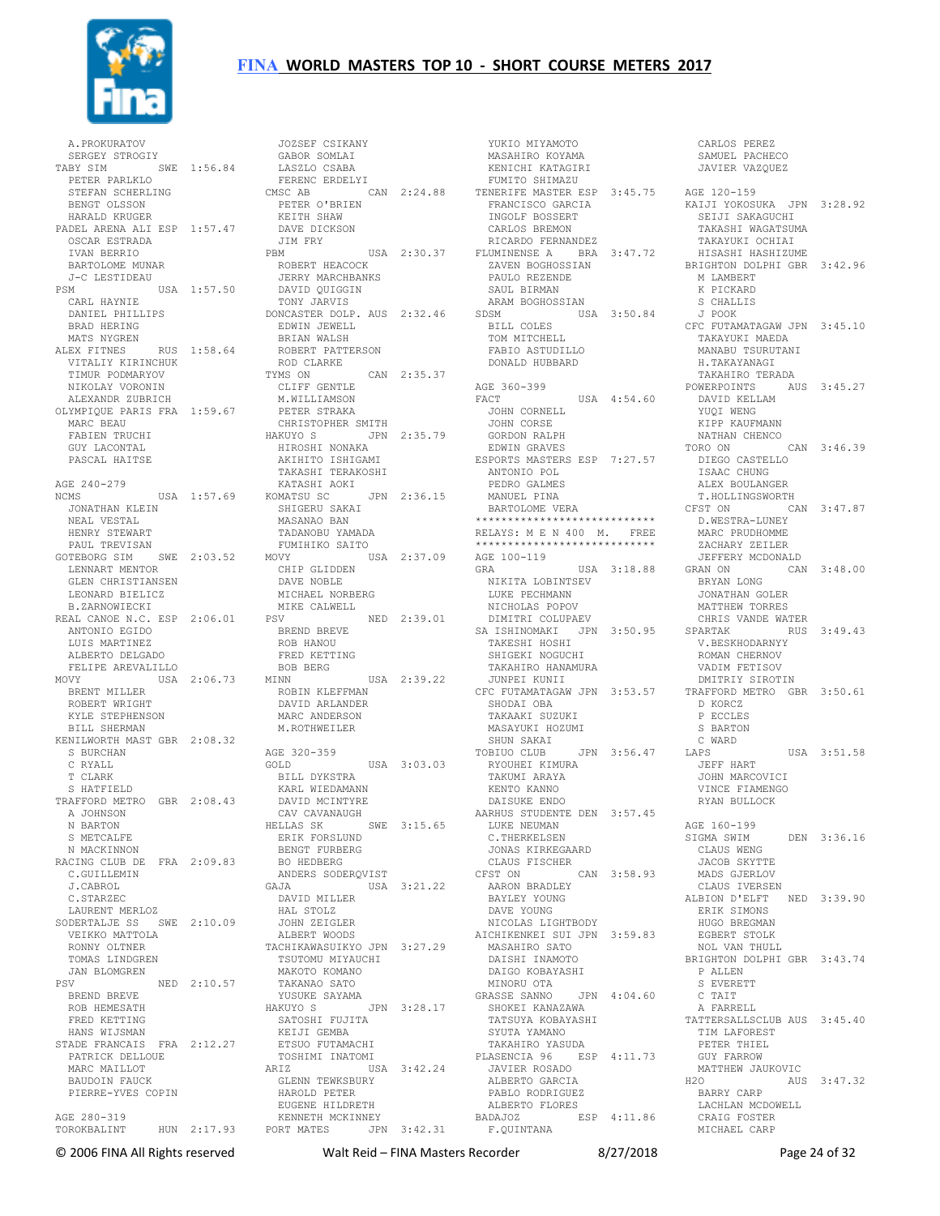

 A.PROKURATOV SERGEY STROGIY TABY SIM SWE 1:56.84 PETER PARLKLO STEFAN SCHERLING<br>
BENGT OLSSON<br>
HARALD KRUGER<br>
PADEL ARENA ALI ESP 1:57.47<br>
OSCAR ESTRADA<br>
IVAN BERRIO<br>
BARTOLOME MUNAR J-C LESTIDEAU PSM USA 1:57.50 CARL HAYNIE BRAD HERING MATS NYGREN<br>ALEX FITNES ALEX FITNES RUS 1:58.64 VITALIY KIRINCHUK TIMUR PODMARYOV NIKOLAY VORONIN ALEXANDR ZUBRICH OLYMPIQUE PARIS FRA 1:59.67 MARC BEAU FABIEN TRUCHI GUY LACONTAL PASCAL HAITSE AGE 240-279 JONATHAN KLEIN NEAL VESTAL SHIGERU SAKAI MASANAO BAN HENRY STEWART PAUL TREVISAN LENNART MENTOR GLEN CHRISTIANSEN LEONARD BIELICZ B.ZARNOWIECKI REAL CANOE N.C. ESP 2:06.01 PSV ANTONIO EGIDO LUIS MARTINEZ ALBERTO DELGADO FELIPE AREVALILLO MOVY USA 2:06.73 MINN<br>BRENT MILLER ROBIN KL BRENT MILLER ROBERT WRIGHT KYLE STEPHENSON BILL SHERMAN KENILWORTH MAST GBR 2:08.32 S BURCHAN C RYALL T CLARK S HATFIELD TRAFFORD METRO GBR 2:08.43 A JOHNSON<br>
N BARTON<br>
S METCALFE<br>
N MACKINNON<br>RACING CLUB DE FRA 2:09.83<br>
C.GUILLEMIN J.CABROL C.STARZEC LAURENT MERLOZ SODERTALJE SS SWE 2:10.09 VEIKKO MATTOLA RONNY OLTNER TOMAS LINDGREN JAN BLOMGREN PSV NED 2:10.57 BREND BREVE ROB HEMESATH FRED KETTING HANS WIJSMAN STADE FRANCAIS FRA 2:12.27 ETSUO FUTAMACHI PATRICK DELLOUE MARC MATLLOT BAUDOIN FAUCK PIERRE-YVES COPIN AGE 280-319

 DANIEL PHILLIPS NCMS USA 1:57.69 KATASHI AOKI KOMATSU SC JPN 2:36.15 GOTEBORG SIM SWE 2:03.52 MOVY USA 2:37.09 AGE 100-119 TOROKBALINT HUN 2:17.93 PORT MATES JPN 3:42.31 JOZSEF CSIKANY GABOR SOMLAI LASZLO CSABA FERENC ERDELYI<br>
CMSC AB CAN 2:24.88<br>
PETER O'BRIEN<br>
KEITH SHAW<br>
DAVE DICKSON<br>
JIM FRY<br>
PBM USA 2:30.37 ROBERT HEACOCK JERRY MARCHBANKS DAVID QUIGGIN TONY JARVIS DONCASTER DOLP. AUS 2:32.46 EDWIN JEWELL BRIAN WALSH ROBERT PATTERSON ROD CLARKE TYMS ON CAN 2:35.37 CLIFF GENTLE M.WILLIAMSON PETER STRAKA CHRISTOPHER SMITH HAKUYO S JPN 2:35.79 HIROSHI NONAKA AKIHITO ISHIGAMI TAKASHI TERAKOSHI TADANOBU YAMADA FUMIHIKO SAITO CHIP GLIDDEN DAVE NOBLE MICHAEL NORBERG MIKE CALWELL PSV NED 2:39.01<br>
BREND BREVE<br>
ROB HANOU<br>
FRED KETTING<br>
BOB BERG<br>
MINN USA 2:39.22<br>
ROBIN KLEFFMAN 2:06.75 ALINN<br>ROBIN KLEFFMAN<br>DAVID ARLANDER MARC ANDERSON M.ROTHWEILER AGE 320-359 GOLD USA 3:03.03 BILL DYKSTRA KARL WIEDAMANN DAVID MCINTYRE CAV CAVANAUGH HELLAS SK SWE 3:15.65<br>
ERIK FORSLUND<br>BENGT FURBERG<br>BO HEDBERG<br>ANDERS SODERQVIST GAJA USA 3:21.22 DAVID MILLER HAL STOLZ JOHN ZEIGLER ALBERT WOODS TACHIKAWASUIKYO JPN 3:27.29 TSUTOMU MIYAUCHI MAKOTO KOMANO TAKANAO SATO YUSUKE SAYAMA<br>HAKUYO S JPN 3:28.17<br> SATOSHI FUJITA<br> KEIJI GEMBA TOSHIMI INATOMI ARIZ USA 3:42.24 GLENN TEWKSBURY HAROLD PETER EUGENE HILDRETH KENNETH MCKINNEY

 YUKIO MIYAMOTO MASAHIRO KOYAMA KENICHI KATAGIRI FUMITO SHIMAZU TENERIFE MASTER ESP 3:45.75 FRANCISCO GARCIA INGOLF BOSSERT CARLOS BREMON<br>RICARDO FERNANDEZ RICARDO FERNANDEZ FLUMINENSE A BRA 3:47.72 ZAVEN BOGHOSSIAN PAULO REZENDE SAUL BIRMAN ARAM BOGHOSSIAN SDSM USA 3:50.84 BILL COLES TOM MITCHELL FABIO ASTUDILLO DONALD HUBBARD AGE 360-399 FACT USA 4:54.60 JOHN CORNELL JOHN CORSE GORDON RALPH EDWIN GRAVES ESPORTS MASTERS ESP 7:27.57 ANTONIO POL PEDRO GALMES MANUEL PINA BARTOLOME VERA \*\*\*\*\*\*\*\*\*\*\*\*\*\*\*\*\*\*\*\*\*\*\*\*\*\*\*\* RELAYS: M E N 400 M. FREE \*\*\*\*\*\*\*\*\*\*\*\*\*\*\*\*\*\*\*\*\*\*\*\*\*\*\*\* GRA USA 3:18.88 BRYAN LONG NIKITA LOBINTSEV LUKE PECHMANN **NICHOLAS POPOV**  DIMITRI COLUPAEV SA ISHINOMAKI JPN 3:50.95 TAKESHI HOSHI SHIGEKI NOGUCHI لسحب المحمد ...<br>SHIGEKI NOGUCHI<br>TAKAHIRO HANAMURA JUNPEI KUNII CFC FUTAMATAGAW JPN 3:53.57 TRAFFORD METRO GBR 3:50.61 SHODAI OBA TAKAAKI SUZUKI MASAYUKI HOZUMI SHUN SAKAI TOBIUO CLUB JPN 3:56.47 RYOUHEI KIMURA<br>TAKUMI ARAYA KENTO KANNO DAISUKE ENDO<br>
AARHUS STUDENTE DEN 3:57.45<br>
LUKE NEUMAN<br>
C.THERKELSEN<br>
JONAS KIRKEGAARD<br>
CLAUS FISCHER<br>
CFST ON CAN 3:58.93 AARON BRADLEY BAYLEY YOUNG DAVE YOUNG NICOLAS LIGHTBODY AICHIKENKEI SUI JPN 3:59.83 MASAHIRO SATO DAISHI INAMOTO DAIGO KOBAYASHI MINORU OTA<br>GRASSE SANNO JPN 4:04.60<br>SHOKEI KANAZAWA<br>TATSUYA KOBAYASHI<br>SYUTA YAMANO TAKAHIRO YASUDA PLASENCIA 96 ESP 4:11.73 JAVIER ROSADO ALBERTO GARCIA PABLO RODRIGUEZ ALBERTO FLORES BADAJOZ ESP 4:11.86 F.QUINTANA

 SAMUEL PACHECO JAVIER VAZQUEZ AGE 120-159 KAIJI YOKOSUKA JPN 3:28.92 SEIJI SAKAGUCHI TAKASHI WAGATSUMA<br>TAKAYUKI OCHIAI TAKAYUKI OCHIAI HISASHI HASHIZUME BRIGHTON DOLPHI GBR 3:42.96 M LAMBERT K PICKARD S CHALLIS J POOK CFC FUTAMATAGAW JPN 3:45.10 TAKAYUKI MAEDA MANABU TSURUTANI H.TAKAYANAGI TAKAHIRO TERADA POWERPOINTS AUS 3:45.27 DAVID KELLAM YUQI WENG KIPP KAUFMANN NATHAN CHENCO<br>TORO ON CAN 3:46.39 TORO ON CAN 3:46.39 DIEGO CASTELLO ISAAC CHUNG ALEX BOULANGER T.HOLLINGSWORTH CFST ON CAN 3:47.87 D.WESTRA-LUNEY MARC PRUDHOMME ZACHARY ZEILER JEFFERY MCDONALD CAN 3:48.00 JONATHAN GOLER MATTHEW TORRES CHRIS VANDE WATER SPARTAK RUS 3:49.43 V.BESKHODARNYY ROMAN CHERNOV VADIM FETISOV DMITRIY SIROTIN D KORCZ P ECCLES S BARTON C WARD  $IISA$  3:51.58 JEFF HART JOHN MARCOVICI VINCE FIAMENGO RYAN BULLOCK AGE 160-199 SIGMA SWIM DEN 3:36.16 CLAUS WENG JACOB SKYTTE MADS GJERLOV CLAUS IVERSEN ALBION D'ELFT NED 3:39.90 ERIK SIMONS HUGO BREGMAN EGBERT STOLK NOL VAN THULL BRIGHTON DOLPHI GBR 3:43.74 P ALLEN S EVERETT<br>C TAIT<br>A FARRELL<br>TATTERSALLSCLUB AUS 3:45.40<br>TIM LAFOREST TIM LAFOREST<br>PETER THIEL GUY FARROW MATTHEW JAUKOVIC H2O AUS 3:47.32 BARRY CARP LACHLAN MCDOWELL CRAIG FOSTER MICHAEL CARP

CARLOS PEREZ

© 2006 FINA All Rights reserved Walt Reid – FINA Masters Recorder 8/27/2018 Page 24 of 32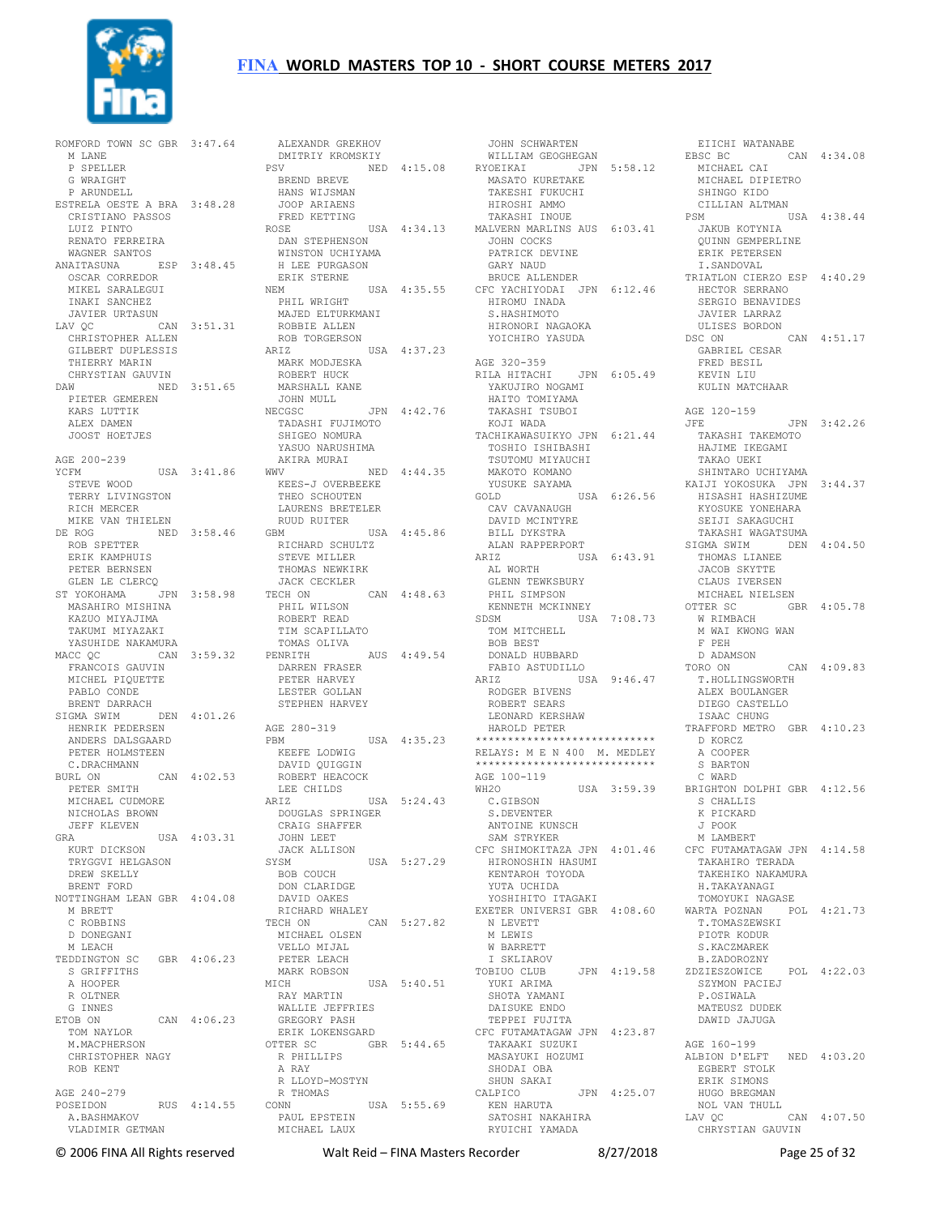

ROMFORD TOWN SC GBR 3:47.64 M LANE P SPELLER G WRAIGHT P ARUNDELL ESTRELA OESTE A BRA 3:48.28 CRISTIANO PASSOS LUIZ PINTO RENATO FERREIRA WAGNER SANTOS ANAITASUNA ESP 3:48.45 WINSTON UCHIYAMA H LEE PURGASON OSCAR CORREDOR MIKEL SARALEGUI<br>INAKI SANCHEZ<br>JAVIER URTASUN<br>LAV QC CAN 3:51.31<br>CHRISTOPHER ALLEN CHRISTOPHER ALLEN<br>GILBERT DUPLESSIS ARIZ THIERRY MARIN CHRYSTIAN GAUVIN DAW NED 3:51.65 ROBERT HUCK MARSHALL KANE PIETER GEMEREN KARS LUTTIK ALEX DAMEN JOOST HOETJES AGE 200-239 YCFM USA 3:41.86 STEVE WOOD TERRY LIVINGSTON RICH MERCER MIKE VAN THIELEN DE ROG NED 3:58.46 ROB SPETTER ERIK KAMPHUIS PETER BERNSEN GLEN LE CLERCQ ST YOKOHAMA JPN 3:58.98 TECH ON MASAHIRO MISHINA KAZUO MIYAJIMA TAKUMI MIYAZAKI YASUHIDE NAKAMURA MACC QC CAN 3:59.32 FRANCOIS GAUVIN MICHEL PIQUETTE PETER HARVEY PABLO CONDE BRENT DARRACH SIGMA SWIM DEN 4:01.26 HENRIK PEDERSEN ANDERS DALSGAARD PETER HOLMSTEEN C.DRACHMANN BURL ON CAN 4:02.53 PETER SMITH MICHAEL CUDMORE NICHOLAS BROWN JEFF KLEVEN GRA USA 4:03.31 KURT DICKSON TRYGGVI HELGASON<br>DREW CH DREW SKELLY BRENT FORD NOTTINGHAM LEAN GBR 4:04.08 M BRETT C ROBBINS D DONEGANI M LEACH TEDDINGTON SC GBR 4:06.23 S GRIFFITHS A HOOPER R OLTNER G INNES<br>ETOB ON CAN 4:06.23 TOM NAYLOR M.MACPHERSON CHRISTOPHER NAGY ROB KENT AGE 240-279 POSEIDON RUS 4:14.55 A.BASHMAKOV A. BASHMAKOV<br>VLADIMIR GETMAN

 ALEXANDR GREKHOV DMITRIY KROMSKIY PSV NED 4:15.08 BREND BREVE HANS WIJSMAN JOOP ARIAENS FRED KETTING ROSE USA 4:34.13 MALVERN MARLINS AUS 6:03.41 JAKUB KOTYNIA QUINN GEMPERLINE DAN STEPHENSON ERIK STERNE<br>NEM NEM USA 4:35.55<br>
PHIL WRIGHT<br>
MAJED ELTURKMANI<br>
ROBBIE ALLEN<br>
ROB TORGERSON<br>
ARIZ USA 4:37.23 MARK MODJESKA JOHN MULL NECGSC JPN 4:42.76 NECGSC<br>TADASHI FUJIMOTO SHIGEO NOMURA YASUO NARUSHIMA AKIRA MURAI<br>WWV NED  $4:44.35$ KEES-J OVERBEEKE<br>THEO SCHOUTEN THEO SCHOUTEN LAURENS BRETELER RUUD RUITER GBM USA 4:45.86 RICHARD SCHULTZ STEVE MILLER THOMAS NEWKIRK<br>JACK CECKLER JACK CECKLER TECH ON CAN 4:48.63 PHIL WILSON ROBERT READ TIM SCAPILLATO TOMAS OLIVA PENRITH AUS 4:49.54 DARREN FRASER LESTER GOLLAN STEPHEN HARVEY AGE 280-319 PBM USA 4:35.23<br>
KEEFE LODWIG<br>
DAVID QUIGGIN<br>
ROBERT HEACOCK<br>
LEE CHILDS<br>
ARIZ USA 5:24.43 DOUGLAS SPRINGER CRAIG SHAFFER JOHN LEET JACK ALLISON USA 5:27.29 BOB COUCH DON CLARIDGE DAVID OAKES RICHARD WHALEY TECH ON CAN 5:27.82 MICHAEL OLSEN VELLO MIJAL PETER LEACH MARK ROBSON MICH USA 5:40.51 RAY MARTIN WALLIE JEFFRIES GREGORY PASH ERIK LOKENSGARD OTTER SC GBR 5:44.65 R PHILLIPS A RAY R LLOYD-MOSTYN R THOMAS CONN USA 5:55.69 PAUL EPSTEIN MICHAEL LAUX

 JOHN SCHWARTEN WILLIAM GEOGHEGAN RYOEIKAI JPN 5:58.12 MASATO KURETAKE NISIANA SISOLIZ<br>MASATO KURETAKE<br>TAKESHI FUKUCHI<br>HIROSHI AMMO HIROSHI AMMO TAKASHI INOUE JOHN COCKS PATRICK DEVINE GARY NAUD BRUCE ALLENDER USA 4:35.55 CFC YACHIYODAI JPN 6:12.46 HIROMU INADA S.HASHIMOTO HIRONORI NAGAOKA YOICHIRO YASUDA AGE 320-359 RILA HITACHI JPN 6:05.49 YAKUJIRO NOGAMI HAITO TOMIYAMA TAKASHI TSUBOI KOJI WADA TACHIKAWASUIKYO JPN 6:21.44 TOSHIO ISHIBASHI TOSHIO ISHIBASHI<br>TSUTOMU MIYAUCHI MAKOTO KOMANO YUSUKE SAYAMA GOLD USA 6:26.56 CAV CAVANAUGH DAVID MCINTYRE BILL DYKSTRA ALAN RAPPERPORT ARIZ USA 6:43.91 AL WORTH GLENN TEWKSBURY PHIL SIMPSON KENNETH MCKINNEY SDSM USA 7:08.73 TOM MITCHELL W RIMBACH M WAI KWONG WAN BOB BEST DONALD HUBBARD FABIO ASTUDILLO ARIZ USA 9:46.47 RODGER BIVENS ROBERT SEARS LEONARD KERSHAW HAROLD PETER \*\*\*\*\*\*\*\*\*\*\*\*\*\*\*\*\*\*\*\*\*\*\*\*\*\*\*\* RELAYS: M E N 400 M. MEDLEY \*\*\*\*\*\*\*\*\*\*\*\*\*\*\*\*\*\*\*\*\*\*\*\*\*\*\*\* AGE 100-119 WH2O USA 3:59.39 C.GIBSON S.DEVENTER ANTOINE KUNSCH SAM STRYKER HIRONOSHIN HASUMI KENTAROH TOYODA YUTA UCHIDA YOSHIHITO ITAGAKI N LEVETT M LEWIS W BARRETT I SKLIAROV TOBIUO CLUB JPN 4:19.58 YUKI ARIMA SHOTA YAMANI DAISUKE ENDO TEPPEI FUJITA CFC FUTAMATAGAW JPN 4:23.87 TAKAAKI SUZUKI **MASAYUKI HOZUMI**<br>MASAYUKI HOZUMI SHODAI OBA SHUN SAKAI CALPICO JPN 4:25.07 KEN HARUTA<br>SATOSHI NAIL KEN HARUTA<br>SATOSHI NAKAHIRA RYUICHI YAMADA

CFC SHIMOKITAZA JPN 4:01.46 CFC FUTAMATAGAW JPN 4:14.58 EXETER UNIVERSI GBR 4:08.60 WARTA POZNAN POL 4:21.73 EIICHI WATANABE EBSC BC CAN 4:34.08 MICHAEL CAI MICHAEL DIPIETRO SHINGO KIDO CILLIAN ALTMAN PSM USA 4:38.44 ERIK PETERSEN I.SANDOVAL TRIATLON CIERZO ESP 4:40.29 HECTOR SERRANO SERGIO BENAVIDES JAVIER LARRAZ ULISES BORDON<br>SC ON CAN 4:51.17 DSC ON GABRIEL CESAR FRED BESIL KEVIN LIU KULIN MATCHAAR AGE 120-159 JFE JPN 3:42.26 TAKASHI TAKEMOTO HAJIME IKEGAMI TAKAO UEKI SHINTARO UCHIYAMA KAIJI YOKOSUKA JPN 3:44.37 HISASHI HASHIZUME KYOSUKE YONEHARA SEIJI SAKAGUCHI TAKASHI WAGATSUMA SIGMA SWIM DEN 4:04.50 THOMAS LIANEE JACOB SKYTTE CLAUS IVERSEN MICHAEL NIELSEN GBR 4:05.78 F PEH D ADAMSON TORO ON CAN 4:09.83 T.HOLLINGSWORTH ALEX BOULANGER DIEGO CASTELLO ISAAC CHUNG TRAFFORD METRO GBR 4:10.23 D KORCZ A COOPER S BARTON C WARD BRIGHTON DOLPHI GBR 4:12.56 S CHALLIS K PICKARD J POOK M LAMBERT TAKAHIRO TERADA<br>mati- TAKEHIKO NAKAMURA H.TAKAYANAGI TOMOYUKI NAGASE T.TOMASZEWSKI PIOTR KODUR S.KACZMAREK<br>B.ZADOROZNY B.ZADOROZNY ZDZIESZOWICE POL 4:22.03 SZYMON PACIEJ P.OSIWALA MATEUSZ DUDEK DAWID JAJUGA AGE 160-199 ALBION D'ELFT NED 4:03.20 EGBERT STOLK ERIK SIMONS ERIK SIMONS<br>HUGO BREGMAN NOL VAN THULL LAV OC CAN 4:07.50 CHRYSTIAN GAUVIN

© 2006 FINA All Rights reserved Walt Reid – FINA Masters Recorder 8/27/2018 Page 25 of 32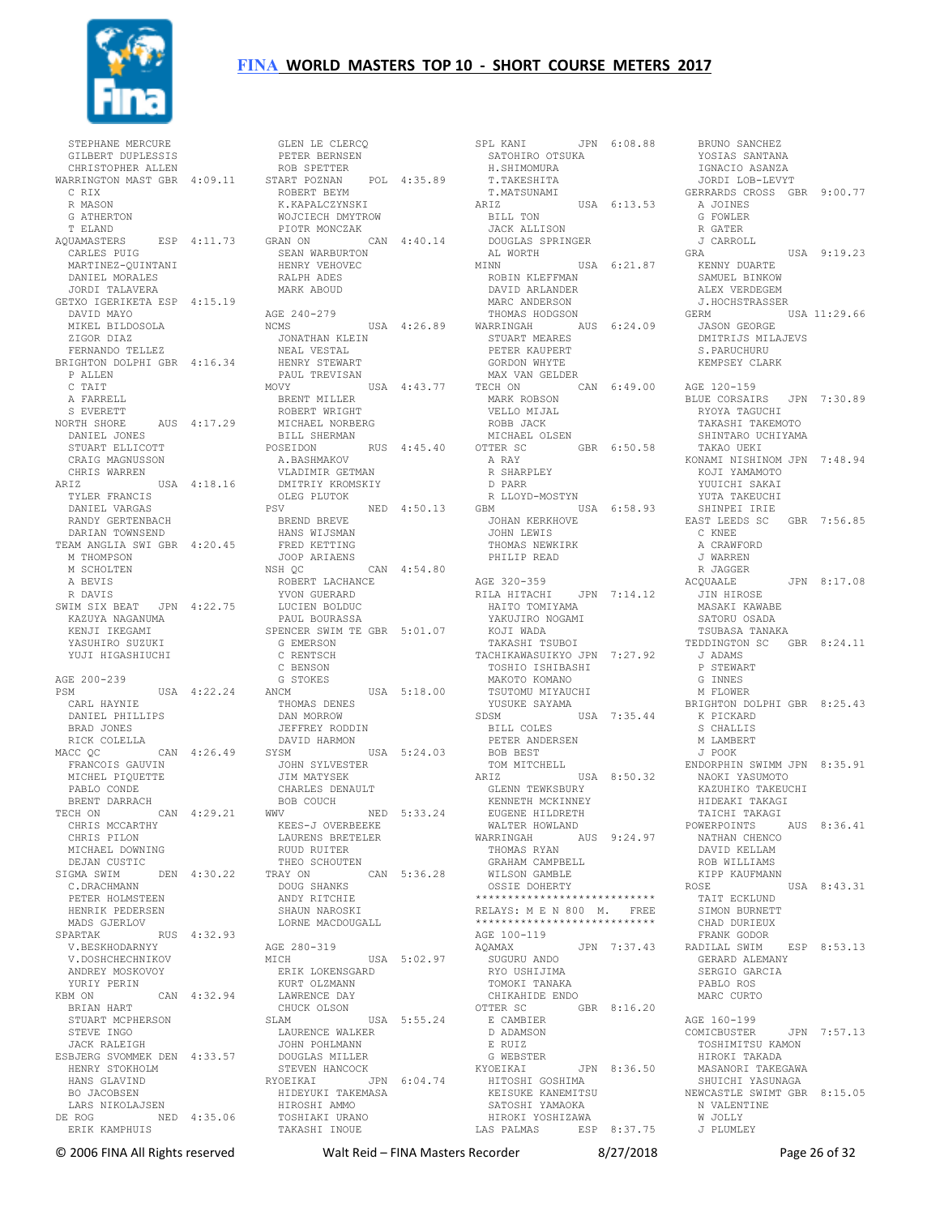

 STEPHANE MERCURE GILBERT DUPLESSIS CHRISTOPHER ALLEN WARRINGTON MAST GBR 4:09.11 START POZNAN POL 4:35.89 C RIX R MASON G ATHERTON T ELAND<br>AQUAMASTERS AQUAMASTERS ESP 4:11.73 PIOTR MONCZAK GRAN ON CAN 4:40.14 CARLES PUIG MARTINEZ-QUINTANI DANIEL MORALES JORDI TALAVERA GETXO IGERIKETA ESP 4:15.19 DAVID MAYO MIKEL BILDOSOLA ZIGOR DIAZ FERNANDO TELLEZ BRIGHTON DOLPHI GBR 4:16.34 P ALLEN C TAIT A FARRELL S EVERETT NORTH SHORE AUS 4:17.29 DANIEL JONES STUART ELLICOTT CRAIG MAGNUSSON CHRIS WARREN ARIZ USA 4:18.16 TYLER FRANCIS DANIEL VARGAS RANDY GERTENBACH DARIAN TOWNSEND TEAM ANGLIA SWI GBR 4:20.45 M THOMPSON M SCHOLTEN A BEVIS R DAVIS SWIM SIX BEAT JPN 4:22.75 KAZUYA NAGANUMA KENJI IKEGAMI YASUHIRO SUZUKI YUJI HIGASHIUCHI AGE 200-239 PSM USA 4:22.24 CARL HAYNIE DANIEL PHILLIPS BRAD JONES RICK COLELLA MACC OC CAN 4:26.49 FRANCOIS GAUVIN MICHEL PIQUETTE PABLO CONDE BRENT DARRACH<br>CCH ON CAN 4:29 21 TECH ON CAN 4:29.21 WWV CHRIS MCCARTHY CHRIS PILON MICHAEL DOWNING DEJAN CUSTIC SIGMA SWIM DEN 4:30.22 TRAY ON CAN 5:36.28 C.DRACHMANN PETER HOLMSTEEN HENRIK PEDERSEN MADS GJERLOV<br>SPARTAK SPARTAK RUS 4:32.93 AGE 280-319 V.BESKHODARNYY V.DOSHCHECHNIKOV ANDREY MOSKOVOY YURIY PERIN<br>KBM ON CAN 4:32.94 BRIAN HART STUART MCPHERSON STEVE INGO JACK RALEIGH ESBJERG SVOMMEK DEN 4:33.57 HENRY STOKHOLM HANS GLAVIND BO JACOBSEN LARS NIKOLAJSEN DE ROG NED 4:35.06 ERIK KAMPHUIS

 GLEN LE CLERCQ PETER BERNSEN ROB SPETTER ROBERT BEYM<br>K.KAPALCZYNSKI WOJCIECH DMYTROW SEAN WARBURTON HENRY VEHOVEC RALPH ADES MARK ABOUD AGE 240-279<br>NCMS USA 4:26.89 JONATHAN KLEIN NEAL VESTAL HENRY STEWART PAUL TREVISAN<br>MOVY USA 4:43.77 BRENT MILLER ROBERT WRIGHT MICHAEL NORBERG BILL SHERMAN<br>POSEIDON RUS 4:45.40 A.BASHMAKOV VLADIMIR GETMAN DMITRIY KROMSKIY OLEG PLUTOK<br>PSV NED 4:50.13 BREND BREVE HANS WIJSMAN FRED KETTING JOOP ARIAENS NSH QC CAN 4:54.80 ROBERT LACHANCE YVON GUERARD LUCIEN BOLDUC PAUL BOURASSA SPENCER SWIM TE GBR 5:01.07 G EMERSON C RENTSCH C BENSON G STOKES ANCM USA 5:18.00 THOMAS DENES DAN MORROW<br>Jeffrey roddin JEFFREY RODDIN DAVID HARMON SYSM USA 5:24.03 JOHN SYLVESTER JIM MATYSEK CHARLES DENAULT BOB COUCH WWV NED 5:33.24 KEES-J OVERBEEKE LAURENS BRETELER RUUD RUITER THEO SCHOUTEN DOUG SHANKS ANDY RITCHIE SHAUN NAROSKI LORNE MACDOUGALL MICH USA 5:02.97 ERIK LOKENSGARD KURT OLZMANN LAWRENCE DAY CHUCK OLSON<br>SLAM SLAM USA 5:55.24 LAURENCE WALKER JOHN POHLMANN DOUGLAS MILLER STEVEN HANCOCK RYOEIKAI JPN 6:04.74 HIDEYUKI TAKEMASA HITOSHI GOSHIMA KEISUKE KANEMITSU HIROSHI AMMO TOSHIAKI URANO TAKASHI INOUE

SPL KANI JPN 6:08.88 BRUNO SANCHEZ SATOHIRO OTSUKA H.SHIMOMURA T. JHIMOMONA<br>T. TAKESHITA T.MATSUNAMI ARIZ USA 6:13.53 BILL TON JACK ALLISON DOUGLAS SPRINGER AL WORTH MINN USA 6:21.87 MINN USA<br>ROBIN KLEFFMAN DAVID ARLANDER MARC ANDERSON THOMAS HODGSON WARRINGAH AUS 6:24.09 STUART MEARES PETER KAUPERT GORDON WHYTE MAX VAN GELDER TECH ON CAN 6:49.00 AGE 120-159 MARK ROBSON VELLO MIJAL ROBB JACK MICHAEL OLSEN OTTER SC GBR 6:50.58 A RAY R SHARPLEY D PARR R LLOYD-MOSTYN GBM USA 6:58.93 JOHAN KERKHOVE JOHN LEWIS THOMAS NEWKIRK PHILIP READ AGE 320-359 RILA HITACHI JPN 7:14.12 HAITO TOMIYAMA YAKUJIRO NOGAMI KOJI WADA TAKASHI TSUBOI TACHIKAWASUIKYO JPN 7:27.92 TOSHIO ISHIBASHI MAKOTO KOMANO TSUTOMU MIYAUCHI YUSUKE SAYAMA SDSM USA 7:35.44 BILL COLES K PICKARD S CHALLIS PETER ANDERSEN BOB BEST TOM MITCHELL ARIZ USA 8:50.32 GLENN TEWKSBURY KENNETH MCKINNEY EUGENE HILDRETH WALTER HOWLAND WARRINGAH AUS 9:24.97 THOMAS RYAN GRAHAM CAMPBELL WILSON GAMBLE OSSIE DOHERTY \*\*\*\*\*\*\*\*\*\*\*\*\*\*\*\*\*\*\*\*\*\*\*\*\*\*\*\* RELAYS: M E N 800 M. FREE \*\*\*\*\*\*\*\*\*\*\*\*\*\*\*\*\*\*\*\*\*\*\* AGE 100-119 AQAMAX JPN 7:37.43 SUGURU ANDO RYO USHIJIMA TOMOKI TANAKA CHIKAHIDE ENDO OTTER SC GBR 8:16.20 E CAMBIER D ADAMSON<br>E RUIZ E RUIZ G WEBSTER KYOEIKAI JPN 8:36.50 SATOSHI YAMAOKA HIROKI YOSHIZAWA LAS PALMAS ESP 8:37.75 J PLUMLEY

 YOSIAS SANTANA IGNACIO ASANZA JORDI LOB-LEVYT GERRARDS CROSS GBR 9:00.77 A JOINES G FOWLER R GATER J CARROLL GRA USA 9:19.23 KENNY DUARTE SAMUEL BINKOW ALEX VERDEGEM J.HOCHSTRASSER GERM USA 11:29.66 JASON GEORGE DMITRIJS MILAJEVS S.PARUCHURU KEMPSEY CLARK BLUE CORSAIRS JPN 7:30.89 RYOYA TAGUCHI TAKASHI TAKEMOTO SHINTARO UCHIYAMA TAKAO UEKI KONAMI NISHINOM JPN 7:48.94 KOJI YAMAMOTO YUUICHI SAKAI YUTA TAKEUCHI SHINPEI IRIE EAST LEEDS SC GBR 7:56.85 C KNEE A CRAWFORD J WARREN R JAGGER ACQUAALE JPN 8:17.08 JIN HIROSE MASAKI KAWABE SATORU OSADA TSUBASA TANAKA TEDDINGTON SC GBR 8:24.11 J ADAMS P STEWART G INNES M FLOWER BRIGHTON DOLPHI GBR 8:25.43 M LAMBERT J POOK ENDORPHIN SWIMM JPN 8:35.91 NAOKI YASUMOTO KAZUHIKO TAKEUCHI HIDEAKI TAKAGI TAICHI TAKAGI POWERPOINTS AUS 8:36.41 NATHAN CHENCO DAVID KELLAM ROB WILLIAMS KIPP KAUFMANN<br>ROSE USA 8:43.31 TAIT ECKLUND SIMON BURNETT CHAD DURIEUX FRANK GODOR RADILAL SWIM ESP 8:53.13 GERARD ALEMANY SERGIO GARCIA PABLO ROS MARC CURTO AGE 160-199 COMICBUSTER JPN 7:57.13 TOSHIMITSU KAMON HIROKI TAKADA MASANORI TAKEGAWA SHUICHI YASUNAGA NEWCASTLE SWIMT GBR 8:15.05 N VALENTINE W JOLLY

© 2006 FINA All Rights reserved Walt Reid – FINA Masters Recorder 8/27/2018 Page 26 of 32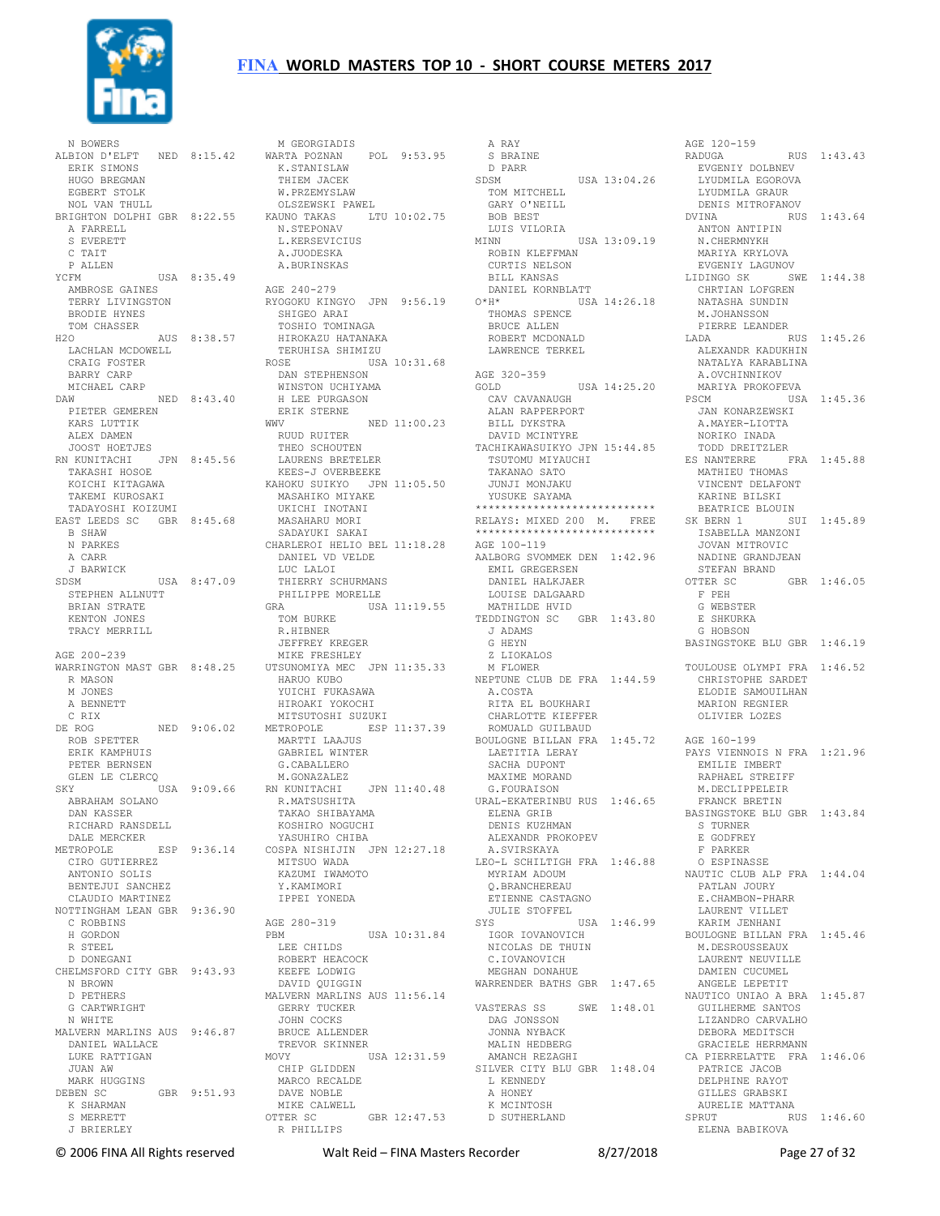

 N BOWERS ALBION D'ELFT NED 8:15.42 ERIK SIMONS HUGO BREGMAN EGBERT STOLK NOL VAN THULL BRIGHTON DOLPHI GBR 8:22.55 A FARRELL S EVERETT C TAIT P ALLEN<br>YCEM USA 8:35.49 AMBROSE GAINES TERRY LIVINGSTON BRODIE HYNES TOM CHASSER H2O AUS 8:38.57 LACHLAN MCDOWELL CRAIG FOSTER BARRY CARP MICHAEL CARP<br>AW NED 8:43.40 DAW NED 8:43.40 PIETER GEMEREN KARS LUTTIK ALEX DAMEN JOOST HOETJES RN KUNITACHI JPN 8:45.56 TAKASHI HOSOE KOICHI KITAGAWA TAKEMI KUROSAKI TADAYOSHI KOIZUMI EAST LEEDS SC GBR 8:45.68 B SHAW N PARKES A CARR J BARWICK SDSM USA 8:47.09 STEPHEN ALLNUTT BRIAN STRATE KENTON JONES TRACY MERRILL AGE 200-239 WARRINGTON MAST GBR 8:48.25 R MASON M JONES A BENNETT C RIX DE ROG NED 9:06.02 MITSUTOSHI SUZUKI METROPOLE ESP 11:37.39 ROB SPETTER ERIK KAMPHUIS PETER BERNSEN GLEN LE CLERCQ SKY USA 9:09.66 RN KUNITACHI JPN 11:40.48 ABRAHAM SOLANO DAN KASSER RICHARD RANSDELL DALE MERCKER METROPOLE ESP 9:36.14 COSPA NISHIJIN JPN 12:27.18 CIRO GUTIERREZ ANTONIO SOLIS BENTEJUI SANCHEZ CLAUDIO MARTINEZ NOTTINGHAM LEAN GBR 9:36.90 C ROBBINS H GORDON R STEEL D DONEGANI CHELMSFORD CITY GBR 9:43.93 N BROWN D PETHERS G CARTWRIGHT N WHITE MALVERN MARLINS AUS 9:46.87 DANIEL WALLACE LUKE RATTIGAN JUAN AW MARK HUGGINS DEBEN SC GBR 9:51.93 K SHARMAN S MERRETT J BRIERLEY

 M GEORGIADIS WARTA POZNAN POL 9:53.95 K.STANISLAW THIEM JACEK W.PRZEMYSLAW OLSZEWSKI PAWEL KAUNO TAKAS LTU 10:02.75 N.STEPONAV L.KERSEVICIUS A.JUODESKA A.BURINSKAS AGE 240-279 RYOGOKU KINGYO JPN 9:56.19 SHIGEO ARAI TOSHIO TOMINAGA HIROKAZU HATANAKA TERUHISA SHIMIZU ROSE USA 10:31.68 DAN STEPHENSON WINSTON UCHIYAMA H LEE PURGASON ERIK STERNE WWV NED 11:00.23<br>RUUD RUITER RUUD RUITER<br>THEO SCHOUTEN<br>LAURENS BRETELER KEES-J OVERBEEKE KAHOKU SUIKYO JPN 11:05.50 MASAHIKO MIYAKE UKICHI INOTANI UKICHI INOTANI<br>MASAHARU MORI SADAYUKI SAKAI CHARLEROI HELIO BEL 11:18.28 AGE 100-119 DANIEL VD VELDE LUC LALOI THIERRY SCHURMANS PHILIPPE MORELLE<br>GRAUSA ---<br>USA 11:19.55 TOM BURKE R.HIBNER JEFFREY KREGER MIKE FRESHLEY UTSUNOMIYA MEC JPN 11:35.33 HARUO KUBO NEPTUNE CLUB DE FRA 1:44.59 YUICHI FUKASAWA HIROAKI YOKOCHI MARTTI LAAJUS GABRIEL WINTER G.CABALLERO M. GONAZALEZ R.MATSUSHITA TAKAO SHIBAYAMA KOSHIRO NOGUCHI YASUHIRO CHIBA MITSUO WADA KAZUMI IWAMOTO Y.KAMIMORI IPPEI YONEDA AGE 280-319 PBM USA 10:31.84 LEE CHILDS ROBERT HEACOCK KEEFE LODWIG DAVID QUIGGIN MALVERN MARLINS AUS 11:56.14 GERRY TUCKER JOHN COCKS BRUCE ALLENDER TREVOR SKINNER MOVY USA 12:31.59 CHIP GLIDDEN MARCO RECALDE MARUU 114.<br>DAVE NOBLE MIKE CALWELL<br>OTTER SC  $GRR 12:47.53$ R PHILLIPS

 A RAY S BRAINE D PARR SDSM USA 13:04.26 TOM MITCHELL GARY O'NEILL BOB BEST LUIS VILORIA MINN USA 13:09.19 ANTON ANTIPIN N.CHERMNYKH ROBIN KLEFFMAN CURTIS NELSON<br>BILL KANSAS  $\begin{tabular}{ll} $\begin{array}{ll} \multicolumn{3}{l}{{\small\textrm{GAN}}{\small\textrm{GAN}}} & $\begin{array}{l}{{\small\textrm{Conv}}{\small\textrm{AND}}} \\{{\small\textrm{DANIEL}}}&$\begin{array}{l}{{\small\textrm{KORNBLATT}}}\\{{\small\textrm{X11}}}\end{array}\end{tabular} \end{tabular}$  DANIEL KORNBLATT O\*H\* USA 14:26.18 THOMAS SPENCE BRUCE ALLEN ROBERT MCDONALD LAWRENCE TERKEL AGE 320-359<br>GOLD USA 14:25.20 CAV CAVANAUGH ALAN RAPPERPORT PSCM USA 1:45.36 JAN KONARZEWSKI A.MAYER-LIOTTA BILL DYKSTRA DAVID MCINTYRE TACHIKAWASUIKYO JPN 15:44.85 TSUTOMU MIYAUCHI TAKANAO SATO JUNJI MONJAKU YUSUKE SAYAMA \*\*\*\*\*\*\*\*\*\*\*\*\*\*\*\*\*\*\*\*\*\*\*\*\*\*\*\* RELAYS: MIXED 200 M. FREE<br>\*\*\*\*\*\*\*\*\*\*\*\*\*\*\*\*\*\*\*\*\*\*\*\*\*\*\*\*\* \*\*\*\*\*\*\*\*\*\*\*\*\*\*\*\*\*\*\*\*\*\*\*\*\*\*\*\* AALBORG SVOMMEK DEN 1:42.96 EMIL GREGERSEN DANIEL HALKJAER LOUISE DALGAARD MATHILDE HVID TEDDINGTON SC GBR 1:43.80 J ADAMS G HEYN Z LIOKALOS M FLOWER A.COSTA RITA EL BOUKHARI CHARLOTTE KIEFFER ROMUALD GUILBAUD BOULOGNE BILLAN FRA 1:45.72 AGE 160-199 LAETITIA LERAY SACHA DUPONT MAXIME MORAND G.FOURAISON URAL-EKATERINBU RUS 1:46.65 ELENA GRIB<br>ELENA GRIB DENIS KUZHMAN ALEXANDR PROKOPEV A.SVIRSKAYA LEO-L SCHILTIGH FRA 1:46.88 MYRIAM ADOUM Q.BRANCHEREAU ETIENNE CASTAGNO JULIE STOFFEL SYS USA 1:46.99 IGOR IOVANOVICH BOULOGNE BILLAN FRA 1:45.46 NICOLAS DE THUIN C.IOVANOVICH MEGHAN DONAHUE WARRENDER BATHS GBR 1:47.65 VASTERAS SS SWE 1:48.01 DAG JONSSON JONNA NYBACK MALIN HEDBERG AMANCH REZAGHI SILVER CITY BLU GBR 1:48.04 L KENNEDY A HONEY K MCINTOSH D SUTHERLAND

AGE 120-159 RADUGA RUS 1:43.43 EVGENIY DOLBNEV LYUDMILA EGOROVA LYUDMILA GRAUR DENIS MITROFANOV DVINA RUS 1:43.64 MARIYA KRYLOVA EVGENIY LAGUNOV LIDINGO SK SWE 1:44.38 CHRTIAN LOFGREN NATASHA SUNDIN M.JOHANSSON PIERRE LEANDER LADA RUS 1:45.26 ALEXANDR KADUKHIN<br>ALEXANDR KADUKHIN NATALYA KARABLINA A.OVCHINNIKOV MARIYA PROKOFEVA NORIKO INADA TODD DREITZLER ES NANTERRE FRA 1:45.88 MATHIEU THOMAS VINCENT DELAFONT KARINE BILSKI BEATRICE BLOUIN SK BERN 1 SUI 1:45.89 ISABELLA MANZONI JOVAN MITROVIC NADINE GRANDJEAN STEFAN BRAND OTTER SC F PEH G WEBSTER E SHKURKA G HOBSON BASINGSTOKE BLU GBR 1:46.19 TOULOUSE OLYMPI FRA 1:46.52 CHRISTOPHE SARDET ELODIE SAMOUILHAN MARION REGNIER OLIVIER LOZES PAYS VIENNOIS N FRA 1:21.96 EMILIE IMBERT RAPHAEL STREIFF M.DECLIPPELEIR FRANCK BRETIN BASINGSTOKE BLU GBR 1:43.84 S TURNER E GODFREY F PARKER O ESPINASSE NAUTIC CLUB ALP FRA 1:44.04 PATLAN JOURY E.CHAMBON-PHARR LAURENT VILLET KARIM JENHANI M.DESROUSSEAUX LAURENT NEUVILLE DAMIEN CUCUMEL ANGELE LEPETIT NAUTICO UNIAO A BRA 1:45.87 GUILHERME SANTOS LIZANDRO CARVALHO DEBORA MEDITSCH GRACIELE HERRMANN CA PIERRELATTE FRA 1:46.06 PATRICE JACOB DELPHINE RAYOT GILLES GRABSKI AURELIE MATTANA SPRUT RUS 1:46.60 ELENA BABIKOVA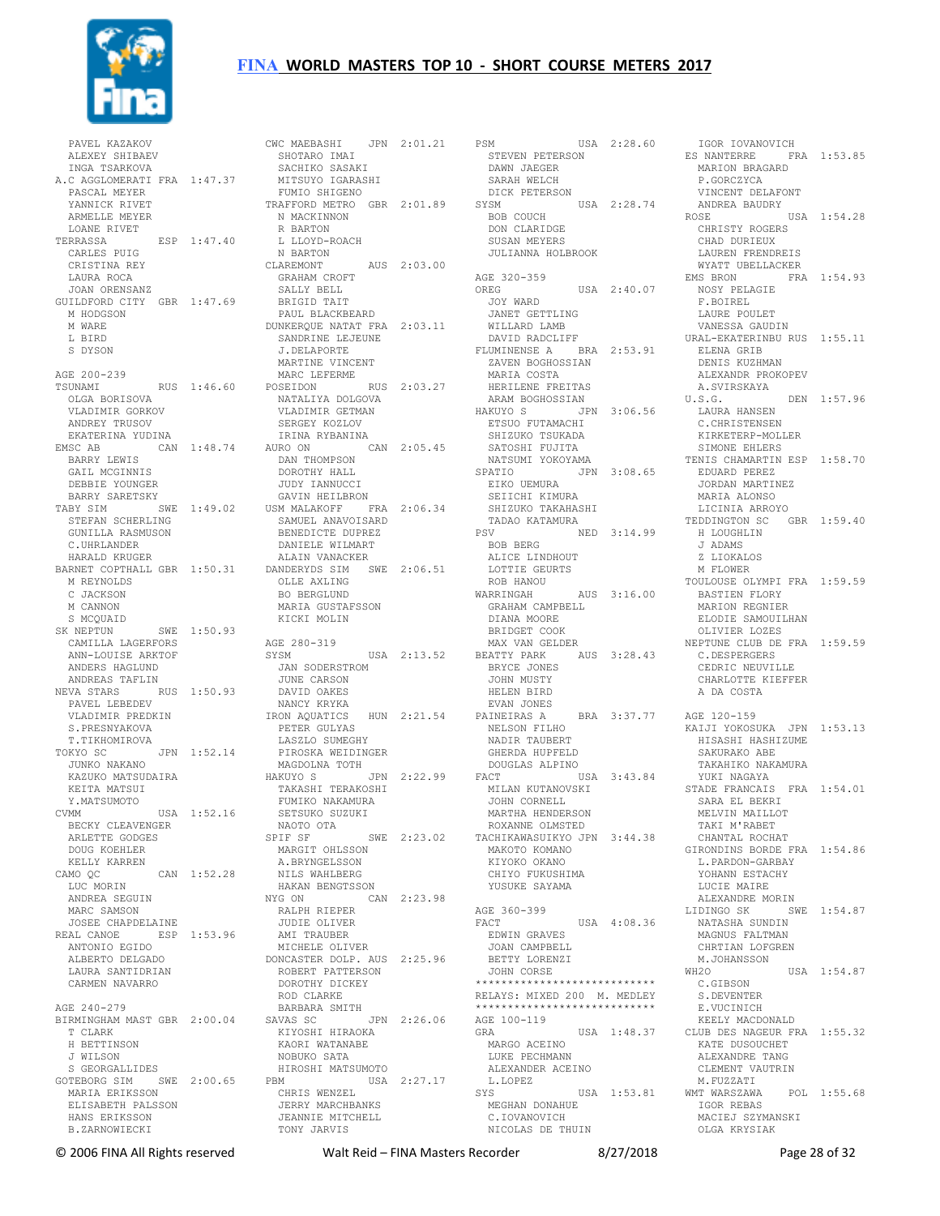

 PAVEL KAZAKOV ALEXEY SHIBAEV INGA TSARKOVA A.C AGGLOMERATI FRA 1:47.37 PASCAL MEYER YANNICK RIVET ARMELLE MEYER LOANE RIVET<br>TERRASSA TERRASSA ESP 1:47.40 R BARTON L LLOYD-ROACH CARLES PUIG CRISTINA REY LAURA ROCA JOAN ORENSANZ GUILDFORD CITY GBR 1:47.69 M HODGSON M WARE L BIRD S DYSON AGE 200-239 TSUNAMI RUS 1:46.60 OLGA BORISOVA VLADIMIR GORKOV ANDREY TRUSOV EKATERINA YUDINA BARRY LEWIS GAIL MCGINNIS DEBBIE YOUNGER BARRY SARETSKY STEFAN SCHERLING GUNILLA RASMUSON C.UHRLANDER HARALD KRUGER M REYNOLDS C JACKSON M CANNON S MCQUAID SK NEPTUN SWE 1:50.93 CAMILLA LAGERFORS ANN-LOUISE ARKTOF<br>
ANDERS HAGLUND<br>
ANDREAS TAFLIN<br>NEVA STARS RUS 1:50.93<br>
PAVEL LEBEDEV<br>
VLADIMIR PREDKIN S.PRESNYAKOVA T.TIKHOMIROVA TOKYO SC JPN 1:52.14 JUNKO NAKANO KAZUKO MATSUDAIRA<br>KEITA YITI KEITA MATSUI Y.MATSUMOTO CVMM USA 1:52.16 BECKY CLEAVENGER ARLETTE GODGES DOUG KOEHLER KELLY KARREN CAMO QC CAN 1:52.28 LUC MORIN ANDREA SEGUIN MARC SAMSON JOSEE CHAPDELAINE REAL CANOE ESP 1:53.96 ANTONIO EGIDO ALBERTO DELGADO LAURA SANTIDRIAN CARMEN NAVARRO AGE 240-279 T CLARK H BETTINSON J WILSON S GEORGALLIDES GOTEBORG SIM SWE 2:00.65 MARIA ERIKSSON ELISABETH PALSSON HANS ERIKSSON B.ZARNOWIECKI

EMSC AB CAN 1:48.74 AURO ON CAN 2:05.45 DAN THOMPSON DOROTHY HALL TABY SIM SWE 1:49.02 USM MALAKOFF FRA 2:06.34 BARNET COPTHALL GBR 1:50.31 DANDERYDS SIM SWE 2:06.51 BIRMINGHAM MAST GBR 2:00.04 SAVAS SC JPN 2:26.06 CWC MAEBASHI JPN 2:01.21 SHOTARO IMAI PSM USA 2:28.60 STEVEN PETERSON ES NANTERRE FRA 1:53.85 SHOTARO IMAI<br>SACHIKO SASAKI MITSUYO IGARASHI FUMIO SHIGENO TRAFFORD METRO GBR 2:01.89 N MACKINNON N BARTON CLAREMONT AUS 2:03.00 GRAHAM CROFT SALLY BELL BRIGID TAIT PAUL BLACKBEARD DUNKERQUE NATAT FRA 2:03.11 SANDRINE LEJEUNE J.DELAPORTE MARTINE VINCENT MARC LEFERME POSEIDON RUS 2:03.27 NATALIYA DOLGOVA VLADIMIR GETMAN SERGEY KOZLOV IRINA RYBANINA JUDY IANNUCCI GAVIN HEILBRON SAMUEL ANAVOISARD BENEDICTE DUPREZ DANIELE WILMART ALAIN VANACKER OLLE AXLING BO BERGLUND MARIA GUSTAFSSON KICKI MOLIN AGE 280-319 SYSM USA 2:13.52 JAN SODERSTROM JUNE CARSON DAVID OAKES NANCY KRYKA IRON AQUATICS HUN 2:21.54 PAINEIRAS A PETER GULYAS LASZLO SUMEGHY PIROSKA WEIDINGER MAGDOLNA TOTH HAKUYO S JPN 2:22.99 TAKASHI TERAKOSHI FUMIKO NAKAMURA SETSUKO SUZUKI NAOTO OTA SPIF SF SWE 2:23.02 MARGIT OHLSSON A.BRYNGELSSON NILS WAHLBERG HAKAN BENGTSSON NYG ON CAN 2:23.98 RALPH RIEPER JUDIE OLIVER AMI TRAUBER MICHELE OLIVER MICHELE OLIVER<br>DONCASTER DOLP. AUS 2:25.96 ROBERT PATTERSON DOROTHY DICKEY ROD CLARKE BARBARA SMITH SAVAS SU USAN ETERNAMI<br>KIYOSHI HIRAOKA KAORI WATANABE NOBUKO SATA HIROSHI MATSUMOTO PBM USA 2:27.17 CHRIS WENZEL JERRY MARCHBANKS JEANNIE MITCHELL TONY JARVIS

ESFI<br>STEVEN PETERSON<br>DAWN JAEGER SARAH WELCH<br>DICK PETERSON DICK PETERSON SYSM USA 2:28.74 BOB COUCH DON CLARIDGE SUSAN MEYERS JULIANNA HOLBROOK AGE 320-359 OREG USA 2:40.07 JOY WARD JANET GETTLING WILLARD LAMB DAVID RADCLIFF FLUMINENSE A BRA 2:53.91 ZAVEN BOGHOSSIAN MARIA COSTA HERILENE FREITAS ARAM BOGHOSSIAN HAKUYO S JPN 3:06.56 ETSUO FUTAMACHI SHIZUKO TSUKADA SATOSHI FUJITA EIKO UEMURA SEIICHI KIMURA SEIICHI KIMOKA<br>SHIZUKO TAKAHASHI TADAO KATAMURA PSV NED 3:14.99 BOB BERG ALICE LINDHOUT LOTTIE GEURTS ROB HANOU WARRINGAH AUS 3:16.00 BASTIEN FLORY MARION REGNIER GRAHAM CAMPBELL DIANA MOORE BRIDGET COOK MAX VAN GELDER BEATTY PARK AUS 3:28.43 BRYCE JONES JOHN MUSTY HELEN BIRD EVAN JONES NELSON FILHO NADIR TAUBERT GHERDA HUPFELD DOUGLAS ALPINO FACT USA 3:43.84 MILAN KUTANOVSKI JOHN CORNELL MARTHA HENDERSON ROXANNE OLMSTED TACHIKAWASUIKYO JPN 3:44.38 MAKOTO KOMANO KIYOKO OKANO CHIYO FUKUSHIMA YUSUKE SAYAMA AGE 360-399<br>FACT USA 4:08.36 EDWIN GRAVES JOAN CAMPBELL BETTY LORENZI JOHN CORSE \*\*\*\*\*\*\*\*\*\*\*\*\*\*\*\*\*\*\*\*\*\*\*\*\*\*\*\* RELAYS: MIXED 200 M. MEDLEY \*\*\*\*\*\*\*\*\*\*\*\*\*\*\*\*\*\*\*\*\*\*\*\*\*\*\*\* AGE 100-119 GRA USA 1:48.37 MARGO ACEINO LUKE PECHMANN ALEXANDER ACEINO L.LOPEZ MEGHAN DONAHUE C.IOVANOVICH NICOLAS DE THUIN

 NATSUMI YOKOYAMA SPATIO JPN 3:08.65 TENIS CHAMARTIN ESP 1:58.70 EDUARD PEREZ PAINEIRAS A BRA 3:37.77 AGE 120-159 KAIJI YOKOSUKA JPN 1:53.13 SYS USA 1:53.81 WMT WARSZAWA POL 1:55.68 IGOR IOVANOVICH<br>S NANTERRE FRA 1:53.85 MARION BRAGARD P.GORCZYCA VINCENT DELAFONT ANDREA BAUDRY ROSE USA 1:54.28 CHRISTY ROGERS CHAD DURIEUX LAUREN FRENDREIS WYATT UBELLACKER<br>EMS BRON FRA FRA 1:54.93 NOSY PELAGIE F.BOIREL LAURE POULET VANESSA GAUDIN URAL-EKATERINBU RUS 1:55.11 ELENA GRIB<br>DENIS KUZHMAN ALEXANDR PROKOPEV A.SVIRSKAYA DEN 1:57.96 LAURA HANSEN C.CHRISTENSEN KIRKETERP-MOLLER SIMONE EHLERS JORDAN MARTINEZ MARIA ALONSO LICINIA ARROYO TEDDINGTON SC GBR 1:59.40 H LOUGHLIN J ADAMS Z LIOKALOS M FLOWER TOULOUSE OLYMPT FRA 1:59.59 ELODIE SAMOUILHAN OLIVIER LOZES NEPTUNE CLUB DE FRA 1:59.59 C.DESPERGERS CEDRIC NEUVILLE CHARLOTTE KIEFFER A DA COSTA HISASHI HASHIZUME SAKURAKO ABE TAKAHIKO NAKAMURA YUKI NAGAYA STADE FRANCAIS FRA 1:54.01 SARA EL BEKRI MELVIN MAILLOT TAKI M'RABET CHANTAL ROCHAT GIRONDINS BORDE FRA 1:54.86 L.PARDON-GARBAY YOHANN ESTACHY LUCIE MAIRE ALEXANDRE MORIN LIDINGO SK SWE 1:54.87 NATASHA SUNDIN MAGNUS FALTMAN CHRTIAN LOFGREN M.JOHANSSON WH2O USA 1:54.87 C.GIBSON S.DEVENTER E.VUCINICH KEELY MACDONALD CLUB DES NAGEUR FRA 1:55.32 KATE DUSOUCHET ALEXANDRE TANG CLEMENT VAUTRIN M.FUZZATI IGOR REBAS MACIEJ SZYMANSKI OLGA KRYSIAK

© 2006 FINA All Rights reserved Walt Reid – FINA Masters Recorder 8/27/2018 Page 28 of 32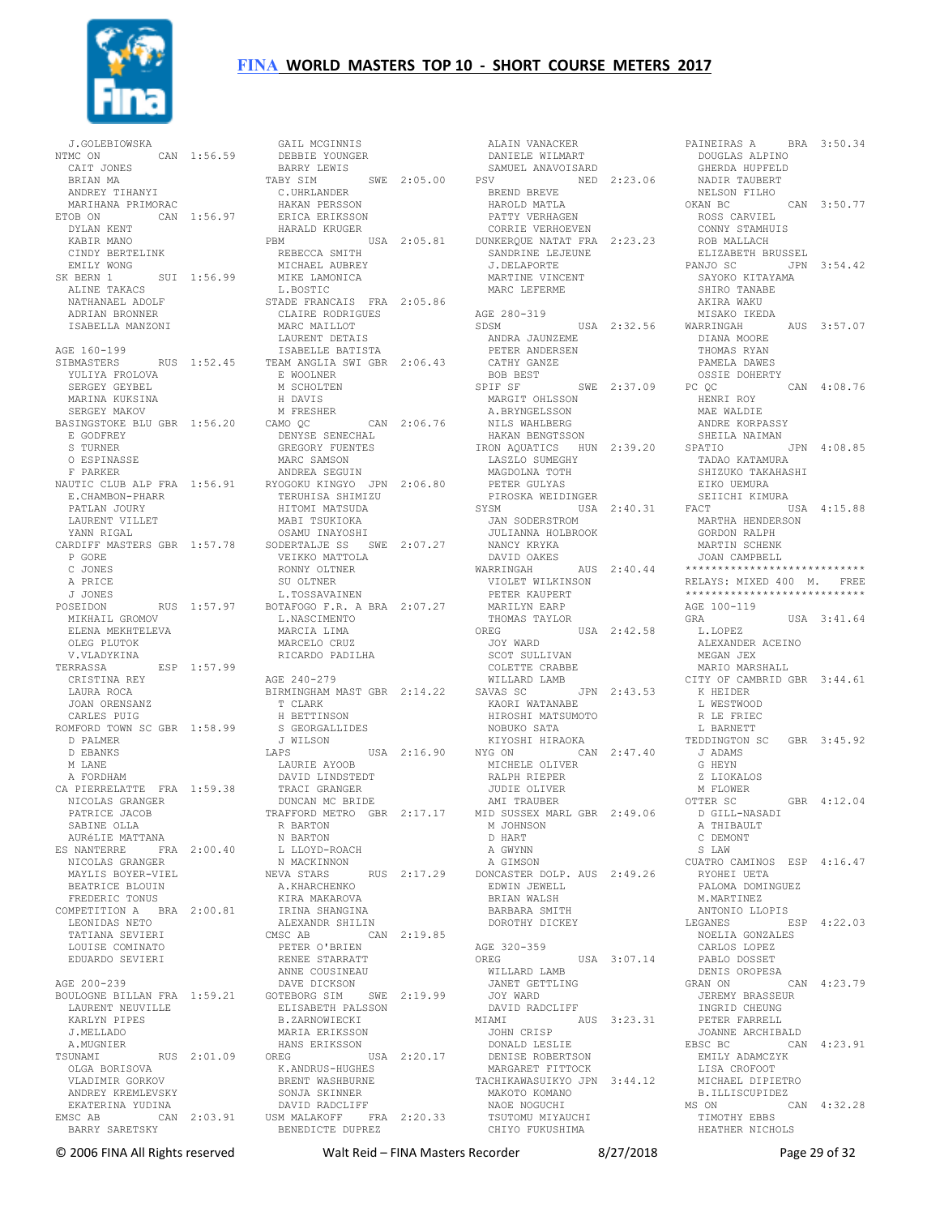

 J.GOLEBIOWSKA  $CAN$  1:56.59 CAIT JONES BRIAN MA ANDREY TIHANYI MARIHANA PRIMORAC ETOB ON CAN 1:56.97 HAKAN PERSSON ERICA ERIKSSON DYLAN KENT KABIR MANO CINDY BERTELINK EMILY WONG<br>SK BERN 1 SK BERN 1 SUI 1:56.99 MIKE LAMONICA ALINE TAKACS NATHANAEL ADOLF ADRIAN BRONNER ISABELLA MANZONI AGE 160-199<br>SIBMASTERS YULIYA FROLOVA SERGEY GEYBEL MARINA KUKSINA SERGEY MAKOV BASINGSTOKE BLU GBR 1:56.20 E GODFREY S TURNER O ESPINASSE F PARKER NAUTIC CLUB ALP FRA 1:56.91 E.CHAMBON-PHARR PATLAN JOURY LAURENT VILLET YANN RIGAL CARDIFF MASTERS GBR 1:57.78 P GORE C JONES A PRICE J JONES POSEIDON RUS 1:57.97 MIKHAIL GROMOV ELENA MEKHTELEVA OLEG PLUTOK V.VLADYKINA ESP 1:57.99 CRISTINA REY LAURA ROCA JOAN ORENSANZ CARLES PUIG ROMFORD TOWN SC GBR 1:58.99 D PALMER D EBANKS M LANE A FORDHAM CA PIERRELATTE FRA 1:59.38 TRACI GRANGER PATRICE JACOB<br>
SABINE OLLA<br>
AURÉLIE MATTANA<br>
ES NANTERRE FRA 2:00.40<br>
NICOLAS GRANGER<br>
MAYLIS BOYER-VIEL BEATRICE BLOUIN BEATRICE BLOUIN<br>FREDERIC TONUS COMPETITION A BRA 2:00.81 LEONIDAS NETO IRINA SHANGINA ALEXANDR SHILIN TATIANA SEVIERI LOUISE COMINATO EDUARDO SEVIERI AGE 200-239 BOULOGNE BILLAN FRA 1:59.21 LAURENT NEUVILLE KARLYN PIPES J.MELLADO A.MUGNIER TSUNAMI RUS 2:01.09 OLGA BORISOVA VLADIMIR GORKOV **ANDREY KREMLEVSKY**  EKATERINA YUDINA BARRY SARETSKY

SIBMASTERS RUS 1:52.45 TEAM ANGLIA SWI GBR 2:06.43 NICOLAS GRANGER DUNCAN MC BRIDE TRAFFORD METRO GBR 2:17.17 AMI TRAUBER MID SUSSEX MARL GBR 2:49.06 EMSC AB CAN 2:03.91 USM MALAKOFF FRA 2:20.33 GAIL MCGINNIS DEBBIE YOUNGER BARRY LEWIS<br>TABY SIM SWE 2:05.00 C.UHRLANDER HARALD KRUGER PBM USA 2:05.81 CORRIE VERHOEVEN DUNKERQUE NATAT FRA 2:23.23 REBECCA SMITH MICHAEL AUBREY L.BOSTIC STADE FRANCAIS FRA 2:05.86 CLAIRE RODRIGUES MARC MAILLOT LAURENT DETAIS ISABELLE BATISTA E WOOLNER M SCHOLTEN H DAVIS M FRESHER CAMO QC CAN 2:06.76 DENYSE SENECHAL GREGORY FUENTES MARC SAMSON ANDREA SEGUIN RYOGOKU KINGYO JPN 2:06.80 TERUHISA SHIMIZU HITOMI MATSUDA MABI TSUKIOKA OSAMU INAYOSHI SODERTALJE SS SWE 2:07.27 VEIKKO MATTOLA RONNY OLTNER SU OLTNER L.TOSSAVAINEN BOTAFOGO F.R. A BRA 2:07.27 L.NASCIMENTO MARCIA LIMA MARCELO CRUZ RICARDO PADILHA AGE 240-279 BIRMINGHAM MAST GBR 2:14.22 T CLARK H BETTINSON S GEORGALLIDES J WILSON LAPS USA 2:16.90 KIYOSHI HIRAOKA NYG ON CAN 2:47.40 LAURIE AYOOB DAVID LINDSTEDT R BARTON N BARTON L LLOYD-ROACH N MACKINNON NEVA STARS RUS 2:17.29 A.KHARCHENKO KIRA MAKAROVA CMSC AB CAN 2:19.85 PETER O'BRIEN RENEE STARRATT ANNE COUSINEAU DAVE DICKSON GOTEBORG SIM SWE 2:19.99 ELISABETH PALSSON B.ZARNOWIECKI MARIA ERIKSSON HANS ERIKSSON OREG USA 2:20.17 K.ANDRUS-HUGHES BRENT WASHBURNE SONJA SKINNER DAVID RADCLIFF BENEDICTE DUPREZ

 ALAIN VANACKER DANIELE WILMART SAMUEL ANAVOISARD<br>PSV NED PSV NED 2:23.06 BREND BREVE HAROLD MATLA PATTY VERHAGEN MARTINE VINCENT MARC LEFERME AGE 280-319<br>SDSM ANDRA JAUNZEME PETER ANDERSEN PETER ANDERSEN<br>CATHY GANZE BOB BEST<br>SPIF SF SWE 2:37.09 MARGIT OHLSSON A.BRYNGELSSON NILS WAHLBERG LASZLO SUMEGHY<br>LASZLO SUMEGHY<br>MAGDOLNA TOTH PETER GULYAS PIROSKA WEIDINGER SYSM USA 2:40.31 JAN SODERSTROM JULIANNA HOLBROOK<br>MULIANNA HOLBROOK NANCY KRYKA DAVID OAKES WARRINGAH AUS 2:40.44 VIOLET WILKINSON PETER KAUPERT MARILYN EARP THOMAS TAYLOR OREG USA 2:42.58 JOY WARD SCOT SULLIVAN COLETTE CRABBE WILLARD LAMB SAVAS SC JPN 2:43.53 KAORI WATANABE HIROSHI MATSUMOTO NOBUKO SATA MICHELE OLIVER RALPH RIEPER JUDIE OLIVER M JOHNSON D HART A GWYNN A GIMSON DONCASTER DOLP. AUS 2:49.26 EDWIN JEWELL BRIAN WALSH BARBARA SMITH DOROTHY DICKEY AGE 320-359<br>OREG OREG USA 3:07.14 WILLARD LAMB JANET GETTLING JOY WARD DAVID RADCLIFF MIAMI AUS 3:23.31 JOHN CRISP DENISE ROBERTSON MARGARET FITTOCK TACHIKAWASUIKYO JPN 3:44.12 MAKOTO KOMANO NAOE NOGUCHI TSUTOMU MIYAUCHI CHIYO FUKUSHIMA

 SANDRINE LEJEUNE J.DELAPORTE ELIZABETH BRUSSEL PANJO SC JPN 3:54.42 SDSM USA 2:32.56 WARRINGAH AUS 3:57.07 HAKAN BENGTSSON IRON AQUATICS HUN 2:39.20 LASZLO SUMEGHY SPATIO JPN 4:08.85 TADAO KATAMURA DONALD LESLIE EBSC BC CAN 4:23.91 PAINEIRAS A BRA 3:50.34 DOUGLAS ALPINO GHERDA HUPFELD NADIR TAUBERT NELSON FILHO OKAN BC CAN 3:50.77 ROSS CARVIEL CONNY STAMHUIS CONNY STAMHUIS<br>ROB MALLACH SAYOKO KITAYAMA SHIRO TANABE AKIRA WAKU MISAKO IKEDA<br>ARRINGAH AUS 3:57.07 DIANA MOORE THOMAS RYAN PAMELA DAWES OSSIE DOHERTY<br>PC OC CAN 4:08.76 HENRI ROY MAE WALDIE ANDRE KORPASSY SHEILA NAIMAN UPN<br>TADAO KATAMURA<br>SHIZUKO TAKAHASHI EIKO UEMURA SEIICHI KIMURA FACT USA 4:15.88 MARTHA HENDERSON GORDON RALPH MARTIN SCHENK JOAN CAMPBELL \*\*\*\*\*\*\*\*\*\*\*\*\*\*\*\*\*\*\*\*\*\*\*\*\*\*\*\* RELAYS: MIXED 400 M. FREE \*\*\*\*\*\*\*\*\*\*\*\*\*\*\*\*\*\*\*\*\*\*\*\*\*\*\*\* AGE 100-119 GRA USA 3:41.64 L.LOPEZ ALEXANDER ACEINO MEGAN JEX MARIO MARSHALL CITY OF CAMBRID GBR 3:44.61 K HEIDER L WESTWOOD R LE FRIEC L BARNETT TEDDINGTON SC GBR 3:45.92 J ADAMS G HEYN Z LIOKALOS M FLOWER OTTER SC GBR 4:12.04 D GILL-NASADI A THIBAULT C DEMONT S LAW CUATRO CAMINOS ESP 4:16.47 RYOHEI UETA PALOMA DOMINGUEZ M.MARTINEZ ANTONIO LLOPIS LEGANES ESP 4:22.03 NOELIA GONZALES CARLOS LOPEZ PABLO DOSSET DENIS OROPESA<br>RAN ON CAN 4:23.79 GRAN ON CAN 4:23.79 JEREMY BRASSEUR INGRID CHEUNG PETER FARRELL JOANNE ARCHIBALD EMILY ADAMCZYK LISA CROFOOT MICHAEL DIPIETRO B.ILLISCUPIDEZ<br>MS ON CAN 4:32.28 TIMOTHY EBBS HEATHER NICHOLS

© 2006 FINA All Rights reserved Walt Reid – FINA Masters Recorder 8/27/2018 Page 29 of 32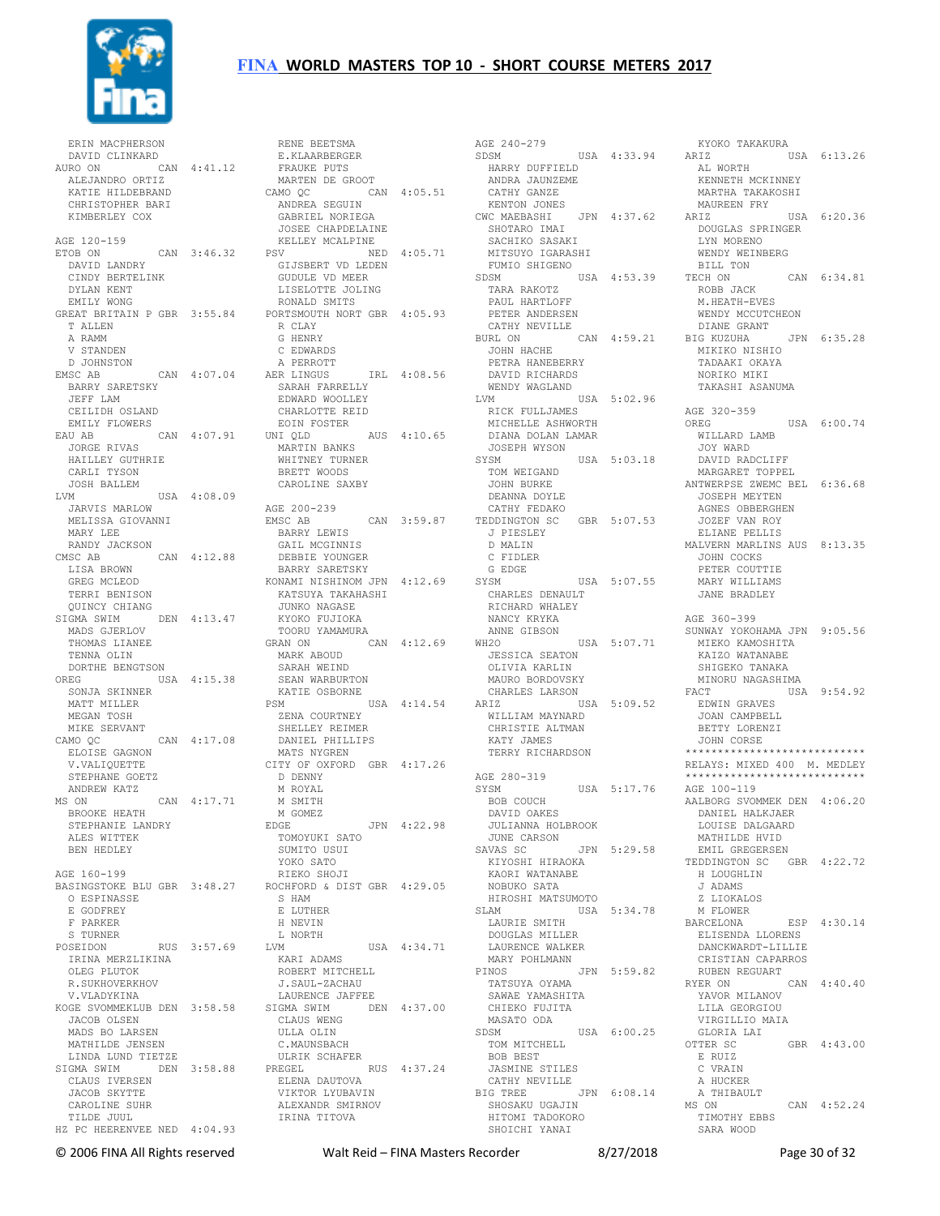

ERIN MACPHERSON<br>DAVID CLINKARD<br>AURO ON CAN 4:41.12<br>ALEJANDRO ORTIZ<br>KATIE HILDEBRAND CHRISTOPHER BARI KIMBERLEY COX AGE 120-159 ETOB ON CAN 3:46.32 DAVID LANDRY CINDY BERTELINK DYLAN KENT EMILY WONG GREAT BRITAIN P GBR 3:55.84 T ALLEN A RAMM V STANDEN D JOHNSTON<br>EMSC AB CAN 4:07.04 BARRY SARETSKY JEFF LAM CEILIDH OSLAND EMILY FLOWERS EAU AB CAN 4:07.91 JORGE RIVAS HAILLEY GUTHRIE CARLI TYSON JOSH BALLEM LVM USA 4:08.09 JARVIS MARLOW MELISSA GIOVANNI MARY LEE RANDY JACKSON CMSC AB CAN 4:12.88 LISA BROWN GREG MCLEOD TERRI BENISON<br>OUINCY CHIANG QUINCY CHIANG SIGMA SWIM DEN 4:13.47 MADS GJERLOV THOMAS LIANEE TENNA OLIN DORTHE BENGTSON OREG USA 4:15.38 SONJA SKINNER MATT MILLER MEGAN TOSH MIKE SERVANT CAMO QC CAN 4:17.08 ELOISE GAGNON V.VALIQUETTE STEPHANE GOETZ ANDREW KATZ MS ON CAN 4:17.71 BROOKE HEATH STEPHANIE LANDRY<br>ALEC 1155 ALES WITTEK BEN HEDLEY AGE 160-199 BASINGSTOKE BLU GBR 3:48.27 O ESPINASSE E GODFREY F PARKER S TURNER POSEIDON RUS 3:57.69 IRINA MERZLIKINA OLEG PLUTOK R.SUKHOVERKHOV V.VLADYKINA KOGE SVOMMEKLUB DEN 3:58.58 JACOB OLSEN MADS BO LARSEN MATHILDE JENSEN LINDA LUND TIETZE SIGMA SWIM DEN 3:58.88 CLAUS IVERSEN JACOB SKYTTE CAROLINE SUHR TILDE JUUL HZ PC HEERENVEE NED 4:04.93

RENE BEETSMA<br>E.KLAARBERGER<br>FRAUKE PUTS<br>MARTEN DE GROOT CAMO QC CAN 4:05.51 ANDREA SEGUIN GABRIEL NORIEGA JOSEE CHAPDELAINE KELLEY MCALPINE PSV NED 4:05.71 GIJSBERT VD LEDEN GUDULE VD MEER LISELOTTE JOLING RONALD SMITS PORTSMOUTH NORT GBR 4:05.93 R CLAY G HENRY C EDWARDS<br>A PERROTT A PERROTT<br>
AER LINGUS<br>
SARAH FARRELLY<br>
EDWARD WOOLLEY<br>
CHARLOTTE REID<br>
EOIN FOSTER UNI QLD AUS 4:10.65 URANG -<br>
EOIN FOSTER<br>
UNI QLD<br>
MARTIN BANKS<br>
THE MARTIN BANKS WHITNEY TURNER BRETT WOODS CAROLINE SAXBY AGE 200-239 EMSC AB<br>EMSC AB CAN 3:59.87<br>BARRY LEWIS BARRY LEWIS GAIL MCGINNIS DEBBIE YOUNGER BARRY SARETSKY KONAMI NISHINOM JPN 4:12.69 KATSUYA TAKAHASHI<br>JUNKO NAGASE JUNKO NAGASE KYOKO FUJIOKA TOORU YAMAMURA CAN 4:12.69 MARK ABOUD SARAH WEIND SEAN WARBURTON KATIE OSBORNE PSM USA 4:14.54 ZENA COURTNEY SHELLEY REIMER DANIEL PHILLIPS MATS NYGREN CITY OF OXFORD GBR 4:17.26 D DENNY M ROYAL M SMITH M GOMEZ<br>EDGE EDGE JPN 4:22.98 TOMOYUKI SATO SUMITO USUI YOKO SATO RIEKO SHOJI ROCHFORD & DIST GBR 4:29.05 S HAM E LUTHER H NEVIN L NORTH<br>LVM USA 4:34.71 KARI ADAMS ROBERT MITCHELL J.SAUL-ZACHAU LAURENCE JAFFEE SIGMA SWIM DEN 4:37.00 CLAUS WENG ULLA OLIN C.MAUNSBACH ULRIK SCHAFER PREGEL RUS  $4:37.24$  ELENA DAUTOVA VIKTOR LYUBAVIN ALEXANDR SMIRNOV IRINA TITOVA

AGE 240-279 SDSM USA 4:33.94 HARRY DUFFIELD ANDRA JAUNZEME CATHY GANZE KENTON JONES CWC MAEBASHI JPN 4:37.62 SHOTARO IMAI SACHIKO SASAKI MITSUYO IGARASHI TARA RAKOTZ PAUL HARTLOFF PETER ANDERSEN CATHY NEVILLE BURL ON CAN 4:59.21 JOHN HACHE PETRA HANEBERRY TADAAKI OKAYA DAVID RICHARDS WENDY WAGLAND LVM USA 5:02.96 RICK FULLJAMES در المساسلة<br>MICHELLE ASHWORTH<br>DIANA DOLAN LAMAR DIANA DOLAN LAMAR JOSEPH WYSON SYSM USA 5:03.18 TOM WEIGAND JOHN BURKE DEANNA DOYLE CATHY FEDAKO TEDDINGTON SC GBR 5:07.53 J PIESLEY D MALIN C FIDLER G EDGE SYSM USA 5:07.55 CHARLES DENAULT RICHARD WHALEY NANCY KRYKA ANNE GIBSON WH2O USA 5:07.71 JESSICA SEATON OLIVIA KARLIN MAURO BORDOVSKY CHARLES LARSON ARIZ USA 5:09.52 WILLIAM MAYNARD CHRISTIE ALTMAN KATY JAMES<br>TERRY RICHARDSON AGE 280-319 SYSM USA 5:17.76 AGE 100-119 BOB COUCH DAVID OAKES JULIANNA HOLBROOK JUNE CARSON SAVAS SC JPN 5:29.58 KIYOSHI HIRAOKA KAORI WATANABE NOBUKO SATA HIROSHI MATSUMOTO<br>SLAM USA SLAM USA 5:34.78 LAURIE SMITH M FLOWER DOUGLAS MILLER DOUGLAS MILLER<br>LAURENCE WALKER MARY POHLMANN PINOS JPN 5:59.82 TATSUYA OYAMA SAWAE YAMASHITA CHIEKO FUJITA MASATO ODA SDSM USA 6:00.25 TOM MITCHELL BOB BEST JASMINE STILES CATHY NEVILLE<br>BIG TREE JPN 6:08.14 BIG TREE JPN 6:08.14 SHOSAKU UGAJIN HITOMI TADOKORO SHOICHI YANAI

 FUMIO SHIGENO SDSM USA 4:53.39 TECH ON CAN 6:34.81 KYOKO TAKAKURA USA 6:13.26 AL WORTH KENNETH MCKINNEY MARTHA TAKAKOSHI MAUREEN FRY ARIZ USA 6:20.36 DOUGLAS SPRINGER LYN MORENO WENDY WEINBERG BILL TON ROBB JACK M.HEATH-EVES WENDY MCCUTCHEON DIANE GRANT BIG KUZUHA JPN 6:35.28 MIKIKO NISHIO NORIKO MIKI TAKASHI ASANUMA AGE 320-359<br>OREG USA 6:00.74 WILLARD LAMB JOY WARD DAVID RADCLIFF MARGARET TOPPEL ANTWERPSE ZWEMC BEL 6:36.68 JOSEPH MEYTEN AGNES OBBERGHEN JOZEF VAN ROY ELIANE PELLIS MALVERN MARLINS AUS 8:13.35 JOHN COCKS PETER COUTTIE MARY WILLIAMS JANE BRADLEY AGE 360-399 SUNWAY YOKOHAMA JPN 9:05.56 MIEKO KAMOSHITA KAIZO WATANABE SHIGEKO TANAKA MINORU NAGASHIMA FACT USA 9:54.92 EDWIN GRAVES JOAN CAMPBELL BETTY LORENZI JOHN CORSE \*\*\*\*\*\*\*\*\*\*\*\*\*\*\*\*\*\*\*\*\*\*\*\*\*\*\*\* RELAYS: MIXED 400 M. MEDLEY \*\*\*\*\*\*\*\*\*\*\*\*\*\*\*\*\*\*\*\*\*\* AALBORG SVOMMEK DEN 4:06.20 DANIEL HALKJAER LOUISE DALGAARD MATHILDE HVID EMIL GREGERSEN TEDDINGTON SC GBR 4:22.72 H LOUGHLIN J ADAMS Z LIOKALOS BARCELONA ESP 4:30.14 ELISENDA LLORENS DANCKWARDT-LILLIE CRISTIAN CAPARROS RUBEN REGUART RYER ON CAN 4:40.40 YAVOR MILANOV LILA GEORGIOU VIRGILLIO MAIA . . . .<br>GLORIA LAI<br>OTTER SC  $GBR$  4:43.00 E RUIZ C VRAIN A HUCKER A THIBAULT<br>MS ON CAN 4:52.24 TIMOTHY EBBS SARA WOOD

© 2006 FINA All Rights reserved Walt Reid – FINA Masters Recorder 8/27/2018 Page 30 of 32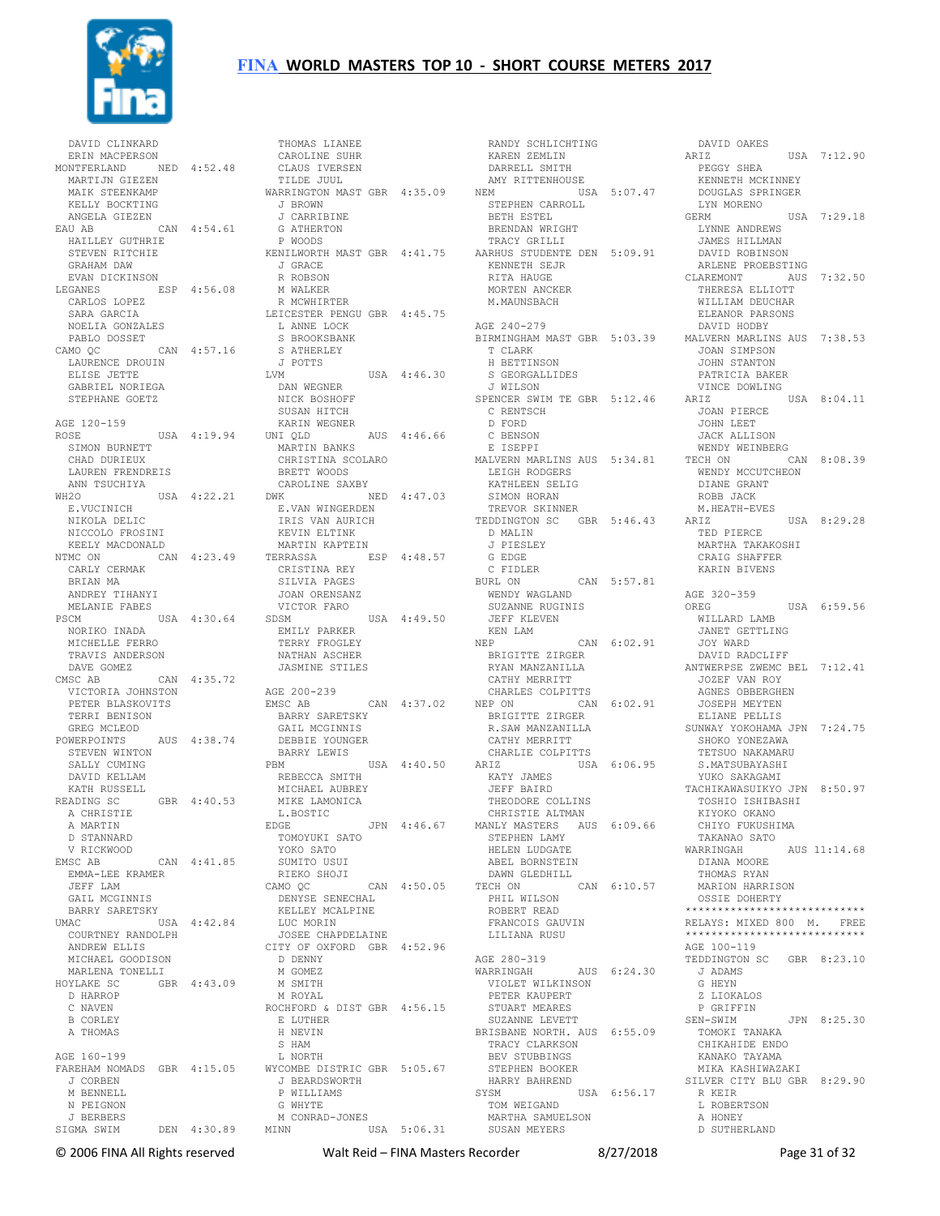

 DAVID CLINKARD ERIN MACPERSON MONTFERLAND NED 4:52.48 MARTIJN GIEZEN MAIK STEENKAMP KELLY BOCKTING ANGELA GIEZEN EAU AB CAN 4:54.61 HAILLEY GUTHRIE STEVEN RITCHIE KENILWORTH MAST GBR 4:41.75 GRAHAM DAW EVAN DICKINSON LEGANES ESP 4:56.08 CARLOS LOPEZ SARA GARCIA<br>NOELIA GONZALES NOELIA GONZALES PABLO DOSSET CAMO QC CAN 4:57.16 LAURENCE DROUIN ELISE JETTE GABRIEL NORIEGA STEPHANE GOETZ AGE 120-159 ROSE USA 4:19.94 UNIQLD SIMON BURNETT CHAD DURIEUX LAUREN FRENDREIS ANN TSUCHIYA<br>WH2O USA 4:22.21 E.VUCINICH NIKOLA DELIC NICCOLO FROSINI KEELY MACDONALD NTMC ON CAN 4:23.49 TERRASSA ESP 4:48.57 CARLY CERMAK BRIAN MA ANDREY TIHANYI MELANIE FABES PSCM USA 4:30.64 SDSM NORIKO INADA MICHELLE FERRO TRAVIS ANDERSON DAVE GOMEZ CMSC AB CAN 4:35.72 VICTORIA JOHNSTON PETER BLASKOVITS<br>TERRI BENISON TERRI BENISON GREG MCLEOD POWERPOINTS AUS 4:38.74 STEVEN WINTON SALLY CUMING DAVID KELLAM KATH RUSSELL READING SC GBR 4:40.53<br>A CHRISTIF A CHRISTIE A MARTIN D STANNARD V RICKWOOD  $EMSC$  AB  $CAN$   $4 \cdot 41$  85 EMMA-LEE KRAMER JEFF LAM GAIL MCGINNIS BARRY SARETSKY UMAC USA 4:42.84 COURTNEY RANDOLPH ANDREW ELLIS MICHAEL GOODISON MARLENA TONELLI HOYLAKE SC GBR 4:43.09 D HARROP C NAVEN B CORLEY A THOMAS AGE 160-199 FAREHAM NOMADS GBR 4:15.05 J CORBEN M BENNELL. N PEIGNON J BERBERS SIGMA SWIM DEN 4:30.89

 THOMAS LIANEE CAROLINE SUHR CLAUS IVERSEN TILDE JUUL WARRINGTON MAST GBR 4:35.09 J BROWN J CARRIBINE G ATHERTON P WOODS J GRACE R ROBSON M WALKER R MCWHIRTER LEICESTER PENGU GBR 4:45.75 L ANNE LOCK S BROOKSBANK S ATHERLEY J POTTS  $USA = 4:46.30$  DAN WEGNER NICK BOSHOFF SUSAN HITCH KARIN WEGNER UNI QLD AUS 4:46.66 MARTIN BANKS CHRISTINA SCOLARO BRETT WOODS NA WOODS<br>CAROLINE SAXBY DWK NED 4:47.03 E.VAN WINGERDEN IRIS VAN AURICH TREVOR SKINNER TEDDINGTON SC GBR 5:46.43 KEVIN ELTINK MARTIN KAPTEIN CRISTINA REY SILVIA PAGES JOAN ORENSANZ VICTOR FARO USA  $4:49.50$  JE<br>
KE<br>
NEP<br>
NEP EMILY PARKER TERRY FROGLEY NATHAN ASCHER JASMINE STILES AGE 200-239 EMSC AB CAN 4:37.02 CHARLES COLPITTS NEP ON CAN 6:02.91 AGNES OBBERGHEN JOSEPH MEYTEN BARRY SARETSKY GAIL MCGINNIS DEBBIE YOUNGER BARRY LEWIS<br>PBM  $USA$  4:40.50  $ARTZ$  REBECCA SMITH MICHAEL AUBREY MIKE LAMONICA L.BOSTIC<br>EDGE EDGE JPN 4:46.67 MANLY MASTERS AUS 6:09.66 STEPHEN LAMY TOMOYUKI SATO YOKO SATO SUMITO USUI RIEKO SHOJI CAMO QC CAN 4:50.05 DENYSE SENECHAL KELLEY MCALPINE LUC MORIN JOSEE CHAPDELAINE CITY OF OXFORD GBR 4:52.96 D DENNY M GOMEZ M SMITH M ROYAL ROCHFORD & DIST GBR 4:56.15 E LUTHER H NEVIN S HAM L NORTH WYCOMBE DISTRIC GBR 5:05.67 J BEARDSWORTH P WILLIAMS G WHYTE M CONRAD-JONES MINN USA 5:06.31

 RANDY SCHLICHTING KAREN ZEMLIN DARRELL SMITH AMY RITTENHOUSE<br>NEM USA  $USA = 5:07.47$  STEPHEN CARROLL BETH ESTEL BRENDAN WRIGHT TRACY GRILLI AARHUS STUDENTE DEN 5:09.91 KENNETH SEJR RITA HAUGE MORTEN ANCKER M.MAUNSBACH AGE 240-279 T CLARK H BETTINSON S GEORGALLIDES J WILSON SPENCER SWIM TE GBR 5:12.46 C RENTSCH D FORD C BENSON E ISEPPI MALVERN MARLINS AUS 5:34.81 LEIGH RODGERS KATHLEEN SELIG SIMON HORAN D MALIN J PIESLEY G EDGE C FIDLER BURL ON CAN 5:57.81 WENDY WAGLAND SUZANNE RUGINIS<br>SUZANNE RUGINIS JEFF KLEVEN KEN LAM  $CAN 6:02.91$  BRIGITTE ZIRGER RYAN MANZANILLA CATHY MERRITT BRIGITTE ZIRGER R.SAW MANZANILLA CATHY MERRITT CHARLIE COLPITTS ARIZ USA 6:06.95 S.MATSUBAYASHI YUKO SAKAGAMI KATY JAMES JEFF BAIRD THEODORE COLLINS CHRISTIE ALTMAN HELEN LUDGATE ABEL BORNSTEIN DAWN GLEDHILL TECH ON CAN 6:10.57 PHIL WILSON ROBERT READ FRANCOIS GAUVIN LILIANA RUSU AGE 280-319 WARRINGAH AUS 6:24.30 VIOLET WILKINSON PETER KAUPERT STUART MEARES SUZANNE LEVETT BRISBANE NORTH. AUS 6:55.09 TRACY CLARKSON BEV STUBBINGS STEPHEN BOOKER HARRY BAHREND<br>sysm USA 6:56.17 TOM WEIGAND MARTHA SAMUELSON SUSAN MEYERS

BIRMINGHAM MAST GBR 5:03.39 MALVERN MARLINS AUS 7:38.53 DAVID OAKES<br>ARIZ USA 7:12.90 PEGGY SHEA KENNETH MCKINNEY DOUGLAS SPRINGER LYN MORENO<br>GERM  $TISA$  7:29.18 LYNNE ANDREWS JAMES HILLMAN DAVID ROBINSON ARLENE PROEBSTING CLAREMONT AUS 7:32.50 THERESA ELLIOTT WILLIAM DEUCHAR ELEANOR PARSONS DAVID HODBY JOAN SIMPSON JOHN STANTON PATRICIA BAKER VINCE DOWLING USA 8:04.11 JOAN PIERCE JOHN LEET JACK ALLISON WENDY WEINBERG TECH ON CAN 8:08.39 WENDY MCCUTCHEON DIANE GRANT ROBB JACK M.HEATH-EVES  $HSA$   $R:29.28$  TED PIERCE MARTHA TAKAKOSHI CRAIG SHAFFER KARIN BIVENS AGE 320-359<br>OREG  $HSA$   $6.59.56$  WILLARD LAMB JANET GETTLING JOY WARD DAVID RADCLIFF ANTWERPSE ZWEMC BEL 7:12.41 JOZEF VAN ROY<br>AGNES ORBERGHEN ELIANE PELLIS SUNWAY YOKOHAMA JPN 7:24.75 SHOKO YONEZAWA TETSUO NAKAMARU TACHIKAWASUIKYO JPN 8:50.97 TOSHIO ISHIBASHI KIYOKO OKANO CHIYO FUKUSHIMA TAKANAO SATO WARRINGAH AUS 11:14.68 DIANA MOORE THOMAS RYAN MARION HARRISON OSSIE DOHERTY \*\*\*\*\*\*\*\*\*\*\*\*\*\*\*\*\*\*\*\*\*\*\*\*\*\*\*\* RELAYS: MIXED 800 M. FREE \*\*\*\*\*\*\*\*\*\*\*\*\*\*\*\*\*\*\*\*\*\*\*\*\*\*\*\* AGE 100-119 TEDDINGTON SC GBR 8:23.10 J ADAMS G HEYN Z LIOKALOS P GRIFFIN SEN-SWIM JPN 8:25.30 TOMOKI TANAKA CHIKAHIDE ENDO KANAKO TAYAMA<br>MIKA KASHIWAZAKI SILVER CITY BLU GBR 8:29.90 R KEIR L ROBERTSON A HONEY D SUTHERLAND

© 2006 FINA All Rights reserved Walt Reid – FINA Masters Recorder 8/27/2018 Page 31 of 32